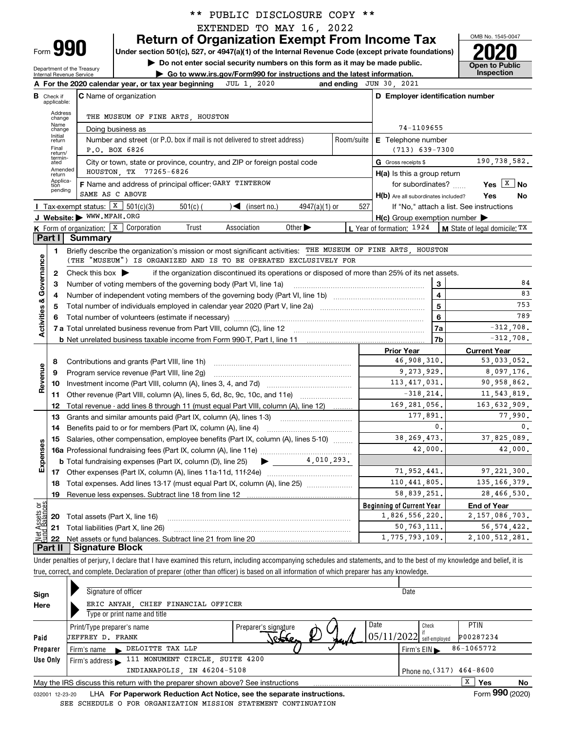|  |  | ** PUBLIC DISCLOSURE COPY ** |  |  |
|--|--|------------------------------|--|--|
|--|--|------------------------------|--|--|

EXTENDED TO MAY 16, 2022

**Return of Organization Exempt From Income Tax**

**Under section 501(c), 527, or 4947(a)(1) of the Internal Revenue Code (except private foundations) 2020**

Department of the Treasury Internal Revenue Service

Form **990**

**| Do not enter social security numbers on this form as it may be made public. | Go to www.irs.gov/Form990 for instructions and the latest information. Inspection**



|                         |                                                                                                                                                                                              | JUL 1, 2020<br>A For the 2020 calendar year, or tax year beginning                                                                  |                                     | and ending JUN 30, 2021                             |                                                           |  |  |  |  |  |  |  |  |  |
|-------------------------|----------------------------------------------------------------------------------------------------------------------------------------------------------------------------------------------|-------------------------------------------------------------------------------------------------------------------------------------|-------------------------------------|-----------------------------------------------------|-----------------------------------------------------------|--|--|--|--|--|--|--|--|--|
| в                       | Check if<br>applicable:                                                                                                                                                                      | C Name of organization                                                                                                              |                                     | D Employer identification number                    |                                                           |  |  |  |  |  |  |  |  |  |
|                         | Address<br>change                                                                                                                                                                            | THE MUSEUM OF FINE ARTS, HOUSTON                                                                                                    |                                     |                                                     |                                                           |  |  |  |  |  |  |  |  |  |
|                         | Name<br>change                                                                                                                                                                               | Doing business as                                                                                                                   |                                     | 74-1109655                                          |                                                           |  |  |  |  |  |  |  |  |  |
|                         | Initial<br>return                                                                                                                                                                            | Number and street (or P.O. box if mail is not delivered to street address)                                                          | Room/suite                          | <b>E</b> Telephone number                           |                                                           |  |  |  |  |  |  |  |  |  |
|                         | Final<br>return/                                                                                                                                                                             | P.O. BOX 6826<br>$(713)$ 639-7300                                                                                                   |                                     |                                                     |                                                           |  |  |  |  |  |  |  |  |  |
|                         | termin-<br>ated<br>Amended                                                                                                                                                                   | City or town, state or province, country, and ZIP or foreign postal code                                                            | 190,738,582.<br>G Gross receipts \$ |                                                     |                                                           |  |  |  |  |  |  |  |  |  |
|                         | return                                                                                                                                                                                       | HOUSTON, TX 77265-6826<br>$H(a)$ is this a group return                                                                             |                                     |                                                     |                                                           |  |  |  |  |  |  |  |  |  |
|                         | Applica-<br>tion<br>pending                                                                                                                                                                  | F Name and address of principal officer: GARY TINTEROW                                                                              |                                     | for subordinates?                                   | Yes $X$ No                                                |  |  |  |  |  |  |  |  |  |
|                         |                                                                                                                                                                                              | SAME AS C ABOVE                                                                                                                     |                                     | H(b) Are all subordinates included?                 | Yes<br>No                                                 |  |  |  |  |  |  |  |  |  |
|                         |                                                                                                                                                                                              | Tax-exempt status: $\boxed{\textbf{X}}$ 501(c)(3)<br>$501(c)$ (<br>$\sqrt{\frac{1}{1}}$ (insert no.)<br>4947(a)(1) or               | 527                                 |                                                     | If "No," attach a list. See instructions                  |  |  |  |  |  |  |  |  |  |
|                         |                                                                                                                                                                                              | J Website: WWW.MFAH.ORG                                                                                                             |                                     | $H(c)$ Group exemption number $\blacktriangleright$ |                                                           |  |  |  |  |  |  |  |  |  |
|                         | Part I                                                                                                                                                                                       | K Form of organization: X Corporation<br>Other $\blacktriangleright$<br>Trust<br>Association<br>Summary                             |                                     |                                                     | L Year of formation: 1924   M State of legal domicile: TX |  |  |  |  |  |  |  |  |  |
|                         | 1                                                                                                                                                                                            | Briefly describe the organization's mission or most significant activities: THE MUSEUM OF FINE ARTS, HOUSTON                        |                                     |                                                     |                                                           |  |  |  |  |  |  |  |  |  |
|                         |                                                                                                                                                                                              | (THE "MUSEUM") IS ORGANIZED AND IS TO BE OPERATED EXCLUSIVELY FOR                                                                   |                                     |                                                     |                                                           |  |  |  |  |  |  |  |  |  |
|                         | 2                                                                                                                                                                                            | Check this box $\blacktriangleright$                                                                                                |                                     |                                                     |                                                           |  |  |  |  |  |  |  |  |  |
|                         | Governance<br>if the organization discontinued its operations or disposed of more than 25% of its net assets.<br>3<br>з<br>Number of voting members of the governing body (Part VI, line 1a) |                                                                                                                                     |                                     |                                                     |                                                           |  |  |  |  |  |  |  |  |  |
|                         | 4                                                                                                                                                                                            |                                                                                                                                     |                                     | $\overline{\mathbf{4}}$                             | 83                                                        |  |  |  |  |  |  |  |  |  |
|                         | 5                                                                                                                                                                                            |                                                                                                                                     |                                     | $5\overline{5}$                                     | 753                                                       |  |  |  |  |  |  |  |  |  |
|                         | 6                                                                                                                                                                                            |                                                                                                                                     |                                     | 6                                                   | 789                                                       |  |  |  |  |  |  |  |  |  |
| <b>Activities &amp;</b> |                                                                                                                                                                                              |                                                                                                                                     |                                     | 7a                                                  | $-312,708.$                                               |  |  |  |  |  |  |  |  |  |
|                         |                                                                                                                                                                                              |                                                                                                                                     |                                     | 7b                                                  | $-312,708.$                                               |  |  |  |  |  |  |  |  |  |
|                         |                                                                                                                                                                                              |                                                                                                                                     |                                     | <b>Prior Year</b>                                   | <b>Current Year</b>                                       |  |  |  |  |  |  |  |  |  |
|                         | 8                                                                                                                                                                                            | Contributions and grants (Part VIII, line 1h)                                                                                       |                                     | 46,908,310.                                         | 53,033,052.                                               |  |  |  |  |  |  |  |  |  |
| Revenue                 | 9                                                                                                                                                                                            | Program service revenue (Part VIII, line 2g)                                                                                        |                                     | 9,273,929.                                          | 8,097,176.                                                |  |  |  |  |  |  |  |  |  |
|                         | 10                                                                                                                                                                                           |                                                                                                                                     |                                     | 113, 417, 031.                                      | 90,958,862.                                               |  |  |  |  |  |  |  |  |  |
|                         | 11                                                                                                                                                                                           |                                                                                                                                     |                                     | $-318, 214.$                                        | 11,543,819.                                               |  |  |  |  |  |  |  |  |  |
|                         | 12                                                                                                                                                                                           | Total revenue - add lines 8 through 11 (must equal Part VIII, column (A), line 12)                                                  |                                     | 169, 281, 056.                                      | 163,632,909.                                              |  |  |  |  |  |  |  |  |  |
|                         | 13                                                                                                                                                                                           | Grants and similar amounts paid (Part IX, column (A), lines 1-3)                                                                    |                                     | 177,891.                                            | 77,990.                                                   |  |  |  |  |  |  |  |  |  |
|                         | 14                                                                                                                                                                                           | Benefits paid to or for members (Part IX, column (A), line 4)                                                                       |                                     | $\mathbf{0}$ .                                      | 0.                                                        |  |  |  |  |  |  |  |  |  |
|                         | 15                                                                                                                                                                                           | Salaries, other compensation, employee benefits (Part IX, column (A), lines 5-10)                                                   |                                     | 38, 269, 473.                                       | 37,825,089.                                               |  |  |  |  |  |  |  |  |  |
| Expenses                |                                                                                                                                                                                              |                                                                                                                                     |                                     | 42,000.                                             | 42,000.                                                   |  |  |  |  |  |  |  |  |  |
|                         |                                                                                                                                                                                              | 4,010,293.<br><b>b</b> Total fundraising expenses (Part IX, column (D), line 25)<br>$\blacktriangleright$ and $\blacktriangleright$ |                                     | 71,952,441.                                         | 97.221.300.                                               |  |  |  |  |  |  |  |  |  |
|                         |                                                                                                                                                                                              |                                                                                                                                     |                                     | 110,441,805.                                        | 135, 166, 379.                                            |  |  |  |  |  |  |  |  |  |
|                         | 18<br>19                                                                                                                                                                                     | Total expenses. Add lines 13-17 (must equal Part IX, column (A), line 25) [                                                         |                                     | 58,839,251.                                         | 28,466,530.                                               |  |  |  |  |  |  |  |  |  |
| ag                      |                                                                                                                                                                                              |                                                                                                                                     |                                     | <b>Beginning of Current Year</b>                    | <b>End of Year</b>                                        |  |  |  |  |  |  |  |  |  |
| sets<br>alanc           |                                                                                                                                                                                              | <b>20</b> Total assets (Part X, line 16)                                                                                            |                                     | 1,826,556,220.                                      | 2, 157, 086, 703.                                         |  |  |  |  |  |  |  |  |  |
|                         |                                                                                                                                                                                              | 21 Total liabilities (Part X, line 26)                                                                                              |                                     | 50, 763, 111.                                       | 56, 574, 422.                                             |  |  |  |  |  |  |  |  |  |
| Jet                     |                                                                                                                                                                                              |                                                                                                                                     |                                     | 1,775,793,109.                                      | 2,100,512,281.                                            |  |  |  |  |  |  |  |  |  |
|                         |                                                                                                                                                                                              | Part II   Signature Block                                                                                                           |                                     |                                                     |                                                           |  |  |  |  |  |  |  |  |  |

Under penalties of perjury, I declare that I have examined this return, including accompanying schedules and statements, and to the best of my knowledge and belief, it is true, correct, and complete. Declaration of preparer (other than officer) is based on all information of which preparer has any knowledge.

| Sign<br>Here    | Signature of officer<br>ERIC ANYAH CHIEF FINANCIAL OFFICER<br>Type or print name and title |                              |                                                 |                                  |                          |    |
|-----------------|--------------------------------------------------------------------------------------------|------------------------------|-------------------------------------------------|----------------------------------|--------------------------|----|
| Paid            | Print/Type preparer's name<br>JEFFREY D. FRANK                                             | Preparer's signature<br>rose | Date<br>$\left[05/11/2022\right]$ self-employed | Check                            | <b>PTIN</b><br>P00287234 |    |
| Preparer        | DELOITTE TAX LLP<br>Firm's name<br>$\blacksquare$                                          |                              |                                                 | Firm's $EIN \blacktriangleright$ | 86-1065772               |    |
| Use Only        | 111 MONUMENT CIRCLE, SUITE 4200<br>Firm's address $\blacktriangleright$                    |                              |                                                 |                                  |                          |    |
|                 | INDIANAPOLIS, IN 46204-5108                                                                |                              |                                                 | Phone no. $(317)$ 464-8600       |                          |    |
|                 | May the IRS discuss this return with the preparer shown above? See instructions            |                              |                                                 |                                  | x<br>Yes                 | No |
| 032001 12-23-20 | LHA For Paperwork Reduction Act Notice, see the separate instructions.                     |                              |                                                 |                                  | Form 990 (2020)          |    |
|                 | SEE SCHEDULE O FOR ORGANIZATION MISSION STATEMENT CONTINUATION                             |                              |                                                 |                                  |                          |    |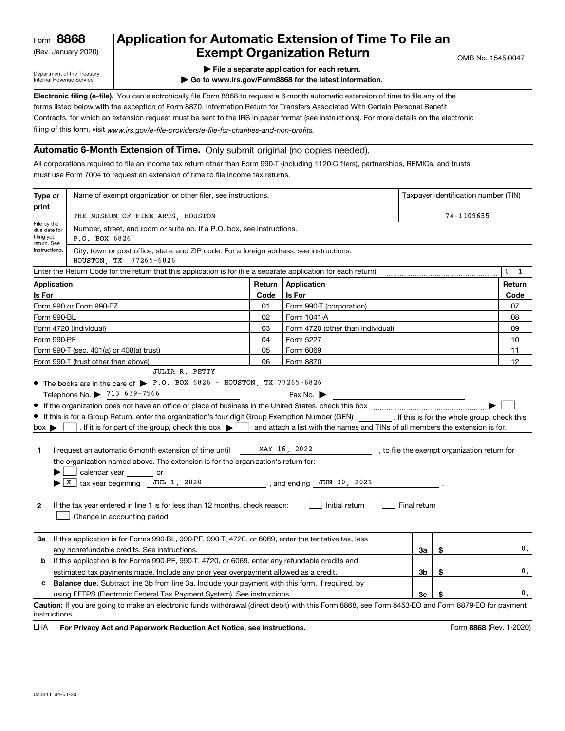(Rev. January 2020)

## **Application for Automatic Extension of Time To File an Exempt Organization Return**

Department of the Treasury Internal Revenue Service

**| File a separate application for each return.**

**| Go to www.irs.gov/Form8868 for the latest information.**

**Electronic filing (e-file).**  You can electronically file Form 8868 to request a 6-month automatic extension of time to file any of the filing of this form, visit www.irs.gov/e-file-providers/e-file-for-charities-and-non-profits. forms listed below with the exception of Form 8870, Information Return for Transfers Associated With Certain Personal Benefit Contracts, for which an extension request must be sent to the IRS in paper format (see instructions). For more details on the electronic

#### **Automatic 6-Month Extension of Time.** Only submit original (no copies needed).

All corporations required to file an income tax return other than Form 990-T (including 1120-C filers), partnerships, REMICs, and trusts must use Form 7004 to request an extension of time to file income tax returns.

| Type or                                         | Name of exempt organization or other filer, see instructions.                                                                                                                                                                                                                                                                                                                                                                                                                                                                                                                                                                                                                        |        |                                                                                                                                                                                                       |              | Taxpayer identification number (TIN) |                                              |  |
|-------------------------------------------------|--------------------------------------------------------------------------------------------------------------------------------------------------------------------------------------------------------------------------------------------------------------------------------------------------------------------------------------------------------------------------------------------------------------------------------------------------------------------------------------------------------------------------------------------------------------------------------------------------------------------------------------------------------------------------------------|--------|-------------------------------------------------------------------------------------------------------------------------------------------------------------------------------------------------------|--------------|--------------------------------------|----------------------------------------------|--|
| print                                           | THE MUSEUM OF FINE ARTS, HOUSTON                                                                                                                                                                                                                                                                                                                                                                                                                                                                                                                                                                                                                                                     |        |                                                                                                                                                                                                       | 74-1109655   |                                      |                                              |  |
| File by the<br>due date for<br>filing your      | Number, street, and room or suite no. If a P.O. box, see instructions.<br>P.O. BOX 6826                                                                                                                                                                                                                                                                                                                                                                                                                                                                                                                                                                                              |        |                                                                                                                                                                                                       |              |                                      |                                              |  |
| return. See<br>instructions.                    | City, town or post office, state, and ZIP code. For a foreign address, see instructions.<br>HOUSTON, TX 77265-6826                                                                                                                                                                                                                                                                                                                                                                                                                                                                                                                                                                   |        |                                                                                                                                                                                                       |              |                                      |                                              |  |
|                                                 | Enter the Return Code for the return that this application is for (file a separate application for each return)                                                                                                                                                                                                                                                                                                                                                                                                                                                                                                                                                                      |        |                                                                                                                                                                                                       |              |                                      | $\mathbf 0$<br>$\mathbf{1}$                  |  |
| <b>Application</b>                              |                                                                                                                                                                                                                                                                                                                                                                                                                                                                                                                                                                                                                                                                                      | Return | Application                                                                                                                                                                                           |              |                                      | Return                                       |  |
| Is For                                          |                                                                                                                                                                                                                                                                                                                                                                                                                                                                                                                                                                                                                                                                                      |        | Is For                                                                                                                                                                                                |              |                                      | Code                                         |  |
|                                                 | Form 990 or Form 990-EZ                                                                                                                                                                                                                                                                                                                                                                                                                                                                                                                                                                                                                                                              | 01     | Form 990-T (corporation)                                                                                                                                                                              |              |                                      | 07                                           |  |
| Form 990-BL                                     |                                                                                                                                                                                                                                                                                                                                                                                                                                                                                                                                                                                                                                                                                      | 02     | Form 1041-A                                                                                                                                                                                           |              | 08                                   |                                              |  |
|                                                 | Form 4720 (individual)                                                                                                                                                                                                                                                                                                                                                                                                                                                                                                                                                                                                                                                               | 03     | Form 4720 (other than individual)                                                                                                                                                                     |              |                                      | 09                                           |  |
| Form 990-PF                                     |                                                                                                                                                                                                                                                                                                                                                                                                                                                                                                                                                                                                                                                                                      | 04     | Form 5227                                                                                                                                                                                             |              |                                      | 10                                           |  |
|                                                 | Form 990-T (sec. 401(a) or 408(a) trust)                                                                                                                                                                                                                                                                                                                                                                                                                                                                                                                                                                                                                                             | 05     | Form 6069                                                                                                                                                                                             |              |                                      | 11                                           |  |
|                                                 | Form 990-T (trust other than above)                                                                                                                                                                                                                                                                                                                                                                                                                                                                                                                                                                                                                                                  | 06     | Form 8870                                                                                                                                                                                             |              |                                      | 12                                           |  |
| $box \blacktriangleright$<br>1.<br>$\mathbf{2}$ | • The books are in the care of $\blacktriangleright$ P.O. BOX 6826 - HOUSTON, TX 77265-6826<br>Telephone No. 2713 639-7566<br>If this is for a Group Return, enter the organization's four digit Group Exemption Number (GEN) [If this is for the whole group, check this<br>. If it is for part of the group, check this box $\blacktriangleright$  <br>I request an automatic 6-month extension of time until<br>the organization named above. The extension is for the organization's return for:<br>calendar year _______ or<br>$X$ tax year beginning JUL 1, 2020<br>If the tax year entered in line 1 is for less than 12 months, check reason:<br>Change in accounting period |        | Fax No. $\blacktriangleright$<br>and attach a list with the names and TINs of all members the extension is for.<br>MAY 16, 2022<br>$\frac{1}{2}$ , and ending $\frac{30}{2}$ , 2021<br>Initial return | Final return |                                      | , to file the exempt organization return for |  |
| За                                              | If this application is for Forms 990-BL, 990-PF, 990-T, 4720, or 6069, enter the tentative tax, less<br>any nonrefundable credits. See instructions.                                                                                                                                                                                                                                                                                                                                                                                                                                                                                                                                 |        |                                                                                                                                                                                                       | За           | \$                                   | 0.                                           |  |
| b                                               | If this application is for Forms 990-PF, 990-T, 4720, or 6069, enter any refundable credits and                                                                                                                                                                                                                                                                                                                                                                                                                                                                                                                                                                                      |        |                                                                                                                                                                                                       |              |                                      |                                              |  |
|                                                 | estimated tax payments made. Include any prior year overpayment allowed as a credit.<br>3b<br>\$                                                                                                                                                                                                                                                                                                                                                                                                                                                                                                                                                                                     |        |                                                                                                                                                                                                       |              |                                      |                                              |  |
|                                                 | <b>Balance due.</b> Subtract line 3b from line 3a. Include your payment with this form, if required, by                                                                                                                                                                                                                                                                                                                                                                                                                                                                                                                                                                              |        |                                                                                                                                                                                                       |              |                                      |                                              |  |
|                                                 | using EFTPS (Electronic Federal Tax Payment System). See instructions.                                                                                                                                                                                                                                                                                                                                                                                                                                                                                                                                                                                                               |        |                                                                                                                                                                                                       | Зc           |                                      | $\mathbf{0}$ .                               |  |
| instructions.                                   | Caution: If you are going to make an electronic funds withdrawal (direct debit) with this Form 8868, see Form 8453-EO and Form 8879-EO for payment                                                                                                                                                                                                                                                                                                                                                                                                                                                                                                                                   |        |                                                                                                                                                                                                       |              |                                      |                                              |  |

**HA** For Privacy Act and Paperwork Reduction Act Notice, see instructions. **But a struction of the Constantion Constant** Form 8868 (Rev. 1-2020) LHA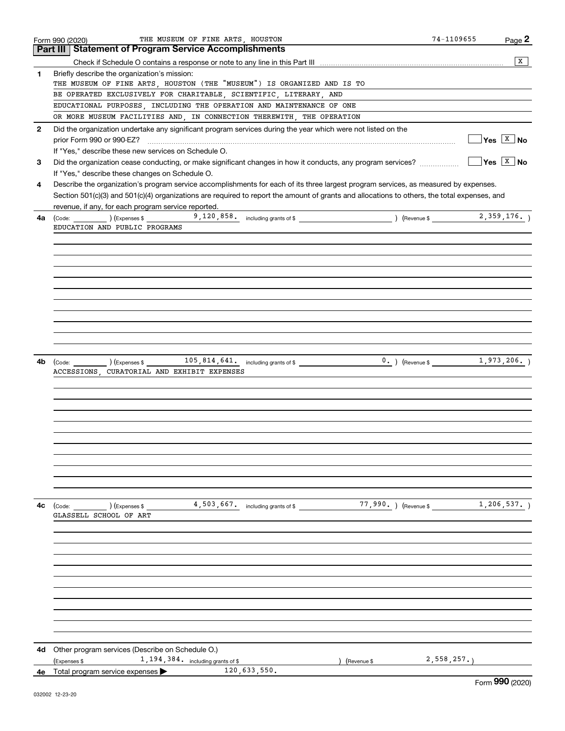|              | THE MUSEUM OF FINE ARTS, HOUSTON<br>Form 990 (2020)                                                                                          | 74-1109655 | Page 2                       |
|--------------|----------------------------------------------------------------------------------------------------------------------------------------------|------------|------------------------------|
|              | Part III   Statement of Program Service Accomplishments                                                                                      |            |                              |
|              |                                                                                                                                              |            | x                            |
| 1            | Briefly describe the organization's mission:                                                                                                 |            |                              |
|              | THE MUSEUM OF FINE ARTS, HOUSTON (THE "MUSEUM") IS ORGANIZED AND IS TO                                                                       |            |                              |
|              | BE OPERATED EXCLUSIVELY FOR CHARITABLE, SCIENTIFIC, LITERARY, AND                                                                            |            |                              |
|              | EDUCATIONAL PURPOSES, INCLUDING THE OPERATION AND MAINTENANCE OF ONE                                                                         |            |                              |
|              | OR MORE MUSEUM FACILITIES AND, IN CONNECTION THEREWITH, THE OPERATION                                                                        |            |                              |
| $\mathbf{2}$ | Did the organization undertake any significant program services during the year which were not listed on the                                 |            |                              |
|              | prior Form 990 or 990-EZ?                                                                                                                    |            | $Yes \quad \boxed{X}$ No     |
|              | If "Yes," describe these new services on Schedule O.                                                                                         |            |                              |
|              |                                                                                                                                              |            | $\sqrt{Y}$ es $\boxed{X}$ No |
| 3            | Did the organization cease conducting, or make significant changes in how it conducts, any program services?                                 |            |                              |
|              | If "Yes," describe these changes on Schedule O.                                                                                              |            |                              |
| 4            | Describe the organization's program service accomplishments for each of its three largest program services, as measured by expenses.         |            |                              |
|              | Section 501(c)(3) and 501(c)(4) organizations are required to report the amount of grants and allocations to others, the total expenses, and |            |                              |
|              | revenue, if any, for each program service reported.                                                                                          |            |                              |
| 4a           | (Code: 176.) (Expenses \$1,120,858. including grants of \$1,120, 000 } (Revenue \$1,176.)                                                    |            |                              |
|              | EDUCATION AND PUBLIC PROGRAMS                                                                                                                |            |                              |
|              |                                                                                                                                              |            |                              |
|              |                                                                                                                                              |            |                              |
|              |                                                                                                                                              |            |                              |
|              |                                                                                                                                              |            |                              |
|              |                                                                                                                                              |            |                              |
|              |                                                                                                                                              |            |                              |
|              |                                                                                                                                              |            |                              |
|              |                                                                                                                                              |            |                              |
|              |                                                                                                                                              |            |                              |
|              |                                                                                                                                              |            |                              |
|              |                                                                                                                                              |            |                              |
|              |                                                                                                                                              |            |                              |
| 4b           | (Code: 1,973,206.) (Expenses \$1,973,206.) (Revenue \$1,973,206.)                                                                            |            |                              |
|              | ACCESSIONS, CURATORIAL AND EXHIBIT EXPENSES                                                                                                  |            |                              |
|              |                                                                                                                                              |            |                              |
|              |                                                                                                                                              |            |                              |
|              |                                                                                                                                              |            |                              |
|              |                                                                                                                                              |            |                              |
|              |                                                                                                                                              |            |                              |
|              |                                                                                                                                              |            |                              |
|              |                                                                                                                                              |            |                              |
|              |                                                                                                                                              |            |                              |
|              |                                                                                                                                              |            |                              |
|              |                                                                                                                                              |            |                              |
|              |                                                                                                                                              |            |                              |
|              |                                                                                                                                              |            |                              |
| 4с           | 4,503,667. including grants of \$77,990. ) (Revenue \$1,206,537. )<br>(Code:<br>) (Expenses \$                                               |            |                              |
|              | GLASSELL SCHOOL OF ART                                                                                                                       |            |                              |
|              |                                                                                                                                              |            |                              |
|              |                                                                                                                                              |            |                              |
|              |                                                                                                                                              |            |                              |
|              |                                                                                                                                              |            |                              |
|              |                                                                                                                                              |            |                              |
|              |                                                                                                                                              |            |                              |
|              |                                                                                                                                              |            |                              |
|              |                                                                                                                                              |            |                              |
|              |                                                                                                                                              |            |                              |
|              |                                                                                                                                              |            |                              |
|              |                                                                                                                                              |            |                              |
|              |                                                                                                                                              |            |                              |
|              | <b>4d</b> Other program services (Describe on Schedule O.)                                                                                   |            |                              |
|              | 1, 194, 384. including grants of \$<br>(Expenses \$<br>) (Revenue \$                                                                         | 2,558,257. |                              |
| 4е           | 120,633,550.<br>Total program service expenses                                                                                               |            | $\sim$                       |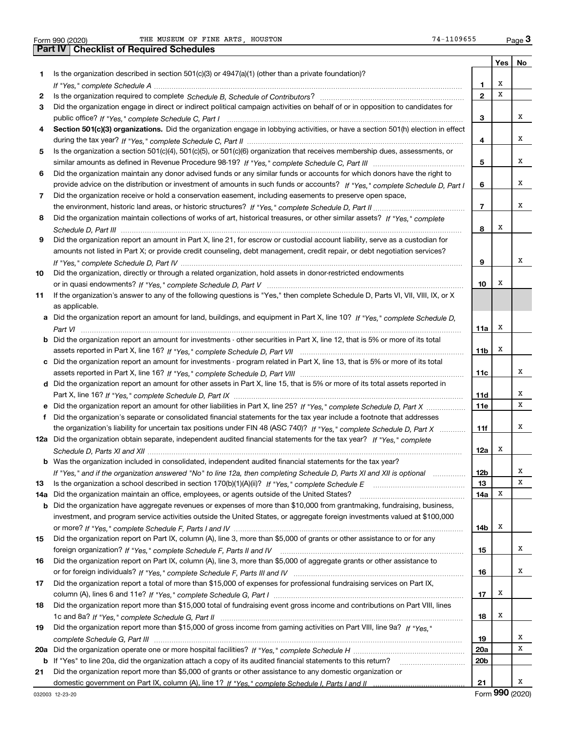|     | THE MUSEUM OF FINE ARTS, HOUSTON<br>74-1109655<br>Form 990 (2020)                                                                     |                 |     | Page $3$ |
|-----|---------------------------------------------------------------------------------------------------------------------------------------|-----------------|-----|----------|
|     | Part IV<br><b>Checklist of Required Schedules</b>                                                                                     |                 |     |          |
|     |                                                                                                                                       |                 | Yes | No       |
| 1   | Is the organization described in section $501(c)(3)$ or $4947(a)(1)$ (other than a private foundation)?                               |                 |     |          |
|     |                                                                                                                                       | 1               | х   |          |
| 2   |                                                                                                                                       | $\mathbf{2}$    | x   |          |
| 3   | Did the organization engage in direct or indirect political campaign activities on behalf of or in opposition to candidates for       |                 |     |          |
|     |                                                                                                                                       | 3               |     | x        |
| 4   | Section 501(c)(3) organizations. Did the organization engage in lobbying activities, or have a section 501(h) election in effect      |                 |     |          |
|     |                                                                                                                                       | 4               |     | х        |
| 5   | Is the organization a section 501(c)(4), 501(c)(5), or 501(c)(6) organization that receives membership dues, assessments, or          |                 |     |          |
|     |                                                                                                                                       | 5               |     | x        |
| 6   | Did the organization maintain any donor advised funds or any similar funds or accounts for which donors have the right to             |                 |     |          |
|     | provide advice on the distribution or investment of amounts in such funds or accounts? If "Yes," complete Schedule D, Part I          | 6               |     | x        |
| 7   | Did the organization receive or hold a conservation easement, including easements to preserve open space,                             |                 |     |          |
|     |                                                                                                                                       | 7               |     | x        |
| 8   | Did the organization maintain collections of works of art, historical treasures, or other similar assets? If "Yes," complete          |                 |     |          |
|     |                                                                                                                                       | 8               | х   |          |
| 9   | Did the organization report an amount in Part X, line 21, for escrow or custodial account liability, serve as a custodian for         |                 |     |          |
|     | amounts not listed in Part X; or provide credit counseling, debt management, credit repair, or debt negotiation services?             |                 |     |          |
|     |                                                                                                                                       | 9               |     | x        |
| 10  | Did the organization, directly or through a related organization, hold assets in donor-restricted endowments                          |                 |     |          |
|     |                                                                                                                                       | 10              | x   |          |
| 11  | If the organization's answer to any of the following questions is "Yes," then complete Schedule D, Parts VI, VII, VIII, IX, or X      |                 |     |          |
|     | as applicable.                                                                                                                        |                 |     |          |
|     | a Did the organization report an amount for land, buildings, and equipment in Part X, line 10? If "Yes," complete Schedule D,         |                 |     |          |
|     |                                                                                                                                       | 11a             | х   |          |
|     | <b>b</b> Did the organization report an amount for investments - other securities in Part X, line 12, that is 5% or more of its total |                 |     |          |
|     |                                                                                                                                       | 11 <sub>b</sub> | х   |          |
|     | c Did the organization report an amount for investments - program related in Part X, line 13, that is 5% or more of its total         |                 |     |          |
|     |                                                                                                                                       | 11c             |     | х        |
|     | d Did the organization report an amount for other assets in Part X, line 15, that is 5% or more of its total assets reported in       |                 |     |          |
|     |                                                                                                                                       | 11d             |     | х        |
|     | e Did the organization report an amount for other liabilities in Part X, line 25? If "Yes," complete Schedule D, Part X               | <b>11e</b>      |     | x        |
| f.  | Did the organization's separate or consolidated financial statements for the tax year include a footnote that addresses               |                 |     |          |
|     | the organization's liability for uncertain tax positions under FIN 48 (ASC 740)? If "Yes," complete Schedule D, Part X                | 11f             |     | x        |
|     | 12a Did the organization obtain separate, independent audited financial statements for the tax year? If "Yes," complete               |                 |     |          |
|     |                                                                                                                                       | 12a             |     |          |
|     | b Was the organization included in consolidated, independent audited financial statements for the tax year?                           |                 |     |          |
|     | If "Yes," and if the organization answered "No" to line 12a, then completing Schedule D, Parts XI and XII is optional manum           | 12b             |     | х        |
| 13  |                                                                                                                                       | 13              |     | х        |
| 14a | Did the organization maintain an office, employees, or agents outside of the United States?                                           | 14a             | х   |          |
|     | b Did the organization have aggregate revenues or expenses of more than \$10,000 from grantmaking, fundraising, business,             |                 |     |          |
|     | investment, and program service activities outside the United States, or aggregate foreign investments valued at \$100,000            |                 |     |          |
|     |                                                                                                                                       | 14b             | x   |          |
| 15  | Did the organization report on Part IX, column (A), line 3, more than \$5,000 of grants or other assistance to or for any             |                 |     |          |
|     |                                                                                                                                       | 15              |     | х        |
| 16  | Did the organization report on Part IX, column (A), line 3, more than \$5,000 of aggregate grants or other assistance to              |                 |     |          |
|     |                                                                                                                                       | 16              |     | x        |
| 17  | Did the organization report a total of more than \$15,000 of expenses for professional fundraising services on Part IX,               |                 |     |          |
|     |                                                                                                                                       | 17              | x   |          |
| 18  | Did the organization report more than \$15,000 total of fundraising event gross income and contributions on Part VIII, lines          |                 |     |          |
|     |                                                                                                                                       | 18              | x   |          |
|     | Did the organization report more than \$15,000 of gross income from gaming activities on Part VIII, line 9a? If "Yes."                |                 |     |          |
| 19  |                                                                                                                                       |                 |     | х        |
|     |                                                                                                                                       | 19<br>20a       |     | х        |
|     |                                                                                                                                       |                 |     |          |

**21b** If "Yes" to line 20a, did the organization attach a copy of its audited financial statements to this return? \_\_\_\_\_\_\_\_\_\_\_\_\_\_\_\_\_\_\_\_\_\_ domestic government on Part IX, column (A), line 1? If "Yes," complete Schedule I, Parts I and II …………………………………… Did the organization report more than \$5,000 of grants or other assistance to any domestic organization or

X

**20b**

**21**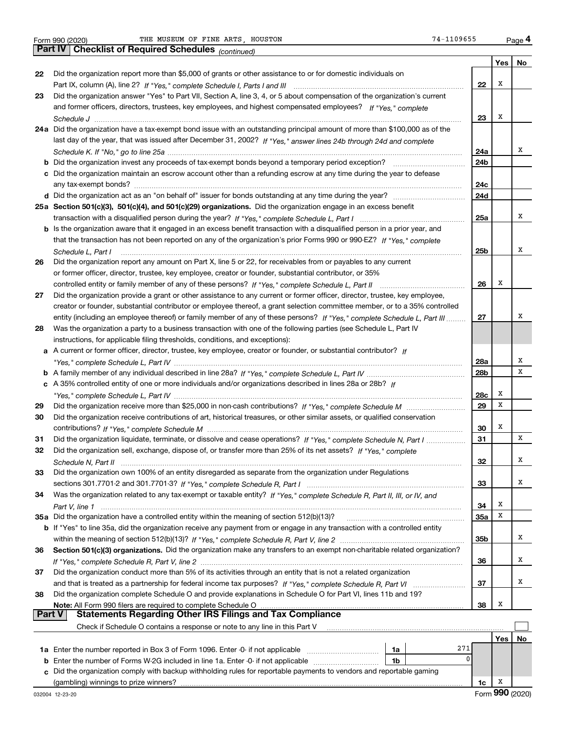*(continued)*

|        |                                                                                                                              |     | Yes | No |
|--------|------------------------------------------------------------------------------------------------------------------------------|-----|-----|----|
| 22     | Did the organization report more than \$5,000 of grants or other assistance to or for domestic individuals on                |     |     |    |
|        |                                                                                                                              | 22  | Х   |    |
| 23     | Did the organization answer "Yes" to Part VII, Section A, line 3, 4, or 5 about compensation of the organization's current   |     |     |    |
|        | and former officers, directors, trustees, key employees, and highest compensated employees? If "Yes." complete               |     |     |    |
|        |                                                                                                                              | 23  | Х   |    |
|        | 24a Did the organization have a tax-exempt bond issue with an outstanding principal amount of more than \$100,000 as of the  |     |     |    |
|        | last day of the year, that was issued after December 31, 2002? If "Yes," answer lines 24b through 24d and complete           |     |     |    |
|        |                                                                                                                              | 24a |     | x  |
|        |                                                                                                                              | 24b |     |    |
|        | c Did the organization maintain an escrow account other than a refunding escrow at any time during the year to defease       |     |     |    |
|        |                                                                                                                              | 24c |     |    |
|        |                                                                                                                              | 24d |     |    |
|        | 25a Section 501(c)(3), 501(c)(4), and 501(c)(29) organizations. Did the organization engage in an excess benefit             |     |     |    |
|        |                                                                                                                              | 25a |     | x  |
|        | b Is the organization aware that it engaged in an excess benefit transaction with a disqualified person in a prior year, and |     |     |    |
|        | that the transaction has not been reported on any of the organization's prior Forms 990 or 990-EZ? If "Yes." complete        |     |     |    |
|        | Schedule L, Part I                                                                                                           | 25b |     | x  |
| 26     | Did the organization report any amount on Part X, line 5 or 22, for receivables from or payables to any current              |     |     |    |
|        | or former officer, director, trustee, key employee, creator or founder, substantial contributor, or 35%                      |     |     |    |
|        |                                                                                                                              | 26  | Х   |    |
| 27     | Did the organization provide a grant or other assistance to any current or former officer, director, trustee, key employee,  |     |     |    |
|        | creator or founder, substantial contributor or employee thereof, a grant selection committee member, or to a 35% controlled  |     |     |    |
|        | entity (including an employee thereof) or family member of any of these persons? If "Yes," complete Schedule L. Part III     | 27  |     | х  |
| 28     | Was the organization a party to a business transaction with one of the following parties (see Schedule L, Part IV            |     |     |    |
|        | instructions, for applicable filing thresholds, conditions, and exceptions):                                                 |     |     |    |
| а      | A current or former officer, director, trustee, key employee, creator or founder, or substantial contributor? If             |     |     |    |
|        |                                                                                                                              | 28a |     | х  |
|        |                                                                                                                              | 28b |     | х  |
|        | c A 35% controlled entity of one or more individuals and/or organizations described in lines 28a or 28b? If                  |     |     |    |
|        |                                                                                                                              | 28c | Х   |    |
| 29     |                                                                                                                              | 29  | х   |    |
| 30     | Did the organization receive contributions of art, historical treasures, or other similar assets, or qualified conservation  |     |     |    |
|        |                                                                                                                              | 30  | Х   |    |
| 31     | Did the organization liquidate, terminate, or dissolve and cease operations? If "Yes," complete Schedule N, Part I           | 31  |     | x  |
| 32     | Did the organization sell, exchange, dispose of, or transfer more than 25% of its net assets? If "Yes," complete             |     |     |    |
|        |                                                                                                                              | 32  |     | x  |
| 33     | Did the organization own 100% of an entity disregarded as separate from the organization under Regulations                   |     |     |    |
|        |                                                                                                                              | 33  |     | x  |
| 34     | Was the organization related to any tax-exempt or taxable entity? If "Yes," complete Schedule R, Part II, III, or IV, and    |     |     |    |
|        |                                                                                                                              | 34  | Х   |    |
|        | 35a Did the organization have a controlled entity within the meaning of section 512(b)(13)?                                  | 35a | Х   |    |
|        | b If "Yes" to line 35a, did the organization receive any payment from or engage in any transaction with a controlled entity  |     |     |    |
|        |                                                                                                                              | 35b |     | x  |
| 36     | Section 501(c)(3) organizations. Did the organization make any transfers to an exempt non-charitable related organization?   |     |     |    |
|        |                                                                                                                              | 36  |     | х  |
| 37     | Did the organization conduct more than 5% of its activities through an entity that is not a related organization             |     |     |    |
|        |                                                                                                                              | 37  |     | x  |
| 38     | Did the organization complete Schedule O and provide explanations in Schedule O for Part VI, lines 11b and 19?               |     |     |    |
|        | Note: All Form 990 filers are required to complete Schedule O                                                                | 38  | Х   |    |
| Part V |                                                                                                                              |     |     |    |
|        | Check if Schedule O contains a response or note to any line in this Part V                                                   |     |     |    |
|        |                                                                                                                              |     | Yes | No |
|        | 271<br>1a Enter the number reported in Box 3 of Form 1096. Enter -0- if not applicable<br>1a                                 |     |     |    |
|        | 0<br>Enter the number of Forms W-2G included in line 1a. Enter -0- if not applicable<br>1b                                   |     |     |    |
|        | c Did the organization comply with backup withholding rules for reportable payments to vendors and reportable gaming         |     |     |    |

**c**(gambling) winnings to prize winners?

**1c**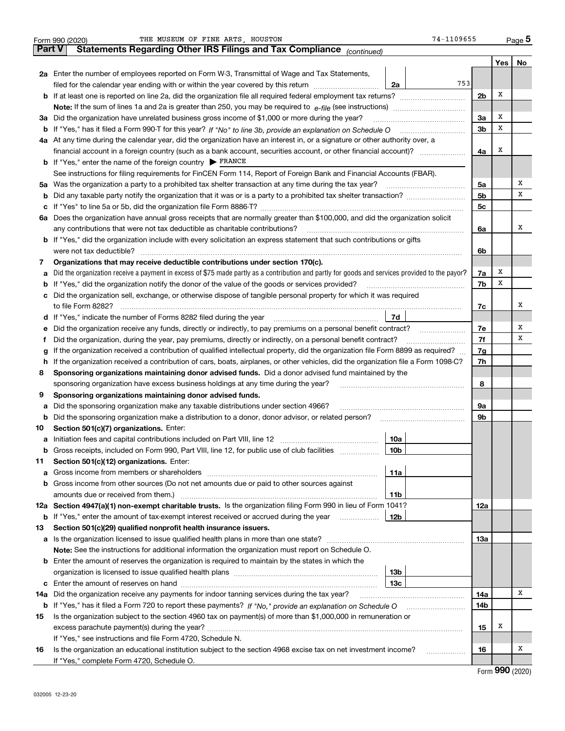|        | THE MUSEUM OF FINE ARTS, HOUSTON<br>74-1109655<br>Form 990 (2020)                                                                                                             |                |     | $_{\text{Page}}$ 5 |  |  |  |
|--------|-------------------------------------------------------------------------------------------------------------------------------------------------------------------------------|----------------|-----|--------------------|--|--|--|
| Part V | Statements Regarding Other IRS Filings and Tax Compliance (continued)                                                                                                         |                |     |                    |  |  |  |
|        |                                                                                                                                                                               |                | Yes | No                 |  |  |  |
|        | 2a Enter the number of employees reported on Form W-3, Transmittal of Wage and Tax Statements,                                                                                |                |     |                    |  |  |  |
|        | 753<br>filed for the calendar year ending with or within the year covered by this return<br>2a                                                                                |                |     |                    |  |  |  |
|        |                                                                                                                                                                               | 2 <sub>b</sub> | X   |                    |  |  |  |
|        |                                                                                                                                                                               |                |     |                    |  |  |  |
|        | 3a Did the organization have unrelated business gross income of \$1,000 or more during the year?                                                                              | 3a             | х   |                    |  |  |  |
|        | b If "Yes," has it filed a Form 990-T for this year? If "No" to line 3b, provide an explanation on Schedule O                                                                 | 3 <sub>b</sub> | х   |                    |  |  |  |
|        | 4a At any time during the calendar year, did the organization have an interest in, or a signature or other authority over, a                                                  |                |     |                    |  |  |  |
|        |                                                                                                                                                                               | 4a             | X   |                    |  |  |  |
|        | <b>b</b> If "Yes," enter the name of the foreign country $\triangleright$ FRANCE                                                                                              |                |     |                    |  |  |  |
|        | See instructions for filing requirements for FinCEN Form 114, Report of Foreign Bank and Financial Accounts (FBAR).                                                           |                |     |                    |  |  |  |
|        | 5a Was the organization a party to a prohibited tax shelter transaction at any time during the tax year?                                                                      | 5a             |     | x                  |  |  |  |
|        |                                                                                                                                                                               | 5 <sub>b</sub> |     | х                  |  |  |  |
|        |                                                                                                                                                                               | 5 <sub>c</sub> |     |                    |  |  |  |
|        | 6a Does the organization have annual gross receipts that are normally greater than \$100,000, and did the organization solicit                                                |                |     |                    |  |  |  |
|        | any contributions that were not tax deductible as charitable contributions?                                                                                                   | 6a             |     | х                  |  |  |  |
|        | <b>b</b> If "Yes," did the organization include with every solicitation an express statement that such contributions or gifts                                                 |                |     |                    |  |  |  |
|        | were not tax deductible?                                                                                                                                                      | 6b             |     |                    |  |  |  |
| 7      | Organizations that may receive deductible contributions under section 170(c).                                                                                                 |                |     |                    |  |  |  |
| а      | Did the organization receive a payment in excess of \$75 made partly as a contribution and partly for goods and services provided to the payor?                               | 7a             | х   |                    |  |  |  |
|        | <b>b</b> If "Yes," did the organization notify the donor of the value of the goods or services provided?                                                                      | 7b             | х   |                    |  |  |  |
|        | c Did the organization sell, exchange, or otherwise dispose of tangible personal property for which it was required                                                           |                |     |                    |  |  |  |
|        | to file Form 8282?                                                                                                                                                            | 7c             |     | х                  |  |  |  |
|        | 7d<br>d If "Yes," indicate the number of Forms 8282 filed during the year                                                                                                     |                |     |                    |  |  |  |
| е      | Did the organization receive any funds, directly or indirectly, to pay premiums on a personal benefit contract?                                                               | 7e             |     | х                  |  |  |  |
| Ť      | Did the organization, during the year, pay premiums, directly or indirectly, on a personal benefit contract?                                                                  | 7f             |     | х                  |  |  |  |
| g      | If the organization received a contribution of qualified intellectual property, did the organization file Form 8899 as required?                                              |                |     |                    |  |  |  |
| h.     | If the organization received a contribution of cars, boats, airplanes, or other vehicles, did the organization file a Form 1098-C?                                            |                |     |                    |  |  |  |
| 8      | Sponsoring organizations maintaining donor advised funds. Did a donor advised fund maintained by the                                                                          |                |     |                    |  |  |  |
|        | sponsoring organization have excess business holdings at any time during the year?                                                                                            | 8              |     |                    |  |  |  |
| 9      | Sponsoring organizations maintaining donor advised funds.                                                                                                                     |                |     |                    |  |  |  |
| а      | Did the sponsoring organization make any taxable distributions under section 4966?                                                                                            | 9а             |     |                    |  |  |  |
|        | <b>b</b> Did the sponsoring organization make a distribution to a donor, donor advisor, or related person?                                                                    | 9b             |     |                    |  |  |  |
| 10     | Section 501(c)(7) organizations. Enter:                                                                                                                                       |                |     |                    |  |  |  |
|        | 10a                                                                                                                                                                           |                |     |                    |  |  |  |
|        | <b>b</b> Gross receipts, included on Form 990, Part VIII, line 12, for public use of club facilities <i>manument</i><br>10b                                                   |                |     |                    |  |  |  |
| 11     | Section 501(c)(12) organizations. Enter:                                                                                                                                      |                |     |                    |  |  |  |
| а      | 11a                                                                                                                                                                           |                |     |                    |  |  |  |
|        | <b>b</b> Gross income from other sources (Do not net amounts due or paid to other sources against                                                                             |                |     |                    |  |  |  |
|        | amounts due or received from them.)<br>11b                                                                                                                                    |                |     |                    |  |  |  |
|        | 12a Section 4947(a)(1) non-exempt charitable trusts. Is the organization filing Form 990 in lieu of Form 1041?                                                                | 12a            |     |                    |  |  |  |
|        | <b>b</b> If "Yes," enter the amount of tax-exempt interest received or accrued during the year<br>12b                                                                         |                |     |                    |  |  |  |
| 13     | Section 501(c)(29) qualified nonprofit health insurance issuers.                                                                                                              |                |     |                    |  |  |  |
|        |                                                                                                                                                                               | 13а            |     |                    |  |  |  |
|        | <b>Note:</b> See the instructions for additional information the organization must report on Schedule O.                                                                      |                |     |                    |  |  |  |
|        | <b>b</b> Enter the amount of reserves the organization is required to maintain by the states in which the                                                                     |                |     |                    |  |  |  |
|        | 13b<br>13с                                                                                                                                                                    |                |     |                    |  |  |  |
|        |                                                                                                                                                                               |                |     | х                  |  |  |  |
| 14a    | Did the organization receive any payments for indoor tanning services during the tax year?                                                                                    | 14a            |     |                    |  |  |  |
|        |                                                                                                                                                                               | 14b            |     |                    |  |  |  |
| 15     | Is the organization subject to the section 4960 tax on payment(s) of more than \$1,000,000 in remuneration or                                                                 |                | х   |                    |  |  |  |
|        |                                                                                                                                                                               | 15             |     |                    |  |  |  |
| 16     | If "Yes," see instructions and file Form 4720, Schedule N.<br>Is the organization an educational institution subject to the section 4968 excise tax on net investment income? | 16             |     | x                  |  |  |  |
|        | .<br>If "Yes," complete Form 4720, Schedule O.                                                                                                                                |                |     |                    |  |  |  |
|        |                                                                                                                                                                               |                |     |                    |  |  |  |

Form (2020) **990**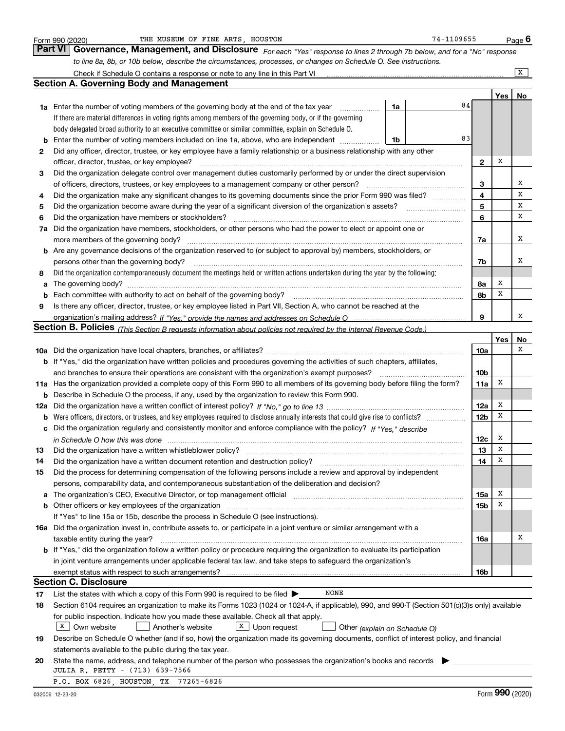|    | THE MUSEUM OF FINE ARTS, HOUSTON<br>Form 990 (2020)                                                                                                                                                                                       |    | 74-1109655 |                        |     | <u>Pag</u> e 6 |
|----|-------------------------------------------------------------------------------------------------------------------------------------------------------------------------------------------------------------------------------------------|----|------------|------------------------|-----|----------------|
|    | Governance, Management, and Disclosure For each "Yes" response to lines 2 through 7b below, and for a "No" response<br><b>Part VI</b>                                                                                                     |    |            |                        |     |                |
|    | to line 8a, 8b, or 10b below, describe the circumstances, processes, or changes on Schedule O. See instructions.                                                                                                                          |    |            |                        |     |                |
|    |                                                                                                                                                                                                                                           |    |            |                        |     | x              |
|    | Section A. Governing Body and Management                                                                                                                                                                                                  |    |            |                        |     |                |
|    |                                                                                                                                                                                                                                           |    |            |                        | Yes | No             |
|    | <b>1a</b> Enter the number of voting members of the governing body at the end of the tax year                                                                                                                                             | 1a | 84         |                        |     |                |
|    | If there are material differences in voting rights among members of the governing body, or if the governing                                                                                                                               |    |            |                        |     |                |
|    | body delegated broad authority to an executive committee or similar committee, explain on Schedule O.                                                                                                                                     |    |            |                        |     |                |
| b  | Enter the number of voting members included on line 1a, above, who are independent                                                                                                                                                        | 1b | 83         |                        |     |                |
| 2  | Did any officer, director, trustee, or key employee have a family relationship or a business relationship with any other                                                                                                                  |    |            |                        |     |                |
|    | officer, director, trustee, or key employee?                                                                                                                                                                                              |    |            | $\mathbf{2}$           | Х   |                |
| 3  | Did the organization delegate control over management duties customarily performed by or under the direct supervision                                                                                                                     |    |            |                        |     |                |
|    | of officers, directors, trustees, or key employees to a management company or other person?                                                                                                                                               |    |            | 3                      |     | х              |
| 4  | Did the organization make any significant changes to its governing documents since the prior Form 990 was filed?                                                                                                                          |    |            | 4                      |     | X              |
| 5  | Did the organization become aware during the year of a significant diversion of the organization's assets?                                                                                                                                |    |            | 5                      |     | х              |
| 6  | Did the organization have members or stockholders?                                                                                                                                                                                        |    |            | 6                      |     | х              |
| 7a | Did the organization have members, stockholders, or other persons who had the power to elect or appoint one or                                                                                                                            |    |            |                        |     |                |
|    | more members of the governing body?                                                                                                                                                                                                       |    |            | 7a                     |     | x              |
|    | <b>b</b> Are any governance decisions of the organization reserved to (or subject to approval by) members, stockholders, or                                                                                                               |    |            |                        |     |                |
|    | persons other than the governing body?                                                                                                                                                                                                    |    |            | 7b                     |     | х              |
| 8  | Did the organization contemporaneously document the meetings held or written actions undertaken during the year by the following:                                                                                                         |    |            |                        |     |                |
| a  |                                                                                                                                                                                                                                           |    |            | 8a                     | х   |                |
| b  | Each committee with authority to act on behalf of the governing body?                                                                                                                                                                     |    |            | 8b                     | х   |                |
| 9  | Is there any officer, director, trustee, or key employee listed in Part VII, Section A, who cannot be reached at the                                                                                                                      |    |            |                        |     |                |
|    |                                                                                                                                                                                                                                           |    |            | 9                      |     | х              |
|    | <b>Section B. Policies</b> (This Section B requests information about policies not required by the Internal Revenue Code.)                                                                                                                |    |            |                        |     |                |
|    |                                                                                                                                                                                                                                           |    |            |                        | Yes | No<br>х        |
|    |                                                                                                                                                                                                                                           |    |            | 10a                    |     |                |
|    | <b>b</b> If "Yes," did the organization have written policies and procedures governing the activities of such chapters, affiliates,                                                                                                       |    |            |                        |     |                |
|    | and branches to ensure their operations are consistent with the organization's exempt purposes?                                                                                                                                           |    |            | 10 <sub>b</sub>        | х   |                |
|    | 11a Has the organization provided a complete copy of this Form 990 to all members of its governing body before filing the form?<br><b>b</b> Describe in Schedule O the process, if any, used by the organization to review this Form 990. |    |            | 11a                    |     |                |
|    |                                                                                                                                                                                                                                           |    |            |                        | х   |                |
|    |                                                                                                                                                                                                                                           |    |            | 12a<br>12 <sub>b</sub> | Х   |                |
|    | Did the organization regularly and consistently monitor and enforce compliance with the policy? If "Yes," describe                                                                                                                        |    |            |                        |     |                |
| c  |                                                                                                                                                                                                                                           |    |            | 12c                    | х   |                |
| 13 | Did the organization have a written whistleblower policy?                                                                                                                                                                                 |    |            | 13                     | x   |                |
| 14 | Did the organization have a written document retention and destruction policy?                                                                                                                                                            |    |            | 14                     | х   |                |
| 15 | Did the process for determining compensation of the following persons include a review and approval by independent                                                                                                                        |    |            |                        |     |                |
|    | persons, comparability data, and contemporaneous substantiation of the deliberation and decision?                                                                                                                                         |    |            |                        |     |                |
| а  | The organization's CEO, Executive Director, or top management official manufactured content of the organization's CEO, Executive Director, or top management official                                                                     |    |            | 15a                    | х   |                |
| b  | Other officers or key employees of the organization                                                                                                                                                                                       |    |            | 15b                    | Х   |                |
|    | If "Yes" to line 15a or 15b, describe the process in Schedule O (see instructions).                                                                                                                                                       |    |            |                        |     |                |
|    | 16a Did the organization invest in, contribute assets to, or participate in a joint venture or similar arrangement with a                                                                                                                 |    |            |                        |     |                |
|    | taxable entity during the year?                                                                                                                                                                                                           |    |            | 16a                    |     | х              |
|    | <b>b</b> If "Yes," did the organization follow a written policy or procedure requiring the organization to evaluate its participation                                                                                                     |    |            |                        |     |                |
|    | in joint venture arrangements under applicable federal tax law, and take steps to safeguard the organization's                                                                                                                            |    |            |                        |     |                |
|    |                                                                                                                                                                                                                                           |    |            | 16b                    |     |                |
|    | <b>Section C. Disclosure</b>                                                                                                                                                                                                              |    |            |                        |     |                |
| 17 | NONE<br>List the states with which a copy of this Form 990 is required to be filed $\blacktriangleright$                                                                                                                                  |    |            |                        |     |                |
| 18 | Section 6104 requires an organization to make its Forms 1023 (1024 or 1024-A, if applicable), 990, and 990-T (Section 501(c)(3)s only) available                                                                                          |    |            |                        |     |                |
|    | for public inspection. Indicate how you made these available. Check all that apply.                                                                                                                                                       |    |            |                        |     |                |
|    | $X$ Own website<br>$X$ Upon request<br>Another's website<br>Other (explain on Schedule O)                                                                                                                                                 |    |            |                        |     |                |
| 19 | Describe on Schedule O whether (and if so, how) the organization made its governing documents, conflict of interest policy, and financial                                                                                                 |    |            |                        |     |                |
|    | statements available to the public during the tax year.                                                                                                                                                                                   |    |            |                        |     |                |
| 20 | State the name, address, and telephone number of the person who possesses the organization's books and records                                                                                                                            |    |            |                        |     |                |
|    | JULIA R. PETTY - (713) 639-7566                                                                                                                                                                                                           |    |            |                        |     |                |
|    | P.O. BOX 6826, HOUSTON, TX 77265-6826                                                                                                                                                                                                     |    |            |                        |     |                |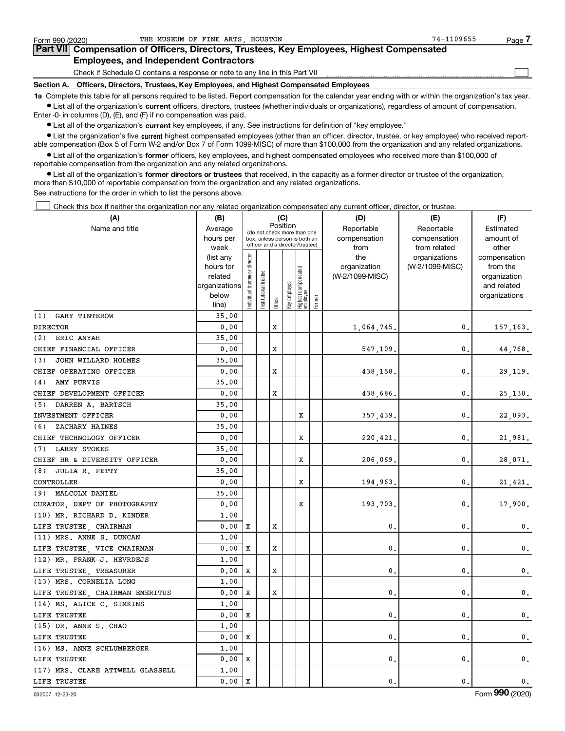| Form 990 (2020) | THE MUSEUM OF FINE ARTS HOUSTON                                                                                                                            | 74-1109655 | Page / |  |  |  |  |  |  |
|-----------------|------------------------------------------------------------------------------------------------------------------------------------------------------------|------------|--------|--|--|--|--|--|--|
|                 | Part VII Compensation of Officers, Directors, Trustees, Key Employees, Highest Compensated                                                                 |            |        |  |  |  |  |  |  |
|                 | <b>Employees, and Independent Contractors</b>                                                                                                              |            |        |  |  |  |  |  |  |
|                 | Check if Schedule O contains a response or note to any line in this Part VII                                                                               |            |        |  |  |  |  |  |  |
|                 | Section A. Officers, Directors, Trustees, Key Employees, and Highest Compensated Employees                                                                 |            |        |  |  |  |  |  |  |
|                 | 1a Complete this table for all persons required to be listed. Report compensation for the calendar year ending with or within the organization's tax year. |            |        |  |  |  |  |  |  |

THE MUSEUM OF FINE ARTS, HOUSTON CONTROL CONTROL CONTROL CONTROL CONTROL CONTROL CONTROL CONTROL CONTROL CONTR<br>The Museum of Artist, Houston Control Control Control Control Control Control Control Control Control Control C

**•** List all of the organization's current officers, directors, trustees (whether individuals or organizations), regardless of amount of compensation. Enter -0- in columns (D), (E), and (F) if no compensation was paid.

 $\bullet$  List all of the organization's  $\,$ current key employees, if any. See instructions for definition of "key employee."

**•** List the organization's five current highest compensated employees (other than an officer, director, trustee, or key employee) who received reportable compensation (Box 5 of Form W-2 and/or Box 7 of Form 1099-MISC) of more than \$100,000 from the organization and any related organizations.

**•** List all of the organization's former officers, key employees, and highest compensated employees who received more than \$100,000 of reportable compensation from the organization and any related organizations.

**former directors or trustees**  ¥ List all of the organization's that received, in the capacity as a former director or trustee of the organization, more than \$10,000 of reportable compensation from the organization and any related organizations.

See instructions for the order in which to list the persons above.

Check this box if neither the organization nor any related organization compensated any current officer, director, or trustee.  $\mathcal{L}^{\text{max}}$ 

| (A)                              | (B)                      |                               |                       |         | (C)                                                              |                                 |        | (D)             | (E)             | (F)                         |
|----------------------------------|--------------------------|-------------------------------|-----------------------|---------|------------------------------------------------------------------|---------------------------------|--------|-----------------|-----------------|-----------------------------|
| Name and title                   | Average                  |                               |                       |         | Position<br>(do not check more than one                          |                                 |        | Reportable      | Reportable      | Estimated                   |
|                                  | hours per                |                               |                       |         | box, unless person is both an<br>officer and a director/trustee) |                                 |        | compensation    | compensation    | amount of                   |
|                                  | week                     |                               |                       |         |                                                                  |                                 |        | from            | from related    | other                       |
|                                  | (list any                |                               |                       |         |                                                                  |                                 |        | the             | organizations   | compensation                |
|                                  | hours for                |                               |                       |         |                                                                  |                                 |        | organization    | (W-2/1099-MISC) | from the                    |
|                                  | related<br>organizations |                               |                       |         |                                                                  |                                 |        | (W-2/1099-MISC) |                 | organization<br>and related |
|                                  | below                    |                               |                       |         |                                                                  |                                 |        |                 |                 | organizations               |
|                                  | line)                    | ndividual trustee or director | Institutional trustee | Officer | Key employee                                                     | Highest compensated<br>employee | Former |                 |                 |                             |
| <b>GARY TINTEROW</b><br>(1)      | 35.00                    |                               |                       |         |                                                                  |                                 |        |                 |                 |                             |
| <b>DIRECTOR</b>                  | 0.00                     |                               |                       | X       |                                                                  |                                 |        | 1,064,745.      | 0.              | 157,163.                    |
| ERIC ANYAH<br>(2)                | 35,00                    |                               |                       |         |                                                                  |                                 |        |                 |                 |                             |
| CHIEF FINANCIAL OFFICER          | 0.00                     |                               |                       | x       |                                                                  |                                 |        | 547,109.        | $\mathbf{0}$    | 44,768.                     |
| JOHN WILLARD HOLMES<br>(3)       | 35.00                    |                               |                       |         |                                                                  |                                 |        |                 |                 |                             |
| CHIEF OPERATING OFFICER          | 0.00                     |                               |                       | X       |                                                                  |                                 |        | 438,158         | $\mathbf{0}$    | 29,119.                     |
| AMY PURVIS<br>(4)                | 35.00                    |                               |                       |         |                                                                  |                                 |        |                 |                 |                             |
| CHIEF DEVELOPMENT OFFICER        | 0.00                     |                               |                       | x       |                                                                  |                                 |        | 438,686         | $\mathbf 0$     | 25,130.                     |
| (5) DARREN A. BARTSCH            | 35.00                    |                               |                       |         |                                                                  |                                 |        |                 |                 |                             |
| INVESTMENT OFFICER               | 0.00                     |                               |                       |         |                                                                  | х                               |        | 357,439.        | $\mathbf{0}$ .  | 22,093.                     |
| (6)<br>ZACHARY HAINES            | 35.00                    |                               |                       |         |                                                                  |                                 |        |                 |                 |                             |
| CHIEF TECHNOLOGY OFFICER         | 0.00                     |                               |                       |         |                                                                  | х                               |        | 220,421.        | 0.              | 21,981.                     |
| LARRY STOKES<br>(7)              | 35.00                    |                               |                       |         |                                                                  |                                 |        |                 |                 |                             |
| CHIEF HR & DIVERSITY OFFICER     | 0.00                     |                               |                       |         |                                                                  | х                               |        | 206,069         | $\mathbf{0}$    | 28,071.                     |
| JULIA R. PETTY<br>(8)            | 35.00                    |                               |                       |         |                                                                  |                                 |        |                 |                 |                             |
| CONTROLLER                       | 0.00                     |                               |                       |         |                                                                  | х                               |        | 194,963         | $\mathbf 0$     | 21,421.                     |
| (9) MALCOLM DANIEL               | 35.00                    |                               |                       |         |                                                                  |                                 |        |                 |                 |                             |
| CURATOR DEPT OF PHOTOGRAPHY      | 0.00                     |                               |                       |         |                                                                  | X                               |        | 193,703         | $\mathbf{0}$    | 17,900.                     |
| (10) MR. RICHARD D. KINDER       | 1.00                     |                               |                       |         |                                                                  |                                 |        |                 |                 |                             |
| LIFE TRUSTEE, CHAIRMAN           | 0.00                     | X                             |                       | X       |                                                                  |                                 |        | 0               | $\mathbf{0}$    | $\mathbf{0}$ .              |
| (11) MRS. ANNE S. DUNCAN         | 1.00                     |                               |                       |         |                                                                  |                                 |        |                 |                 |                             |
| LIFE TRUSTEE, VICE CHAIRMAN      | 0.00                     | X                             |                       | X       |                                                                  |                                 |        | $\mathbf{0}$    | $\mathbf{0}$    | $\mathbf 0$ .               |
| (12) MR. FRANK J. HEVRDEJS       | 1.00                     |                               |                       |         |                                                                  |                                 |        |                 |                 |                             |
| LIFE TRUSTEE, TREASURER          | 0.00                     | Х                             |                       | X       |                                                                  |                                 |        | 0               | 0               | $\mathbf{0}$ .              |
| (13) MRS. CORNELIA LONG          | 1.00                     |                               |                       |         |                                                                  |                                 |        |                 |                 |                             |
| LIFE TRUSTEE, CHAIRMAN EMERITUS  | 0.00                     | X                             |                       | X       |                                                                  |                                 |        | $\mathbf 0$ .   | $\mathbf{0}$    | $\mathbf 0$ .               |
| (14) MS. ALICE C. SIMKINS        | 1.00                     |                               |                       |         |                                                                  |                                 |        |                 |                 |                             |
| LIFE TRUSTEE                     | 0.00                     | Х                             |                       |         |                                                                  |                                 |        | $\mathbf 0$     | $\mathbf 0$     | $0$ .                       |
| (15) DR. ANNE S. CHAO            | 1,00                     |                               |                       |         |                                                                  |                                 |        |                 |                 |                             |
| LIFE TRUSTEE                     | 0.00                     | X                             |                       |         |                                                                  |                                 |        | 0.              | $\mathbf 0$     | 0.                          |
| (16) MS. ANNE SCHLUMBERGER       | 1,00                     |                               |                       |         |                                                                  |                                 |        |                 |                 |                             |
| LIFE TRUSTEE                     | 0.00                     | х                             |                       |         |                                                                  |                                 |        | $\mathbf 0$     | $\mathbf{0}$    | 0.                          |
| (17) MRS. CLARE ATTWELL GLASSELL | 1,00                     |                               |                       |         |                                                                  |                                 |        |                 |                 |                             |
| LIFE TRUSTEE                     | 0.00                     | X                             |                       |         |                                                                  |                                 |        | 0.              | $\mathbf{0}$    | 0.                          |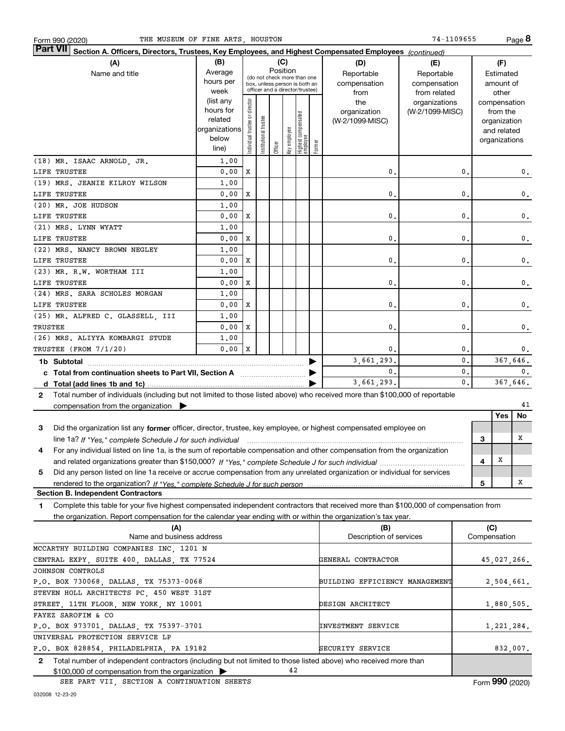| THE MUSEUM OF FINE ARTS, HOUSTON<br>Form 990 (2020)                                                                                                  |                      |                                         |                       |         |              |                                                                  |        |                                | 74-1109655      |                |     |                             | Page 8    |
|------------------------------------------------------------------------------------------------------------------------------------------------------|----------------------|-----------------------------------------|-----------------------|---------|--------------|------------------------------------------------------------------|--------|--------------------------------|-----------------|----------------|-----|-----------------------------|-----------|
| <b>Part VII</b><br>Section A. Officers, Directors, Trustees, Key Employees, and Highest Compensated Employees (continued)                            |                      |                                         |                       |         |              |                                                                  |        |                                |                 |                |     |                             |           |
| (A)                                                                                                                                                  | (B)                  |                                         |                       |         | (C)          |                                                                  |        | (D)                            | (E)             |                |     | (F)                         |           |
| Name and title                                                                                                                                       | Average              | Position<br>(do not check more than one |                       |         |              |                                                                  |        | Reportable                     | Reportable      |                |     | Estimated                   |           |
|                                                                                                                                                      | hours per            |                                         |                       |         |              | box, unless person is both an<br>officer and a director/trustee) |        | compensation                   | compensation    |                |     | amount of                   |           |
|                                                                                                                                                      | week                 |                                         |                       |         |              |                                                                  |        | from                           | from related    |                |     | other                       |           |
|                                                                                                                                                      | (list any            |                                         |                       |         |              |                                                                  |        | the                            | organizations   |                |     | compensation                |           |
|                                                                                                                                                      | hours for<br>related |                                         |                       |         |              |                                                                  |        | organization                   | (W-2/1099-MISC) |                |     | from the                    |           |
|                                                                                                                                                      | organizations        |                                         |                       |         |              |                                                                  |        | (W-2/1099-MISC)                |                 |                |     | organization<br>and related |           |
|                                                                                                                                                      | below                |                                         |                       |         |              |                                                                  |        |                                |                 |                |     | organizations               |           |
|                                                                                                                                                      | line)                | ndividual trustee or director           | Institutional trustee | Officer | Key employee | Highest compensated<br>  employee                                | Former |                                |                 |                |     |                             |           |
| (18) MR. ISAAC ARNOLD, JR.                                                                                                                           | 1,00                 |                                         |                       |         |              |                                                                  |        |                                |                 |                |     |                             |           |
| LIFE TRUSTEE                                                                                                                                         | 0.00                 | х                                       |                       |         |              |                                                                  |        | 0.                             |                 | 0.             |     |                             | 0.        |
| (19) MRS. JEANIE KILROY WILSON                                                                                                                       | 1,00                 |                                         |                       |         |              |                                                                  |        |                                |                 |                |     |                             |           |
| LIFE TRUSTEE                                                                                                                                         | 0.00                 | х                                       |                       |         |              |                                                                  |        | $\mathbf{0}$ .                 |                 | $\mathbf{0}$ . |     |                             | 0.        |
| (20) MR. JOE HUDSON                                                                                                                                  | 1,00                 |                                         |                       |         |              |                                                                  |        |                                |                 |                |     |                             |           |
| LIFE TRUSTEE                                                                                                                                         | 0.00                 | х                                       |                       |         |              |                                                                  |        | $\mathbf{0}$ .                 |                 | $\mathbf{0}$ . |     |                             | 0.        |
| (21) MRS. LYNN WYATT                                                                                                                                 | 1,00                 |                                         |                       |         |              |                                                                  |        |                                |                 |                |     |                             |           |
| LIFE TRUSTEE                                                                                                                                         | 0.00                 | х                                       |                       |         |              |                                                                  |        | $\mathbf{0}$ .                 |                 | 0.             |     |                             | 0.        |
| (22) MRS. NANCY BROWN NEGLEY                                                                                                                         | 1,00                 |                                         |                       |         |              |                                                                  |        |                                |                 |                |     |                             |           |
| LIFE TRUSTEE                                                                                                                                         | 0.00                 | х                                       |                       |         |              |                                                                  |        | 0.                             |                 | 0.             |     |                             | 0.        |
| (23) MR. R.W. WORTHAM III                                                                                                                            | 1,00                 |                                         |                       |         |              |                                                                  |        |                                |                 |                |     |                             |           |
| LIFE TRUSTEE                                                                                                                                         | 0.00                 | х                                       |                       |         |              |                                                                  |        | $\mathbf{0}$ .                 |                 | $\mathbf{0}$   |     |                             | 0.        |
| (24) MRS. SARA SCHOLES MORGAN                                                                                                                        | 1,00                 |                                         |                       |         |              |                                                                  |        |                                |                 |                |     |                             |           |
| LIFE TRUSTEE                                                                                                                                         | 0.00                 | х                                       |                       |         |              |                                                                  |        | $\mathbf{0}$ .                 |                 | $\mathbf{0}$   |     |                             | 0.        |
| (25) MR. ALFRED C. GLASSELL, III                                                                                                                     | 1,00                 |                                         |                       |         |              |                                                                  |        |                                |                 |                |     |                             |           |
| TRUSTEE                                                                                                                                              | 0.00                 | х                                       |                       |         |              |                                                                  |        | 0.                             |                 | $\mathbf{0}$   |     |                             | 0.        |
| (26) MRS. ALIYYA KOMBARGI STUDE                                                                                                                      | 1,00                 |                                         |                       |         |              |                                                                  |        |                                |                 |                |     |                             |           |
| TRUSTEE (FROM 7/1/20)                                                                                                                                | 0.00                 | X                                       |                       |         |              |                                                                  |        | 0.                             |                 | 0.             |     |                             | 0.        |
| 1b Subtotal                                                                                                                                          |                      |                                         |                       |         |              |                                                                  |        | 3,661,293.                     |                 | 0.             |     | 367,646.                    |           |
| c Total from continuation sheets to Part VII, Section A [111] [12] Total from continuation sheets to Part VII, Section A                             |                      |                                         |                       |         |              |                                                                  |        | $\mathbf{0}$ .                 |                 | $\mathbf{0}$ . |     |                             | 0.        |
|                                                                                                                                                      |                      |                                         |                       |         |              |                                                                  |        | 3,661,293.                     |                 | $\mathbf{0}$ . |     | 367,646.                    |           |
| Total number of individuals (including but not limited to those listed above) who received more than \$100,000 of reportable<br>$\mathbf{2}$         |                      |                                         |                       |         |              |                                                                  |        |                                |                 |                |     |                             |           |
| compensation from the organization $\blacktriangleright$                                                                                             |                      |                                         |                       |         |              |                                                                  |        |                                |                 |                |     |                             | 41        |
|                                                                                                                                                      |                      |                                         |                       |         |              |                                                                  |        |                                |                 |                |     | <b>Yes</b>                  | <b>No</b> |
| Did the organization list any former officer, director, trustee, key employee, or highest compensated employee on<br>3                               |                      |                                         |                       |         |              |                                                                  |        |                                |                 |                |     |                             |           |
| line 1a? If "Yes," complete Schedule J for such individual manufactured contained and the line 1a? If "Yes," complete Schedule J for such individual |                      |                                         |                       |         |              |                                                                  |        |                                |                 |                | 3   |                             | х         |
| For any individual listed on line 1a, is the sum of reportable compensation and other compensation from the organization                             |                      |                                         |                       |         |              |                                                                  |        |                                |                 |                |     |                             |           |
|                                                                                                                                                      |                      |                                         |                       |         |              |                                                                  |        |                                |                 |                | 4   | x                           |           |
| Did any person listed on line 1a receive or accrue compensation from any unrelated organization or individual for services<br>5                      |                      |                                         |                       |         |              |                                                                  |        |                                |                 |                |     |                             |           |
| rendered to the organization? If "Yes." complete Schedule J for such person                                                                          |                      |                                         |                       |         |              |                                                                  |        |                                |                 |                | 5   |                             | х         |
| <b>Section B. Independent Contractors</b>                                                                                                            |                      |                                         |                       |         |              |                                                                  |        |                                |                 |                |     |                             |           |
| Complete this table for your five highest compensated independent contractors that received more than \$100,000 of compensation from<br>1.           |                      |                                         |                       |         |              |                                                                  |        |                                |                 |                |     |                             |           |
| the organization. Report compensation for the calendar year ending with or within the organization's tax year.                                       |                      |                                         |                       |         |              |                                                                  |        |                                |                 |                |     |                             |           |
| (A)<br>Name and business address                                                                                                                     |                      |                                         |                       |         |              |                                                                  |        | (B)<br>Description of services |                 |                | (C) | Compensation                |           |
| MCCARTHY BUILDING COMPANIES INC, 1201 N                                                                                                              |                      |                                         |                       |         |              |                                                                  |        |                                |                 |                |     |                             |           |
| CENTRAL EXPY, SUITE 400, DALLAS, TX 77524                                                                                                            |                      |                                         |                       |         |              |                                                                  |        | GENERAL CONTRACTOR             |                 |                |     | 45,027,266.                 |           |
| JOHNSON CONTROLS                                                                                                                                     |                      |                                         |                       |         |              |                                                                  |        |                                |                 |                |     |                             |           |
| P.O. BOX 730068, DALLAS, TX 75373-0068                                                                                                               |                      |                                         |                       |         |              |                                                                  |        | BUILDING EFFICIENCY MANAGEMENT |                 |                |     | 2,504,661.                  |           |
| STEVEN HOLL ARCHITECTS PC, 450 WEST 31ST                                                                                                             |                      |                                         |                       |         |              |                                                                  |        |                                |                 |                |     |                             |           |
| STREET, 11TH FLOOR, NEW YORK, NY 10001                                                                                                               |                      |                                         |                       |         |              |                                                                  |        | DESIGN ARCHITECT               |                 |                |     | 1,880,505.                  |           |
| FAYEZ SAROFIM & CO                                                                                                                                   |                      |                                         |                       |         |              |                                                                  |        |                                |                 |                |     |                             |           |
| P.O. BOX 973701, DALLAS, TX 75397-3701                                                                                                               |                      |                                         |                       |         |              |                                                                  |        | INVESTMENT SERVICE             |                 |                |     | 1,221,284.                  |           |
| UNIVERSAL PROTECTION SERVICE LP                                                                                                                      |                      |                                         |                       |         |              |                                                                  |        |                                |                 |                |     |                             |           |
| P.O. BOX 828854, PHILADELPHIA, PA 19182                                                                                                              |                      |                                         |                       |         |              |                                                                  |        | SECURITY SERVICE               |                 |                |     | 832,007.                    |           |

**2**Total number of independent contractors (including but not limited to those listed above) who received more than \$100,000 of compensation from the organization 42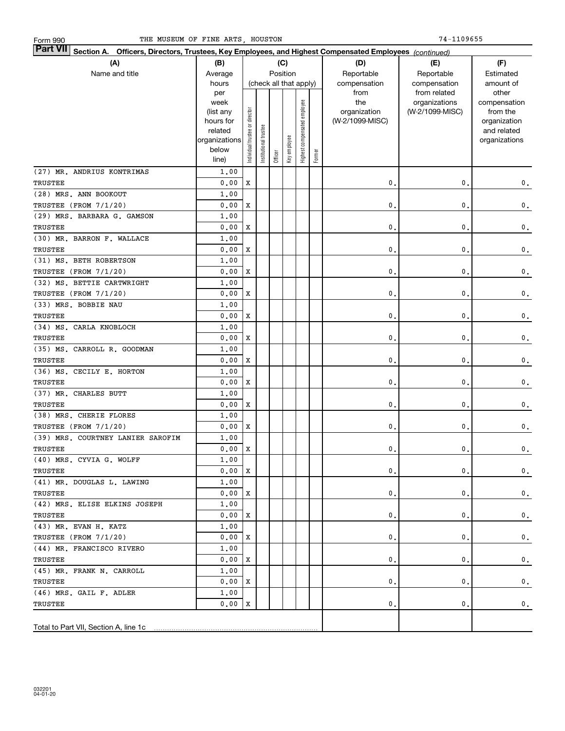| Form 990 |  |
|----------|--|
|          |  |

| <b>Part VII</b> Section A. Officers, Directors, Trustees, Key Employees, and Highest Compensated Employees (continued) |                    |                               |                       |         |                        |                              |        |                     |                                  |                          |
|------------------------------------------------------------------------------------------------------------------------|--------------------|-------------------------------|-----------------------|---------|------------------------|------------------------------|--------|---------------------|----------------------------------|--------------------------|
| (A)                                                                                                                    | (B)<br>(C)         |                               |                       |         |                        |                              |        | (D)                 | (E)                              | (F)                      |
| Name and title                                                                                                         | Average            |                               |                       |         | Position               |                              |        | Reportable          | Reportable                       | Estimated                |
|                                                                                                                        | hours              |                               |                       |         | (check all that apply) |                              |        | compensation        | compensation                     | amount of                |
|                                                                                                                        | per                |                               |                       |         |                        |                              |        | from                | from related                     | other                    |
|                                                                                                                        | week<br>(list any  |                               |                       |         |                        |                              |        | the<br>organization | organizations<br>(W-2/1099-MISC) | compensation<br>from the |
|                                                                                                                        | hours for          |                               |                       |         |                        |                              |        | (W-2/1099-MISC)     |                                  | organization             |
|                                                                                                                        | related            |                               |                       |         |                        |                              |        |                     |                                  | and related              |
|                                                                                                                        | organizations      |                               |                       |         |                        |                              |        |                     |                                  | organizations            |
|                                                                                                                        | below              | ndividual trustee or director | Institutional trustee | Officer | Key employee           | Highest compensated employee | Former |                     |                                  |                          |
|                                                                                                                        | line)              |                               |                       |         |                        |                              |        |                     |                                  |                          |
| (27) MR. ANDRIUS KONTRIMAS                                                                                             | 1,00               |                               |                       |         |                        |                              |        |                     |                                  |                          |
| TRUSTEE                                                                                                                | 0.00               | X                             |                       |         |                        |                              |        | $\mathbf{0}$ .      | 0.                               | $\mathbf 0$ .            |
| (28) MRS. ANN BOOKOUT                                                                                                  | 1,00               |                               |                       |         |                        |                              |        |                     |                                  |                          |
| TRUSTEE (FROM 7/1/20)                                                                                                  | 0.00               | X                             |                       |         |                        |                              |        | 0.                  | 0.                               | $\mathbf 0$ .            |
| (29) MRS. BARBARA G. GAMSON                                                                                            | 1.00               |                               |                       |         |                        |                              |        |                     |                                  |                          |
| TRUSTEE                                                                                                                | 0.00               | X                             |                       |         |                        |                              |        | 0.                  | 0.                               | $\mathbf 0$ .            |
| (30) MR. BARRON F. WALLACE                                                                                             | 1.00               |                               |                       |         |                        |                              |        |                     |                                  |                          |
| TRUSTEE                                                                                                                | 0.00               | X                             |                       |         |                        |                              |        | 0.                  | 0.                               | $\mathbf 0$ .            |
| (31) MS. BETH ROBERTSON                                                                                                | 1.00               |                               |                       |         |                        |                              |        |                     |                                  |                          |
| TRUSTEE (FROM 7/1/20)                                                                                                  | 0.00               | X                             |                       |         |                        |                              |        | 0.                  | 0.                               | $\mathbf 0$ .            |
| (32) MS. BETTIE CARTWRIGHT                                                                                             | 1.00               |                               |                       |         |                        |                              |        |                     |                                  |                          |
| TRUSTEE (FROM 7/1/20)                                                                                                  | 0.00               | X                             |                       |         |                        |                              |        | 0.                  | 0.                               | $\mathbf 0$ .            |
| (33) MRS. BOBBIE NAU                                                                                                   | 1.00               |                               |                       |         |                        |                              |        |                     |                                  |                          |
| TRUSTEE                                                                                                                | 0.00               | X                             |                       |         |                        |                              |        | 0.                  | 0.                               | $\mathbf 0$ .            |
| (34) MS. CARLA KNOBLOCH                                                                                                | 1.00               |                               |                       |         |                        |                              |        |                     |                                  |                          |
| TRUSTEE                                                                                                                | 0.00               | X                             |                       |         |                        |                              |        | 0.                  | 0.                               | $\mathbf 0$ .            |
| (35) MS. CARROLL R. GOODMAN                                                                                            | 1.00               |                               |                       |         |                        |                              |        |                     |                                  |                          |
| TRUSTEE                                                                                                                | 0.00               | X                             |                       |         |                        |                              |        | 0.                  | 0.                               | $\mathbf 0$ .            |
| (36) MS. CECILY E. HORTON                                                                                              | 1.00               |                               |                       |         |                        |                              |        |                     |                                  |                          |
| TRUSTEE                                                                                                                | 0.00               | X                             |                       |         |                        |                              |        | 0.                  | 0.                               | $\mathbf 0$ .            |
| (37) MR. CHARLES BUTT                                                                                                  | 1.00               |                               |                       |         |                        |                              |        |                     |                                  |                          |
| TRUSTEE                                                                                                                | 0.00               | X                             |                       |         |                        |                              |        | 0.                  | 0.                               | $\mathbf 0$ .            |
| (38) MRS. CHERIE FLORES                                                                                                | 1.00               |                               |                       |         |                        |                              |        |                     |                                  |                          |
| TRUSTEE (FROM 7/1/20)                                                                                                  | 0.00               | X                             |                       |         |                        |                              |        | 0.                  | 0.                               | 0.                       |
| (39) MRS. COURTNEY LANIER SAROFIM                                                                                      | 1.00               |                               |                       |         |                        |                              |        |                     |                                  |                          |
| TRUSTEE                                                                                                                | 0.00               | $\mathbf{x}$                  |                       |         |                        |                              |        | 0.                  | 0.                               | $\mathbf 0$ .            |
| (40) MRS. CYVIA G. WOLFF                                                                                               | 1.00               |                               |                       |         |                        |                              |        |                     |                                  |                          |
| TRUSTEE                                                                                                                | $0.00 \, \text{X}$ |                               |                       |         |                        |                              |        | 0.                  | 0.                               | 0.                       |
| (41) MR. DOUGLAS L. LAWING                                                                                             | 1,00               |                               |                       |         |                        |                              |        |                     |                                  |                          |
| TRUSTEE                                                                                                                | 0.00 X             |                               |                       |         |                        |                              |        | 0.                  | 0.                               | 0.                       |
| (42) MRS. ELISE ELKINS JOSEPH                                                                                          | 1,00               |                               |                       |         |                        |                              |        |                     |                                  |                          |
| TRUSTEE                                                                                                                | 0.00 X             |                               |                       |         |                        |                              |        | 0.                  | 0.                               | 0.                       |
| $(43)$ MR. EVAN H. KATZ                                                                                                | 1,00               |                               |                       |         |                        |                              |        |                     |                                  |                          |
| TRUSTEE (FROM 7/1/20)                                                                                                  | 0.00 X             |                               |                       |         |                        |                              |        | 0.                  | 0.                               | 0.                       |
| (44) MR. FRANCISCO RIVERO                                                                                              | 1,00               |                               |                       |         |                        |                              |        |                     |                                  |                          |
| TRUSTEE                                                                                                                | 0.00 X             |                               |                       |         |                        |                              |        | 0.                  | 0.                               | 0.                       |
| (45) MR. FRANK N. CARROLL                                                                                              | 1,00               |                               |                       |         |                        |                              |        |                     |                                  |                          |
| TRUSTEE                                                                                                                | $0.00$   X         |                               |                       |         |                        |                              |        | 0.                  | 0.                               | $\mathbf{0}$ .           |
| (46) MRS. GAIL F. ADLER                                                                                                | 1,00               |                               |                       |         |                        |                              |        |                     |                                  |                          |
| TRUSTEE                                                                                                                | 0.00 X             |                               |                       |         |                        |                              |        | 0.                  | 0.                               | 0.                       |
|                                                                                                                        |                    |                               |                       |         |                        |                              |        |                     |                                  |                          |
| Total to Part VII, Section A, line 1c                                                                                  |                    |                               |                       |         |                        |                              |        |                     |                                  |                          |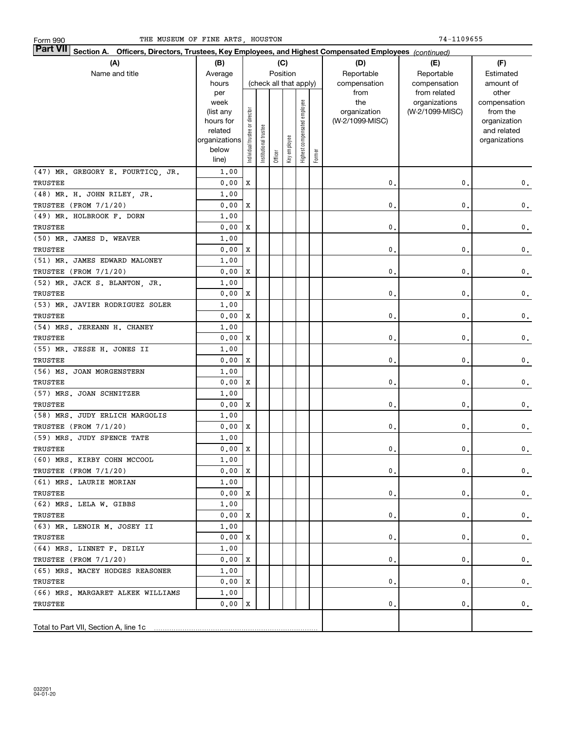| <b>Part VII</b> Section A. Officers, Directors, Trustees, Key Employees, and Highest Compensated Employees (continued) |                   |                                |                       |         |                        |                              |        |                     |                                  |                          |
|------------------------------------------------------------------------------------------------------------------------|-------------------|--------------------------------|-----------------------|---------|------------------------|------------------------------|--------|---------------------|----------------------------------|--------------------------|
| (A)                                                                                                                    | (B)<br>(C)        |                                |                       |         |                        |                              |        | (D)                 | (E)                              | (F)                      |
| Name and title                                                                                                         | Average           |                                |                       |         | Position               |                              |        | Reportable          | Reportable                       | Estimated                |
|                                                                                                                        | hours             |                                |                       |         | (check all that apply) |                              |        | compensation        | compensation                     | amount of                |
|                                                                                                                        | per               |                                |                       |         |                        |                              |        | from                | from related                     | other                    |
|                                                                                                                        | week<br>(list any |                                |                       |         |                        |                              |        | the<br>organization | organizations<br>(W-2/1099-MISC) | compensation<br>from the |
|                                                                                                                        | hours for         |                                |                       |         |                        |                              |        | (W-2/1099-MISC)     |                                  | organization             |
|                                                                                                                        | related           |                                |                       |         |                        |                              |        |                     |                                  | and related              |
|                                                                                                                        | organizations     |                                |                       |         |                        |                              |        |                     |                                  | organizations            |
|                                                                                                                        | below             | Individual trustee or director | Institutional trustee |         | Key employee           | Highest compensated employee | Former |                     |                                  |                          |
|                                                                                                                        | line)             |                                |                       | Officer |                        |                              |        |                     |                                  |                          |
| (47) MR. GREGORY E. FOURTICQ, JR.                                                                                      | 1.00              |                                |                       |         |                        |                              |        |                     |                                  |                          |
| TRUSTEE                                                                                                                | 0.00              | $\mathbf x$                    |                       |         |                        |                              |        | $\mathbf{0}$ .      | 0.                               | $\mathbf 0$ .            |
| (48) MR. H. JOHN RILEY, JR.                                                                                            | 1,00              |                                |                       |         |                        |                              |        |                     |                                  |                          |
| TRUSTEE (FROM 7/1/20)                                                                                                  | 0.00              | X                              |                       |         |                        |                              |        | 0.                  | 0.                               | $\mathbf 0$ .            |
| (49) MR. HOLBROOK F. DORN                                                                                              | 1,00              |                                |                       |         |                        |                              |        |                     |                                  |                          |
| <b>TRUSTEE</b>                                                                                                         | 0.00              | X                              |                       |         |                        |                              |        | 0.                  | 0.                               | $\mathbf 0$ .            |
| (50) MR. JAMES D. WEAVER                                                                                               | 1.00              |                                |                       |         |                        |                              |        |                     |                                  |                          |
| TRUSTEE                                                                                                                | 0.00              | X                              |                       |         |                        |                              |        | 0.                  | 0.                               | $\mathbf 0$ .            |
| (51) MR. JAMES EDWARD MALONEY                                                                                          | 1,00              |                                |                       |         |                        |                              |        |                     |                                  |                          |
| TRUSTEE (FROM 7/1/20)                                                                                                  | 0.00              | X                              |                       |         |                        |                              |        | 0.                  | 0.                               | $\mathbf 0$ .            |
| (52) MR. JACK S. BLANTON, JR.                                                                                          | 1.00              |                                |                       |         |                        |                              |        |                     |                                  |                          |
| TRUSTEE                                                                                                                | 0.00              | X                              |                       |         |                        |                              |        | 0.                  | 0.                               | $\mathbf 0$ .            |
| (53) MR. JAVIER RODRIGUEZ SOLER                                                                                        | 1,00              |                                |                       |         |                        |                              |        |                     |                                  |                          |
| TRUSTEE                                                                                                                | 0.00              | X                              |                       |         |                        |                              |        | 0.                  | 0.                               | $\mathbf 0$ .            |
| (54) MRS. JEREANN H. CHANEY                                                                                            | 1.00              |                                |                       |         |                        |                              |        |                     |                                  |                          |
| TRUSTEE                                                                                                                | 0.00              | X                              |                       |         |                        |                              |        | 0.                  | 0.                               | $\mathbf 0$ .            |
| (55) MR. JESSE H. JONES II                                                                                             | 1.00              |                                |                       |         |                        |                              |        |                     |                                  |                          |
| TRUSTEE                                                                                                                | 0.00              | X                              |                       |         |                        |                              |        | 0.                  | 0.                               | $\mathbf 0$ .            |
| (56) MS. JOAN MORGENSTERN                                                                                              | 1.00              |                                |                       |         |                        |                              |        |                     |                                  |                          |
| TRUSTEE                                                                                                                | 0.00              | X                              |                       |         |                        |                              |        | 0.                  | 0.                               | $\mathbf 0$ .            |
| (57) MRS. JOAN SCHNITZER                                                                                               | 1.00              |                                |                       |         |                        |                              |        |                     |                                  |                          |
| TRUSTEE                                                                                                                | 0.00              | X                              |                       |         |                        |                              |        | 0.                  | 0.                               | $\mathbf 0$ .            |
| (58) MRS. JUDY ERLICH MARGOLIS                                                                                         | 1,00              |                                |                       |         |                        |                              |        |                     |                                  |                          |
| TRUSTEE (FROM 7/1/20)                                                                                                  | 0.00              | X                              |                       |         |                        |                              |        | 0.                  | 0.                               | 0.                       |
| (59) MRS. JUDY SPENCE TATE                                                                                             | 1.00              |                                |                       |         |                        |                              |        |                     |                                  |                          |
| TRUSTEE                                                                                                                | 0.00              | X                              |                       |         |                        |                              |        | 0.                  | 0.                               | $\mathbf 0$ .            |
| (60) MRS. KIRBY COHN MCCOOL                                                                                            | 1.00              |                                |                       |         |                        |                              |        |                     |                                  |                          |
| TRUSTEE (FROM 7/1/20)                                                                                                  | $0.00$   X        |                                |                       |         |                        |                              |        | 0.                  | 0.                               | 0.                       |
| (61) MRS. LAURIE MORIAN                                                                                                | 1,00              |                                |                       |         |                        |                              |        |                     |                                  |                          |
| TRUSTEE                                                                                                                | 0.00 X            |                                |                       |         |                        |                              |        | 0.                  | 0.                               | 0.                       |
| (62) MRS. LELA W. GIBBS                                                                                                | 1,00              |                                |                       |         |                        |                              |        |                     |                                  |                          |
| TRUSTEE                                                                                                                | 0.00 X            |                                |                       |         |                        |                              |        | 0.                  | 0.                               | 0.                       |
| (63) MR. LENOIR M. JOSEY II                                                                                            | 1,00              |                                |                       |         |                        |                              |        |                     |                                  |                          |
| TRUSTEE                                                                                                                | 0.00 X            |                                |                       |         |                        |                              |        | 0.                  | 0.                               | 0.                       |
| (64) MRS. LINNET F. DEILY                                                                                              | 1,00              |                                |                       |         |                        |                              |        |                     |                                  |                          |
| TRUSTEE (FROM 7/1/20)                                                                                                  | 0.00 X            |                                |                       |         |                        |                              |        | 0.                  | 0.                               | 0.                       |
| (65) MRS. MACEY HODGES REASONER                                                                                        | 1,00              |                                |                       |         |                        |                              |        |                     |                                  |                          |
| TRUSTEE                                                                                                                | 0.00 X            |                                |                       |         |                        |                              |        | 0.                  | 0.                               | $\mathbf{0}$ .           |
| (66) MRS. MARGARET ALKEK WILLIAMS                                                                                      | 1,00              |                                |                       |         |                        |                              |        |                     |                                  |                          |
| TRUSTEE                                                                                                                | 0.00 X            |                                |                       |         |                        |                              |        | 0.                  | 0.                               | $\mathbf{0}$ .           |
|                                                                                                                        |                   |                                |                       |         |                        |                              |        |                     |                                  |                          |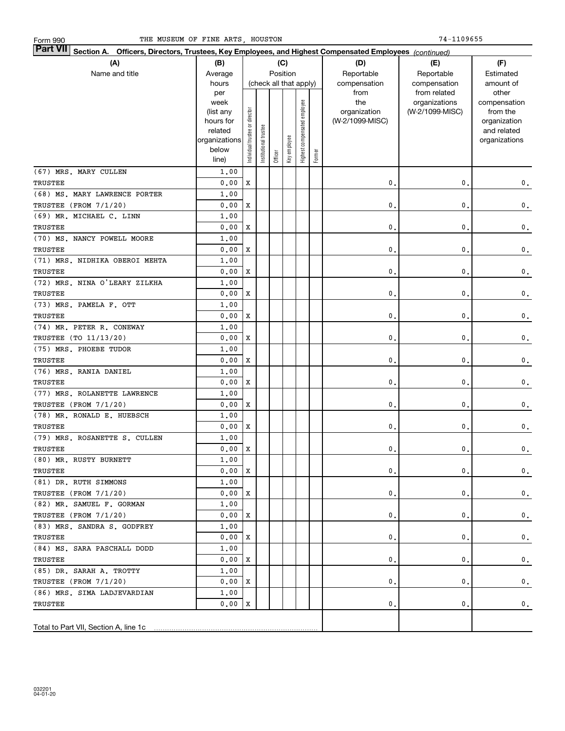| <b>Part VII</b> Section A. Officers, Directors, Trustees, Key Employees, and Highest Compensated Employees (continued) |               |                                |                       |         |                        |                              |        |                 |                                  |                          |  |
|------------------------------------------------------------------------------------------------------------------------|---------------|--------------------------------|-----------------------|---------|------------------------|------------------------------|--------|-----------------|----------------------------------|--------------------------|--|
| (A)                                                                                                                    | (B)           |                                |                       |         | (C)                    |                              |        | (D)             | (E)                              | (F)                      |  |
| Name and title                                                                                                         | Average       |                                |                       |         | Position               |                              |        | Reportable      | Reportable                       | Estimated                |  |
|                                                                                                                        | hours         |                                |                       |         | (check all that apply) |                              |        | compensation    | compensation                     | amount of                |  |
|                                                                                                                        | per<br>week   |                                |                       |         |                        |                              |        | from<br>the     | from related                     | other                    |  |
|                                                                                                                        | (list any     |                                |                       |         |                        |                              |        | organization    | organizations<br>(W-2/1099-MISC) | compensation<br>from the |  |
|                                                                                                                        | hours for     |                                |                       |         |                        |                              |        | (W-2/1099-MISC) |                                  | organization             |  |
|                                                                                                                        | related       |                                |                       |         |                        |                              |        |                 |                                  | and related              |  |
|                                                                                                                        | organizations |                                |                       |         |                        |                              |        |                 |                                  | organizations            |  |
|                                                                                                                        | below         | Individual trustee or director | Institutional trustee |         | Key employee           | Highest compensated employee | Former |                 |                                  |                          |  |
|                                                                                                                        | line)         |                                |                       | Officer |                        |                              |        |                 |                                  |                          |  |
| (67) MRS. MARY CULLEN                                                                                                  | 1,00          |                                |                       |         |                        |                              |        |                 |                                  |                          |  |
| TRUSTEE                                                                                                                | 0.00          | $\mathbf x$                    |                       |         |                        |                              |        | $\mathbf{0}$ .  | 0.                               | $\mathbf 0$ .            |  |
| (68) MS. MARY LAWRENCE PORTER                                                                                          | 1,00          |                                |                       |         |                        |                              |        |                 |                                  |                          |  |
| TRUSTEE (FROM 7/1/20)                                                                                                  | 0.00          | X                              |                       |         |                        |                              |        | 0.              | 0.                               | $\mathbf 0$ .            |  |
| (69) MR. MICHAEL C. LINN                                                                                               | 1,00          |                                |                       |         |                        |                              |        |                 |                                  |                          |  |
| TRUSTEE                                                                                                                | 0.00          | X                              |                       |         |                        |                              |        | 0.              | 0.                               | $\mathbf 0$ .            |  |
| (70) MS. NANCY POWELL MOORE                                                                                            | 1,00          |                                |                       |         |                        |                              |        |                 |                                  |                          |  |
| TRUSTEE                                                                                                                | 0.00          | X                              |                       |         |                        |                              |        | 0.              | 0.                               | $\mathbf 0$ .            |  |
| (71) MRS. NIDHIKA OBEROI MEHTA                                                                                         | 1,00          |                                |                       |         |                        |                              |        |                 |                                  |                          |  |
| TRUSTEE                                                                                                                | 0.00          | X                              |                       |         |                        |                              |        | 0.              | 0.                               | $\mathbf 0$ .            |  |
| (72) MRS. NINA O'LEARY ZILKHA                                                                                          | 1,00          |                                |                       |         |                        |                              |        |                 |                                  |                          |  |
| TRUSTEE                                                                                                                | 0.00          | X                              |                       |         |                        |                              |        | 0.              | 0.                               | $\mathbf 0$ .            |  |
| (73) MRS. PAMELA F. OTT                                                                                                | 1,00          |                                |                       |         |                        |                              |        |                 |                                  |                          |  |
| TRUSTEE                                                                                                                | 0.00          | X                              |                       |         |                        |                              |        | 0.              | 0.                               | $\mathbf 0$ .            |  |
| (74) MR. PETER R. CONEWAY                                                                                              | 1,00          |                                |                       |         |                        |                              |        |                 |                                  |                          |  |
| TRUSTEE (TO 11/13/20)                                                                                                  | 0.00          | X                              |                       |         |                        |                              |        | 0.              | 0.                               | $\mathbf 0$ .            |  |
| (75) MRS. PHOEBE TUDOR                                                                                                 | 1,00          |                                |                       |         |                        |                              |        |                 |                                  |                          |  |
| TRUSTEE                                                                                                                | 0.00          | X                              |                       |         |                        |                              |        | 0.              | 0.                               | $\mathbf 0$ .            |  |
| (76) MRS. RANIA DANIEL                                                                                                 | 1,00          |                                |                       |         |                        |                              |        |                 |                                  |                          |  |
| TRUSTEE                                                                                                                | 0.00          | X                              |                       |         |                        |                              |        | 0.              | 0.                               | $\mathbf 0$ .            |  |
| (77) MRS. ROLANETTE LAWRENCE                                                                                           | 1,00          |                                |                       |         |                        |                              |        |                 |                                  |                          |  |
| TRUSTEE (FROM 7/1/20)                                                                                                  | 0.00          | X                              |                       |         |                        |                              |        | 0.              | 0.                               | 0.                       |  |
| (78) MR. RONALD E. HUEBSCH                                                                                             | 1,00          |                                |                       |         |                        |                              |        |                 |                                  |                          |  |
| TRUSTEE                                                                                                                | 0.00          | X                              |                       |         |                        |                              |        | 0.              | 0.                               | 0.                       |  |
| (79) MRS. ROSANETTE S. CULLEN                                                                                          | 1,00          |                                |                       |         |                        |                              |        |                 |                                  |                          |  |
| TRUSTEE                                                                                                                | 0.00          | X                              |                       |         |                        |                              |        | 0.              | 0.                               | $\mathbf 0$ .            |  |
| (80) MR. RUSTY BURNETT                                                                                                 | 1.00          |                                |                       |         |                        |                              |        |                 |                                  |                          |  |
| TRUSTEE                                                                                                                | 0.00 X        |                                |                       |         |                        |                              |        | $\mathbf{0}$ .  | $\mathbf 0$ .                    | 0.                       |  |
| (81) DR. RUTH SIMMONS                                                                                                  | 1,00          |                                |                       |         |                        |                              |        |                 |                                  |                          |  |
| TRUSTEE (FROM 7/1/20)                                                                                                  | 0.00          | X                              |                       |         |                        |                              |        | 0.              | 0.                               | 0.                       |  |
| (82) MR. SAMUEL F. GORMAN                                                                                              | 1,00          |                                |                       |         |                        |                              |        |                 |                                  |                          |  |
| TRUSTEE (FROM 7/1/20)                                                                                                  | 0.00          | X                              |                       |         |                        |                              |        | 0.              | 0.                               | 0.                       |  |
| (83) MRS. SANDRA S. GODFREY                                                                                            | 1,00          |                                |                       |         |                        |                              |        |                 |                                  |                          |  |
| TRUSTEE                                                                                                                | 0.00          | X                              |                       |         |                        |                              |        | $\mathbf{0}$ .  | 0.                               | 0.                       |  |
| (84) MS. SARA PASCHALL DODD                                                                                            | 1,00          |                                |                       |         |                        |                              |        |                 |                                  |                          |  |
| TRUSTEE                                                                                                                | 0.00          | X                              |                       |         |                        |                              |        | 0.              | 0.                               | 0.                       |  |
| (85) DR. SARAH A. TROTTY                                                                                               | 1,00          |                                |                       |         |                        |                              |        |                 |                                  |                          |  |
| TRUSTEE (FROM 7/1/20)                                                                                                  | 0.00          | x                              |                       |         |                        |                              |        | 0.              | 0.                               | 0.                       |  |
| (86) MRS. SIMA LADJEVARDIAN                                                                                            | 1,00          |                                |                       |         |                        |                              |        |                 |                                  |                          |  |
| TRUSTEE                                                                                                                | 0.00          | х                              |                       |         |                        |                              |        | 0.              | 0.                               | 0.                       |  |
| Total to Part VII, Section A, line 1c                                                                                  |               |                                |                       |         |                        |                              |        |                 |                                  |                          |  |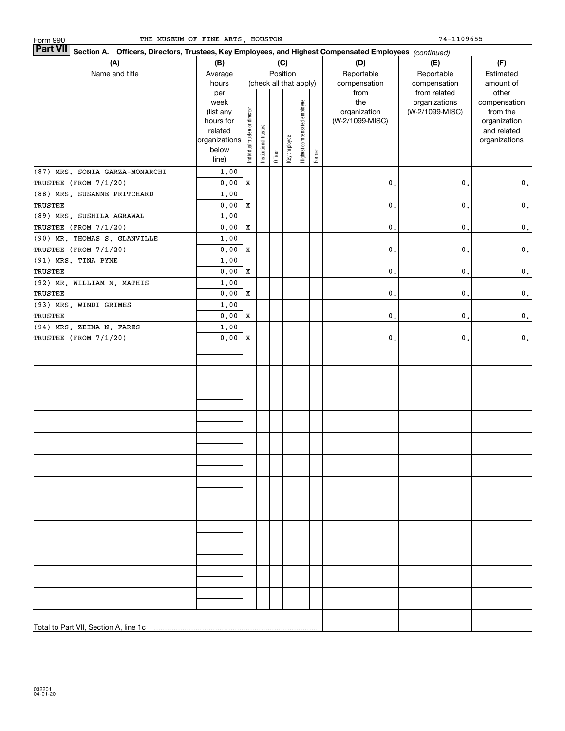| THE MUSEUM OF FINE ARTS, HOUSTON<br>Form 990                                                                       |                                                                                     |                                |                       |         |                                           |                              |        |                                                | 74-1109655                                       |                                                                                   |
|--------------------------------------------------------------------------------------------------------------------|-------------------------------------------------------------------------------------|--------------------------------|-----------------------|---------|-------------------------------------------|------------------------------|--------|------------------------------------------------|--------------------------------------------------|-----------------------------------------------------------------------------------|
| Part VII<br>Section A. Officers, Directors, Trustees, Key Employees, and Highest Compensated Employees (continued) |                                                                                     |                                |                       |         |                                           |                              |        |                                                |                                                  |                                                                                   |
| (A)<br>Name and title                                                                                              | (B)<br>Average<br>hours                                                             |                                |                       |         | (C)<br>Position<br>(check all that apply) |                              |        | (D)<br>Reportable<br>compensation              | (E)<br>Reportable<br>compensation                | (F)<br>Estimated<br>amount of                                                     |
|                                                                                                                    | per<br>week<br>(list any<br>hours for<br>related<br>organizations<br>below<br>line) | Individual trustee or director | Institutional trustee | Officer | Key employee                              | Highest compensated employee | Former | from<br>the<br>organization<br>(W-2/1099-MISC) | from related<br>organizations<br>(W-2/1099-MISC) | other<br>compensation<br>from the<br>organization<br>and related<br>organizations |
| (87) MRS. SONIA GARZA-MONARCHI<br>TRUSTEE (FROM 7/1/20)                                                            | 1.00<br>0.00                                                                        | X                              |                       |         |                                           |                              |        | $\mathbf 0$ .                                  | $\mathbf 0$ .                                    | $\mathbf 0$ .                                                                     |
| (88) MRS. SUSANNE PRITCHARD                                                                                        | 1.00                                                                                |                                |                       |         |                                           |                              |        |                                                |                                                  |                                                                                   |
| TRUSTEE                                                                                                            | 0.00                                                                                | x                              |                       |         |                                           |                              |        | $\mathbf 0$ .                                  | $\mathbf 0$ .                                    | $\mathbf 0$ .                                                                     |
| (89) MRS. SUSHILA AGRAWAL<br>TRUSTEE (FROM 7/1/20)                                                                 | 1.00<br>0.00                                                                        | x                              |                       |         |                                           |                              |        | $\mathbf 0$ .                                  | $\mathfrak o$ .                                  | $\mathbf 0$ .                                                                     |
| (90) MR. THOMAS S. GLANVILLE                                                                                       | 1.00                                                                                |                                |                       |         |                                           |                              |        |                                                |                                                  |                                                                                   |
| TRUSTEE (FROM 7/1/20)                                                                                              | 0.00                                                                                | x                              |                       |         |                                           |                              |        | $\mathbf 0$ .                                  | $\mathbf 0$ .                                    | $\mathbf 0$ .                                                                     |
| (91) MRS. TINA PYNE<br>TRUSTEE                                                                                     | 1.00<br>0.00                                                                        | x                              |                       |         |                                           |                              |        | $\mathbf 0$ .                                  | $\mathfrak o$ .                                  | $\mathbf 0$ .                                                                     |
| (92) MR. WILLIAM N. MATHIS                                                                                         | 1,00                                                                                |                                |                       |         |                                           |                              |        |                                                |                                                  |                                                                                   |
| TRUSTEE                                                                                                            | 0.00                                                                                | x                              |                       |         |                                           |                              |        | $\mathbf 0$ .                                  | $\mathbf 0$ .                                    | $\mathbf 0$ .                                                                     |
| (93) MRS. WINDI GRIMES                                                                                             | 1.00                                                                                |                                |                       |         |                                           |                              |        |                                                |                                                  |                                                                                   |
| TRUSTEE                                                                                                            | 0.00                                                                                | x                              |                       |         |                                           |                              |        | $\mathbf 0$ .                                  | $\mathfrak o$ .                                  | $\mathbf 0$ .                                                                     |
| (94) MRS. ZEINA N. FARES<br>TRUSTEE (FROM 7/1/20)                                                                  | 1,00<br>0.00                                                                        | x                              |                       |         |                                           |                              |        | $\mathbf{0}$ .                                 | 0.                                               | $\mathbf 0$ .                                                                     |
|                                                                                                                    |                                                                                     |                                |                       |         |                                           |                              |        |                                                |                                                  |                                                                                   |
|                                                                                                                    |                                                                                     |                                |                       |         |                                           |                              |        |                                                |                                                  |                                                                                   |
|                                                                                                                    |                                                                                     |                                |                       |         |                                           |                              |        |                                                |                                                  |                                                                                   |
|                                                                                                                    |                                                                                     |                                |                       |         |                                           |                              |        |                                                |                                                  |                                                                                   |
|                                                                                                                    |                                                                                     |                                |                       |         |                                           |                              |        |                                                |                                                  |                                                                                   |
|                                                                                                                    |                                                                                     |                                |                       |         |                                           |                              |        |                                                |                                                  |                                                                                   |
|                                                                                                                    |                                                                                     |                                |                       |         |                                           |                              |        |                                                |                                                  |                                                                                   |
|                                                                                                                    |                                                                                     |                                |                       |         |                                           |                              |        |                                                |                                                  |                                                                                   |
|                                                                                                                    |                                                                                     |                                |                       |         |                                           |                              |        |                                                |                                                  |                                                                                   |
|                                                                                                                    |                                                                                     |                                |                       |         |                                           |                              |        |                                                |                                                  |                                                                                   |
|                                                                                                                    |                                                                                     |                                |                       |         |                                           |                              |        |                                                |                                                  |                                                                                   |
| Total to Part VII, Section A, line 1c                                                                              |                                                                                     |                                |                       |         |                                           |                              |        |                                                |                                                  |                                                                                   |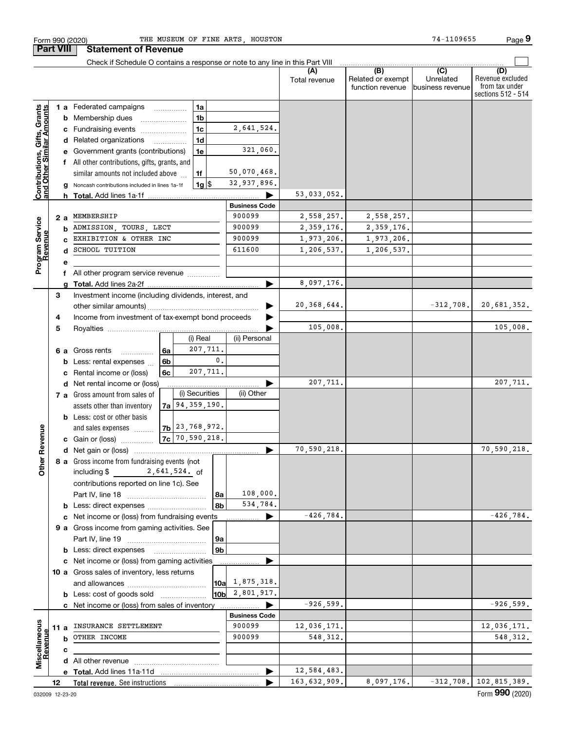|                                                           |                  | Check if Schedule O contains a response or note to any line in this Part VIII |                        |               |                                              |                                      |                                                                 |
|-----------------------------------------------------------|------------------|-------------------------------------------------------------------------------|------------------------|---------------|----------------------------------------------|--------------------------------------|-----------------------------------------------------------------|
|                                                           |                  |                                                                               |                        | Total revenue | (B)<br>Related or exempt<br>function revenue | (C)<br>Unrelated<br>business revenue | (D)<br>Revenue excluded<br>from tax under<br>sections 512 - 514 |
|                                                           |                  | 1 a Federated campaigns<br>1a                                                 |                        |               |                                              |                                      |                                                                 |
| Contributions, Gifts, Grants<br>and Other Similar Amounts |                  | <b>b</b> Membership dues<br>1b                                                |                        |               |                                              |                                      |                                                                 |
|                                                           |                  | 1c<br>c Fundraising events                                                    | 2,641,524.             |               |                                              |                                      |                                                                 |
|                                                           |                  | 1d<br>d Related organizations                                                 |                        |               |                                              |                                      |                                                                 |
|                                                           |                  | e Government grants (contributions)<br>1e                                     | 321,060.               |               |                                              |                                      |                                                                 |
|                                                           |                  | f All other contributions, gifts, grants, and                                 |                        |               |                                              |                                      |                                                                 |
|                                                           |                  | similar amounts not included above<br>1f                                      | 50,070,468.            |               |                                              |                                      |                                                                 |
|                                                           |                  | Noncash contributions included in lines 1a-1f<br>1g S                         | 32,937,896.            |               |                                              |                                      |                                                                 |
|                                                           |                  | h                                                                             |                        | 53,033,052.   |                                              |                                      |                                                                 |
|                                                           |                  |                                                                               | <b>Business Code</b>   |               |                                              |                                      |                                                                 |
|                                                           | 2a               | MEMBERSHIP                                                                    | 900099                 | 2,558,257.    | 2,558,257.                                   |                                      |                                                                 |
| Program Service<br>Revenue                                |                  | ADMISSION, TOURS, LECT<br>b                                                   | 900099                 | 2,359,176.    | 2,359,176.                                   |                                      |                                                                 |
|                                                           |                  | EXHIBITION & OTHER INC                                                        | 900099                 | 1,973,206.    | 1,973,206.                                   |                                      |                                                                 |
|                                                           |                  | <b>SCHOOL TUITION</b><br>d                                                    | 611600                 | 1,206,537.    | 1,206,537.                                   |                                      |                                                                 |
|                                                           | е                |                                                                               |                        |               |                                              |                                      |                                                                 |
|                                                           |                  | f All other program service revenue                                           |                        |               |                                              |                                      |                                                                 |
|                                                           |                  | a                                                                             |                        | 8,097,176.    |                                              |                                      |                                                                 |
|                                                           | 3                | Investment income (including dividends, interest, and                         |                        |               |                                              |                                      |                                                                 |
|                                                           |                  |                                                                               |                        | 20, 368, 644. |                                              | $-312,708.$                          | 20,681,352.                                                     |
|                                                           | 4                | Income from investment of tax-exempt bond proceeds                            |                        |               |                                              |                                      |                                                                 |
|                                                           | 5                |                                                                               |                        | 105,008.      |                                              |                                      | 105,008.                                                        |
|                                                           |                  | (i) Real                                                                      | (ii) Personal          |               |                                              |                                      |                                                                 |
|                                                           |                  | 207,711.<br>6 a Gross rents<br>l 6a<br>.                                      |                        |               |                                              |                                      |                                                                 |
|                                                           |                  | Less: rental expenses<br>6b<br>b                                              | 0.                     |               |                                              |                                      |                                                                 |
|                                                           |                  | 207,711.<br>Rental income or (loss)<br>6с<br>c                                |                        |               |                                              |                                      |                                                                 |
|                                                           |                  | d Net rental income or (loss)                                                 |                        | 207,711.      |                                              |                                      | 207,711.                                                        |
|                                                           |                  | (i) Securities<br>7 a Gross amount from sales of                              | (ii) Other             |               |                                              |                                      |                                                                 |
|                                                           |                  | $7a$   94, 359, 190.<br>assets other than inventory                           |                        |               |                                              |                                      |                                                                 |
|                                                           |                  | <b>b</b> Less: cost or other basis                                            |                        |               |                                              |                                      |                                                                 |
|                                                           |                  | $7b$ $23,768,972.$<br>and sales expenses                                      |                        |               |                                              |                                      |                                                                 |
|                                                           |                  | $7c$ 70, 590, 218.<br><b>c</b> Gain or (loss)                                 |                        |               |                                              |                                      |                                                                 |
|                                                           |                  |                                                                               |                        | 70,590,218.   |                                              |                                      | 70,590,218.                                                     |
| ther Revenue<br>o                                         |                  | 8 a Gross income from fundraising events (not<br>including $$ 2,641,524.$ of  |                        |               |                                              |                                      |                                                                 |
|                                                           |                  | contributions reported on line 1c). See                                       |                        |               |                                              |                                      |                                                                 |
|                                                           |                  |                                                                               | 108,000.<br>  8a       |               |                                              |                                      |                                                                 |
|                                                           |                  | <b>b</b> Less: direct expenses                                                | 534,784.<br>8b         |               |                                              |                                      |                                                                 |
|                                                           |                  | c Net income or (loss) from fundraising events                                | $\blacktriangleright$  | $-426,784.$   |                                              |                                      | $-426, 784.$                                                    |
|                                                           |                  | 9 a Gross income from gaming activities. See                                  |                        |               |                                              |                                      |                                                                 |
|                                                           |                  |                                                                               | 9a                     |               |                                              |                                      |                                                                 |
|                                                           |                  | <b>b</b> Less: direct expenses                                                | 9b                     |               |                                              |                                      |                                                                 |
|                                                           |                  | c Net income or (loss) from gaming activities                                 |                        |               |                                              |                                      |                                                                 |
|                                                           |                  | 10 a Gross sales of inventory, less returns                                   |                        |               |                                              |                                      |                                                                 |
|                                                           |                  |                                                                               | $10a \quad 1,875,318.$ |               |                                              |                                      |                                                                 |
|                                                           |                  | <b>b</b> Less: cost of goods sold                                             | $10b$ 2,801,917.       |               |                                              |                                      |                                                                 |
|                                                           |                  | c Net income or (loss) from sales of inventory                                |                        | $-926, 599.$  |                                              |                                      | $-926,599.$                                                     |
|                                                           |                  |                                                                               | <b>Business Code</b>   |               |                                              |                                      |                                                                 |
|                                                           | 11 a             | INSURANCE SETTLEMENT                                                          | 900099                 | 12,036,171.   |                                              |                                      | 12,036,171.                                                     |
| Miscellaneous                                             |                  | OTHER INCOME<br>b                                                             | 900099                 | 548, 312.     |                                              |                                      | 548, 312.                                                       |
|                                                           |                  | с                                                                             |                        |               |                                              |                                      |                                                                 |
|                                                           |                  |                                                                               |                        |               |                                              |                                      |                                                                 |
|                                                           |                  |                                                                               |                        | 12,584,483.   |                                              |                                      |                                                                 |
|                                                           | 12 <sup>12</sup> | Total revenue. See instructions                                               |                        | 163,632,909.  | 8,097,176.                                   |                                      | $-312, 708.$ 102, 815, 389.                                     |

Form 990 (2020) THE MUSEUM OF FINE ARTS,HOUSTON 74-1109655 Page

**Part VIII** Statement of Revenue

**9**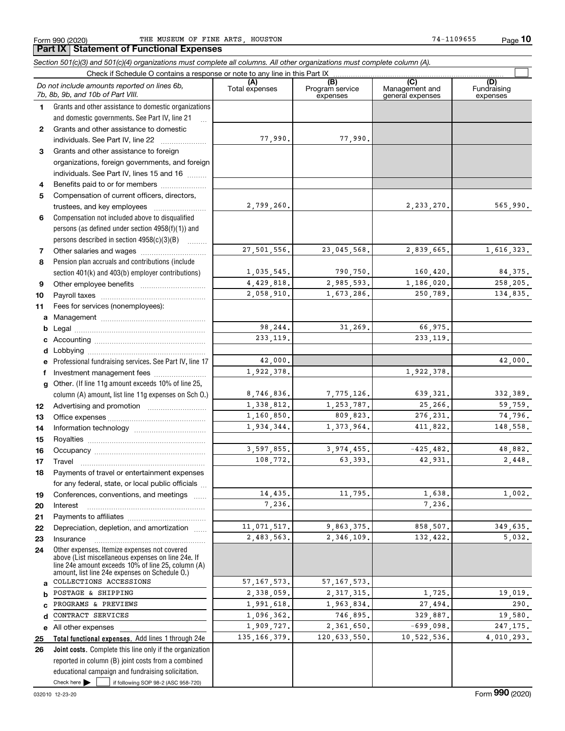**10**

Check here  $\bullet$  if following SOP 98-2 (ASC 958-720) **Total functional expenses.**  Add lines 1 through 24e **Joint costs.** Complete this line only if the organization **(A)**<br>Total expenses **(C)** (C) (C)<br>
penses Program service Management and Fundrai<br>
expenses general expenses expen **123** Grants and other assistance to foreign **4567891011abcdefg12131415161718192021222324abcde2526***Section 501(c)(3) and 501(c)(4) organizations must complete all columns. All other organizations must complete column (A).* Grants and other assistance to domestic organizations and domestic governments. See Part IV, line 21 Compensation not included above to disqualified persons (as defined under section 4958(f)(1)) and persons described in section 4958(c)(3)(B)  $\quad \ldots \ldots \ldots$ Pension plan accruals and contributions (include section 401(k) and 403(b) employer contributions) Professional fundraising services. See Part IV, line 17 Other. (If line 11g amount exceeds 10% of line 25, column (A) amount, list line 11g expenses on Sch O.) Other expenses. Itemize expenses not covered above (List miscellaneous expenses on line 24e. If line 24e amount exceeds 10% of line 25, column (A) amount, list line 24e expenses on Schedule O.) reported in column (B) joint costs from a combined educational campaign and fundraising solicitation. Check if Schedule O contains a response or note to any line in this Part IX (C) (C) (C) (C) (C) (C) Program service expensesFundraising expensesGrants and other assistance to domestic individuals. See Part IV, line 22 ~~~~~~~ organizations, foreign governments, and foreign individuals. See Part IV, lines 15 and 16  $\ldots$ Benefits paid to or for members .................... Compensation of current officers, directors, trustees, and key employees  $\ldots$   $\ldots$   $\ldots$   $\ldots$   $\ldots$ Other salaries and wages ~~~~~~~~~~ Other employee benefits ~~~~~~~~~~ Payroll taxes ~~~~~~~~~~~~~~~~ Fees for services (nonemployees): Management ~~~~~~~~~~~~~~~~ Legal ~~~~~~~~~~~~~~~~~~~~Accounting ~~~~~~~~~~~~~~~~~ Lobbying ~~~~~~~~~~~~~~~~~~ lnvestment management fees ....................... Advertising and promotion www.communication Office expenses ~~~~~~~~~~~~~~~Information technology ~~~~~~~~~~~ Royalties ~~~~~~~~~~~~~~~~~~ Occupancy ~~~~~~~~~~~~~~~~~ Travel ……………………………………………… Payments of travel or entertainment expenses for any federal, state, or local public officials ... Conferences, conventions, and meetings Interest Payments to affiliates ~~~~~~~~~~~~ Depreciation, depletion, and amortization  $\,\,\ldots\,\,$ Insurance~~~~~~~~~~~~~~~~~All other expenses Check here  $\blacktriangleright$ *Do not include amounts reported on lines 6b, 7b, 8b, 9b, and 10b of Part VIII.*  $\mathcal{L}^{\text{max}}$ 77,990. 2,799,260. 27,501,556. 1,035,545. 4,429,818. 2,058,910. 98,244. 233,119. 42,000. 8,746,836. 1,338,812. 1,160,850. 1,934,344. 3,597,855. 108,772. 14,435. 7,236. 11,071,517. 2,483,563. 57,167,573. 2,338,059. 1,991,618. 1,096,362. 1,909,727. 135,166,379. 1,922,378. 77,990. 2,233,270. 565,990. 23,045,568. 2,839,665. 1,616,323. 790,750. 160,420. 84,375. 2,985,593. 1,186,020. 258,205. 1,673,286. 250,789. 134,835. 31,269. 66,975. 233,119. 42,000. 1,922,378. 7,775,126. 639,321. 332,389. 1,253,787. 25,266. 59,759. 809,823. 276,231. 74,796. 1,373,964. 411,822. 148,558.  $3.974.455.$   $-425.482.$   $48.882.$ 63,393. 42,931. 2,448. 11,795. 1,638. 1,002. 7,236. 9,863,375. 858,507. 349,635. 2,346,109. 132,422. 5,032. 57,167,573. 2,317,315. 1,725. 19,019. 1,963,834. 27,494. 290. 746,895. 329,887. 19,580.  $2,361,650.$   $-699,098.$  247,175. 120,633,550. 10,522,536. 4,010,293. COLLECTIONS ACCESSIONS POSTAGE & SHIPPING PROGRAMS & PREVIEWS CONTRACT SERVICES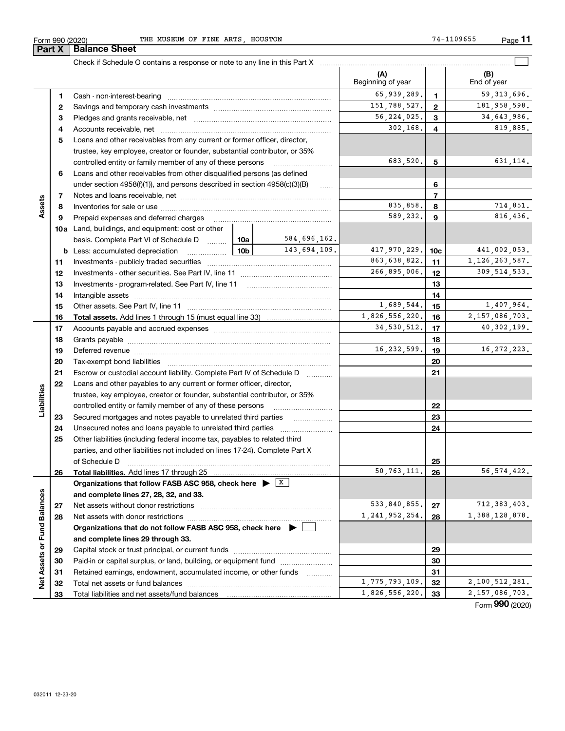| Form 990 (2020) | THE MUSEUM OF FINE ARTS HOUSTON                                               |                          |              | 74-1109655<br>Page |
|-----------------|-------------------------------------------------------------------------------|--------------------------|--------------|--------------------|
| Part X          | <b>Balance Sheet</b>                                                          |                          |              |                    |
|                 | Check if Schedule O contains a response or note to any line in this Part X    |                          |              |                    |
|                 |                                                                               | (A)<br>Beginning of year |              | (B)<br>End of year |
|                 | Cash - non-interest-bearing                                                   | 65,939,289.              |              | 59, 313, 69        |
| 2               |                                                                               | 151, 788, 527.           | $\mathbf{2}$ | 181,958,59         |
| з               |                                                                               | 56, 224, 025.            | з            | 34,643,98          |
| 4               | Accounts receivable, net                                                      | 302.168.                 | 4            | 819,88             |
| 5               | Loans and other receivables from any current or former officer, director,     |                          |              |                    |
|                 | trustee, key employee, creator or founder, substantial contributor, or 35%    |                          |              |                    |
|                 | controlled entity or family member of any of these persons                    | 683,520.                 | 5            | 631,11             |
| 6               | Loans and other receivables from other disqualified persons (as defined       |                          |              |                    |
|                 | under section $4958(f)(1)$ , and persons described in section $4958(c)(3)(B)$ |                          | 6            |                    |

|                   | з  |                                                                                                                                                                                                                                |                 |                | 56, 224, 025.     | 3                 | 34,643,986.       |
|-------------------|----|--------------------------------------------------------------------------------------------------------------------------------------------------------------------------------------------------------------------------------|-----------------|----------------|-------------------|-------------------|-------------------|
|                   | 4  |                                                                                                                                                                                                                                |                 |                | 302,168.          | 4                 | 819,885.          |
|                   | 5  | Loans and other receivables from any current or former officer, director,                                                                                                                                                      |                 |                |                   |                   |                   |
|                   |    | trustee, key employee, creator or founder, substantial contributor, or 35%                                                                                                                                                     |                 |                |                   |                   |                   |
|                   |    | controlled entity or family member of any of these persons                                                                                                                                                                     |                 |                | 683,520.          | 5                 | 631, 114.         |
|                   | 6  | Loans and other receivables from other disqualified persons (as defined                                                                                                                                                        |                 |                |                   |                   |                   |
|                   |    | under section $4958(f)(1)$ , and persons described in section $4958(c)(3)(B)$                                                                                                                                                  |                 | 1.1.1.1.1      |                   | 6                 |                   |
|                   | 7  |                                                                                                                                                                                                                                |                 |                |                   | $\overline{7}$    |                   |
| Assets            | 8  |                                                                                                                                                                                                                                |                 |                | 835,858.          | 8                 | 714,851.          |
|                   | 9  | Prepaid expenses and deferred charges                                                                                                                                                                                          |                 |                | 589,232.          | 9                 | 816,436.          |
|                   |    | <b>10a</b> Land, buildings, and equipment: cost or other                                                                                                                                                                       |                 |                |                   |                   |                   |
|                   |    | basis. Complete Part VI of Schedule D                                                                                                                                                                                          | 10a             | 584,696,162.   |                   |                   |                   |
|                   |    | <b>b</b> Less: accumulated depreciation                                                                                                                                                                                        | 10 <sub>b</sub> | 143,694,109.   | 417,970,229.      | 10 <sub>c</sub>   | 441,002,053.      |
|                   | 11 |                                                                                                                                                                                                                                |                 |                | 863,638,822.      | 11                | 1, 126, 263, 587. |
|                   | 12 |                                                                                                                                                                                                                                |                 |                | 266,895,006.      | 12                | 309, 514, 533.    |
|                   | 13 |                                                                                                                                                                                                                                |                 |                |                   | 13                |                   |
|                   | 14 |                                                                                                                                                                                                                                |                 |                |                   | 14                |                   |
|                   | 15 |                                                                                                                                                                                                                                |                 |                | 1,689,544.        | 15                | 1,407,964.        |
|                   | 16 |                                                                                                                                                                                                                                |                 | 1,826,556,220. | 16                | 2, 157, 086, 703. |                   |
|                   | 17 |                                                                                                                                                                                                                                |                 |                | 34,530,512.       | 17                | 40,302,199.       |
|                   | 18 |                                                                                                                                                                                                                                |                 |                |                   | 18                |                   |
|                   | 19 | Deferred revenue manual contracts and contracts are all the contracts and contracts are contracted and contracts are contracted and contract are contracted and contract are contracted and contract are contracted and contra |                 |                | 16, 232, 599.     | 19                | 16, 272, 223.     |
|                   | 20 |                                                                                                                                                                                                                                |                 |                |                   | 20                |                   |
|                   | 21 | Escrow or custodial account liability. Complete Part IV of Schedule D                                                                                                                                                          |                 |                |                   | 21                |                   |
|                   | 22 | Loans and other payables to any current or former officer, director,                                                                                                                                                           |                 |                |                   |                   |                   |
|                   |    | trustee, key employee, creator or founder, substantial contributor, or 35%                                                                                                                                                     |                 |                |                   |                   |                   |
| Liabilities       |    | controlled entity or family member of any of these persons                                                                                                                                                                     |                 |                |                   | 22                |                   |
|                   | 23 | Secured mortgages and notes payable to unrelated third parties                                                                                                                                                                 |                 |                |                   | 23                |                   |
|                   | 24 | Unsecured notes and loans payable to unrelated third parties                                                                                                                                                                   |                 |                |                   | 24                |                   |
|                   | 25 | Other liabilities (including federal income tax, payables to related third                                                                                                                                                     |                 |                |                   |                   |                   |
|                   |    | parties, and other liabilities not included on lines 17-24). Complete Part X                                                                                                                                                   |                 |                |                   |                   |                   |
|                   |    | of Schedule D                                                                                                                                                                                                                  |                 |                | 50, 763, 111.     | 25                | 56, 574, 422.     |
|                   | 26 | Organizations that follow FASB ASC 958, check here $\triangleright$ $\frac{X}{X}$                                                                                                                                              |                 |                |                   | 26                |                   |
|                   |    | and complete lines 27, 28, 32, and 33.                                                                                                                                                                                         |                 |                |                   |                   |                   |
| <b>Balances</b>   | 27 |                                                                                                                                                                                                                                |                 |                | 533,840,855.      | 27                | 712, 383, 403.    |
|                   | 28 |                                                                                                                                                                                                                                |                 |                | 1, 241, 952, 254. | 28                | 1,388,128,878.    |
| τ                 |    | Organizations that do not follow FASB ASC 958, check here $\blacktriangleright$                                                                                                                                                |                 |                |                   |                   |                   |
|                   |    | and complete lines 29 through 33.                                                                                                                                                                                              |                 |                |                   |                   |                   |
|                   | 29 |                                                                                                                                                                                                                                |                 |                |                   | 29                |                   |
|                   | 30 | Paid-in or capital surplus, or land, building, or equipment fund                                                                                                                                                               |                 |                |                   | 30                |                   |
|                   | 31 | Retained earnings, endowment, accumulated income, or other funds                                                                                                                                                               |                 |                |                   | 31                |                   |
| Net Assets or Fun | 32 |                                                                                                                                                                                                                                |                 |                | 1,775,793,109.    | 32                | 2,100,512,281.    |
|                   | 33 | Total liabilities and net assets/fund balances                                                                                                                                                                                 |                 |                | 1,826,556,220.    | 33                | 2,157,086,703.    |
|                   |    |                                                                                                                                                                                                                                |                 |                |                   |                   | Form 990 (2020)   |

 $\mathcal{L}^{\text{max}}$ 

65,939,289. 59,313,696.

 $151,788,527.$  2 181,958,598.

Formym **990** (2020)

**Par**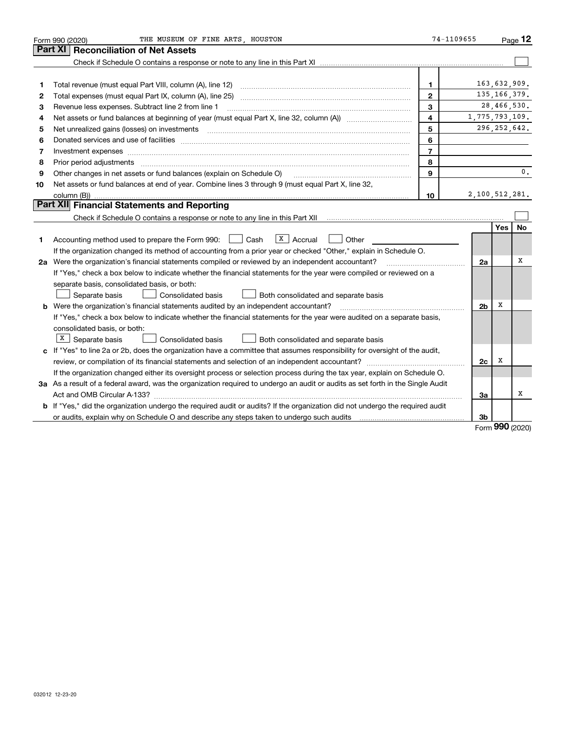|    | THE MUSEUM OF FINE ARTS HOUSTON<br>Form 990 (2020)                                                                                   | 74-1109655     |                |                | $P_{\text{aqe}}$ 12 |
|----|--------------------------------------------------------------------------------------------------------------------------------------|----------------|----------------|----------------|---------------------|
|    | <b>Reconciliation of Net Assets</b><br>Part XI                                                                                       |                |                |                |                     |
|    |                                                                                                                                      |                |                |                |                     |
|    |                                                                                                                                      |                |                |                |                     |
| 1  | Total revenue (must equal Part VIII, column (A), line 12)                                                                            | 1              |                | 163,632,909.   |                     |
| 2  |                                                                                                                                      | $\mathbf{2}$   |                | 135, 166, 379. |                     |
| з  | Revenue less expenses. Subtract line 2 from line 1                                                                                   | 3              |                | 28,466,530.    |                     |
| 4  |                                                                                                                                      | 4              | 1,775,793,109. |                |                     |
| 5  | Net unrealized gains (losses) on investments [11] matter continuum matter is a set of the set of the set of the                      | 5              |                | 296, 252, 642. |                     |
| 6  |                                                                                                                                      | 6              |                |                |                     |
| 7  | Investment expenses www.communication.com/www.communication.com/www.communication.com/www.com                                        | $\overline{7}$ |                |                |                     |
| 8  | Prior period adjustments www.communication.communication.com/news/communication.com/news/communication.com/new                       | 8              |                |                |                     |
| 9  | Other changes in net assets or fund balances (explain on Schedule O)                                                                 | 9              |                |                | 0.                  |
| 10 | Net assets or fund balances at end of year. Combine lines 3 through 9 (must equal Part X, line 32,                                   |                |                |                |                     |
|    |                                                                                                                                      | 10             | 2,100,512,281. |                |                     |
|    | Part XII Financial Statements and Reporting                                                                                          |                |                |                |                     |
|    |                                                                                                                                      |                |                |                |                     |
|    |                                                                                                                                      |                |                | Yes            | No                  |
| 1. | $X \vert$ Accrual<br>Accounting method used to prepare the Form 990: <u>I</u> Cash<br>Other                                          |                |                |                |                     |
|    | If the organization changed its method of accounting from a prior year or checked "Other," explain in Schedule O.                    |                |                |                |                     |
|    | 2a Were the organization's financial statements compiled or reviewed by an independent accountant?                                   |                | 2a             |                | X                   |
|    | If "Yes," check a box below to indicate whether the financial statements for the year were compiled or reviewed on a                 |                |                |                |                     |
|    | separate basis, consolidated basis, or both:                                                                                         |                |                |                |                     |
|    | Separate basis<br>Consolidated basis<br>Both consolidated and separate basis                                                         |                |                |                |                     |
|    | <b>b</b> Were the organization's financial statements audited by an independent accountant?                                          |                | 2 <sub>b</sub> | х              |                     |
|    | If "Yes," check a box below to indicate whether the financial statements for the year were audited on a separate basis,              |                |                |                |                     |
|    | consolidated basis, or both:                                                                                                         |                |                |                |                     |
|    | $X$ Separate basis<br><b>Consolidated basis</b><br>Both consolidated and separate basis                                              |                |                |                |                     |
|    | c If "Yes" to line 2a or 2b, does the organization have a committee that assumes responsibility for oversight of the audit,          |                |                |                |                     |
|    |                                                                                                                                      |                | 2c             | х              |                     |
|    | If the organization changed either its oversight process or selection process during the tax year, explain on Schedule O.            |                |                |                |                     |
|    | 3a As a result of a federal award, was the organization required to undergo an audit or audits as set forth in the Single Audit      |                |                |                |                     |
|    |                                                                                                                                      |                | За             |                | x                   |
|    | <b>b</b> If "Yes," did the organization undergo the required audit or audits? If the organization did not undergo the required audit |                |                |                |                     |
|    |                                                                                                                                      |                | 3b             |                |                     |

Form (2020) **990**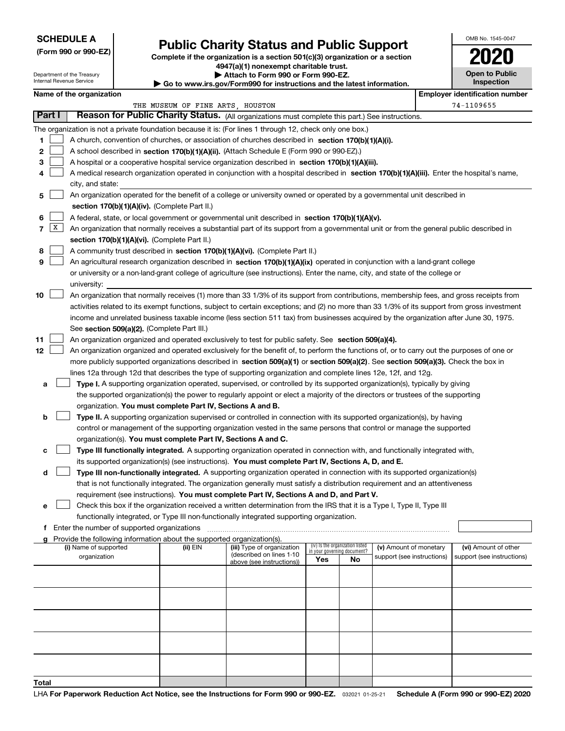#### **SCHEDULE A**

Department of the Treasury Internal Revenue Service

**(Form 990 or 990-EZ)**

## **Public Charity Status and Public Support**

**Complete if the organization is a section 501(c)(3) organization or a section 4947(a)(1) nonexempt charitable trust. | Attach to Form 990 or Form 990-EZ.** 

|                                                                         | <b>P AUGULU FULLI 330 UL FULLI 330-LL.</b> |  |
|-------------------------------------------------------------------------|--------------------------------------------|--|
| ► Go to www.irs.gov/Form990 for instructions and the latest information |                                            |  |
|                                                                         |                                            |  |

| st information. | Inspection |
|-----------------|------------|
|                 |            |

OMB No. 1545-0047

**Open to Public**

**2020**

| Name of the organization                                                                                                                        |                                                                                                                                            |                                                        |                                                                |    |                            |  | <b>Employer identification number</b> |  |  |  |
|-------------------------------------------------------------------------------------------------------------------------------------------------|--------------------------------------------------------------------------------------------------------------------------------------------|--------------------------------------------------------|----------------------------------------------------------------|----|----------------------------|--|---------------------------------------|--|--|--|
|                                                                                                                                                 | THE MUSEUM OF FINE ARTS, HOUSTON                                                                                                           |                                                        |                                                                |    |                            |  | 74-1109655                            |  |  |  |
| Part I<br>Reason for Public Charity Status. (All organizations must complete this part.) See instructions.                                      |                                                                                                                                            |                                                        |                                                                |    |                            |  |                                       |  |  |  |
| The organization is not a private foundation because it is: (For lines 1 through 12, check only one box.)                                       |                                                                                                                                            |                                                        |                                                                |    |                            |  |                                       |  |  |  |
| 1.<br>A church, convention of churches, or association of churches described in section 170(b)(1)(A)(i).                                        |                                                                                                                                            |                                                        |                                                                |    |                            |  |                                       |  |  |  |
| 2<br>A school described in section 170(b)(1)(A)(ii). (Attach Schedule E (Form 990 or 990-EZ).)                                                  |                                                                                                                                            |                                                        |                                                                |    |                            |  |                                       |  |  |  |
| 3<br>A hospital or a cooperative hospital service organization described in section 170(b)(1)(A)(iii).                                          |                                                                                                                                            |                                                        |                                                                |    |                            |  |                                       |  |  |  |
| A medical research organization operated in conjunction with a hospital described in section 170(b)(1)(A)(iii). Enter the hospital's name,<br>4 |                                                                                                                                            |                                                        |                                                                |    |                            |  |                                       |  |  |  |
| city, and state:                                                                                                                                |                                                                                                                                            |                                                        |                                                                |    |                            |  |                                       |  |  |  |
| An organization operated for the benefit of a college or university owned or operated by a governmental unit described in<br>5                  |                                                                                                                                            |                                                        |                                                                |    |                            |  |                                       |  |  |  |
| section 170(b)(1)(A)(iv). (Complete Part II.)                                                                                                   |                                                                                                                                            |                                                        |                                                                |    |                            |  |                                       |  |  |  |
| A federal, state, or local government or governmental unit described in section 170(b)(1)(A)(v).<br>6                                           |                                                                                                                                            |                                                        |                                                                |    |                            |  |                                       |  |  |  |
| X <br>7                                                                                                                                         | An organization that normally receives a substantial part of its support from a governmental unit or from the general public described in  |                                                        |                                                                |    |                            |  |                                       |  |  |  |
| section 170(b)(1)(A)(vi). (Complete Part II.)                                                                                                   |                                                                                                                                            |                                                        |                                                                |    |                            |  |                                       |  |  |  |
| A community trust described in section 170(b)(1)(A)(vi). (Complete Part II.)<br>8                                                               |                                                                                                                                            |                                                        |                                                                |    |                            |  |                                       |  |  |  |
| 9<br>An agricultural research organization described in section 170(b)(1)(A)(ix) operated in conjunction with a land-grant college              |                                                                                                                                            |                                                        |                                                                |    |                            |  |                                       |  |  |  |
| or university or a non-land-grant college of agriculture (see instructions). Enter the name, city, and state of the college or                  |                                                                                                                                            |                                                        |                                                                |    |                            |  |                                       |  |  |  |
| university:                                                                                                                                     |                                                                                                                                            |                                                        |                                                                |    |                            |  |                                       |  |  |  |
| 10<br>An organization that normally receives (1) more than 33 1/3% of its support from contributions, membership fees, and gross receipts from  |                                                                                                                                            |                                                        |                                                                |    |                            |  |                                       |  |  |  |
| activities related to its exempt functions, subject to certain exceptions; and (2) no more than 33 1/3% of its support from gross investment    |                                                                                                                                            |                                                        |                                                                |    |                            |  |                                       |  |  |  |
| income and unrelated business taxable income (less section 511 tax) from businesses acquired by the organization after June 30, 1975.           |                                                                                                                                            |                                                        |                                                                |    |                            |  |                                       |  |  |  |
| See section 509(a)(2). (Complete Part III.)                                                                                                     |                                                                                                                                            |                                                        |                                                                |    |                            |  |                                       |  |  |  |
| 11<br>An organization organized and operated exclusively to test for public safety. See section 509(a)(4).                                      |                                                                                                                                            |                                                        |                                                                |    |                            |  |                                       |  |  |  |
| 12                                                                                                                                              | An organization organized and operated exclusively for the benefit of, to perform the functions of, or to carry out the purposes of one or |                                                        |                                                                |    |                            |  |                                       |  |  |  |
| more publicly supported organizations described in section 509(a)(1) or section 509(a)(2). See section 509(a)(3). Check the box in              |                                                                                                                                            |                                                        |                                                                |    |                            |  |                                       |  |  |  |
|                                                                                                                                                 | lines 12a through 12d that describes the type of supporting organization and complete lines 12e, 12f, and 12g.                             |                                                        |                                                                |    |                            |  |                                       |  |  |  |
| Type I. A supporting organization operated, supervised, or controlled by its supported organization(s), typically by giving<br>а                |                                                                                                                                            |                                                        |                                                                |    |                            |  |                                       |  |  |  |
|                                                                                                                                                 | the supported organization(s) the power to regularly appoint or elect a majority of the directors or trustees of the supporting            |                                                        |                                                                |    |                            |  |                                       |  |  |  |
| organization. You must complete Part IV, Sections A and B.                                                                                      |                                                                                                                                            |                                                        |                                                                |    |                            |  |                                       |  |  |  |
| Type II. A supporting organization supervised or controlled in connection with its supported organization(s), by having<br>b                    |                                                                                                                                            |                                                        |                                                                |    |                            |  |                                       |  |  |  |
| control or management of the supporting organization vested in the same persons that control or manage the supported                            |                                                                                                                                            |                                                        |                                                                |    |                            |  |                                       |  |  |  |
| organization(s). You must complete Part IV, Sections A and C.                                                                                   |                                                                                                                                            |                                                        |                                                                |    |                            |  |                                       |  |  |  |
| Type III functionally integrated. A supporting organization operated in connection with, and functionally integrated with,<br>с                 |                                                                                                                                            |                                                        |                                                                |    |                            |  |                                       |  |  |  |
| its supported organization(s) (see instructions). You must complete Part IV, Sections A, D, and E.                                              |                                                                                                                                            |                                                        |                                                                |    |                            |  |                                       |  |  |  |
| Type III non-functionally integrated. A supporting organization operated in connection with its supported organization(s)<br>d                  |                                                                                                                                            |                                                        |                                                                |    |                            |  |                                       |  |  |  |
| that is not functionally integrated. The organization generally must satisfy a distribution requirement and an attentiveness                    |                                                                                                                                            |                                                        |                                                                |    |                            |  |                                       |  |  |  |
| requirement (see instructions). You must complete Part IV, Sections A and D, and Part V.                                                        |                                                                                                                                            |                                                        |                                                                |    |                            |  |                                       |  |  |  |
| Check this box if the organization received a written determination from the IRS that it is a Type I, Type II, Type III                         |                                                                                                                                            |                                                        |                                                                |    |                            |  |                                       |  |  |  |
| functionally integrated, or Type III non-functionally integrated supporting organization.                                                       |                                                                                                                                            |                                                        |                                                                |    |                            |  |                                       |  |  |  |
| f Enter the number of supported organizations                                                                                                   |                                                                                                                                            |                                                        |                                                                |    |                            |  |                                       |  |  |  |
| g Provide the following information about the supported organization(s).                                                                        |                                                                                                                                            |                                                        |                                                                |    |                            |  |                                       |  |  |  |
| (i) Name of supported                                                                                                                           | (ii) EIN                                                                                                                                   | (iii) Type of organization<br>(described on lines 1-10 | (iv) Is the organization listed<br>in your governing document? |    | (v) Amount of monetary     |  | (vi) Amount of other                  |  |  |  |
| organization                                                                                                                                    |                                                                                                                                            | above (see instructions))                              | Yes                                                            | No | support (see instructions) |  | support (see instructions)            |  |  |  |
|                                                                                                                                                 |                                                                                                                                            |                                                        |                                                                |    |                            |  |                                       |  |  |  |
|                                                                                                                                                 |                                                                                                                                            |                                                        |                                                                |    |                            |  |                                       |  |  |  |
|                                                                                                                                                 |                                                                                                                                            |                                                        |                                                                |    |                            |  |                                       |  |  |  |
|                                                                                                                                                 |                                                                                                                                            |                                                        |                                                                |    |                            |  |                                       |  |  |  |
|                                                                                                                                                 |                                                                                                                                            |                                                        |                                                                |    |                            |  |                                       |  |  |  |
|                                                                                                                                                 |                                                                                                                                            |                                                        |                                                                |    |                            |  |                                       |  |  |  |
|                                                                                                                                                 |                                                                                                                                            |                                                        |                                                                |    |                            |  |                                       |  |  |  |
|                                                                                                                                                 |                                                                                                                                            |                                                        |                                                                |    |                            |  |                                       |  |  |  |
|                                                                                                                                                 |                                                                                                                                            |                                                        |                                                                |    |                            |  |                                       |  |  |  |
|                                                                                                                                                 |                                                                                                                                            |                                                        |                                                                |    |                            |  |                                       |  |  |  |
| Total                                                                                                                                           |                                                                                                                                            |                                                        |                                                                |    |                            |  |                                       |  |  |  |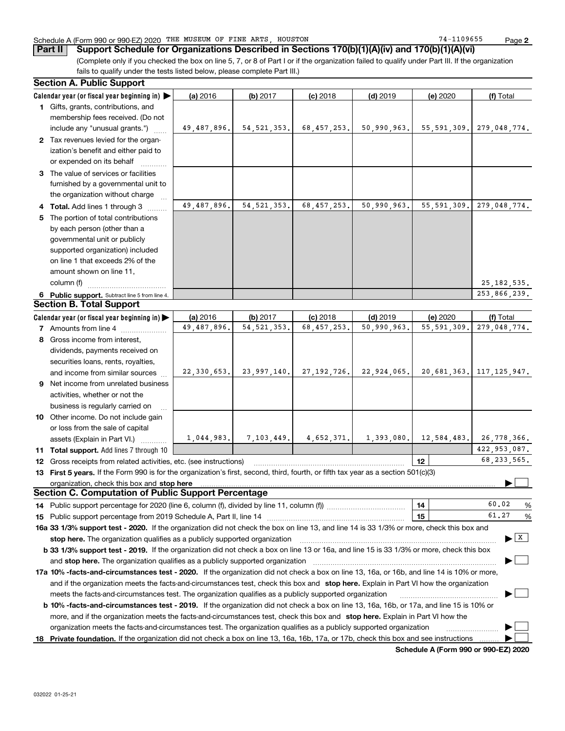#### Schedule A (Form 990 or 990-EZ) 2020 Page THE MUSEUM OF FINE ARTS, HOUSTON 74-1109655

(Complete only if you checked the box on line 5, 7, or 8 of Part I or if the organization failed to qualify under Part III. If the organization fails to qualify under the tests listed below, please complete Part III.) **Part II Support Schedule for Organizations Described in Sections 170(b)(1)(A)(iv) and 170(b)(1)(A)(vi)**

|    | <b>Section A. Public Support</b>                                                                                                               |             |               |                           |             |               |                                          |
|----|------------------------------------------------------------------------------------------------------------------------------------------------|-------------|---------------|---------------------------|-------------|---------------|------------------------------------------|
|    | Calendar year (or fiscal year beginning in)                                                                                                    | (a) 2016    | (b) 2017      | $(c)$ 2018                | $(d)$ 2019  | (e) 2020      | (f) Total                                |
|    | 1 Gifts, grants, contributions, and                                                                                                            |             |               |                           |             |               |                                          |
|    | membership fees received. (Do not                                                                                                              |             |               |                           |             |               |                                          |
|    | include any "unusual grants.")                                                                                                                 | 49,487,896. | 54, 521, 353. | 68,457,253.               | 50,990,963. | 55, 591, 309. | 279,048,774.                             |
|    | 2 Tax revenues levied for the organ-                                                                                                           |             |               |                           |             |               |                                          |
|    | ization's benefit and either paid to                                                                                                           |             |               |                           |             |               |                                          |
|    | or expended on its behalf                                                                                                                      |             |               |                           |             |               |                                          |
|    | 3 The value of services or facilities                                                                                                          |             |               |                           |             |               |                                          |
|    | furnished by a governmental unit to                                                                                                            |             |               |                           |             |               |                                          |
|    | the organization without charge                                                                                                                |             |               |                           |             |               |                                          |
|    | 4 Total. Add lines 1 through 3                                                                                                                 | 49,487,896. | 54, 521, 353. | 68, 457, 253.             | 50,990,963. | 55, 591, 309. | 279,048,774.                             |
| 5. | The portion of total contributions                                                                                                             |             |               |                           |             |               |                                          |
|    | by each person (other than a                                                                                                                   |             |               |                           |             |               |                                          |
|    | governmental unit or publicly                                                                                                                  |             |               |                           |             |               |                                          |
|    | supported organization) included                                                                                                               |             |               |                           |             |               |                                          |
|    | on line 1 that exceeds 2% of the                                                                                                               |             |               |                           |             |               |                                          |
|    | amount shown on line 11,                                                                                                                       |             |               |                           |             |               |                                          |
|    | column (f)                                                                                                                                     |             |               |                           |             |               | 25, 182, 535.                            |
|    | 6 Public support. Subtract line 5 from line 4.                                                                                                 |             |               |                           |             |               | 253,866,239.                             |
|    | <b>Section B. Total Support</b>                                                                                                                |             |               |                           |             |               |                                          |
|    | Calendar year (or fiscal year beginning in)                                                                                                    | (a) 2016    | (b) 2017      | $(c)$ 2018                | $(d)$ 2019  | (e) 2020      | (f) Total                                |
|    | 7 Amounts from line 4                                                                                                                          | 49,487,896. | 54, 521, 353. | 68, 457, 253.             | 50,990,963. | 55, 591, 309. | 279,048,774.                             |
|    | 8 Gross income from interest,                                                                                                                  |             |               |                           |             |               |                                          |
|    | dividends, payments received on                                                                                                                |             |               |                           |             |               |                                          |
|    | securities loans, rents, royalties,                                                                                                            |             |               |                           |             |               |                                          |
|    | and income from similar sources                                                                                                                | 22,330,653. | 23,997,140.   | 27,192,726.               | 22,924,065. |               | 20,681,363. 117,125,947.                 |
|    | 9 Net income from unrelated business                                                                                                           |             |               |                           |             |               |                                          |
|    | activities, whether or not the                                                                                                                 |             |               |                           |             |               |                                          |
|    | business is regularly carried on                                                                                                               |             |               |                           |             |               |                                          |
|    | 10 Other income. Do not include gain                                                                                                           |             |               |                           |             |               |                                          |
|    | or loss from the sale of capital                                                                                                               |             |               |                           |             |               |                                          |
|    | assets (Explain in Part VI.)                                                                                                                   | 1,044,983.  |               | $7,103,449.$ $4,652,371.$ | 1,393,080.  |               | 12,584,483. 26,778,366.                  |
|    | <b>11 Total support.</b> Add lines 7 through 10                                                                                                |             |               |                           |             |               | 422, 953, 087.                           |
|    | <b>12</b> Gross receipts from related activities, etc. (see instructions)                                                                      |             |               |                           |             | 12            | 68, 233, 565.                            |
|    | 13 First 5 years. If the Form 990 is for the organization's first, second, third, fourth, or fifth tax year as a section 501(c)(3)             |             |               |                           |             |               |                                          |
|    | organization, check this box and stop here                                                                                                     |             |               |                           |             |               |                                          |
|    | <b>Section C. Computation of Public Support Percentage</b>                                                                                     |             |               |                           |             |               |                                          |
|    | 14 Public support percentage for 2020 (line 6, column (f), divided by line 11, column (f) <i>mummumumum</i>                                    |             |               |                           |             | 14            | 60.02<br>%                               |
|    |                                                                                                                                                |             |               |                           |             | 15            | 61.27<br>%                               |
|    | 16a 33 1/3% support test - 2020. If the organization did not check the box on line 13, and line 14 is 33 1/3% or more, check this box and      |             |               |                           |             |               |                                          |
|    | stop here. The organization qualifies as a publicly supported organization                                                                     |             |               |                           |             |               | $\blacktriangleright$ $\boxed{\text{X}}$ |
|    | b 33 1/3% support test - 2019. If the organization did not check a box on line 13 or 16a, and line 15 is 33 1/3% or more, check this box       |             |               |                           |             |               |                                          |
|    | and stop here. The organization qualifies as a publicly supported organization                                                                 |             |               |                           |             |               |                                          |
|    | 17a 10% -facts-and-circumstances test - 2020. If the organization did not check a box on line 13, 16a, or 16b, and line 14 is 10% or more,     |             |               |                           |             |               |                                          |
|    | and if the organization meets the facts-and-circumstances test, check this box and stop here. Explain in Part VI how the organization          |             |               |                           |             |               |                                          |
|    | meets the facts-and-circumstances test. The organization qualifies as a publicly supported organization                                        |             |               |                           |             |               |                                          |
|    | <b>b 10% -facts-and-circumstances test - 2019.</b> If the organization did not check a box on line 13, 16a, 16b, or 17a, and line 15 is 10% or |             |               |                           |             |               |                                          |
|    | more, and if the organization meets the facts-and-circumstances test, check this box and stop here. Explain in Part VI how the                 |             |               |                           |             |               |                                          |
|    | organization meets the facts-and-circumstances test. The organization qualifies as a publicly supported organization                           |             |               |                           |             |               |                                          |
|    | 18 Private foundation. If the organization did not check a box on line 13, 16a, 16b, 17a, or 17b, check this box and see instructions          |             |               |                           |             |               |                                          |

**Schedule A (Form 990 or 990-EZ) 2020**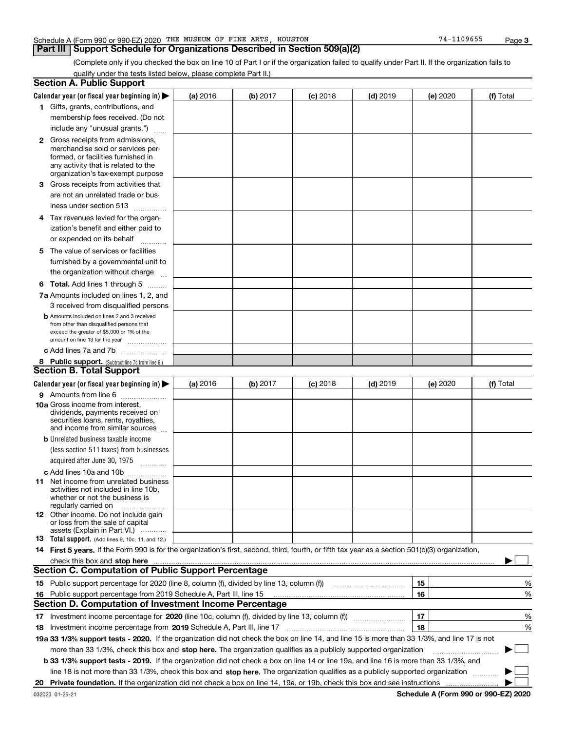#### Schedule A (Form 990 or 990-EZ) 2020 Page THE MUSEUM OF FINE ARTS, HOUSTON 74-1109655

#### **Part III Support Schedule for Organizations Described in Section 509(a)(2)**

(Complete only if you checked the box on line 10 of Part I or if the organization failed to qualify under Part II. If the organization fails to qualify under the tests listed below, please complete Part II.)

|    | <b>Section A. Public Support</b>                                                                                                                 |                 |          |                 |            |          |           |
|----|--------------------------------------------------------------------------------------------------------------------------------------------------|-----------------|----------|-----------------|------------|----------|-----------|
|    | Calendar year (or fiscal year beginning in) $\blacktriangleright$                                                                                | <b>(a)</b> 2016 | (b) 2017 | <b>(c)</b> 2018 | $(d)$ 2019 | (e) 2020 | (f) Total |
|    | 1 Gifts, grants, contributions, and                                                                                                              |                 |          |                 |            |          |           |
|    | membership fees received. (Do not                                                                                                                |                 |          |                 |            |          |           |
|    | include any "unusual grants.")                                                                                                                   |                 |          |                 |            |          |           |
|    | <b>2</b> Gross receipts from admissions,                                                                                                         |                 |          |                 |            |          |           |
|    | merchandise sold or services per-                                                                                                                |                 |          |                 |            |          |           |
|    | formed, or facilities furnished in                                                                                                               |                 |          |                 |            |          |           |
|    | any activity that is related to the<br>organization's tax-exempt purpose                                                                         |                 |          |                 |            |          |           |
|    | 3 Gross receipts from activities that                                                                                                            |                 |          |                 |            |          |           |
|    | are not an unrelated trade or bus-                                                                                                               |                 |          |                 |            |          |           |
|    | iness under section 513                                                                                                                          |                 |          |                 |            |          |           |
|    |                                                                                                                                                  |                 |          |                 |            |          |           |
|    | 4 Tax revenues levied for the organ-                                                                                                             |                 |          |                 |            |          |           |
|    | ization's benefit and either paid to                                                                                                             |                 |          |                 |            |          |           |
|    | or expended on its behalf<br>.                                                                                                                   |                 |          |                 |            |          |           |
|    | 5 The value of services or facilities                                                                                                            |                 |          |                 |            |          |           |
|    | furnished by a governmental unit to                                                                                                              |                 |          |                 |            |          |           |
|    | the organization without charge                                                                                                                  |                 |          |                 |            |          |           |
|    | <b>6 Total.</b> Add lines 1 through 5                                                                                                            |                 |          |                 |            |          |           |
|    | 7a Amounts included on lines 1, 2, and                                                                                                           |                 |          |                 |            |          |           |
|    | 3 received from disqualified persons                                                                                                             |                 |          |                 |            |          |           |
|    | <b>b</b> Amounts included on lines 2 and 3 received                                                                                              |                 |          |                 |            |          |           |
|    | from other than disqualified persons that                                                                                                        |                 |          |                 |            |          |           |
|    | exceed the greater of \$5,000 or 1% of the<br>amount on line 13 for the year                                                                     |                 |          |                 |            |          |           |
|    | c Add lines 7a and 7b                                                                                                                            |                 |          |                 |            |          |           |
|    | 8 Public support. (Subtract line 7c from line 6.)                                                                                                |                 |          |                 |            |          |           |
|    | <b>Section B. Total Support</b>                                                                                                                  |                 |          |                 |            |          |           |
|    | Calendar year (or fiscal year beginning in)                                                                                                      | (a) 2016        | (b) 2017 | $(c)$ 2018      | $(d)$ 2019 | (e) 2020 | (f) Total |
|    | 9 Amounts from line 6                                                                                                                            |                 |          |                 |            |          |           |
|    | <b>10a</b> Gross income from interest,                                                                                                           |                 |          |                 |            |          |           |
|    | dividends, payments received on                                                                                                                  |                 |          |                 |            |          |           |
|    | securities loans, rents, royalties,<br>and income from similar sources                                                                           |                 |          |                 |            |          |           |
|    | <b>b</b> Unrelated business taxable income                                                                                                       |                 |          |                 |            |          |           |
|    | (less section 511 taxes) from businesses                                                                                                         |                 |          |                 |            |          |           |
|    | acquired after June 30, 1975                                                                                                                     |                 |          |                 |            |          |           |
|    | $\overline{\phantom{a}}$                                                                                                                         |                 |          |                 |            |          |           |
|    | c Add lines 10a and 10b<br>11 Net income from unrelated business                                                                                 |                 |          |                 |            |          |           |
|    | activities not included in line 10b,                                                                                                             |                 |          |                 |            |          |           |
|    | whether or not the business is                                                                                                                   |                 |          |                 |            |          |           |
|    | regularly carried on                                                                                                                             |                 |          |                 |            |          |           |
|    | <b>12</b> Other income. Do not include gain<br>or loss from the sale of capital                                                                  |                 |          |                 |            |          |           |
|    | assets (Explain in Part VI.)                                                                                                                     |                 |          |                 |            |          |           |
|    | <b>13</b> Total support. (Add lines 9, 10c, 11, and 12.)                                                                                         |                 |          |                 |            |          |           |
|    | 14 First 5 years. If the Form 990 is for the organization's first, second, third, fourth, or fifth tax year as a section 501(c)(3) organization, |                 |          |                 |            |          |           |
|    | check this box and stop here <i>macuum content and accordination and accordination and stop here</i> macuum content and                          |                 |          |                 |            |          |           |
|    | <b>Section C. Computation of Public Support Percentage</b>                                                                                       |                 |          |                 |            |          |           |
|    |                                                                                                                                                  |                 |          |                 |            | 15       | %         |
|    | 16 Public support percentage from 2019 Schedule A, Part III, line 15                                                                             |                 |          |                 |            | 16       | %         |
|    | <b>Section D. Computation of Investment Income Percentage</b>                                                                                    |                 |          |                 |            |          |           |
|    | 17 Investment income percentage for 2020 (line 10c, column (f), divided by line 13, column (f))                                                  |                 |          |                 |            | 17       | %         |
|    | <b>18</b> Investment income percentage from <b>2019</b> Schedule A, Part III, line 17                                                            |                 |          |                 |            | 18       | %         |
|    | 19a 33 1/3% support tests - 2020. If the organization did not check the box on line 14, and line 15 is more than 33 1/3%, and line 17 is not     |                 |          |                 |            |          |           |
|    | more than 33 1/3%, check this box and stop here. The organization qualifies as a publicly supported organization                                 |                 |          |                 |            |          | $\sim$    |
|    | b 33 1/3% support tests - 2019. If the organization did not check a box on line 14 or line 19a, and line 16 is more than 33 1/3%, and            |                 |          |                 |            |          |           |
|    | line 18 is not more than 33 1/3%, check this box and stop here. The organization qualifies as a publicly supported organization                  |                 |          |                 |            |          |           |
| 20 |                                                                                                                                                  |                 |          |                 |            |          |           |
|    |                                                                                                                                                  |                 |          |                 |            |          |           |

**Schedule A (Form 990 or 990-EZ) 2020**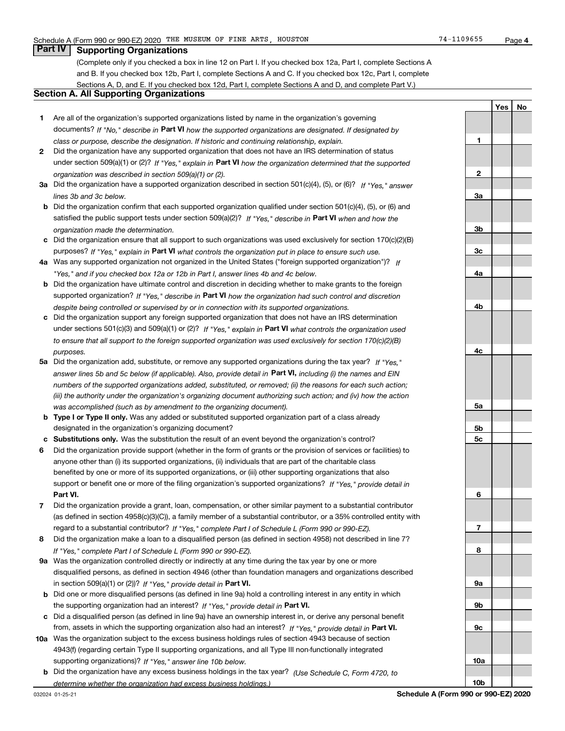**1**

**2**

**YesNo**

#### **Part IV Supporting Organizations**

(Complete only if you checked a box in line 12 on Part I. If you checked box 12a, Part I, complete Sections A and B. If you checked box 12b, Part I, complete Sections A and C. If you checked box 12c, Part I, complete Sections A, D, and E. If you checked box 12d, Part I, complete Sections A and D, and complete Part V.)

#### **Section A. All Supporting Organizations**

- **1** Are all of the organization's supported organizations listed by name in the organization's governing documents? If "No," describe in **Part VI** how the supported organizations are designated. If designated by *class or purpose, describe the designation. If historic and continuing relationship, explain.*
- **2** Did the organization have any supported organization that does not have an IRS determination of status under section 509(a)(1) or (2)? If "Yes," explain in Part VI how the organization determined that the supported *organization was described in section 509(a)(1) or (2).*
- **3a** Did the organization have a supported organization described in section 501(c)(4), (5), or (6)? If "Yes," answer *lines 3b and 3c below.*
- **b** Did the organization confirm that each supported organization qualified under section 501(c)(4), (5), or (6) and satisfied the public support tests under section 509(a)(2)? If "Yes," describe in **Part VI** when and how the *organization made the determination.*
- **c**Did the organization ensure that all support to such organizations was used exclusively for section 170(c)(2)(B) purposes? If "Yes," explain in **Part VI** what controls the organization put in place to ensure such use.
- **4a***If* Was any supported organization not organized in the United States ("foreign supported organization")? *"Yes," and if you checked box 12a or 12b in Part I, answer lines 4b and 4c below.*
- **b** Did the organization have ultimate control and discretion in deciding whether to make grants to the foreign supported organization? If "Yes," describe in **Part VI** how the organization had such control and discretion *despite being controlled or supervised by or in connection with its supported organizations.*
- **c** Did the organization support any foreign supported organization that does not have an IRS determination under sections 501(c)(3) and 509(a)(1) or (2)? If "Yes," explain in **Part VI** what controls the organization used *to ensure that all support to the foreign supported organization was used exclusively for section 170(c)(2)(B) purposes.*
- **5a***If "Yes,"* Did the organization add, substitute, or remove any supported organizations during the tax year? answer lines 5b and 5c below (if applicable). Also, provide detail in **Part VI,** including (i) the names and EIN *numbers of the supported organizations added, substituted, or removed; (ii) the reasons for each such action; (iii) the authority under the organization's organizing document authorizing such action; and (iv) how the action was accomplished (such as by amendment to the organizing document).*
- **b** Type I or Type II only. Was any added or substituted supported organization part of a class already designated in the organization's organizing document?
- **cSubstitutions only.**  Was the substitution the result of an event beyond the organization's control?
- **6** Did the organization provide support (whether in the form of grants or the provision of services or facilities) to **Part VI.** *If "Yes," provide detail in* support or benefit one or more of the filing organization's supported organizations? anyone other than (i) its supported organizations, (ii) individuals that are part of the charitable class benefited by one or more of its supported organizations, or (iii) other supporting organizations that also
- **7**Did the organization provide a grant, loan, compensation, or other similar payment to a substantial contributor *If "Yes," complete Part I of Schedule L (Form 990 or 990-EZ).* regard to a substantial contributor? (as defined in section 4958(c)(3)(C)), a family member of a substantial contributor, or a 35% controlled entity with
- **8** Did the organization make a loan to a disqualified person (as defined in section 4958) not described in line 7? *If "Yes," complete Part I of Schedule L (Form 990 or 990-EZ).*
- **9a** Was the organization controlled directly or indirectly at any time during the tax year by one or more in section 509(a)(1) or (2))? If "Yes," *provide detail in* <code>Part VI.</code> disqualified persons, as defined in section 4946 (other than foundation managers and organizations described
- **b** Did one or more disqualified persons (as defined in line 9a) hold a controlling interest in any entity in which the supporting organization had an interest? If "Yes," provide detail in P**art VI**.
- **c**Did a disqualified person (as defined in line 9a) have an ownership interest in, or derive any personal benefit from, assets in which the supporting organization also had an interest? If "Yes," provide detail in P**art VI.**
- **10a** Was the organization subject to the excess business holdings rules of section 4943 because of section supporting organizations)? If "Yes," answer line 10b below. 4943(f) (regarding certain Type II supporting organizations, and all Type III non-functionally integrated
- **b** Did the organization have any excess business holdings in the tax year? (Use Schedule C, Form 4720, to *determine whether the organization had excess business holdings.)*

**10a**

**10b**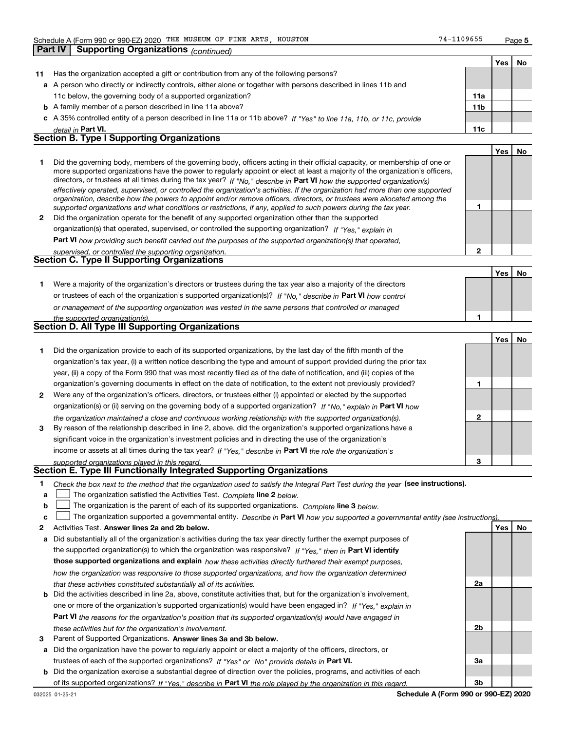**Part IV Supporting Organizations** *(continued)*

**1**

**2**

|    |                                                                                                                      |                 | Yes | No |
|----|----------------------------------------------------------------------------------------------------------------------|-----------------|-----|----|
| 11 | Has the organization accepted a gift or contribution from any of the following persons?                              |                 |     |    |
|    | a A person who directly or indirectly controls, either alone or together with persons described in lines 11b and     |                 |     |    |
|    | 11c below, the governing body of a supported organization?                                                           | 11a             |     |    |
|    | <b>b</b> A family member of a person described in line 11a above?                                                    | 11 <sub>b</sub> |     |    |
|    | c A 35% controlled entity of a person described in line 11a or 11b above? If "Yes" to line 11a, 11b, or 11c, provide |                 |     |    |
|    | detail in Part VI.                                                                                                   | 11c             |     |    |
|    | <b>Section B. Type I Supporting Organizations</b>                                                                    |                 |     |    |
|    |                                                                                                                      |                 | Yes |    |

|   | Did the governing body, members of the governing body, officers acting in their official capacity, or membership of one or<br>more supported organizations have the power to regularly appoint or elect at least a majority of the organization's officers, |
|---|-------------------------------------------------------------------------------------------------------------------------------------------------------------------------------------------------------------------------------------------------------------|
|   | directors, or trustees at all times during the tax year? If "No," describe in Part VI how the supported organization(s)                                                                                                                                     |
|   | effectively operated, supervised, or controlled the organization's activities. If the organization had more than one supported                                                                                                                              |
|   | organization, describe how the powers to appoint and/or remove officers, directors, or trustees were allocated among the                                                                                                                                    |
|   | supported organizations and what conditions or restrictions, if any, applied to such powers during the tax year.                                                                                                                                            |
| 2 | Did the organization operate for the benefit of any supported organization other than the supported                                                                                                                                                         |

*If "Yes," explain in* organization(s) that operated, supervised, or controlled the supporting organization?

**Part VI**  *how providing such benefit carried out the purposes of the supported organization(s) that operated,*

| supervised, or controlled the supporting organization. |  |
|--------------------------------------------------------|--|
| <b>Section C. Type II Supporting Organizations</b>     |  |

**Yes No 1**or trustees of each of the organization's supported organization(s)? If "No," describe in **Part VI** how control **1***or management of the supporting organization was vested in the same persons that controlled or managed the supported organization(s).* Were a majority of the organization's directors or trustees during the tax year also a majority of the directors

|  | <b>Section D. All Type III Supporting Organizations</b> |  |
|--|---------------------------------------------------------|--|
|  |                                                         |  |

|                |                                                                                                                        |   | Yes l | No |
|----------------|------------------------------------------------------------------------------------------------------------------------|---|-------|----|
|                | Did the organization provide to each of its supported organizations, by the last day of the fifth month of the         |   |       |    |
|                | organization's tax year, (i) a written notice describing the type and amount of support provided during the prior tax  |   |       |    |
|                | year, (ii) a copy of the Form 990 that was most recently filed as of the date of notification, and (iii) copies of the |   |       |    |
|                | organization's governing documents in effect on the date of notification, to the extent not previously provided?       |   |       |    |
| $\overline{2}$ | Were any of the organization's officers, directors, or trustees either (i) appointed or elected by the supported       |   |       |    |
|                | organization(s) or (ii) serving on the governing body of a supported organization? If "No," explain in Part VI how     |   |       |    |
|                | the organization maintained a close and continuous working relationship with the supported organization(s).            | 2 |       |    |
| 3              | By reason of the relationship described in line 2, above, did the organization's supported organizations have a        |   |       |    |
|                | significant voice in the organization's investment policies and in directing the use of the organization's             |   |       |    |
|                | income or assets at all times during the tax year? If "Yes," describe in Part VI the role the organization's           |   |       |    |
|                | supported organizations played in this regard.                                                                         | з |       |    |

## *supported organizations played in this regard.* **Section E. Type III Functionally Integrated Supporting Organizations**

- **1**Check the box next to the method that the organization used to satisfy the Integral Part Test during the year (see instructions).
- **alinupy** The organization satisfied the Activities Test. Complete line 2 below.
- **b**The organization is the parent of each of its supported organizations. *Complete* line 3 *below.*  $\mathcal{L}^{\text{max}}$

|  |  |  | $\mathbf{c}$ $\Box$ The organization supported a governmental entity. Describe in Part VI how you supported a governmental entity (see instructions). |  |
|--|--|--|-------------------------------------------------------------------------------------------------------------------------------------------------------|--|
|--|--|--|-------------------------------------------------------------------------------------------------------------------------------------------------------|--|

- **2Answer lines 2a and 2b below. Yes No** Activities Test.
- **a** Did substantially all of the organization's activities during the tax year directly further the exempt purposes of the supported organization(s) to which the organization was responsive? If "Yes," then in **Part VI identify those supported organizations and explain**  *how these activities directly furthered their exempt purposes, how the organization was responsive to those supported organizations, and how the organization determined that these activities constituted substantially all of its activities.*
- **b** Did the activities described in line 2a, above, constitute activities that, but for the organization's involvement, **Part VI**  *the reasons for the organization's position that its supported organization(s) would have engaged in* one or more of the organization's supported organization(s) would have been engaged in? If "Yes," e*xplain in these activities but for the organization's involvement.*
- **3** Parent of Supported Organizations. Answer lines 3a and 3b below.
- **a** Did the organization have the power to regularly appoint or elect a majority of the officers, directors, or trustees of each of the supported organizations? If "Yes" or "No" provide details in **Part VI.**
- **b** Did the organization exercise a substantial degree of direction over the policies, programs, and activities of each of its supported organizations? If "Yes," describe in Part VI the role played by the organization in this regard.

**2a**

**2b**

**3a**

**3b**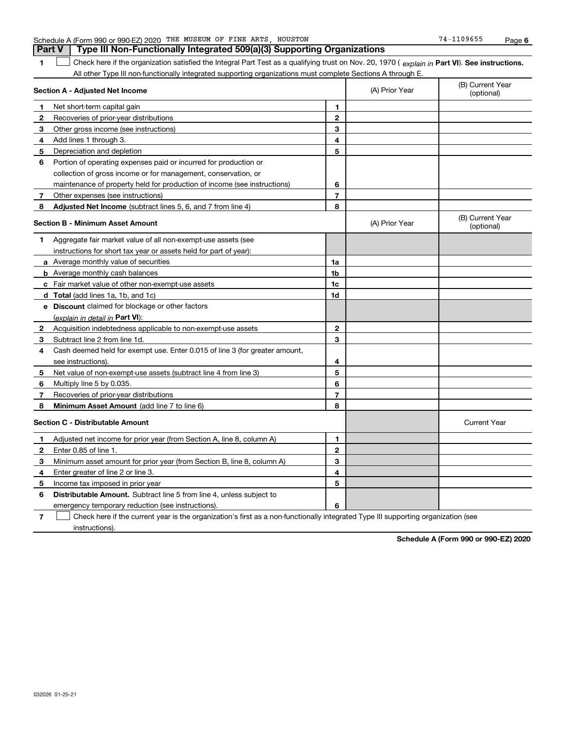|   | Part V<br>Type III Non-Functionally Integrated 509(a)(3) Supporting Organizations                                                              |    |                |                                |
|---|------------------------------------------------------------------------------------------------------------------------------------------------|----|----------------|--------------------------------|
|   | Check here if the organization satisfied the Integral Part Test as a qualifying trust on Nov. 20, 1970 (explain in Part VI). See instructions. |    |                |                                |
|   | All other Type III non-functionally integrated supporting organizations must complete Sections A through E.                                    |    |                |                                |
|   | Section A - Adjusted Net Income                                                                                                                |    | (A) Prior Year | (B) Current Year<br>(optional) |
| 1 | Net short-term capital gain                                                                                                                    | 1  |                |                                |
| 2 | Recoveries of prior-year distributions                                                                                                         | 2  |                |                                |
| 3 | Other gross income (see instructions)                                                                                                          | 3  |                |                                |
| 4 | Add lines 1 through 3.                                                                                                                         | 4  |                |                                |
| 5 | Depreciation and depletion                                                                                                                     | 5  |                |                                |
| 6 | Portion of operating expenses paid or incurred for production or                                                                               |    |                |                                |
|   | collection of gross income or for management, conservation, or                                                                                 |    |                |                                |
|   | maintenance of property held for production of income (see instructions)                                                                       | 6  |                |                                |
| 7 | Other expenses (see instructions)                                                                                                              | 7  |                |                                |
| 8 | Adjusted Net Income (subtract lines 5, 6, and 7 from line 4)                                                                                   | 8  |                |                                |
|   | <b>Section B - Minimum Asset Amount</b>                                                                                                        |    | (A) Prior Year | (B) Current Year<br>(optional) |
| 1 | Aggregate fair market value of all non-exempt-use assets (see                                                                                  |    |                |                                |
|   | instructions for short tax year or assets held for part of year):                                                                              |    |                |                                |
|   | a Average monthly value of securities                                                                                                          | 1a |                |                                |
|   | <b>b</b> Average monthly cash balances                                                                                                         | 1b |                |                                |
|   | c Fair market value of other non-exempt-use assets                                                                                             | 1c |                |                                |
|   | d Total (add lines 1a, 1b, and 1c)                                                                                                             | 1d |                |                                |
| е | <b>Discount</b> claimed for blockage or other factors                                                                                          |    |                |                                |
|   | (explain in detail in Part VI):                                                                                                                |    |                |                                |
| 2 | Acquisition indebtedness applicable to non-exempt-use assets                                                                                   | 2  |                |                                |
| 3 | Subtract line 2 from line 1d.                                                                                                                  | з  |                |                                |
| 4 | Cash deemed held for exempt use. Enter 0.015 of line 3 (for greater amount,                                                                    |    |                |                                |
|   | see instructions).                                                                                                                             | 4  |                |                                |
| 5 | Net value of non-exempt-use assets (subtract line 4 from line 3)                                                                               | 5  |                |                                |
| 6 | Multiply line 5 by 0.035.                                                                                                                      | 6  |                |                                |

**78 78Minimum Asset Amount**  (add line 7 to line 6) **Section C - Distributable Amount 123 45612345Distributable Amount.** Subtract line 5 from line 4, unless subject to Recoveries of prior-year distributions Current Year Adjusted net income for prior year (from Section A, line 8, column A) Enter 0.85 of line 1. Minimum asset amount for prior year (from Section B, line 8, column A) Enter greater of line 2 or line 3. Income tax imposed in prior year

**6**

emergency temporary reduction (see instructions).

**7**Check here if the current year is the organization's first as a non-functionally integrated Type III supporting organization (see instructions). $\mathcal{L}^{\text{max}}$ 

**Schedule A (Form 990 or 990-EZ) 2020**

**6** Schedule A (Form 990 or 990-EZ) 2020 Page THE MUSEUM OF FINE ARTS, HOUSTON 74-1109655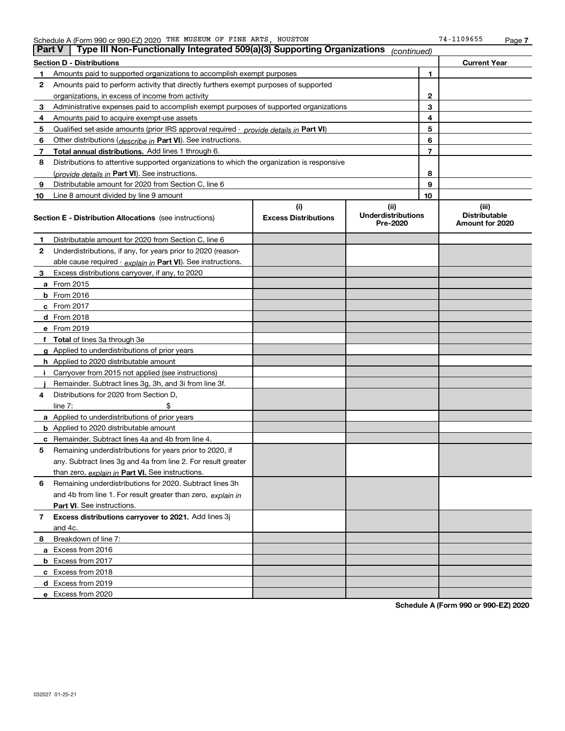| <b>Part V</b> | Type III Non-Functionally Integrated 509(a)(3) Supporting Organizations $ _{\text{continued}}\rangle$ |                             |                                       |                |                                         |
|---------------|-------------------------------------------------------------------------------------------------------|-----------------------------|---------------------------------------|----------------|-----------------------------------------|
|               | <b>Section D - Distributions</b>                                                                      |                             |                                       |                | <b>Current Year</b>                     |
| 1             | Amounts paid to supported organizations to accomplish exempt purposes                                 |                             |                                       | 1              |                                         |
| 2             | Amounts paid to perform activity that directly furthers exempt purposes of supported                  |                             |                                       |                |                                         |
|               | organizations, in excess of income from activity                                                      |                             |                                       | 2              |                                         |
| 3             | Administrative expenses paid to accomplish exempt purposes of supported organizations                 |                             |                                       | 3              |                                         |
| 4             | Amounts paid to acquire exempt-use assets                                                             |                             |                                       | 4              |                                         |
| 5             | Qualified set-aside amounts (prior IRS approval required - <i>provide details in</i> Part VI)         |                             |                                       | 5              |                                         |
| 6             | Other distributions ( <i>describe in</i> Part VI). See instructions.                                  |                             |                                       | 6              |                                         |
| 7             | Total annual distributions. Add lines 1 through 6.                                                    |                             |                                       | $\overline{7}$ |                                         |
| 8             | Distributions to attentive supported organizations to which the organization is responsive            |                             |                                       |                |                                         |
|               | (provide details in Part VI). See instructions.                                                       |                             |                                       | 8              |                                         |
| 9             | Distributable amount for 2020 from Section C, line 6                                                  |                             |                                       | 9              |                                         |
| 10            | Line 8 amount divided by line 9 amount                                                                |                             |                                       | 10             |                                         |
|               |                                                                                                       | (i)                         | (ii)                                  |                | (iii)                                   |
|               | <b>Section E - Distribution Allocations</b> (see instructions)                                        | <b>Excess Distributions</b> | <b>Underdistributions</b><br>Pre-2020 |                | <b>Distributable</b><br>Amount for 2020 |
| 1             | Distributable amount for 2020 from Section C, line 6                                                  |                             |                                       |                |                                         |
| 2             | Underdistributions, if any, for years prior to 2020 (reason-                                          |                             |                                       |                |                                         |
|               | able cause required - explain in Part VI). See instructions.                                          |                             |                                       |                |                                         |
| 3             | Excess distributions carryover, if any, to 2020                                                       |                             |                                       |                |                                         |
|               | a From 2015                                                                                           |                             |                                       |                |                                         |
|               | <b>b</b> From 2016                                                                                    |                             |                                       |                |                                         |
|               | $c$ From 2017                                                                                         |                             |                                       |                |                                         |
|               | d From 2018                                                                                           |                             |                                       |                |                                         |
|               | e From 2019                                                                                           |                             |                                       |                |                                         |
|               | f Total of lines 3a through 3e                                                                        |                             |                                       |                |                                         |
|               | g Applied to underdistributions of prior years                                                        |                             |                                       |                |                                         |
|               | <b>h</b> Applied to 2020 distributable amount                                                         |                             |                                       |                |                                         |
|               | Carryover from 2015 not applied (see instructions)                                                    |                             |                                       |                |                                         |
|               | Remainder. Subtract lines 3g, 3h, and 3i from line 3f.                                                |                             |                                       |                |                                         |
| 4             | Distributions for 2020 from Section D,                                                                |                             |                                       |                |                                         |
|               | line $7:$                                                                                             |                             |                                       |                |                                         |
|               | a Applied to underdistributions of prior years                                                        |                             |                                       |                |                                         |
|               | <b>b</b> Applied to 2020 distributable amount                                                         |                             |                                       |                |                                         |
|               | c Remainder. Subtract lines 4a and 4b from line 4.                                                    |                             |                                       |                |                                         |
| 5.            | Remaining underdistributions for years prior to 2020, if                                              |                             |                                       |                |                                         |
|               | any. Subtract lines 3g and 4a from line 2. For result greater                                         |                             |                                       |                |                                         |
|               | than zero, explain in Part VI. See instructions.                                                      |                             |                                       |                |                                         |
| 6             | Remaining underdistributions for 2020. Subtract lines 3h                                              |                             |                                       |                |                                         |
|               | and 4b from line 1. For result greater than zero, explain in                                          |                             |                                       |                |                                         |
|               | Part VI. See instructions.                                                                            |                             |                                       |                |                                         |
| 7             | Excess distributions carryover to 2021. Add lines 3j                                                  |                             |                                       |                |                                         |
|               | and 4c.                                                                                               |                             |                                       |                |                                         |
| 8             | Breakdown of line 7:                                                                                  |                             |                                       |                |                                         |
|               | a Excess from 2016                                                                                    |                             |                                       |                |                                         |
|               | <b>b</b> Excess from 2017                                                                             |                             |                                       |                |                                         |
|               | c Excess from 2018                                                                                    |                             |                                       |                |                                         |
|               | d Excess from 2019                                                                                    |                             |                                       |                |                                         |
|               | e Excess from 2020                                                                                    |                             |                                       |                |                                         |

**Schedule A (Form 990 or 990-EZ) 2020**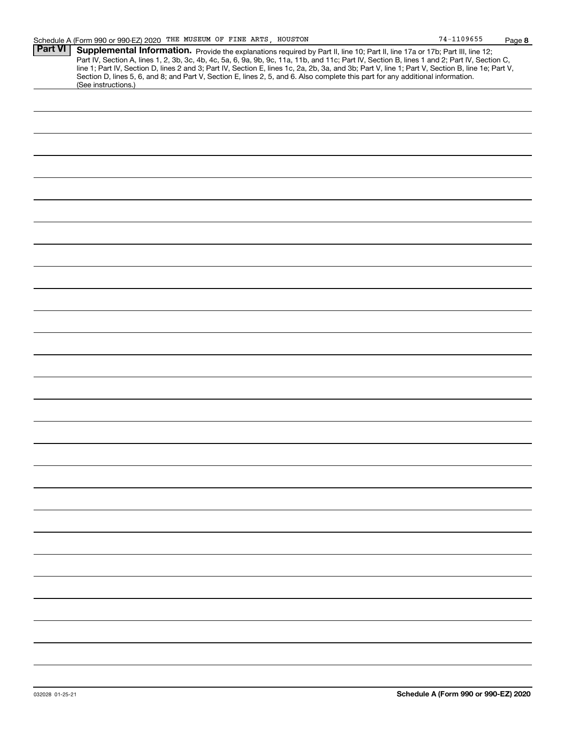**8**

| <b>Part VI</b> |                                                                                                                                                  |
|----------------|--------------------------------------------------------------------------------------------------------------------------------------------------|
|                | Supplemental Information. Provide the explanations required by Part II, line 10; Part II, line 17a or 17b; Part III, line 12;                    |
|                | Part IV, Section A, lines 1, 2, 3b, 3c, 4b, 4c, 5a, 6, 9a, 9b, 9c, 11a, 11b, and 11c; Part IV, Section B, lines 1 and 2; Part IV, Section C,     |
|                | line 1; Part IV, Section D, lines 2 and 3; Part IV, Section E, lines 1c, 2a, 2b, 3a, and 3b; Part V, line 1; Part V, Section B, line 1e; Part V, |
|                | Section D, lines 5, 6, and 8; and Part V, Section E, lines 2, 5, and 6. Also complete this part for any additional information.                  |
|                | (See instructions.)                                                                                                                              |
|                |                                                                                                                                                  |
|                |                                                                                                                                                  |
|                |                                                                                                                                                  |
|                |                                                                                                                                                  |
|                |                                                                                                                                                  |
|                |                                                                                                                                                  |
|                |                                                                                                                                                  |
|                |                                                                                                                                                  |
|                |                                                                                                                                                  |
|                |                                                                                                                                                  |
|                |                                                                                                                                                  |
|                |                                                                                                                                                  |
|                |                                                                                                                                                  |
|                |                                                                                                                                                  |
|                |                                                                                                                                                  |
|                |                                                                                                                                                  |
|                |                                                                                                                                                  |
|                |                                                                                                                                                  |
|                |                                                                                                                                                  |
|                |                                                                                                                                                  |
|                |                                                                                                                                                  |
|                |                                                                                                                                                  |
|                |                                                                                                                                                  |
|                |                                                                                                                                                  |
|                |                                                                                                                                                  |
|                |                                                                                                                                                  |
|                |                                                                                                                                                  |
|                |                                                                                                                                                  |
|                |                                                                                                                                                  |
|                |                                                                                                                                                  |
|                |                                                                                                                                                  |
|                |                                                                                                                                                  |
|                |                                                                                                                                                  |
|                |                                                                                                                                                  |
|                |                                                                                                                                                  |
|                |                                                                                                                                                  |
|                |                                                                                                                                                  |
|                |                                                                                                                                                  |
|                |                                                                                                                                                  |
|                |                                                                                                                                                  |
|                |                                                                                                                                                  |
|                |                                                                                                                                                  |
|                |                                                                                                                                                  |
|                |                                                                                                                                                  |
|                |                                                                                                                                                  |
|                |                                                                                                                                                  |
|                |                                                                                                                                                  |
|                |                                                                                                                                                  |
|                |                                                                                                                                                  |
|                |                                                                                                                                                  |
|                |                                                                                                                                                  |
|                |                                                                                                                                                  |
|                |                                                                                                                                                  |
|                |                                                                                                                                                  |
|                |                                                                                                                                                  |
|                |                                                                                                                                                  |
|                |                                                                                                                                                  |
|                |                                                                                                                                                  |
|                |                                                                                                                                                  |
|                |                                                                                                                                                  |
|                |                                                                                                                                                  |
|                |                                                                                                                                                  |
|                |                                                                                                                                                  |
|                |                                                                                                                                                  |
|                |                                                                                                                                                  |
|                |                                                                                                                                                  |
|                |                                                                                                                                                  |
|                |                                                                                                                                                  |
|                |                                                                                                                                                  |
|                |                                                                                                                                                  |
|                |                                                                                                                                                  |
|                |                                                                                                                                                  |
|                |                                                                                                                                                  |
|                |                                                                                                                                                  |
|                |                                                                                                                                                  |
|                |                                                                                                                                                  |
|                |                                                                                                                                                  |
|                |                                                                                                                                                  |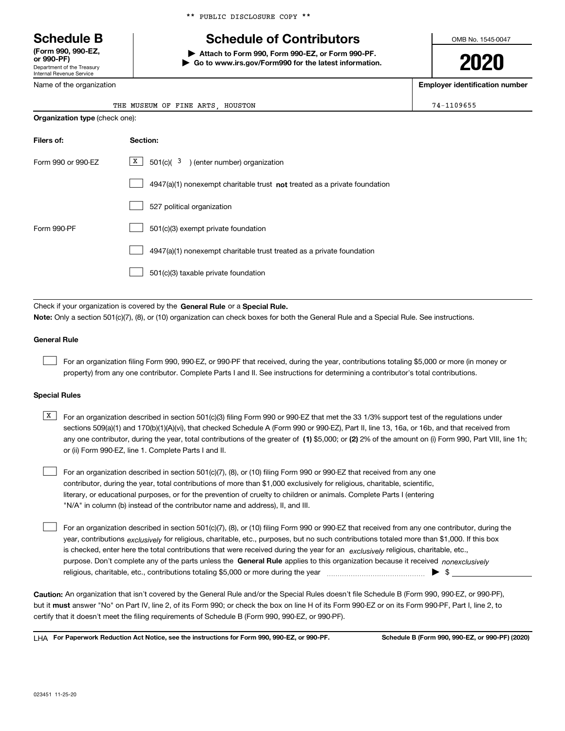Department of the Treasury Internal Revenue Service **(Form 990, 990-EZ, or 990-PF)**

Name of the organization

## **Schedule B Schedule of Contributors**

**| Attach to Form 990, Form 990-EZ, or Form 990-PF. | Go to www.irs.gov/Form990 for the latest information.** OMB No. 1545-0047

# **2020**

**Employer identification number**

| OF FINE<br>ARTS<br>THE<br>MUSEUM | HOUSTON | $74 -$<br><b>BBCCC</b><br>כסכטי |
|----------------------------------|---------|---------------------------------|
|----------------------------------|---------|---------------------------------|

|                    | <b>Organization type (check one):</b>                                              |  |  |  |  |
|--------------------|------------------------------------------------------------------------------------|--|--|--|--|
| Filers of:         | Section:                                                                           |  |  |  |  |
| Form 990 or 990-EZ | $X$ 501(c)( $3$ ) (enter number) organization                                      |  |  |  |  |
|                    | $4947(a)(1)$ nonexempt charitable trust <b>not</b> treated as a private foundation |  |  |  |  |
|                    | 527 political organization                                                         |  |  |  |  |
| Form 990-PF        | 501(c)(3) exempt private foundation                                                |  |  |  |  |
|                    | 4947(a)(1) nonexempt charitable trust treated as a private foundation              |  |  |  |  |
|                    | 501(c)(3) taxable private foundation                                               |  |  |  |  |

Check if your organization is covered by the **General Rule** or a **Special Rule. Note:**  Only a section 501(c)(7), (8), or (10) organization can check boxes for both the General Rule and a Special Rule. See instructions.

#### **General Rule**

 $\mathcal{L}^{\text{max}}$ 

For an organization filing Form 990, 990-EZ, or 990-PF that received, during the year, contributions totaling \$5,000 or more (in money or property) from any one contributor. Complete Parts I and II. See instructions for determining a contributor's total contributions.

#### **Special Rules**

any one contributor, during the year, total contributions of the greater of  $\,$  (1) \$5,000; or **(2)** 2% of the amount on (i) Form 990, Part VIII, line 1h;  $\overline{X}$  For an organization described in section 501(c)(3) filing Form 990 or 990-EZ that met the 33 1/3% support test of the regulations under sections 509(a)(1) and 170(b)(1)(A)(vi), that checked Schedule A (Form 990 or 990-EZ), Part II, line 13, 16a, or 16b, and that received from or (ii) Form 990-EZ, line 1. Complete Parts I and II.

For an organization described in section 501(c)(7), (8), or (10) filing Form 990 or 990-EZ that received from any one contributor, during the year, total contributions of more than \$1,000 exclusively for religious, charitable, scientific, literary, or educational purposes, or for the prevention of cruelty to children or animals. Complete Parts I (entering "N/A" in column (b) instead of the contributor name and address), II, and III.  $\mathcal{L}^{\text{max}}$ 

purpose. Don't complete any of the parts unless the **General Rule** applies to this organization because it received *nonexclusively* year, contributions <sub>exclusively</sub> for religious, charitable, etc., purposes, but no such contributions totaled more than \$1,000. If this box is checked, enter here the total contributions that were received during the year for an  $\;$ exclusively religious, charitable, etc., For an organization described in section 501(c)(7), (8), or (10) filing Form 990 or 990-EZ that received from any one contributor, during the religious, charitable, etc., contributions totaling \$5,000 or more during the year  $\Box$ — $\Box$   $\Box$  $\mathcal{L}^{\text{max}}$ 

**Caution:**  An organization that isn't covered by the General Rule and/or the Special Rules doesn't file Schedule B (Form 990, 990-EZ, or 990-PF),  **must** but it answer "No" on Part IV, line 2, of its Form 990; or check the box on line H of its Form 990-EZ or on its Form 990-PF, Part I, line 2, to certify that it doesn't meet the filing requirements of Schedule B (Form 990, 990-EZ, or 990-PF).

**For Paperwork Reduction Act Notice, see the instructions for Form 990, 990-EZ, or 990-PF. Schedule B (Form 990, 990-EZ, or 990-PF) (2020)** LHA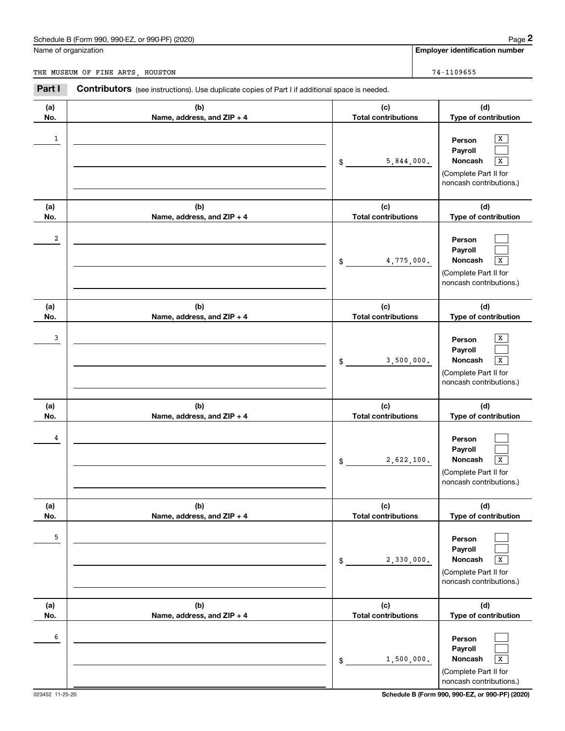|              | Schedule B (Form 990, 990-EZ, or 990-PF) (2020)                                                       |                                   | Page 2                                                                                                           |
|--------------|-------------------------------------------------------------------------------------------------------|-----------------------------------|------------------------------------------------------------------------------------------------------------------|
|              | Name of organization                                                                                  |                                   | <b>Employer identification number</b>                                                                            |
|              | THE MUSEUM OF FINE ARTS, HOUSTON                                                                      |                                   | 74-1109655                                                                                                       |
| Part I       | <b>Contributors</b> (see instructions). Use duplicate copies of Part I if additional space is needed. |                                   |                                                                                                                  |
| (a)<br>No.   | (b)<br>Name, address, and ZIP + 4                                                                     | (c)<br><b>Total contributions</b> | (d)<br>Type of contribution                                                                                      |
| $\mathbf{1}$ |                                                                                                       | 5,844,000.<br>\$                  | x<br>Person<br>Payroll<br>Noncash<br>$\overline{\mathbf{x}}$<br>(Complete Part II for<br>noncash contributions.) |
| (a)<br>No.   | (b)<br>Name, address, and ZIP + 4                                                                     | (c)<br><b>Total contributions</b> | (d)<br>Type of contribution                                                                                      |
| 2            |                                                                                                       | 4,775,000.<br>\$                  | Person<br>Payroll<br>Noncash<br>$\overline{\mathbf{x}}$<br>(Complete Part II for<br>noncash contributions.)      |
| (a)<br>No.   | (b)<br>Name, address, and ZIP + 4                                                                     | (c)<br><b>Total contributions</b> | (d)<br>Type of contribution                                                                                      |
| 3            |                                                                                                       | 3,500,000.<br>\$                  | X<br>Person<br>Payroll<br>Noncash<br>$\overline{\mathbf{x}}$<br>(Complete Part II for<br>noncash contributions.) |
| (a)<br>No.   | (b)<br>Name, address, and ZIP + 4                                                                     | (c)<br><b>Total contributions</b> | (d)<br>Type of contribution                                                                                      |
| 4            |                                                                                                       | 2,622,100.<br>\$                  | Person<br>Payroll<br>Noncash<br>X<br>(Complete Part II for<br>noncash contributions.)                            |
| (a)<br>No.   | (b)<br>Name, address, and ZIP + 4                                                                     | (c)<br><b>Total contributions</b> | (d)<br>Type of contribution                                                                                      |
| 5            |                                                                                                       | 2,330,000.<br>\$                  | Person<br>Payroll<br>Noncash<br>X<br>(Complete Part II for<br>noncash contributions.)                            |
| (a)<br>No.   | (b)<br>Name, address, and ZIP + 4                                                                     | (c)<br><b>Total contributions</b> | (d)<br>Type of contribution                                                                                      |
| 6            |                                                                                                       | 1,500,000.<br>\$                  | Person<br>Payroll<br>Noncash<br>$\overline{\textbf{X}}$<br>(Complete Part II for<br>noncash contributions.)      |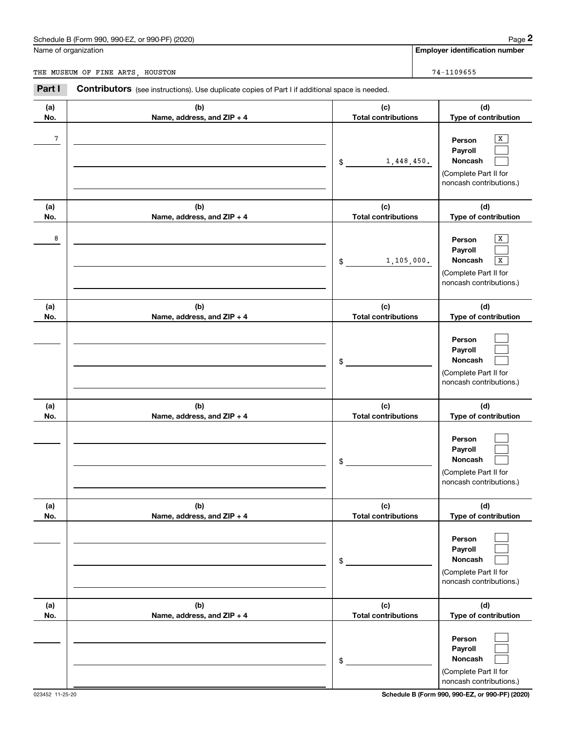|            | Schedule B (Form 990, 990-EZ, or 990-PF) (2020)                                                |                                   | Page 2                                                                                                             |
|------------|------------------------------------------------------------------------------------------------|-----------------------------------|--------------------------------------------------------------------------------------------------------------------|
|            | Name of organization                                                                           |                                   | <b>Employer identification number</b>                                                                              |
|            | THE MUSEUM OF FINE ARTS, HOUSTON                                                               |                                   | 74-1109655                                                                                                         |
| Part I     | Contributors (see instructions). Use duplicate copies of Part I if additional space is needed. |                                   |                                                                                                                    |
| (a)<br>No. | (b)<br>Name, address, and ZIP + 4                                                              | (c)<br><b>Total contributions</b> | (d)<br>Type of contribution                                                                                        |
| 7          |                                                                                                | 1,448,450.<br>\$                  | X<br>Person<br>Payroll<br>Noncash<br>(Complete Part II for<br>noncash contributions.)                              |
| (a)<br>No. | (b)<br>Name, address, and ZIP + 4                                                              | (c)<br><b>Total contributions</b> | (d)                                                                                                                |
| 8          |                                                                                                | 1,105,000.<br>\$                  | Type of contribution<br>x<br>Person<br>Payroll<br>Noncash<br>Х<br>(Complete Part II for<br>noncash contributions.) |
| (a)<br>No. | (b)<br>Name, address, and ZIP + 4                                                              | (c)<br><b>Total contributions</b> | (d)<br>Type of contribution                                                                                        |
|            |                                                                                                | \$                                | Person<br>Payroll<br>Noncash<br>(Complete Part II for<br>noncash contributions.)                                   |
| (a)<br>No. | (b)<br>Name, address, and ZIP + 4                                                              | (c)<br><b>Total contributions</b> | (d)<br>Type of contribution                                                                                        |
|            |                                                                                                | \$                                | Person<br>Payroll<br>Noncash<br>(Complete Part II for<br>noncash contributions.)                                   |
| (a)<br>No. | (b)<br>Name, address, and ZIP + 4                                                              | (c)<br><b>Total contributions</b> | (d)<br>Type of contribution                                                                                        |
|            |                                                                                                | \$                                | Person<br>Payroll<br>Noncash<br>(Complete Part II for<br>noncash contributions.)                                   |
| (a)<br>No. | (b)<br>Name, address, and ZIP + 4                                                              | (c)<br><b>Total contributions</b> | (d)<br>Type of contribution                                                                                        |
|            |                                                                                                | \$                                | Person<br>Payroll<br>Noncash<br>(Complete Part II for<br>noncash contributions.)                                   |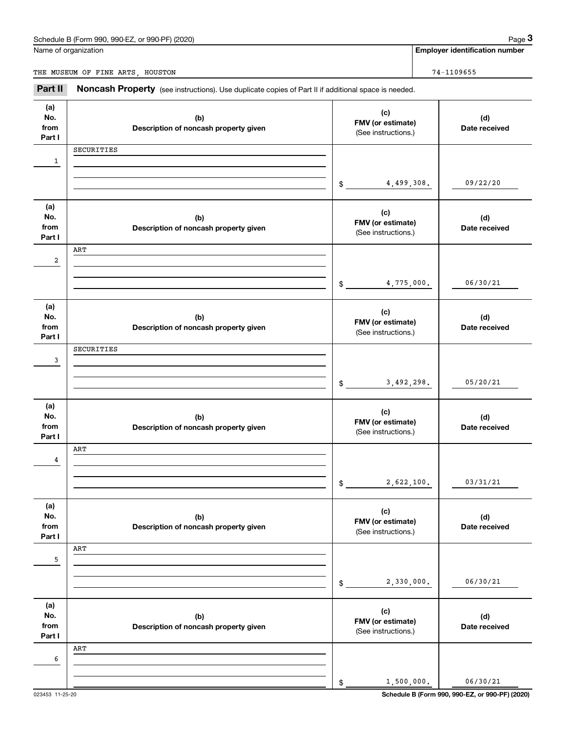Name of organization

**Employer identification number**

THE MUSEUM OF FINE ARTS, HOUSTON 74-1109655

Chedule B (Form 990, 990-EZ, or 990-PF) (2020)<br> **2age 3** Employer identification number<br> **3Part II** Noncash Property (see instructions). Use duplicate copies of Part II if additional space is needed.

| (a)<br>No.<br>from<br>Part I | (b)<br>Description of noncash property given | (c)<br>FMV (or estimate)<br>(See instructions.) | (d)<br>Date received |
|------------------------------|----------------------------------------------|-------------------------------------------------|----------------------|
|                              | SECURITIES                                   |                                                 |                      |
| 1                            |                                              |                                                 |                      |
|                              |                                              | 4,499,308.<br>\$                                | 09/22/20             |
|                              |                                              |                                                 |                      |
| (a)                          |                                              |                                                 |                      |
| No.                          | (b)                                          | (c)<br>FMV (or estimate)                        | (d)                  |
| from<br>Part I               | Description of noncash property given        | (See instructions.)                             | Date received        |
|                              | ART                                          |                                                 |                      |
| 2                            |                                              |                                                 |                      |
|                              |                                              |                                                 |                      |
|                              |                                              | 4,775,000.<br>\$                                | 06/30/21             |
| (a)                          |                                              |                                                 |                      |
| No.                          | (b)                                          | (c)                                             | (d)                  |
| from                         | Description of noncash property given        | FMV (or estimate)<br>(See instructions.)        | Date received        |
| Part I                       |                                              |                                                 |                      |
| 3                            | SECURITIES                                   |                                                 |                      |
|                              |                                              |                                                 |                      |
|                              |                                              | 3,492,298.<br>\$                                | 05/20/21             |
|                              |                                              |                                                 |                      |
| (a)<br>No.                   | (b)                                          | (c)                                             | (d)                  |
| from                         | Description of noncash property given        | FMV (or estimate)                               | Date received        |
| Part I                       |                                              | (See instructions.)                             |                      |
|                              | ART                                          |                                                 |                      |
| 4                            |                                              |                                                 |                      |
|                              |                                              | 2,622,100.<br>$\$$                              | 03/31/21             |
|                              |                                              |                                                 |                      |
| (a)                          |                                              | (c)                                             |                      |
| No.<br>from                  | (b)<br>Description of noncash property given | FMV (or estimate)                               | (d)<br>Date received |
| Part I                       |                                              | (See instructions.)                             |                      |
|                              | ART                                          |                                                 |                      |
| 5                            |                                              |                                                 |                      |
|                              |                                              | 2,330,000.                                      | 06/30/21             |
|                              |                                              | \$                                              |                      |
| (a)                          |                                              |                                                 |                      |
| No.                          | (b)                                          | (c)<br>FMV (or estimate)                        | (d)                  |
| from<br>Part I               | Description of noncash property given        | (See instructions.)                             | Date received        |
|                              | ART                                          |                                                 |                      |
| 6                            |                                              |                                                 |                      |
|                              |                                              |                                                 |                      |
|                              |                                              | 1,500,000.<br>\$                                | 06/30/21             |

023453 11-25-20 **Schedule B (Form 990, 990-EZ, or 990-PF) (2020)**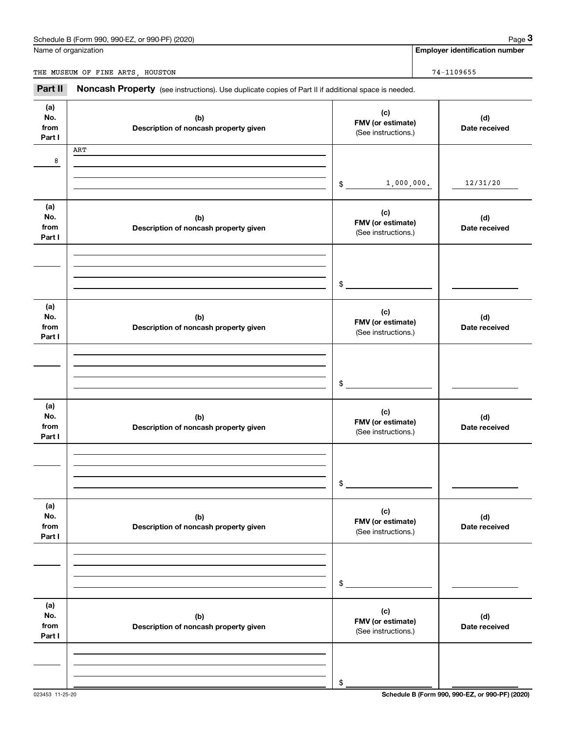Name of organization

**Employer identification number**

THE MUSEUM OF FINE ARTS, HOUSTON 74-1109655

Chedule B (Form 990, 990-EZ, or 990-PF) (2020)<br> **2age 3** Employer identification number<br> **3Part II** Noncash Property (see instructions). Use duplicate copies of Part II if additional space is needed.

| (a)<br>No.<br>from<br>Part I | (b)<br>Description of noncash property given | (c)<br>FMV (or estimate)<br>(See instructions.) | (d)<br>Date received |
|------------------------------|----------------------------------------------|-------------------------------------------------|----------------------|
|                              | ART                                          |                                                 |                      |
| 8                            |                                              |                                                 |                      |
|                              |                                              | 1,000,000.<br>$\frac{1}{2}$                     | 12/31/20             |
| (a)                          |                                              |                                                 |                      |
| No.                          | (b)                                          | (c)<br>FMV (or estimate)                        | (d)                  |
| from<br>Part I               | Description of noncash property given        | (See instructions.)                             | Date received        |
|                              |                                              |                                                 |                      |
|                              |                                              |                                                 |                      |
|                              |                                              | \$                                              |                      |
|                              |                                              |                                                 |                      |
| (a)<br>No.                   | (b)                                          | (c)                                             | (d)                  |
| from                         | Description of noncash property given        | FMV (or estimate)<br>(See instructions.)        | Date received        |
| Part I                       |                                              |                                                 |                      |
|                              |                                              |                                                 |                      |
|                              |                                              |                                                 |                      |
|                              |                                              | \$                                              |                      |
| (a)                          |                                              | (c)                                             |                      |
| No.<br>from                  | (b)<br>Description of noncash property given | FMV (or estimate)                               | (d)<br>Date received |
| Part I                       |                                              | (See instructions.)                             |                      |
|                              |                                              |                                                 |                      |
|                              |                                              |                                                 |                      |
|                              |                                              | \$                                              |                      |
| (a)                          |                                              |                                                 |                      |
| No.                          | (b)                                          | (c)<br>FMV (or estimate)                        | (d)                  |
| from<br>Part I               | Description of noncash property given        | (See instructions.)                             | Date received        |
|                              |                                              |                                                 |                      |
|                              |                                              |                                                 |                      |
|                              |                                              | \$                                              |                      |
|                              |                                              |                                                 |                      |
| (a)<br>No.                   | (b)                                          | (c)                                             | (d)                  |
| from<br>Part I               | Description of noncash property given        | FMV (or estimate)<br>(See instructions.)        | Date received        |
|                              |                                              |                                                 |                      |
|                              |                                              |                                                 |                      |
|                              |                                              | \$                                              |                      |
|                              |                                              |                                                 |                      |

023453 11-25-20 **Schedule B (Form 990, 990-EZ, or 990-PF) (2020)**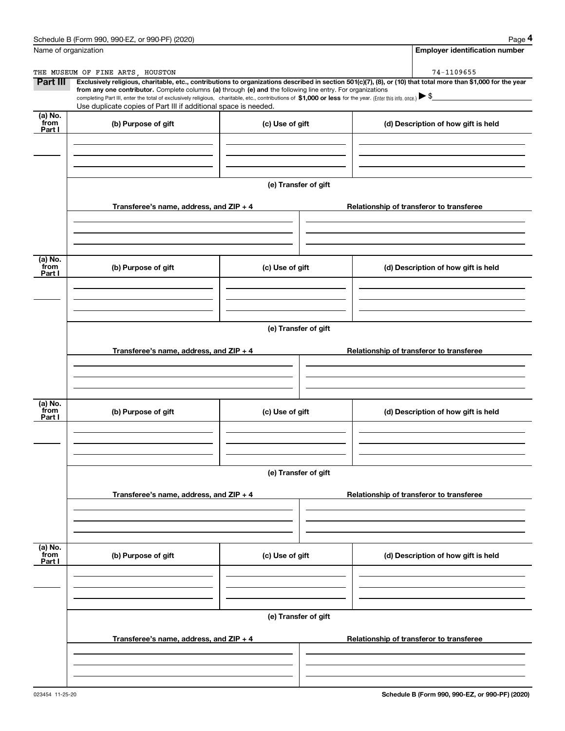|                           | Schedule B (Form 990, 990-EZ, or 990-PF) (2020)                                                                                                                                                                                                                            |                      | Page 4                                                                                                                                                         |
|---------------------------|----------------------------------------------------------------------------------------------------------------------------------------------------------------------------------------------------------------------------------------------------------------------------|----------------------|----------------------------------------------------------------------------------------------------------------------------------------------------------------|
|                           | Name of organization                                                                                                                                                                                                                                                       |                      | <b>Employer identification number</b>                                                                                                                          |
|                           | THE MUSEUM OF FINE ARTS, HOUSTON                                                                                                                                                                                                                                           |                      | 74-1109655                                                                                                                                                     |
| Part III                  | from any one contributor. Complete columns (a) through (e) and the following line entry. For organizations<br>completing Part III, enter the total of exclusively religious, charitable, etc., contributions of \$1,000 or less for the year. (Enter this info. once.) \\$ |                      | Exclusively religious, charitable, etc., contributions to organizations described in section 501(c)(7), (8), or (10) that total more than \$1,000 for the year |
|                           | Use duplicate copies of Part III if additional space is needed.                                                                                                                                                                                                            |                      |                                                                                                                                                                |
| (a) No.<br>from<br>Part I | (b) Purpose of gift                                                                                                                                                                                                                                                        | (c) Use of gift      | (d) Description of how gift is held                                                                                                                            |
|                           |                                                                                                                                                                                                                                                                            |                      |                                                                                                                                                                |
|                           |                                                                                                                                                                                                                                                                            |                      |                                                                                                                                                                |
|                           |                                                                                                                                                                                                                                                                            | (e) Transfer of gift |                                                                                                                                                                |
|                           | Transferee's name, address, and ZIP + 4                                                                                                                                                                                                                                    |                      | Relationship of transferor to transferee                                                                                                                       |
|                           |                                                                                                                                                                                                                                                                            |                      |                                                                                                                                                                |
| (a) No.<br>from<br>Part I | (b) Purpose of gift                                                                                                                                                                                                                                                        | (c) Use of gift      | (d) Description of how gift is held                                                                                                                            |
|                           |                                                                                                                                                                                                                                                                            |                      |                                                                                                                                                                |
|                           |                                                                                                                                                                                                                                                                            |                      |                                                                                                                                                                |
|                           |                                                                                                                                                                                                                                                                            | (e) Transfer of gift |                                                                                                                                                                |
|                           | Transferee's name, address, and ZIP + 4                                                                                                                                                                                                                                    |                      | Relationship of transferor to transferee                                                                                                                       |
|                           |                                                                                                                                                                                                                                                                            |                      |                                                                                                                                                                |
| (a) No.<br>from<br>Part I | (b) Purpose of gift                                                                                                                                                                                                                                                        | (c) Use of gift      | (d) Description of how gift is held                                                                                                                            |
|                           |                                                                                                                                                                                                                                                                            |                      |                                                                                                                                                                |
|                           |                                                                                                                                                                                                                                                                            |                      |                                                                                                                                                                |
|                           |                                                                                                                                                                                                                                                                            | (e) Transfer of gift |                                                                                                                                                                |
|                           | Transferee's name, address, and $ZIP + 4$                                                                                                                                                                                                                                  |                      | Relationship of transferor to transferee                                                                                                                       |
|                           |                                                                                                                                                                                                                                                                            |                      |                                                                                                                                                                |
| (a) No.<br>from           |                                                                                                                                                                                                                                                                            |                      |                                                                                                                                                                |
| Part I                    | (b) Purpose of gift                                                                                                                                                                                                                                                        | (c) Use of gift      | (d) Description of how gift is held                                                                                                                            |
|                           |                                                                                                                                                                                                                                                                            |                      |                                                                                                                                                                |
|                           |                                                                                                                                                                                                                                                                            | (e) Transfer of gift |                                                                                                                                                                |
|                           | Transferee's name, address, and $ZIP + 4$                                                                                                                                                                                                                                  |                      | Relationship of transferor to transferee                                                                                                                       |
|                           |                                                                                                                                                                                                                                                                            |                      |                                                                                                                                                                |
|                           |                                                                                                                                                                                                                                                                            |                      |                                                                                                                                                                |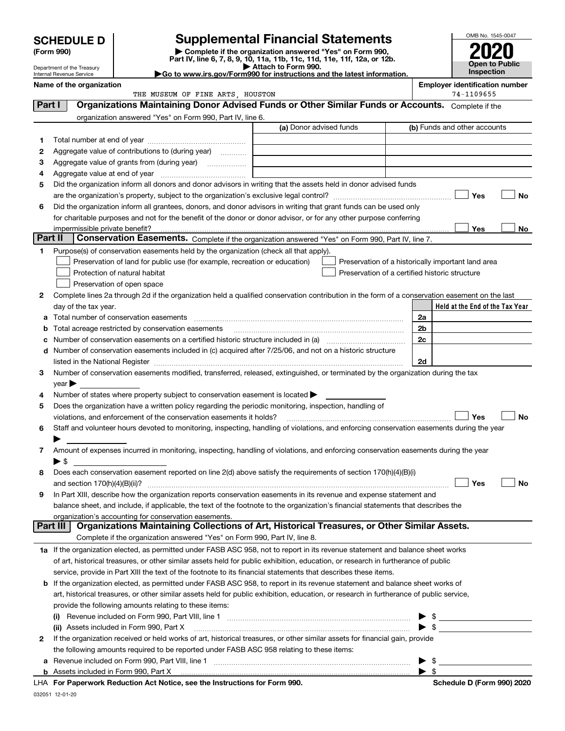| <b>Supplemental Financial Statements</b><br><b>SCHEDULE D</b> |                                                                                                                                                                                                                                                          |                                                                                                                                                                                                                                                                                                                                                                                                                                                                                           |  |                                                |  |                   |                                                     | OMB No. 1545-0047     |
|---------------------------------------------------------------|----------------------------------------------------------------------------------------------------------------------------------------------------------------------------------------------------------------------------------------------------------|-------------------------------------------------------------------------------------------------------------------------------------------------------------------------------------------------------------------------------------------------------------------------------------------------------------------------------------------------------------------------------------------------------------------------------------------------------------------------------------------|--|------------------------------------------------|--|-------------------|-----------------------------------------------------|-----------------------|
|                                                               | Complete if the organization answered "Yes" on Form 990,<br>(Form 990)                                                                                                                                                                                   |                                                                                                                                                                                                                                                                                                                                                                                                                                                                                           |  |                                                |  |                   |                                                     |                       |
|                                                               |                                                                                                                                                                                                                                                          | Part IV, line 6, 7, 8, 9, 10, 11a, 11b, 11c, 11d, 11e, 11f, 12a, or 12b.<br>Attach to Form 990.                                                                                                                                                                                                                                                                                                                                                                                           |  |                                                |  |                   |                                                     | <b>Open to Public</b> |
|                                                               | Department of the Treasury<br>Internal Revenue Service                                                                                                                                                                                                   | Go to www.irs.gov/Form990 for instructions and the latest information.                                                                                                                                                                                                                                                                                                                                                                                                                    |  |                                                |  | <b>Inspection</b> |                                                     |                       |
|                                                               | Name of the organization                                                                                                                                                                                                                                 |                                                                                                                                                                                                                                                                                                                                                                                                                                                                                           |  |                                                |  |                   | <b>Employer identification number</b><br>74-1109655 |                       |
| Part I                                                        |                                                                                                                                                                                                                                                          | THE MUSEUM OF FINE ARTS, HOUSTON<br>Organizations Maintaining Donor Advised Funds or Other Similar Funds or Accounts. Complete if the                                                                                                                                                                                                                                                                                                                                                     |  |                                                |  |                   |                                                     |                       |
|                                                               |                                                                                                                                                                                                                                                          | organization answered "Yes" on Form 990, Part IV, line 6.                                                                                                                                                                                                                                                                                                                                                                                                                                 |  |                                                |  |                   |                                                     |                       |
|                                                               |                                                                                                                                                                                                                                                          |                                                                                                                                                                                                                                                                                                                                                                                                                                                                                           |  | (a) Donor advised funds                        |  |                   | (b) Funds and other accounts                        |                       |
| 1                                                             |                                                                                                                                                                                                                                                          |                                                                                                                                                                                                                                                                                                                                                                                                                                                                                           |  |                                                |  |                   |                                                     |                       |
| 2                                                             |                                                                                                                                                                                                                                                          | Aggregate value of contributions to (during year)                                                                                                                                                                                                                                                                                                                                                                                                                                         |  |                                                |  |                   |                                                     |                       |
| з                                                             |                                                                                                                                                                                                                                                          |                                                                                                                                                                                                                                                                                                                                                                                                                                                                                           |  |                                                |  |                   |                                                     |                       |
| 4                                                             |                                                                                                                                                                                                                                                          |                                                                                                                                                                                                                                                                                                                                                                                                                                                                                           |  |                                                |  |                   |                                                     |                       |
| 5                                                             |                                                                                                                                                                                                                                                          | Did the organization inform all donors and donor advisors in writing that the assets held in donor advised funds                                                                                                                                                                                                                                                                                                                                                                          |  |                                                |  |                   |                                                     |                       |
|                                                               |                                                                                                                                                                                                                                                          |                                                                                                                                                                                                                                                                                                                                                                                                                                                                                           |  |                                                |  |                   | Yes                                                 | No                    |
| 6                                                             |                                                                                                                                                                                                                                                          | Did the organization inform all grantees, donors, and donor advisors in writing that grant funds can be used only                                                                                                                                                                                                                                                                                                                                                                         |  |                                                |  |                   |                                                     |                       |
|                                                               |                                                                                                                                                                                                                                                          | for charitable purposes and not for the benefit of the donor or donor advisor, or for any other purpose conferring                                                                                                                                                                                                                                                                                                                                                                        |  |                                                |  |                   |                                                     |                       |
|                                                               | impermissible private benefit?                                                                                                                                                                                                                           | $\label{eq:1} \begin{minipage}{0.9\textwidth} \begin{minipage}{0.9\textwidth} \centering \begin{tabular}{ c c c c c } \hline & \multicolumn{1}{ c }{0.9\textwidth} \centering \begin{tabular}{ c c c c c } \hline & \multicolumn{1}{ c }{0.9\textwidth} \centering \centering \end{tabular} \end{minipage} \end{minipage} \end{minipage} \begin{minipage}{0.9\textwidth} \begin{tabular}{ c c c c } \hline \multicolumn{1}{ c }{0.9\textwidth} \centering \centering \end{tabular} \end{$ |  |                                                |  |                   | <b>Yes</b>                                          | No                    |
|                                                               | Part II                                                                                                                                                                                                                                                  | Conservation Easements. Complete if the organization answered "Yes" on Form 990, Part IV, line 7.                                                                                                                                                                                                                                                                                                                                                                                         |  |                                                |  |                   |                                                     |                       |
| 1                                                             |                                                                                                                                                                                                                                                          | Purpose(s) of conservation easements held by the organization (check all that apply).                                                                                                                                                                                                                                                                                                                                                                                                     |  |                                                |  |                   |                                                     |                       |
|                                                               |                                                                                                                                                                                                                                                          | Preservation of land for public use (for example, recreation or education)                                                                                                                                                                                                                                                                                                                                                                                                                |  |                                                |  |                   | Preservation of a historically important land area  |                       |
|                                                               |                                                                                                                                                                                                                                                          | Protection of natural habitat                                                                                                                                                                                                                                                                                                                                                                                                                                                             |  | Preservation of a certified historic structure |  |                   |                                                     |                       |
|                                                               |                                                                                                                                                                                                                                                          | Preservation of open space                                                                                                                                                                                                                                                                                                                                                                                                                                                                |  |                                                |  |                   |                                                     |                       |
| 2                                                             |                                                                                                                                                                                                                                                          | Complete lines 2a through 2d if the organization held a qualified conservation contribution in the form of a conservation easement on the last                                                                                                                                                                                                                                                                                                                                            |  |                                                |  |                   | Held at the End of the Tax Year                     |                       |
|                                                               | day of the tax year.                                                                                                                                                                                                                                     | Total number of conservation easements                                                                                                                                                                                                                                                                                                                                                                                                                                                    |  |                                                |  | 2a                |                                                     |                       |
| b                                                             |                                                                                                                                                                                                                                                          | Total acreage restricted by conservation easements                                                                                                                                                                                                                                                                                                                                                                                                                                        |  |                                                |  | 2 <sub>b</sub>    |                                                     |                       |
|                                                               |                                                                                                                                                                                                                                                          | Number of conservation easements on a certified historic structure included in (a) manufacture included in (a)                                                                                                                                                                                                                                                                                                                                                                            |  |                                                |  | 2c                |                                                     |                       |
|                                                               |                                                                                                                                                                                                                                                          | d Number of conservation easements included in (c) acquired after 7/25/06, and not on a historic structure                                                                                                                                                                                                                                                                                                                                                                                |  |                                                |  |                   |                                                     |                       |
|                                                               |                                                                                                                                                                                                                                                          | listed in the National Register [11, 1200] [12] The National Register [11, 1200] [12] The National Register [11, 1200] [12] The National Register [11, 1200] [12] The National Register [11, 1200] [12] The National Register                                                                                                                                                                                                                                                             |  |                                                |  | 2d                |                                                     |                       |
| 3                                                             |                                                                                                                                                                                                                                                          | Number of conservation easements modified, transferred, released, extinguished, or terminated by the organization during the tax                                                                                                                                                                                                                                                                                                                                                          |  |                                                |  |                   |                                                     |                       |
|                                                               | $year \blacktriangleright$                                                                                                                                                                                                                               |                                                                                                                                                                                                                                                                                                                                                                                                                                                                                           |  |                                                |  |                   |                                                     |                       |
| 4                                                             |                                                                                                                                                                                                                                                          | Number of states where property subject to conservation easement is located >                                                                                                                                                                                                                                                                                                                                                                                                             |  |                                                |  |                   |                                                     |                       |
| 5                                                             |                                                                                                                                                                                                                                                          | Does the organization have a written policy regarding the periodic monitoring, inspection, handling of                                                                                                                                                                                                                                                                                                                                                                                    |  |                                                |  |                   |                                                     |                       |
|                                                               |                                                                                                                                                                                                                                                          | violations, and enforcement of the conservation easements it holds?                                                                                                                                                                                                                                                                                                                                                                                                                       |  |                                                |  |                   | Yes                                                 | <b>No</b>             |
| 6                                                             |                                                                                                                                                                                                                                                          | Staff and volunteer hours devoted to monitoring, inspecting, handling of violations, and enforcing conservation easements during the year                                                                                                                                                                                                                                                                                                                                                 |  |                                                |  |                   |                                                     |                       |
|                                                               |                                                                                                                                                                                                                                                          |                                                                                                                                                                                                                                                                                                                                                                                                                                                                                           |  |                                                |  |                   |                                                     |                       |
| 7                                                             |                                                                                                                                                                                                                                                          | Amount of expenses incurred in monitoring, inspecting, handling of violations, and enforcing conservation easements during the year                                                                                                                                                                                                                                                                                                                                                       |  |                                                |  |                   |                                                     |                       |
| 8                                                             | $\blacktriangleright$ \$                                                                                                                                                                                                                                 | Does each conservation easement reported on line 2(d) above satisfy the requirements of section 170(h)(4)(B)(i)                                                                                                                                                                                                                                                                                                                                                                           |  |                                                |  |                   |                                                     |                       |
|                                                               |                                                                                                                                                                                                                                                          |                                                                                                                                                                                                                                                                                                                                                                                                                                                                                           |  |                                                |  |                   | Yes                                                 | No                    |
| 9                                                             |                                                                                                                                                                                                                                                          |                                                                                                                                                                                                                                                                                                                                                                                                                                                                                           |  |                                                |  |                   |                                                     |                       |
|                                                               | In Part XIII, describe how the organization reports conservation easements in its revenue and expense statement and<br>balance sheet, and include, if applicable, the text of the footnote to the organization's financial statements that describes the |                                                                                                                                                                                                                                                                                                                                                                                                                                                                                           |  |                                                |  |                   |                                                     |                       |
|                                                               |                                                                                                                                                                                                                                                          | organization's accounting for conservation easements.                                                                                                                                                                                                                                                                                                                                                                                                                                     |  |                                                |  |                   |                                                     |                       |
|                                                               | Part III                                                                                                                                                                                                                                                 | Organizations Maintaining Collections of Art, Historical Treasures, or Other Similar Assets.                                                                                                                                                                                                                                                                                                                                                                                              |  |                                                |  |                   |                                                     |                       |
|                                                               |                                                                                                                                                                                                                                                          | Complete if the organization answered "Yes" on Form 990, Part IV, line 8.                                                                                                                                                                                                                                                                                                                                                                                                                 |  |                                                |  |                   |                                                     |                       |
|                                                               |                                                                                                                                                                                                                                                          | 1a If the organization elected, as permitted under FASB ASC 958, not to report in its revenue statement and balance sheet works                                                                                                                                                                                                                                                                                                                                                           |  |                                                |  |                   |                                                     |                       |
|                                                               |                                                                                                                                                                                                                                                          | of art, historical treasures, or other similar assets held for public exhibition, education, or research in furtherance of public                                                                                                                                                                                                                                                                                                                                                         |  |                                                |  |                   |                                                     |                       |
|                                                               |                                                                                                                                                                                                                                                          | service, provide in Part XIII the text of the footnote to its financial statements that describes these items.                                                                                                                                                                                                                                                                                                                                                                            |  |                                                |  |                   |                                                     |                       |
|                                                               |                                                                                                                                                                                                                                                          | <b>b</b> If the organization elected, as permitted under FASB ASC 958, to report in its revenue statement and balance sheet works of                                                                                                                                                                                                                                                                                                                                                      |  |                                                |  |                   |                                                     |                       |
|                                                               |                                                                                                                                                                                                                                                          | art, historical treasures, or other similar assets held for public exhibition, education, or research in furtherance of public service,                                                                                                                                                                                                                                                                                                                                                   |  |                                                |  |                   |                                                     |                       |
|                                                               |                                                                                                                                                                                                                                                          | provide the following amounts relating to these items:                                                                                                                                                                                                                                                                                                                                                                                                                                    |  |                                                |  |                   |                                                     |                       |
|                                                               | (I)                                                                                                                                                                                                                                                      |                                                                                                                                                                                                                                                                                                                                                                                                                                                                                           |  |                                                |  |                   |                                                     |                       |
| 2                                                             |                                                                                                                                                                                                                                                          | (ii) Assets included in Form 990, Part X<br>If the organization received or held works of art, historical treasures, or other similar assets for financial gain, provide                                                                                                                                                                                                                                                                                                                  |  |                                                |  |                   |                                                     |                       |
|                                                               |                                                                                                                                                                                                                                                          |                                                                                                                                                                                                                                                                                                                                                                                                                                                                                           |  |                                                |  |                   |                                                     |                       |
|                                                               | the following amounts required to be reported under FASB ASC 958 relating to these items:<br>-\$                                                                                                                                                         |                                                                                                                                                                                                                                                                                                                                                                                                                                                                                           |  |                                                |  |                   |                                                     |                       |

| Form 990.<br>Part<br>ncluded in<br>Assets<br>. |  |
|------------------------------------------------|--|
|                                                |  |

032051 12-01-20 **For Paperwork Reduction Act Notice, see the Instructions for Form 990. Schedule D (Form 990) 2020** LHA

 $\blacktriangleright$  \$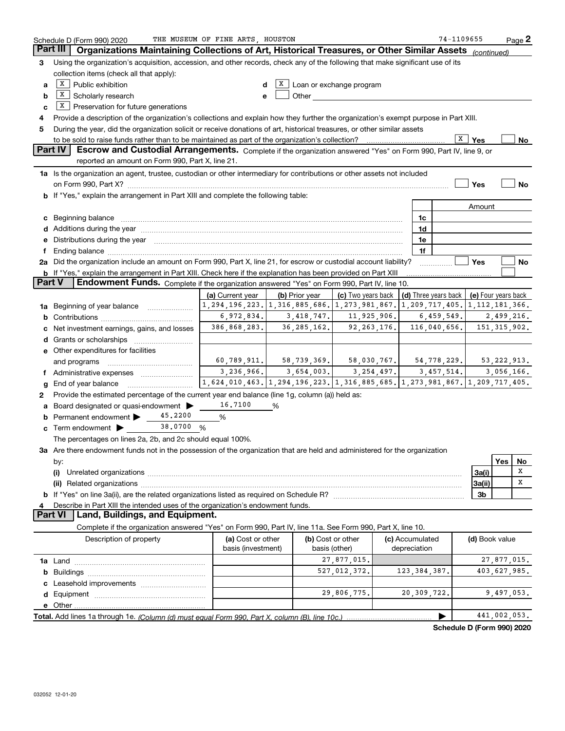|               | Schedule D (Form 990) 2020                                                                                                                                                                                                     | THE MUSEUM OF FINE ARTS, HOUSTON                                                          |   |                     |                                                                                                                                                                                                                                |               |                                            | 74-1109655 |                            |                | Page 2 |
|---------------|--------------------------------------------------------------------------------------------------------------------------------------------------------------------------------------------------------------------------------|-------------------------------------------------------------------------------------------|---|---------------------|--------------------------------------------------------------------------------------------------------------------------------------------------------------------------------------------------------------------------------|---------------|--------------------------------------------|------------|----------------------------|----------------|--------|
|               | Part III  <br>Organizations Maintaining Collections of Art, Historical Treasures, or Other Similar Assets (continued)                                                                                                          |                                                                                           |   |                     |                                                                                                                                                                                                                                |               |                                            |            |                            |                |        |
| 3             | Using the organization's acquisition, accession, and other records, check any of the following that make significant use of its                                                                                                |                                                                                           |   |                     |                                                                                                                                                                                                                                |               |                                            |            |                            |                |        |
|               | collection items (check all that apply):                                                                                                                                                                                       |                                                                                           |   |                     |                                                                                                                                                                                                                                |               |                                            |            |                            |                |        |
| a             | $X$ Public exhibition<br>$X$ Loan or exchange program<br>d                                                                                                                                                                     |                                                                                           |   |                     |                                                                                                                                                                                                                                |               |                                            |            |                            |                |        |
| b             | $X$ Scholarly research                                                                                                                                                                                                         |                                                                                           | e |                     | Other and the control of the control of the control of the control of the control of the control of the control of the control of the control of the control of the control of the control of the control of the control of th |               |                                            |            |                            |                |        |
| c             | $X$ Preservation for future generations                                                                                                                                                                                        |                                                                                           |   |                     |                                                                                                                                                                                                                                |               |                                            |            |                            |                |        |
| 4             | Provide a description of the organization's collections and explain how they further the organization's exempt purpose in Part XIII.                                                                                           |                                                                                           |   |                     |                                                                                                                                                                                                                                |               |                                            |            |                            |                |        |
| 5             | During the year, did the organization solicit or receive donations of art, historical treasures, or other similar assets                                                                                                       |                                                                                           |   |                     |                                                                                                                                                                                                                                |               |                                            |            |                            |                |        |
|               |                                                                                                                                                                                                                                |                                                                                           |   |                     |                                                                                                                                                                                                                                |               |                                            | X          | ∣ Yes                      |                | No     |
|               | Part IV<br>Escrow and Custodial Arrangements. Complete if the organization answered "Yes" on Form 990, Part IV, line 9, or                                                                                                     |                                                                                           |   |                     |                                                                                                                                                                                                                                |               |                                            |            |                            |                |        |
|               | reported an amount on Form 990, Part X, line 21.                                                                                                                                                                               |                                                                                           |   |                     |                                                                                                                                                                                                                                |               |                                            |            |                            |                |        |
|               | 1a Is the organization an agent, trustee, custodian or other intermediary for contributions or other assets not included                                                                                                       |                                                                                           |   |                     |                                                                                                                                                                                                                                |               |                                            |            |                            |                |        |
|               |                                                                                                                                                                                                                                |                                                                                           |   |                     |                                                                                                                                                                                                                                |               |                                            |            | Yes                        |                | No     |
|               | b If "Yes," explain the arrangement in Part XIII and complete the following table:                                                                                                                                             |                                                                                           |   |                     |                                                                                                                                                                                                                                |               |                                            |            |                            |                |        |
|               |                                                                                                                                                                                                                                |                                                                                           |   |                     |                                                                                                                                                                                                                                |               |                                            |            | Amount                     |                |        |
|               | c Beginning balance                                                                                                                                                                                                            |                                                                                           |   |                     |                                                                                                                                                                                                                                |               | 1c                                         |            |                            |                |        |
|               | d Additions during the year measurements are all an according to the year.                                                                                                                                                     |                                                                                           |   |                     |                                                                                                                                                                                                                                |               | 1d                                         |            |                            |                |        |
|               | e Distributions during the year manufactured and contained and contained and contained and contained and contained and contained and contained and contained and contained and contained and contained and contained and conta |                                                                                           |   |                     |                                                                                                                                                                                                                                |               | 1e                                         |            |                            |                |        |
|               |                                                                                                                                                                                                                                |                                                                                           |   |                     |                                                                                                                                                                                                                                |               | 1f                                         |            |                            |                |        |
|               | 2a Did the organization include an amount on Form 990, Part X, line 21, for escrow or custodial account liability?                                                                                                             |                                                                                           |   |                     |                                                                                                                                                                                                                                |               |                                            |            | Yes                        |                | No     |
|               | b If "Yes," explain the arrangement in Part XIII. Check here if the explanation has been provided on Part XIII                                                                                                                 |                                                                                           |   |                     |                                                                                                                                                                                                                                |               |                                            |            |                            |                |        |
| <b>Part V</b> | Endowment Funds. Complete if the organization answered "Yes" on Form 990, Part IV, line 10.                                                                                                                                    |                                                                                           |   |                     |                                                                                                                                                                                                                                |               |                                            |            |                            |                |        |
|               |                                                                                                                                                                                                                                | (a) Current year                                                                          |   | (b) Prior year $\ $ | (c) Two years back                                                                                                                                                                                                             |               | (d) Three years back   (e) Four years back |            |                            |                |        |
|               | <b>1a</b> Beginning of year balance <i>mummum</i>                                                                                                                                                                              | 1, 294, 196, 223. 1, 316, 885, 686. 1, 273, 981, 867. 1, 209, 717, 405. 1, 112, 181, 366. |   |                     |                                                                                                                                                                                                                                |               |                                            |            |                            |                |        |
|               |                                                                                                                                                                                                                                | $6,972,834.$ $3,418,747.$ $11,925,906.$                                                   |   |                     |                                                                                                                                                                                                                                |               |                                            | 6,459,549. |                            | 2,499,216.     |        |
| c             | Net investment earnings, gains, and losses                                                                                                                                                                                     | 386,868,283.                                                                              |   | 36, 285, 162.       |                                                                                                                                                                                                                                | 92, 263, 176. | 116,040,656.                               |            |                            | 151, 315, 902. |        |
|               |                                                                                                                                                                                                                                |                                                                                           |   |                     |                                                                                                                                                                                                                                |               |                                            |            |                            |                |        |
|               | e Other expenditures for facilities                                                                                                                                                                                            |                                                                                           |   |                     |                                                                                                                                                                                                                                |               |                                            |            |                            |                |        |
|               | and programs                                                                                                                                                                                                                   | $60,789,911.$ $58,739,369.$ $58,030,767.$ $54,778,229.$ 53,222,913.                       |   |                     |                                                                                                                                                                                                                                |               |                                            |            |                            |                |        |
|               | f Administrative expenses                                                                                                                                                                                                      | $3,236,966$ , $3,654,003$ , $3,254,497$ , $3,457,514$ , $3,056,166$                       |   |                     |                                                                                                                                                                                                                                |               |                                            |            |                            |                |        |
| g             | End of year balance                                                                                                                                                                                                            | 1,624,010,463. 1,294,196,223. 1,316,885,685. 1,273,981,867. 1,209,717,405.                |   |                     |                                                                                                                                                                                                                                |               |                                            |            |                            |                |        |
| 2             | Provide the estimated percentage of the current year end balance (line 1g, column (a)) held as:                                                                                                                                |                                                                                           |   |                     |                                                                                                                                                                                                                                |               |                                            |            |                            |                |        |
|               | a Board designated or quasi-endowment >                                                                                                                                                                                        | 16.7100                                                                                   | % |                     |                                                                                                                                                                                                                                |               |                                            |            |                            |                |        |
|               | 45.2200<br><b>b</b> Permanent endowment $\blacktriangleright$                                                                                                                                                                  | %                                                                                         |   |                     |                                                                                                                                                                                                                                |               |                                            |            |                            |                |        |
|               | <b>c</b> Term endowment $\triangleright$ 38.0700 %                                                                                                                                                                             |                                                                                           |   |                     |                                                                                                                                                                                                                                |               |                                            |            |                            |                |        |
|               | The percentages on lines 2a, 2b, and 2c should equal 100%.                                                                                                                                                                     |                                                                                           |   |                     |                                                                                                                                                                                                                                |               |                                            |            |                            |                |        |
|               | 3a Are there endowment funds not in the possession of the organization that are held and administered for the organization                                                                                                     |                                                                                           |   |                     |                                                                                                                                                                                                                                |               |                                            |            |                            |                |        |
|               | by:                                                                                                                                                                                                                            |                                                                                           |   |                     |                                                                                                                                                                                                                                |               |                                            |            |                            | Yes            | No     |
|               | (i)                                                                                                                                                                                                                            |                                                                                           |   |                     |                                                                                                                                                                                                                                |               |                                            |            | 3a(i)                      |                | X      |
|               |                                                                                                                                                                                                                                |                                                                                           |   |                     |                                                                                                                                                                                                                                |               |                                            |            | 3a(ii)                     |                | x      |
|               | 3b                                                                                                                                                                                                                             |                                                                                           |   |                     |                                                                                                                                                                                                                                |               |                                            |            |                            |                |        |
|               | Describe in Part XIII the intended uses of the organization's endowment funds.                                                                                                                                                 |                                                                                           |   |                     |                                                                                                                                                                                                                                |               |                                            |            |                            |                |        |
|               | Land, Buildings, and Equipment.<br><b>Part VI</b>                                                                                                                                                                              |                                                                                           |   |                     |                                                                                                                                                                                                                                |               |                                            |            |                            |                |        |
|               | Complete if the organization answered "Yes" on Form 990, Part IV, line 11a. See Form 990, Part X, line 10.                                                                                                                     |                                                                                           |   |                     |                                                                                                                                                                                                                                |               |                                            |            |                            |                |        |
|               | Description of property                                                                                                                                                                                                        | (a) Cost or other                                                                         |   |                     | (b) Cost or other                                                                                                                                                                                                              |               | (c) Accumulated                            |            | (d) Book value             |                |        |
|               |                                                                                                                                                                                                                                | basis (investment)                                                                        |   |                     | basis (other)                                                                                                                                                                                                                  |               | depreciation                               |            |                            |                |        |
|               |                                                                                                                                                                                                                                |                                                                                           |   |                     | 27,877,015.                                                                                                                                                                                                                    |               |                                            |            |                            | 27,877,015.    |        |
|               |                                                                                                                                                                                                                                |                                                                                           |   |                     | 527,012,372.                                                                                                                                                                                                                   |               | 123, 384, 387.                             |            |                            | 403,627,985.   |        |
|               |                                                                                                                                                                                                                                |                                                                                           |   |                     |                                                                                                                                                                                                                                |               |                                            |            |                            |                |        |
|               |                                                                                                                                                                                                                                |                                                                                           |   |                     | 29,806,775.                                                                                                                                                                                                                    |               | 20,309,722.                                |            |                            | 9,497,053.     |        |
|               |                                                                                                                                                                                                                                |                                                                                           |   |                     |                                                                                                                                                                                                                                |               |                                            |            |                            |                |        |
|               |                                                                                                                                                                                                                                |                                                                                           |   |                     |                                                                                                                                                                                                                                |               |                                            |            |                            | 441,002,053.   |        |
|               |                                                                                                                                                                                                                                |                                                                                           |   |                     |                                                                                                                                                                                                                                |               |                                            |            | Schedule D (Form 990) 2020 |                |        |
|               |                                                                                                                                                                                                                                |                                                                                           |   |                     |                                                                                                                                                                                                                                |               |                                            |            |                            |                |        |

032052 12-01-20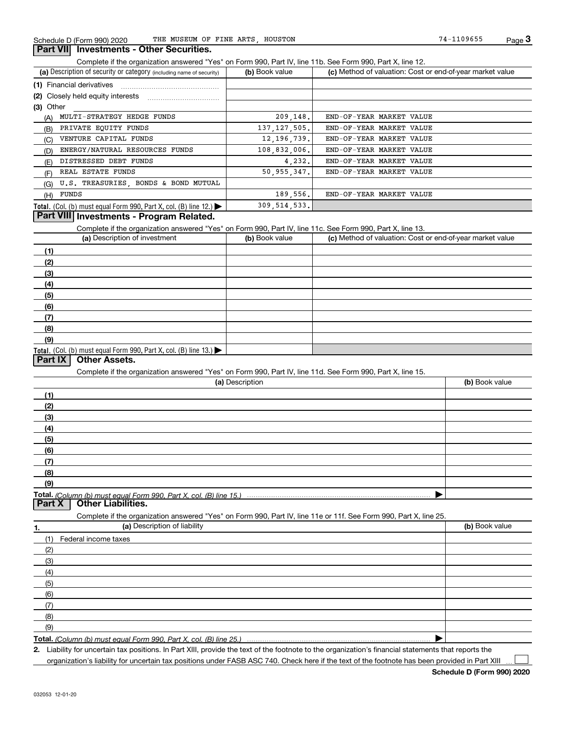Complete if the organization answered "Yes" on Form 990, Part IV, line 11b. See Form 990, Part X, line 12.

| (a) Description of security or category (including name of security)       | (b) Book value | (c) Method of valuation: Cost or end-of-year market value |
|----------------------------------------------------------------------------|----------------|-----------------------------------------------------------|
| (1) Financial derivatives                                                  |                |                                                           |
|                                                                            |                |                                                           |
| $(3)$ Other                                                                |                |                                                           |
| MULTI-STRATEGY HEDGE FUNDS<br>(A)                                          | 209, 148.      | END-OF-YEAR MARKET VALUE                                  |
| PRIVATE EQUITY FUNDS<br>(B)                                                | 137, 127, 505. | END-OF-YEAR MARKET VALUE                                  |
| VENTURE CAPITAL FUNDS<br>(C)                                               | 12, 196, 739.  | END-OF-YEAR MARKET VALUE                                  |
| ENERGY/NATURAL RESOURCES FUNDS<br>(D)                                      | 108,832,006.   | END-OF-YEAR MARKET VALUE                                  |
| DISTRESSED DEBT FUNDS<br>(E)                                               | 4.232.         | END-OF-YEAR MARKET VALUE                                  |
| REAL ESTATE FUNDS<br>(F)                                                   | 50, 955, 347.  | END-OF-YEAR MARKET VALUE                                  |
| U.S. TREASURIES, BONDS & BOND MUTUAL<br>(G)                                |                |                                                           |
| (H) FUNDS                                                                  | 189, 556.      | END-OF-YEAR MARKET VALUE                                  |
| <b>Total.</b> (Col. (b) must equal Form 990, Part X, col. (B) line $12$ .) | 309, 514, 533. |                                                           |

#### **Part VIII Investments - Program Related.**

Complete if the organization answered "Yes" on Form 990, Part IV, line 11c. See Form 990, Part X, line 13.

| (a) Description of investment                                    | (b) Book value | (c) Method of valuation: Cost or end-of-year market value |
|------------------------------------------------------------------|----------------|-----------------------------------------------------------|
| (1)                                                              |                |                                                           |
| (2)                                                              |                |                                                           |
| $\frac{1}{2}$                                                    |                |                                                           |
| (4)                                                              |                |                                                           |
| (5)                                                              |                |                                                           |
| (6)                                                              |                |                                                           |
| $\sqrt{(7)}$                                                     |                |                                                           |
| (8)                                                              |                |                                                           |
| (9)                                                              |                |                                                           |
| Total. (Col. (b) must equal Form 990, Part X, col. (B) line 13.) |                |                                                           |

#### **Part IX Other Assets.**

Complete if the organization answered "Yes" on Form 990, Part IV, line 11d. See Form 990, Part X, line 15.

| (a) Description                                                                                                   | (b) Book value |
|-------------------------------------------------------------------------------------------------------------------|----------------|
| (1)                                                                                                               |                |
| (2)                                                                                                               |                |
| (3)                                                                                                               |                |
| (4)                                                                                                               |                |
| (5)                                                                                                               |                |
| (6)                                                                                                               |                |
| (7)                                                                                                               |                |
| (8)                                                                                                               |                |
| (9)                                                                                                               |                |
|                                                                                                                   |                |
| <b>Part X   Other Liabilities.</b>                                                                                |                |
| Complete if the organization answered "Yes" on Form 990, Part IV, line 11e or 11f. See Form 990, Part X, line 25. |                |

**1. (a)** Description of liability **Book value** Book value Book value Book value Book value (1)Federal income taxes (2)(3)(4)(5) (6)(7)(8)(9) $\blacktriangleright$ 

**Total.**  *(Column (b) must equal Form 990, Part X, col. (B) line 25.)* 

**2.**Liability for uncertain tax positions. In Part XIII, provide the text of the footnote to the organization's financial statements that reports the organization's liability for uncertain tax positions under FASB ASC 740. Check here if the text of the footnote has been provided in Part XIII

 $\mathcal{L}^{\text{max}}$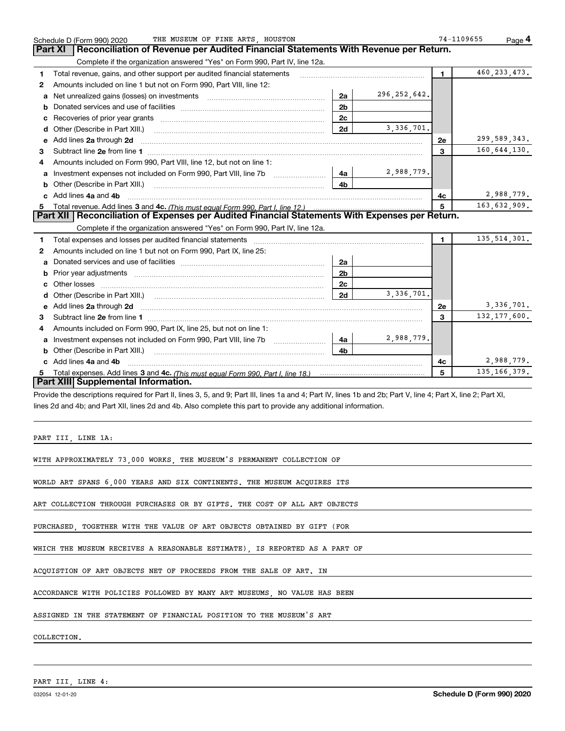|    | THE MUSEUM OF FINE ARTS HOUSTON<br>Schedule D (Form 990) 2020                                                                                                                                                                       |                |                | 74-1109655              |                | Page 4       |
|----|-------------------------------------------------------------------------------------------------------------------------------------------------------------------------------------------------------------------------------------|----------------|----------------|-------------------------|----------------|--------------|
|    | Reconciliation of Revenue per Audited Financial Statements With Revenue per Return.<br><b>Part XI</b>                                                                                                                               |                |                |                         |                |              |
|    | Complete if the organization answered "Yes" on Form 990, Part IV, line 12a.                                                                                                                                                         |                |                |                         |                |              |
| 1  | Total revenue, gains, and other support per audited financial statements                                                                                                                                                            |                |                | $\blacksquare$          | 460, 233, 473. |              |
| 2  | Amounts included on line 1 but not on Form 990, Part VIII, line 12:                                                                                                                                                                 |                |                |                         |                |              |
| a  | Net unrealized gains (losses) on investments [11] [11] Met unrealized gains (losses) on investments                                                                                                                                 | 2a             | 296, 252, 642. |                         |                |              |
| b  |                                                                                                                                                                                                                                     | 2 <sub>b</sub> |                |                         |                |              |
| c  |                                                                                                                                                                                                                                     | 2c             |                |                         |                |              |
| d  |                                                                                                                                                                                                                                     | 2d             | 3,336,701.     |                         |                |              |
|    | e Add lines 2a through 2d                                                                                                                                                                                                           |                |                | <b>2e</b>               | 299,589,343.   |              |
| 3  |                                                                                                                                                                                                                                     |                |                | $\overline{\mathbf{3}}$ | 160,644,130.   |              |
|    | Amounts included on Form 990, Part VIII, line 12, but not on line 1:                                                                                                                                                                |                |                |                         |                |              |
| a  | Investment expenses not included on Form 990, Part VIII, line 7b                                                                                                                                                                    | 4a             | 2,988,779.     |                         |                |              |
| b  |                                                                                                                                                                                                                                     | 4b             |                |                         |                |              |
|    | c Add lines 4a and 4b                                                                                                                                                                                                               |                |                | 4с                      |                | 2,988,779.   |
| 5  |                                                                                                                                                                                                                                     | 5              | 163,632,909.   |                         |                |              |
|    | Part XII   Reconciliation of Expenses per Audited Financial Statements With Expenses per Return.                                                                                                                                    |                |                |                         |                |              |
|    | Complete if the organization answered "Yes" on Form 990, Part IV, line 12a.                                                                                                                                                         |                |                |                         |                |              |
| 1  | Total expenses and losses per audited financial statements [11] [12] contain an intervention and contain a statements [13] [13] and the statements [13] [13] and the statements [13] and the statements and the statements and      |                |                | 1                       | 135, 514, 301. |              |
| 2  | Amounts included on line 1 but not on Form 990, Part IX, line 25:                                                                                                                                                                   |                |                |                         |                |              |
|    |                                                                                                                                                                                                                                     | 2a             |                |                         |                |              |
| b  |                                                                                                                                                                                                                                     | 2 <sub>b</sub> |                |                         |                |              |
| C. |                                                                                                                                                                                                                                     | 2c             |                |                         |                |              |
| d  |                                                                                                                                                                                                                                     | 2d             | 3, 336, 701.   |                         |                |              |
| е  | Add lines 2a through 2d <b>contained a contained a contained a contained a</b> contained a contact the set of the set of the set of the set of the set of the set of the set of the set of the set of the set of the set of the set |                |                | <b>2e</b>               |                | 3, 336, 701. |
| 3  |                                                                                                                                                                                                                                     |                |                | 3                       | 132, 177, 600. |              |
| 4  | Amounts included on Form 990, Part IX, line 25, but not on line 1:                                                                                                                                                                  |                |                |                         |                |              |
| a  |                                                                                                                                                                                                                                     | 4a             | 2,988,779.     |                         |                |              |
| b  | Other (Describe in Part XIII.) <b>Construction Contract Construction</b> Chern Construction Chern Chern Chern Chern Chern Chern Chern Chern Chern Chern Chern Chern Chern Chern Chern Chern Chern Chern Chern Chern Chern Chern Che | 4 <sub>h</sub> |                |                         |                |              |
|    | c Add lines 4a and 4b                                                                                                                                                                                                               |                |                | 4с                      |                | 2,988,779.   |
| 5. |                                                                                                                                                                                                                                     |                |                | 5                       | 135, 166, 379. |              |
|    | <b>Part XIII Supplemental Information.</b>                                                                                                                                                                                          |                |                |                         |                |              |
|    | Provide the descriptions required for Part II, lines 3, 5, and 9; Part III, lines 1a and 4; Part IV, lines 1b and 2b; Part V, line 4; Part X, line 2; Part XI,                                                                      |                |                |                         |                |              |
|    | lines 2d and 4b; and Part XII, lines 2d and 4b. Also complete this part to provide any additional information.                                                                                                                      |                |                |                         |                |              |

PART III, LINE 1A:

WITH APPROXIMATELY 73,000 WORKS, THE MUSEUM'S PERMANENT COLLECTION OF

WORLD ART SPANS 6,000 YEARS AND SIX CONTINENTS. THE MUSEUM ACQUIRES ITS

ART COLLECTION THROUGH PURCHASES OR BY GIFTS. THE COST OF ALL ART OBJECTS

PURCHASED, TOGETHER WITH THE VALUE OF ART OBJECTS OBTAINED BY GIFT (FOR

WHICH THE MUSEUM RECEIVES A REASONABLE ESTIMATE), IS REPORTED AS A PART OF

ACQUISTION OF ART OBJECTS NET OF PROCEEDS FROM THE SALE OF ART. IN

ACCORDANCE WITH POLICIES FOLLOWED BY MANY ART MUSEUMS, NO VALUE HAS BEEN

ASSIGNED IN THE STATEMENT OF FINANCIAL POSITION TO THE MUSEUM'S ART

COLLECTION.

PART III, LINE 4: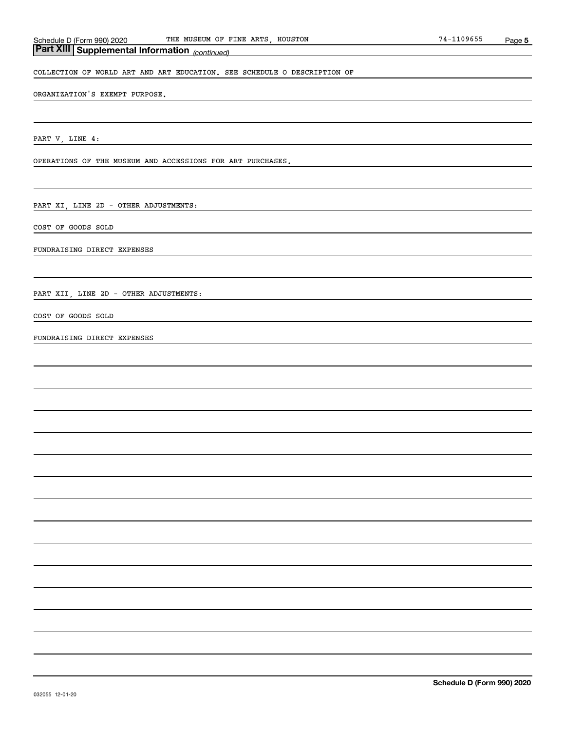#### *(continued)* **Part XIII Supplemental Information**

COLLECTION OF WORLD ART AND ART EDUCATION. SEE SCHEDULE O DESCRIPTION OF

ORGANIZATION'S EXEMPT PURPOSE.

PART V, LINE 4:

OPERATIONS OF THE MUSEUM AND ACCESSIONS FOR ART PURCHASES.

PART XI, LINE 2D - OTHER ADJUSTMENTS:

COST OF GOODS SOLD

FUNDRAISING DIRECT EXPENSES

PART XII, LINE 2D - OTHER ADJUSTMENTS:

COST OF GOODS SOLD

FUNDRAISING DIRECT EXPENSES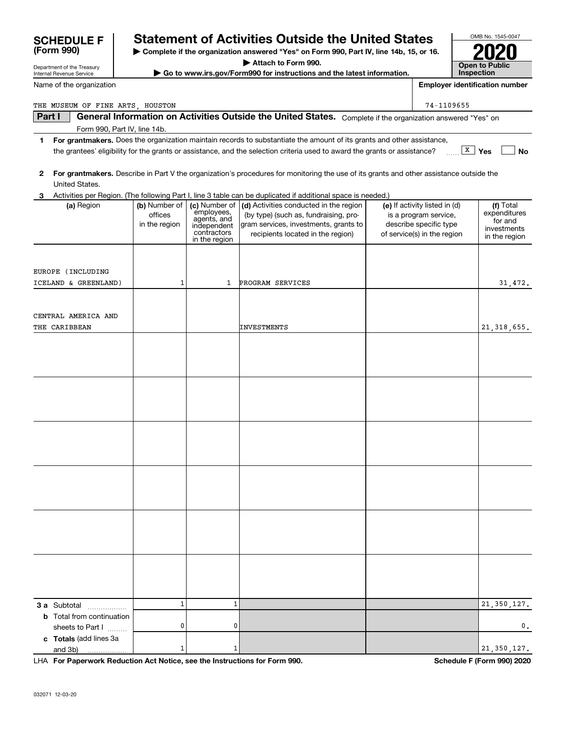| Name of the organization         |               |                            |                                                                                                                                         |                                                       | <b>Employer identification number</b> |
|----------------------------------|---------------|----------------------------|-----------------------------------------------------------------------------------------------------------------------------------------|-------------------------------------------------------|---------------------------------------|
| THE MUSEUM OF FINE ARTS, HOUSTON |               |                            |                                                                                                                                         | 74-1109655                                            |                                       |
| Part I                           |               |                            | General Information on Activities Outside the United States. Complete if the organization answered "Yes" on                             |                                                       |                                       |
| Form 990, Part IV, line 14b.     |               |                            |                                                                                                                                         |                                                       |                                       |
| 1                                |               |                            | For grantmakers. Does the organization maintain records to substantiate the amount of its grants and other assistance,                  |                                                       |                                       |
|                                  |               |                            | the grantees' eligibility for the grants or assistance, and the selection criteria used to award the grants or assistance?              |                                                       | $\boxed{\texttt{X}}$ Yes<br>No        |
|                                  |               |                            |                                                                                                                                         |                                                       |                                       |
| 2<br>United States.              |               |                            | For grantmakers. Describe in Part V the organization's procedures for monitoring the use of its grants and other assistance outside the |                                                       |                                       |
| 3                                |               |                            | Activities per Region. (The following Part I, line 3 table can be duplicated if additional space is needed.)                            |                                                       |                                       |
| (a) Region                       | (b) Number of | (c) Number of              | (d) Activities conducted in the region                                                                                                  | (e) If activity listed in (d)                         | (f) Total                             |
|                                  | offices       | employees,<br>agents, and  | (by type) (such as, fundraising, pro-                                                                                                   | is a program service,                                 | expenditures<br>for and               |
|                                  | in the region | independent<br>contractors | gram services, investments, grants to<br>recipients located in the region)                                                              | describe specific type<br>of service(s) in the region | investments                           |
|                                  |               | in the region              |                                                                                                                                         |                                                       | in the region                         |
|                                  |               |                            |                                                                                                                                         |                                                       |                                       |
| EUROPE (INCLUDING                |               |                            |                                                                                                                                         |                                                       |                                       |
| ICELAND & GREENLAND)             | 1             | 1                          | PROGRAM SERVICES                                                                                                                        |                                                       | 31,472.                               |
|                                  |               |                            |                                                                                                                                         |                                                       |                                       |
|                                  |               |                            |                                                                                                                                         |                                                       |                                       |
| CENTRAL AMERICA AND              |               |                            |                                                                                                                                         |                                                       |                                       |
| THE CARIBBEAN                    |               |                            | <b>INVESTMENTS</b>                                                                                                                      |                                                       | 21, 318, 655.                         |
|                                  |               |                            |                                                                                                                                         |                                                       |                                       |
|                                  |               |                            |                                                                                                                                         |                                                       |                                       |
|                                  |               |                            |                                                                                                                                         |                                                       |                                       |
|                                  |               |                            |                                                                                                                                         |                                                       |                                       |
|                                  |               |                            |                                                                                                                                         |                                                       |                                       |
|                                  |               |                            |                                                                                                                                         |                                                       |                                       |
|                                  |               |                            |                                                                                                                                         |                                                       |                                       |
|                                  |               |                            |                                                                                                                                         |                                                       |                                       |
|                                  |               |                            |                                                                                                                                         |                                                       |                                       |
|                                  |               |                            |                                                                                                                                         |                                                       |                                       |
|                                  |               |                            |                                                                                                                                         |                                                       |                                       |
|                                  |               |                            |                                                                                                                                         |                                                       |                                       |
|                                  |               |                            |                                                                                                                                         |                                                       |                                       |
|                                  |               |                            |                                                                                                                                         |                                                       |                                       |
|                                  |               |                            |                                                                                                                                         |                                                       |                                       |
|                                  |               |                            |                                                                                                                                         |                                                       |                                       |
|                                  |               |                            |                                                                                                                                         |                                                       |                                       |
|                                  |               |                            |                                                                                                                                         |                                                       |                                       |
|                                  |               |                            |                                                                                                                                         |                                                       |                                       |
|                                  |               |                            |                                                                                                                                         |                                                       |                                       |
| 3 a Subtotal<br>.                | $\mathbf 1$   | 1                          |                                                                                                                                         |                                                       | 21, 350, 127.                         |
| <b>b</b> Total from continuation |               |                            |                                                                                                                                         |                                                       |                                       |
| sheets to Part I                 | 0             | 0                          |                                                                                                                                         |                                                       | 0.                                    |
| c Totals (add lines 3a           |               |                            |                                                                                                                                         |                                                       |                                       |
| and 3b)                          | 1             | 1                          |                                                                                                                                         |                                                       | 21, 350, 127.                         |

**| Complete if the organization answered "Yes" on Form 990, Part IV, line 14b, 15, or 16. | Attach to Form 990. | Go to www.irs.gov/Form990 for instructions and the latest information.**

**Statement of Activities Outside the United States** 

**For Paperwork Reduction Act Notice, see the Instructions for Form 990. Schedule F (Form 990) 2020** LHA

OMB No. 1545-0047

**2020**

**Open to Public Inspection**

Department of the Treasury Internal Revenue Service

**SCHEDULE F**<br>(Form 990)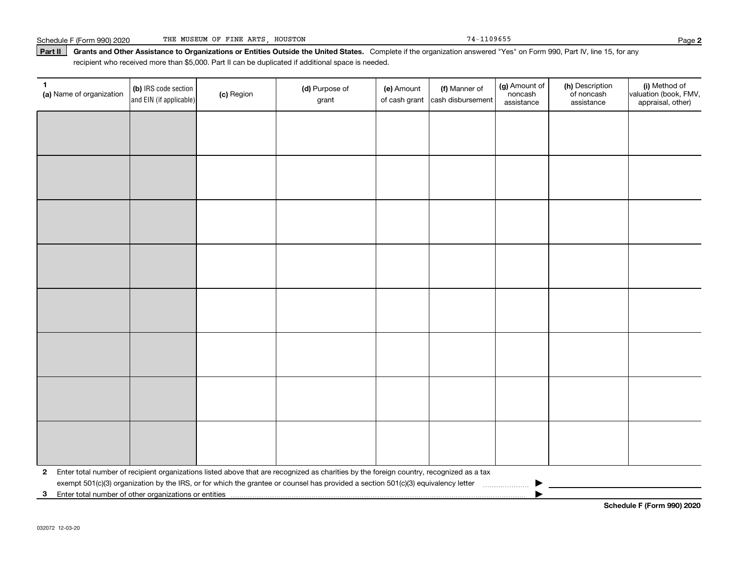#### Part II | Grants and Other Assistance to Organizations or Entities Outside the United States. Complete if the organization answered "Yes" on Form 990, Part IV, line 15, for any recipient who received more than \$5,000. Part II can be duplicated if additional space is needed.

| 1<br>(a) Name of organization                           | (b) IRS code section<br>and EIN (if applicable) | (c) Region | (d) Purpose of<br>grant                                                                                                                 | (e) Amount<br>of cash grant | (f) Manner of<br>cash disbursement | (g) Amount of<br>noncash<br>assistance | (h) Description<br>of noncash<br>assistance | (i) Method of<br>valuation (book, FMV,<br>appraisal, other) |
|---------------------------------------------------------|-------------------------------------------------|------------|-----------------------------------------------------------------------------------------------------------------------------------------|-----------------------------|------------------------------------|----------------------------------------|---------------------------------------------|-------------------------------------------------------------|
|                                                         |                                                 |            |                                                                                                                                         |                             |                                    |                                        |                                             |                                                             |
|                                                         |                                                 |            |                                                                                                                                         |                             |                                    |                                        |                                             |                                                             |
|                                                         |                                                 |            |                                                                                                                                         |                             |                                    |                                        |                                             |                                                             |
|                                                         |                                                 |            |                                                                                                                                         |                             |                                    |                                        |                                             |                                                             |
|                                                         |                                                 |            |                                                                                                                                         |                             |                                    |                                        |                                             |                                                             |
|                                                         |                                                 |            |                                                                                                                                         |                             |                                    |                                        |                                             |                                                             |
|                                                         |                                                 |            |                                                                                                                                         |                             |                                    |                                        |                                             |                                                             |
|                                                         |                                                 |            |                                                                                                                                         |                             |                                    |                                        |                                             |                                                             |
|                                                         |                                                 |            |                                                                                                                                         |                             |                                    |                                        |                                             |                                                             |
|                                                         |                                                 |            |                                                                                                                                         |                             |                                    |                                        |                                             |                                                             |
|                                                         |                                                 |            |                                                                                                                                         |                             |                                    |                                        |                                             |                                                             |
|                                                         |                                                 |            |                                                                                                                                         |                             |                                    |                                        |                                             |                                                             |
|                                                         |                                                 |            |                                                                                                                                         |                             |                                    |                                        |                                             |                                                             |
|                                                         |                                                 |            |                                                                                                                                         |                             |                                    |                                        |                                             |                                                             |
|                                                         |                                                 |            |                                                                                                                                         |                             |                                    |                                        |                                             |                                                             |
|                                                         |                                                 |            |                                                                                                                                         |                             |                                    |                                        |                                             |                                                             |
| $\mathbf{2}$                                            |                                                 |            | Enter total number of recipient organizations listed above that are recognized as charities by the foreign country, recognized as a tax |                             |                                    |                                        |                                             |                                                             |
| 3 Enter total number of other organizations or entities |                                                 |            | exempt 501(c)(3) organization by the IRS, or for which the grantee or counsel has provided a section 501(c)(3) equivalency letter       |                             |                                    |                                        |                                             |                                                             |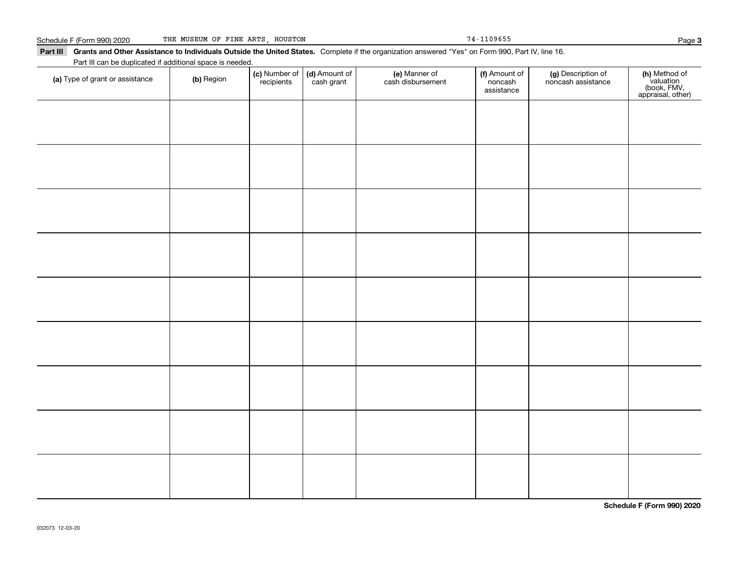Schedule F (Form 990) 2020 THE MUSEUM OF FINE ARTS,HOUSTON 74-1109655 Page

Part III Grants and Other Assistance to Individuals Outside the United States. Complete if the organization answered "Yes" on Form 990, Part IV, line 16. **(c)** Number of **| (d)** Amount of **| (e)** Manner of **| (f)** Amount of **| (g)** Description of **| (h) (a)** Type of grant or assistance  $\qquad$  **(b)** Region Part III can be duplicated if additional space is needed. (c) Number of *recipients* (d) Amount of cash grant (e) Manner of cash disbursement (f) Amount of noncash assistancenoncash assistance

**Schedule F (Form 990) 2020**

Page 3

**(h)** Method of<br>valuation<br>(book, FMV,<br>appraisal, other)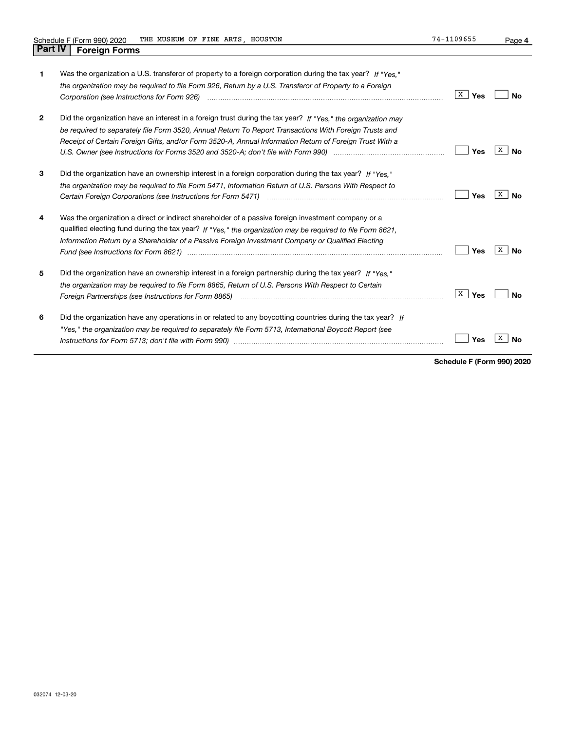**4**

| 1            | Was the organization a U.S. transferor of property to a foreign corporation during the tax year? If "Yes."<br>the organization may be required to file Form 926, Return by a U.S. Transferor of Property to a Foreign<br>Corporation (see Instructions for Form 926) <i>manual content content corporation</i> (see instructions for Form 926) | X  <br>Yes | Nο      |
|--------------|------------------------------------------------------------------------------------------------------------------------------------------------------------------------------------------------------------------------------------------------------------------------------------------------------------------------------------------------|------------|---------|
| $\mathbf{2}$ | Did the organization have an interest in a foreign trust during the tax year? If "Yes." the organization may<br>be required to separately file Form 3520, Annual Return To Report Transactions With Foreign Trusts and<br>Receipt of Certain Foreign Gifts, and/or Form 3520-A, Annual Information Return of Foreign Trust With a              | Yes        | x<br>Nο |
| 3            | Did the organization have an ownership interest in a foreign corporation during the tax year? If "Yes."<br>the organization may be required to file Form 5471, Information Return of U.S. Persons With Respect to                                                                                                                              | Yes        | х<br>Nο |
| 4            | Was the organization a direct or indirect shareholder of a passive foreign investment company or a<br>qualified electing fund during the tax year? If "Yes," the organization may be required to file Form 8621.<br>Information Return by a Shareholder of a Passive Foreign Investment Company or Qualified Electing                          | Yes        | x<br>N٥ |
| 5            | Did the organization have an ownership interest in a foreign partnership during the tax year? If "Yes."<br>the organization may be required to file Form 8865, Return of U.S. Persons With Respect to Certain                                                                                                                                  | X<br>Yes   | Nο      |
| 6            | Did the organization have any operations in or related to any boycotting countries during the tax year? If<br>"Yes," the organization may be required to separately file Form 5713, International Boycott Report (see                                                                                                                          | Yes        |         |

**Schedule F (Form 990) 2020**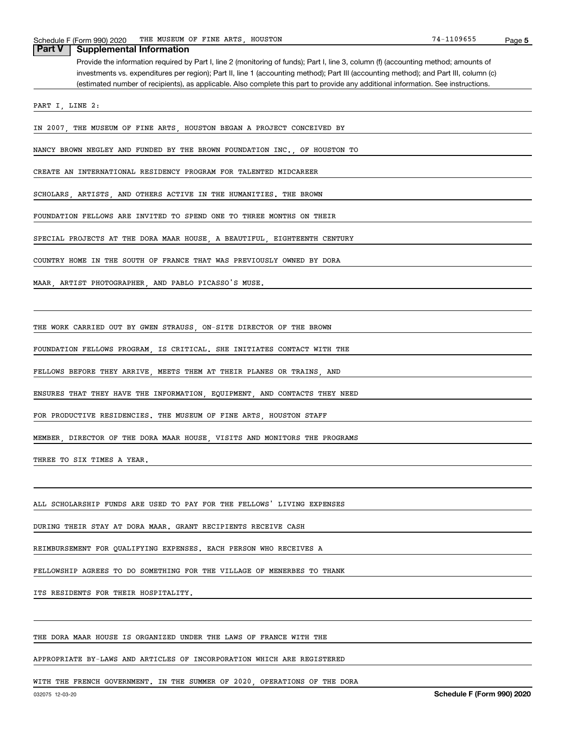Provide the information required by Part I, line 2 (monitoring of funds); Part I, line 3, column (f) (accounting method; amounts of investments vs. expenditures per region); Part II, line 1 (accounting method); Part III (accounting method); and Part III, column (c) (estimated number of recipients), as applicable. Also complete this part to provide any additional information. See instructions. **Part V Supplemental Information**

PART I, LINE 2:

IN 2007, THE MUSEUM OF FINE ARTS, HOUSTON BEGAN A PROJECT CONCEIVED BY

NANCY BROWN NEGLEY AND FUNDED BY THE BROWN FOUNDATION INC., OF HOUSTON TO

CREATE AN INTERNATIONAL RESIDENCY PROGRAM FOR TALENTED MIDCAREER

SCHOLARS, ARTISTS, AND OTHERS ACTIVE IN THE HUMANITIES. THE BROWN

FOUNDATION FELLOWS ARE INVITED TO SPEND ONE TO THREE MONTHS ON THEIR

SPECIAL PROJECTS AT THE DORA MAAR HOUSE, A BEAUTIFUL, EIGHTEENTH CENTURY

COUNTRY HOME IN THE SOUTH OF FRANCE THAT WAS PREVIOUSLY OWNED BY DORA

MAAR, ARTIST PHOTOGRAPHER, AND PABLO PICASSO'S MUSE.

THE WORK CARRIED OUT BY GWEN STRAUSS, ON-SITE DIRECTOR OF THE BROWN

FOUNDATION FELLOWS PROGRAM, IS CRITICAL. SHE INITIATES CONTACT WITH THE

FELLOWS BEFORE THEY ARRIVE, MEETS THEM AT THEIR PLANES OR TRAINS, AND

ENSURES THAT THEY HAVE THE INFORMATION, EQUIPMENT, AND CONTACTS THEY NEED

FOR PRODUCTIVE RESIDENCIES. THE MUSEUM OF FINE ARTS, HOUSTON STAFF

MEMBER, DIRECTOR OF THE DORA MAAR HOUSE, VISITS AND MONITORS THE PROGRAMS

THREE TO SIX TIMES A YEAR.

ALL SCHOLARSHIP FUNDS ARE USED TO PAY FOR THE FELLOWS' LIVING EXPENSES

DURING THEIR STAY AT DORA MAAR. GRANT RECIPIENTS RECEIVE CASH

REIMBURSEMENT FOR QUALIFYING EXPENSES. EACH PERSON WHO RECEIVES A

FELLOWSHIP AGREES TO DO SOMETHING FOR THE VILLAGE OF MENERBES TO THANK

ITS RESIDENTS FOR THEIR HOSPITALITY.

THE DORA MAAR HOUSE IS ORGANIZED UNDER THE LAWS OF FRANCE WITH THE

APPROPRIATE BY-LAWS AND ARTICLES OF INCORPORATION WHICH ARE REGISTERED

WITH THE FRENCH GOVERNMENT. IN THE SUMMER OF 2020, OPERATIONS OF THE DORA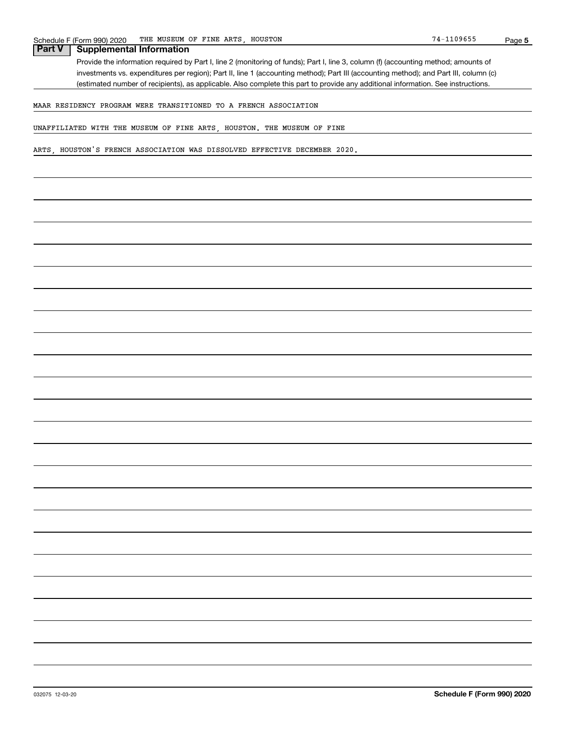**5**

#### **Part V Supplemental Information**

Provide the information required by Part I, line 2 (monitoring of funds); Part I, line 3, column (f) (accounting method; amounts of investments vs. expenditures per region); Part II, line 1 (accounting method); Part III (accounting method); and Part III, column (c) (estimated number of recipients), as applicable. Also complete this part to provide any additional information. See instructions.

MAAR RESIDENCY PROGRAM WERE TRANSITIONED TO A FRENCH ASSOCIATION

UNAFFILIATED WITH THE MUSEUM OF FINE ARTS, HOUSTON. THE MUSEUM OF FINE

ARTS, HOUSTON'S FRENCH ASSOCIATION WAS DISSOLVED EFFECTIVE DECEMBER 2020.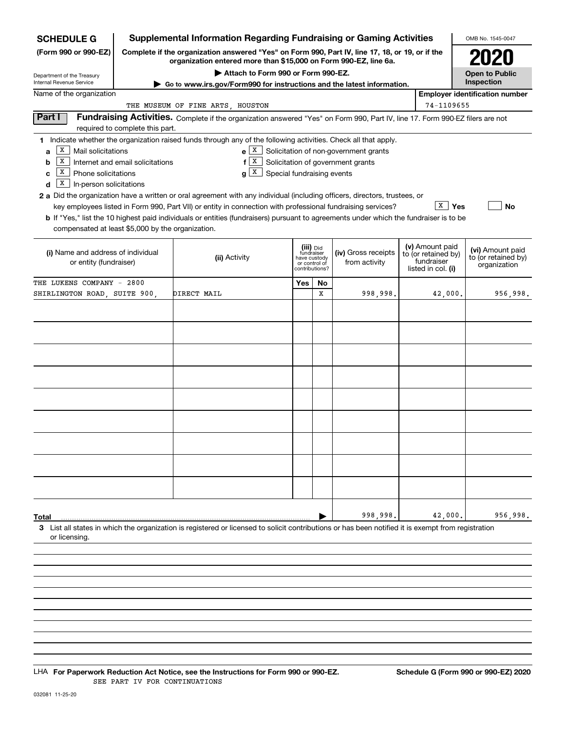| <b>SCHEDULE G</b>                                                                                                                                                               |                                                                                                                                                                     | <b>Supplemental Information Regarding Fundraising or Gaming Activities</b>                                                                                                                                                                                                                                                                                                                                                                                                                                                                                                         |                                                                            |    |                                                                            |  |                                                                            | OMB No. 1545-0047                                       |  |  |  |
|---------------------------------------------------------------------------------------------------------------------------------------------------------------------------------|---------------------------------------------------------------------------------------------------------------------------------------------------------------------|------------------------------------------------------------------------------------------------------------------------------------------------------------------------------------------------------------------------------------------------------------------------------------------------------------------------------------------------------------------------------------------------------------------------------------------------------------------------------------------------------------------------------------------------------------------------------------|----------------------------------------------------------------------------|----|----------------------------------------------------------------------------|--|----------------------------------------------------------------------------|---------------------------------------------------------|--|--|--|
| (Form 990 or 990-EZ)                                                                                                                                                            | Complete if the organization answered "Yes" on Form 990, Part IV, line 17, 18, or 19, or if the<br>organization entered more than \$15,000 on Form 990-EZ, line 6a. |                                                                                                                                                                                                                                                                                                                                                                                                                                                                                                                                                                                    | 2020                                                                       |    |                                                                            |  |                                                                            |                                                         |  |  |  |
| Department of the Treasury<br>Internal Revenue Service                                                                                                                          | ► Go to www.irs.gov/Form990 for instructions and the latest information.                                                                                            |                                                                                                                                                                                                                                                                                                                                                                                                                                                                                                                                                                                    | <b>Open to Public</b><br>Inspection                                        |    |                                                                            |  |                                                                            |                                                         |  |  |  |
| Name of the organization                                                                                                                                                        |                                                                                                                                                                     | <b>Employer identification number</b>                                                                                                                                                                                                                                                                                                                                                                                                                                                                                                                                              |                                                                            |    |                                                                            |  |                                                                            |                                                         |  |  |  |
| 74-1109655<br>THE MUSEUM OF FINE ARTS, HOUSTON<br>Fundraising Activities. Complete if the organization answered "Yes" on Form 990, Part IV, line 17. Form 990-EZ filers are not |                                                                                                                                                                     |                                                                                                                                                                                                                                                                                                                                                                                                                                                                                                                                                                                    |                                                                            |    |                                                                            |  |                                                                            |                                                         |  |  |  |
| Part I                                                                                                                                                                          | required to complete this part.                                                                                                                                     |                                                                                                                                                                                                                                                                                                                                                                                                                                                                                                                                                                                    |                                                                            |    |                                                                            |  |                                                                            |                                                         |  |  |  |
| X<br>Mail solicitations<br>a<br>  X<br>b<br>  X<br>Phone solicitations<br>c<br>$\vert$ X<br>In-person solicitations<br>d<br>compensated at least \$5,000 by the organization.   | Internet and email solicitations                                                                                                                                    | 1 Indicate whether the organization raised funds through any of the following activities. Check all that apply.<br>$e$   X  <br>$f \mid X$<br>$g X$ Special fundraising events<br><b>2 a</b> Did the organization have a written or oral agreement with any individual (including officers, directors, trustees, or<br>key employees listed in Form 990, Part VII) or entity in connection with professional fundraising services?<br><b>b</b> If "Yes," list the 10 highest paid individuals or entities (fundraisers) pursuant to agreements under which the fundraiser is to be |                                                                            |    | Solicitation of non-government grants<br>Solicitation of government grants |  | $\overline{\mathbf{x}}$   Yes                                              | No                                                      |  |  |  |
| (i) Name and address of individual<br>or entity (fundraiser)                                                                                                                    |                                                                                                                                                                     | (ii) Activity                                                                                                                                                                                                                                                                                                                                                                                                                                                                                                                                                                      | (iii) Did<br>fundraiser<br>have custody<br>or control of<br>contributions? |    | (iv) Gross receipts<br>from activity                                       |  | (v) Amount paid<br>to (or retained by)<br>fundraiser<br>listed in col. (i) | (vi) Amount paid<br>to (or retained by)<br>organization |  |  |  |
| THE LUKENS COMPANY - 2800                                                                                                                                                       |                                                                                                                                                                     |                                                                                                                                                                                                                                                                                                                                                                                                                                                                                                                                                                                    | Yes                                                                        | No |                                                                            |  |                                                                            |                                                         |  |  |  |
| SHIRLINGTON ROAD, SUITE 900,                                                                                                                                                    |                                                                                                                                                                     | DIRECT MAIL                                                                                                                                                                                                                                                                                                                                                                                                                                                                                                                                                                        |                                                                            | x  | 998,998.                                                                   |  | 42,000.                                                                    | 956,998.                                                |  |  |  |
|                                                                                                                                                                                 |                                                                                                                                                                     |                                                                                                                                                                                                                                                                                                                                                                                                                                                                                                                                                                                    |                                                                            |    |                                                                            |  |                                                                            |                                                         |  |  |  |
|                                                                                                                                                                                 |                                                                                                                                                                     |                                                                                                                                                                                                                                                                                                                                                                                                                                                                                                                                                                                    |                                                                            |    |                                                                            |  |                                                                            |                                                         |  |  |  |
|                                                                                                                                                                                 |                                                                                                                                                                     |                                                                                                                                                                                                                                                                                                                                                                                                                                                                                                                                                                                    |                                                                            |    |                                                                            |  |                                                                            |                                                         |  |  |  |
|                                                                                                                                                                                 |                                                                                                                                                                     |                                                                                                                                                                                                                                                                                                                                                                                                                                                                                                                                                                                    |                                                                            |    |                                                                            |  |                                                                            |                                                         |  |  |  |
|                                                                                                                                                                                 |                                                                                                                                                                     |                                                                                                                                                                                                                                                                                                                                                                                                                                                                                                                                                                                    |                                                                            |    |                                                                            |  |                                                                            |                                                         |  |  |  |
|                                                                                                                                                                                 |                                                                                                                                                                     |                                                                                                                                                                                                                                                                                                                                                                                                                                                                                                                                                                                    |                                                                            |    |                                                                            |  |                                                                            |                                                         |  |  |  |
|                                                                                                                                                                                 |                                                                                                                                                                     |                                                                                                                                                                                                                                                                                                                                                                                                                                                                                                                                                                                    |                                                                            |    |                                                                            |  |                                                                            |                                                         |  |  |  |
|                                                                                                                                                                                 |                                                                                                                                                                     |                                                                                                                                                                                                                                                                                                                                                                                                                                                                                                                                                                                    |                                                                            |    |                                                                            |  |                                                                            |                                                         |  |  |  |
|                                                                                                                                                                                 |                                                                                                                                                                     |                                                                                                                                                                                                                                                                                                                                                                                                                                                                                                                                                                                    |                                                                            |    |                                                                            |  |                                                                            |                                                         |  |  |  |
|                                                                                                                                                                                 |                                                                                                                                                                     |                                                                                                                                                                                                                                                                                                                                                                                                                                                                                                                                                                                    |                                                                            |    |                                                                            |  |                                                                            |                                                         |  |  |  |
|                                                                                                                                                                                 |                                                                                                                                                                     |                                                                                                                                                                                                                                                                                                                                                                                                                                                                                                                                                                                    |                                                                            |    |                                                                            |  |                                                                            |                                                         |  |  |  |
|                                                                                                                                                                                 |                                                                                                                                                                     |                                                                                                                                                                                                                                                                                                                                                                                                                                                                                                                                                                                    |                                                                            |    |                                                                            |  |                                                                            |                                                         |  |  |  |
| Total                                                                                                                                                                           |                                                                                                                                                                     |                                                                                                                                                                                                                                                                                                                                                                                                                                                                                                                                                                                    |                                                                            |    | 998,998.                                                                   |  | 42,000.                                                                    | 956,998.                                                |  |  |  |
| or licensing.                                                                                                                                                                   |                                                                                                                                                                     | 3 List all states in which the organization is registered or licensed to solicit contributions or has been notified it is exempt from registration                                                                                                                                                                                                                                                                                                                                                                                                                                 |                                                                            |    |                                                                            |  |                                                                            |                                                         |  |  |  |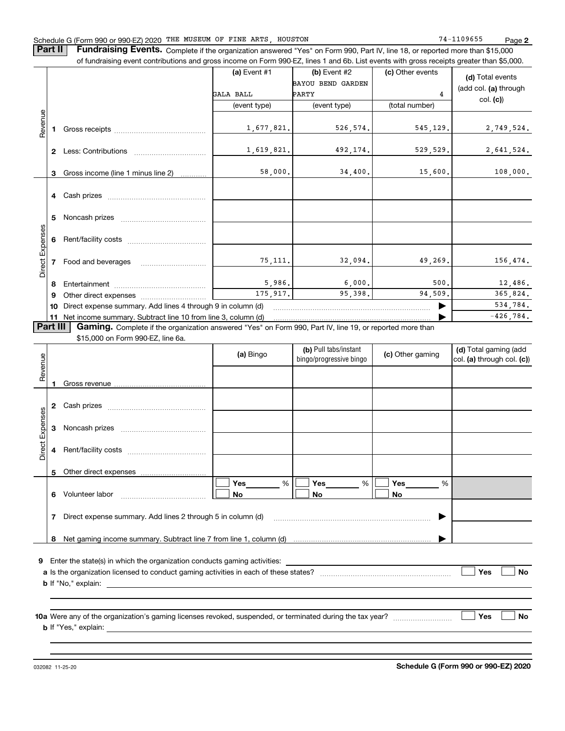#### Schedule G (Form 990 or 990-EZ) 2020 THE MUSEUM OF FINE ARTS,HOUSTON 74-1109655 Page

**Part II** | Fundraising Events. Complete if the organization answered "Yes" on Form 990, Part IV, line 18, or reported more than \$15,000 of fundraising event contributions and gross income on Form 990-EZ, lines 1 and 6b. List events with gross receipts greater than \$5,000.

|                        |                |                                                                                                                                                                                                                                | (a) Event $#1$<br>GALA BALL<br>(event type) | $(b)$ Event #2<br>BAYOU BEND GARDEN<br><b>PARTY</b><br>(event type) | (c) Other events<br>4<br>(total number) | (d) Total events<br>(add col. (a) through<br>col. (c)  |
|------------------------|----------------|--------------------------------------------------------------------------------------------------------------------------------------------------------------------------------------------------------------------------------|---------------------------------------------|---------------------------------------------------------------------|-----------------------------------------|--------------------------------------------------------|
| Revenue                | 1.             | Gross receipts and the state of the state of the state of the state of the state of the state of the state of the state of the state of the state of the state of the state of the state of the state of the state of the stat | 1,677,821.                                  | 526,574.                                                            | 545, 129.                               | 2,749,524.                                             |
|                        | $\mathbf{2}$   |                                                                                                                                                                                                                                | 1,619,821.                                  | 492,174.                                                            | 529, 529.                               | 2,641,524.                                             |
|                        | 3              | Gross income (line 1 minus line 2)                                                                                                                                                                                             | 58,000.                                     | 34,400.                                                             | 15,600.                                 | 108,000.                                               |
|                        | 4              |                                                                                                                                                                                                                                |                                             |                                                                     |                                         |                                                        |
|                        | 5.             | Noncash prizes                                                                                                                                                                                                                 |                                             |                                                                     |                                         |                                                        |
| <b>Direct Expenses</b> | 6              |                                                                                                                                                                                                                                |                                             |                                                                     |                                         |                                                        |
|                        | $\overline{7}$ | Food and beverages                                                                                                                                                                                                             | 75,111.                                     | 32,094.                                                             | 49,269.                                 | 156,474.                                               |
|                        | 8              |                                                                                                                                                                                                                                | 5,986.                                      | 6,000.                                                              | 500.                                    | 12,486.                                                |
|                        | 9              |                                                                                                                                                                                                                                | 175.917.                                    | 95.398.                                                             | 94.509.                                 | 365,824.<br>534,784.                                   |
|                        | 10<br>11       | Direct expense summary. Add lines 4 through 9 in column (d)<br>Net income summary. Subtract line 10 from line 3, column (d)                                                                                                    |                                             |                                                                     |                                         | $-426, 784.$                                           |
| Part III               |                | Gaming. Complete if the organization answered "Yes" on Form 990, Part IV, line 19, or reported more than                                                                                                                       |                                             |                                                                     |                                         |                                                        |
|                        |                | \$15,000 on Form 990-EZ, line 6a.                                                                                                                                                                                              |                                             |                                                                     |                                         |                                                        |
| enue                   |                |                                                                                                                                                                                                                                | (a) Bingo                                   | (b) Pull tabs/instant<br>bingo/progressive bingo                    | (c) Other gaming                        | (d) Total gaming (add<br>$ col.$ (a) through col. (c)) |

| Revenue         |              |                                                             | (a) Bingo   | bingo/progressive bingo | (c) Other gaming | col. (a) through col. (c)) |
|-----------------|--------------|-------------------------------------------------------------|-------------|-------------------------|------------------|----------------------------|
|                 |              |                                                             |             |                         |                  |                            |
|                 |              |                                                             |             |                         |                  |                            |
|                 | $\mathbf{2}$ |                                                             |             |                         |                  |                            |
|                 | 3            |                                                             |             |                         |                  |                            |
| Direct Expenses | 4            |                                                             |             |                         |                  |                            |
|                 | 5            |                                                             |             |                         |                  |                            |
|                 | 6            |                                                             | Yes %<br>No | $Yes$ %<br>No           | %<br>No          |                            |
|                 | 7            | Direct expense summary. Add lines 2 through 5 in column (d) |             |                         |                  |                            |
|                 | 8            |                                                             |             |                         |                  |                            |
| 9               |              |                                                             |             |                         |                  |                            |
|                 |              |                                                             |             |                         |                  | Yes<br><b>No</b>           |
|                 |              |                                                             |             |                         |                  |                            |
|                 |              |                                                             |             |                         |                  |                            |
|                 |              |                                                             |             |                         |                  |                            |
|                 |              |                                                             |             |                         |                  | Yes<br><b>No</b>           |
|                 |              |                                                             |             |                         |                  |                            |
|                 |              |                                                             |             |                         |                  |                            |

032082 11-25-20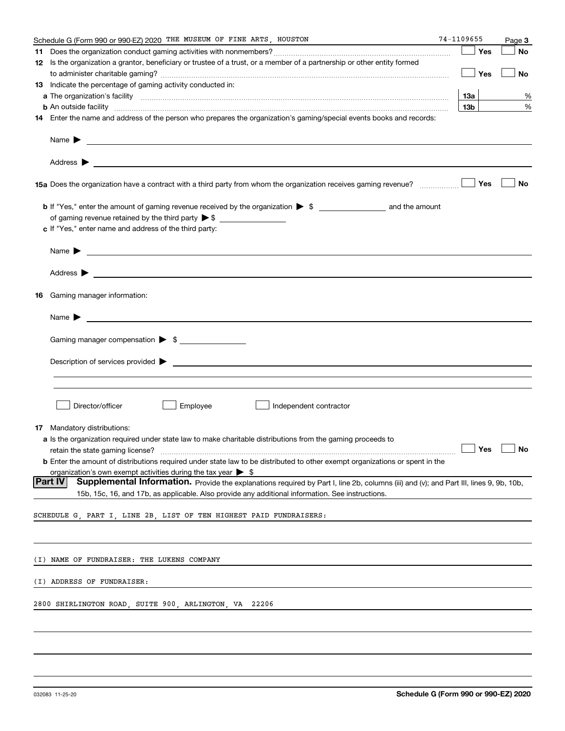|    | Schedule G (Form 990 or 990-EZ) 2020 THE MUSEUM OF FINE ARTS, HOUSTON                                                                                                                                                                     | 74-1109655           | Page 3 |
|----|-------------------------------------------------------------------------------------------------------------------------------------------------------------------------------------------------------------------------------------------|----------------------|--------|
| 11 |                                                                                                                                                                                                                                           | Yes                  | No     |
|    | 12 Is the organization a grantor, beneficiary or trustee of a trust, or a member of a partnership or other entity formed                                                                                                                  |                      |        |
|    |                                                                                                                                                                                                                                           | Yes                  | No     |
|    | 13 Indicate the percentage of gaming activity conducted in:                                                                                                                                                                               |                      |        |
|    |                                                                                                                                                                                                                                           | 13а                  | %      |
|    | <b>b</b> An outside facility <i>www.communically.communically.communically.communically.communically.communically.communically.communically.communically.communically.communically.communically.communically.communically.communicall</i> | 13b                  | %      |
|    | 14 Enter the name and address of the person who prepares the organization's gaming/special events books and records:                                                                                                                      |                      |        |
|    | Name $\blacktriangleright$ $\frac{1}{\sqrt{1-\frac{1}{2}}\left(1-\frac{1}{2}\right)}$                                                                                                                                                     |                      |        |
|    |                                                                                                                                                                                                                                           |                      |        |
|    | 15a Does the organization have a contract with a third party from whom the organization receives gaming revenue?                                                                                                                          | Yes                  | No     |
|    |                                                                                                                                                                                                                                           |                      |        |
|    | c If "Yes," enter name and address of the third party:                                                                                                                                                                                    |                      |        |
|    | Name $\blacktriangleright$                                                                                                                                                                                                                |                      |        |
|    |                                                                                                                                                                                                                                           |                      |        |
| 16 | Gaming manager information:                                                                                                                                                                                                               |                      |        |
|    | $Name \rightarrow$                                                                                                                                                                                                                        |                      |        |
|    |                                                                                                                                                                                                                                           |                      |        |
|    | Gaming manager compensation > \$                                                                                                                                                                                                          |                      |        |
|    | $Description of services provided \rightarrow$                                                                                                                                                                                            |                      |        |
|    |                                                                                                                                                                                                                                           |                      |        |
|    | Director/officer<br>Employee<br>Independent contractor                                                                                                                                                                                    |                      |        |
|    | 17 Mandatory distributions:                                                                                                                                                                                                               |                      |        |
|    | a Is the organization required under state law to make charitable distributions from the gaming proceeds to                                                                                                                               |                      |        |
|    | retain the state gaming license?                                                                                                                                                                                                          | $\Box$ Yes $\Box$ No |        |
|    | <b>b</b> Enter the amount of distributions required under state law to be distributed to other exempt organizations or spent in the                                                                                                       |                      |        |
|    | organization's own exempt activities during the tax year $\triangleright$ \$<br> Part IV<br>Supplemental Information. Provide the explanations required by Part I, line 2b, columns (iii) and (v); and Part III, lines 9, 9b, 10b,        |                      |        |
|    | 15b, 15c, 16, and 17b, as applicable. Also provide any additional information. See instructions.                                                                                                                                          |                      |        |
|    | SCHEDULE G, PART I, LINE 2B, LIST OF TEN HIGHEST PAID FUNDRAISERS:                                                                                                                                                                        |                      |        |
|    |                                                                                                                                                                                                                                           |                      |        |
|    | (I) NAME OF FUNDRAISER: THE LUKENS COMPANY                                                                                                                                                                                                |                      |        |
|    | (I) ADDRESS OF FUNDRAISER:                                                                                                                                                                                                                |                      |        |
|    |                                                                                                                                                                                                                                           |                      |        |
|    | 2800 SHIRLINGTON ROAD, SUITE 900, ARLINGTON, VA 22206                                                                                                                                                                                     |                      |        |
|    |                                                                                                                                                                                                                                           |                      |        |
|    |                                                                                                                                                                                                                                           |                      |        |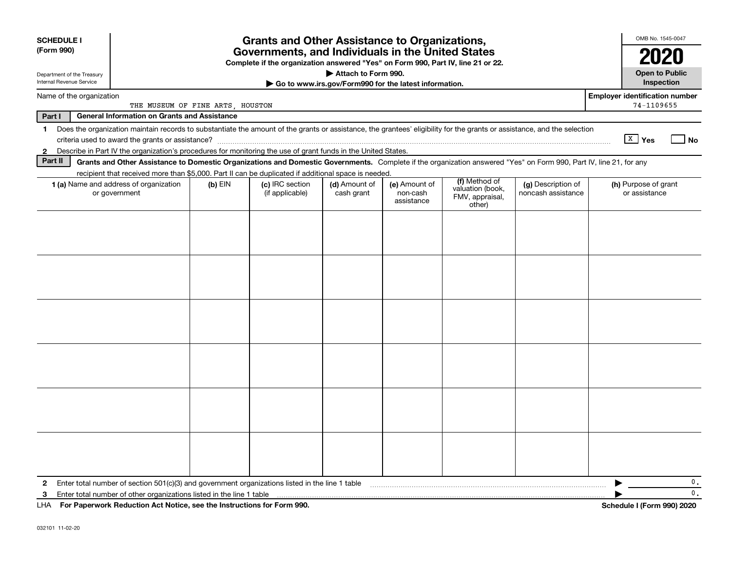| <b>SCHEDULE I</b><br>(Form 990)                                                                                                                                 | <b>Grants and Other Assistance to Organizations,</b><br>Governments, and Individuals in the United States<br>Complete if the organization answered "Yes" on Form 990, Part IV, line 21 or 22. |           |                                    |                             |                                         |                                                                |                                          |                                                     |  |
|-----------------------------------------------------------------------------------------------------------------------------------------------------------------|-----------------------------------------------------------------------------------------------------------------------------------------------------------------------------------------------|-----------|------------------------------------|-----------------------------|-----------------------------------------|----------------------------------------------------------------|------------------------------------------|-----------------------------------------------------|--|
| Attach to Form 990.<br><b>Open to Public</b><br>Department of the Treasury<br>Internal Revenue Service<br>Go to www.irs.gov/Form990 for the latest information. |                                                                                                                                                                                               |           |                                    |                             |                                         |                                                                |                                          |                                                     |  |
| Name of the organization                                                                                                                                        | THE MUSEUM OF FINE ARTS, HOUSTON                                                                                                                                                              |           |                                    |                             |                                         |                                                                |                                          | <b>Employer identification number</b><br>74-1109655 |  |
| Part I                                                                                                                                                          | <b>General Information on Grants and Assistance</b>                                                                                                                                           |           |                                    |                             |                                         |                                                                |                                          |                                                     |  |
| $\mathbf{1}$                                                                                                                                                    | Does the organization maintain records to substantiate the amount of the grants or assistance, the grantees' eligibility for the grants or assistance, and the selection                      |           |                                    |                             |                                         |                                                                |                                          | $X$ Yes<br>l No                                     |  |
| 2                                                                                                                                                               | Describe in Part IV the organization's procedures for monitoring the use of grant funds in the United States.                                                                                 |           |                                    |                             |                                         |                                                                |                                          |                                                     |  |
| Part II                                                                                                                                                         | Grants and Other Assistance to Domestic Organizations and Domestic Governments. Complete if the organization answered "Yes" on Form 990, Part IV, line 21, for any                            |           |                                    |                             |                                         |                                                                |                                          |                                                     |  |
|                                                                                                                                                                 | recipient that received more than \$5,000. Part II can be duplicated if additional space is needed.<br>1 (a) Name and address of organization<br>or government                                | $(b)$ EIN | (c) IRC section<br>(if applicable) | (d) Amount of<br>cash grant | (e) Amount of<br>non-cash<br>assistance | (f) Method of<br>valuation (book,<br>FMV, appraisal,<br>other) | (g) Description of<br>noncash assistance | (h) Purpose of grant<br>or assistance               |  |
|                                                                                                                                                                 |                                                                                                                                                                                               |           |                                    |                             |                                         |                                                                |                                          |                                                     |  |
|                                                                                                                                                                 |                                                                                                                                                                                               |           |                                    |                             |                                         |                                                                |                                          |                                                     |  |
|                                                                                                                                                                 |                                                                                                                                                                                               |           |                                    |                             |                                         |                                                                |                                          |                                                     |  |
|                                                                                                                                                                 |                                                                                                                                                                                               |           |                                    |                             |                                         |                                                                |                                          |                                                     |  |
|                                                                                                                                                                 |                                                                                                                                                                                               |           |                                    |                             |                                         |                                                                |                                          |                                                     |  |
|                                                                                                                                                                 |                                                                                                                                                                                               |           |                                    |                             |                                         |                                                                |                                          |                                                     |  |
| 2                                                                                                                                                               | Enter total number of section 501(c)(3) and government organizations listed in the line 1 table                                                                                               |           |                                    |                             |                                         |                                                                |                                          | 0.                                                  |  |
| 3                                                                                                                                                               | Enter total number of other organizations listed in the line 1 table                                                                                                                          |           |                                    |                             |                                         |                                                                |                                          | 0.                                                  |  |
| LHA                                                                                                                                                             | For Paperwork Reduction Act Notice, see the Instructions for Form 990.                                                                                                                        |           |                                    |                             |                                         |                                                                |                                          | Schedule I (Form 990) 2020                          |  |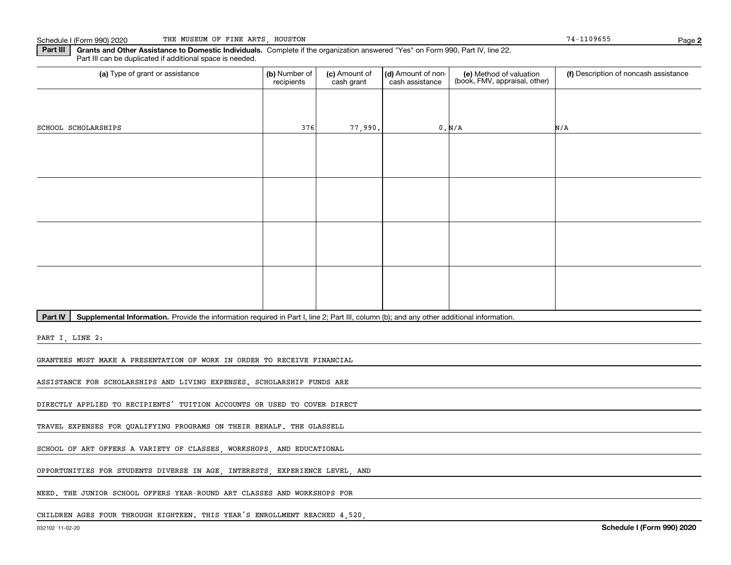**2**

**Part III | Grants and Other Assistance to Domestic Individuals. Complete if the organization answered "Yes" on Form 990, Part IV, line 22.** Part III can be duplicated if additional space is needed.

| (a) Type of grant or assistance                                                                                                                      | (b) Number of<br>recipients | (c) Amount of<br>cash grant | (d) Amount of non-<br>cash assistance | (e) Method of valuation<br>(book, FMV, appraisal, other) | (f) Description of noncash assistance |  |  |  |  |  |
|------------------------------------------------------------------------------------------------------------------------------------------------------|-----------------------------|-----------------------------|---------------------------------------|----------------------------------------------------------|---------------------------------------|--|--|--|--|--|
|                                                                                                                                                      |                             |                             |                                       |                                                          |                                       |  |  |  |  |  |
| SCHOOL SCHOLARSHIPS                                                                                                                                  | 376                         | 77,990.                     |                                       | 0. N/A                                                   | N/A                                   |  |  |  |  |  |
|                                                                                                                                                      |                             |                             |                                       |                                                          |                                       |  |  |  |  |  |
|                                                                                                                                                      |                             |                             |                                       |                                                          |                                       |  |  |  |  |  |
|                                                                                                                                                      |                             |                             |                                       |                                                          |                                       |  |  |  |  |  |
|                                                                                                                                                      |                             |                             |                                       |                                                          |                                       |  |  |  |  |  |
|                                                                                                                                                      |                             |                             |                                       |                                                          |                                       |  |  |  |  |  |
|                                                                                                                                                      |                             |                             |                                       |                                                          |                                       |  |  |  |  |  |
|                                                                                                                                                      |                             |                             |                                       |                                                          |                                       |  |  |  |  |  |
|                                                                                                                                                      |                             |                             |                                       |                                                          |                                       |  |  |  |  |  |
| Part IV<br>Supplemental Information. Provide the information required in Part I, line 2; Part III, column (b); and any other additional information. |                             |                             |                                       |                                                          |                                       |  |  |  |  |  |
|                                                                                                                                                      |                             |                             |                                       |                                                          |                                       |  |  |  |  |  |

PART I, LINE 2:

GRANTEES MUST MAKE A PRESENTATION OF WORK IN ORDER TO RECEIVE FINANCIAL

ASSISTANCE FOR SCHOLARSHIPS AND LIVING EXPENSES. SCHOLARSHIP FUNDS ARE

DIRECTLY APPLIED TO RECIPIENTS' TUITION ACCOUNTS OR USED TO COVER DIRECT

TRAVEL EXPENSES FOR QUALIFYING PROGRAMS ON THEIR BEHALF. THE GLASSELL

SCHOOL OF ART OFFERS A VARIETY OF CLASSES, WORKSHOPS, AND EDUCATIONAL

OPPORTUNITIES FOR STUDENTS DIVERSE IN AGE, INTERESTS, EXPERIENCE LEVEL, AND

NEED. THE JUNIOR SCHOOL OFFERS YEAR-ROUND ART CLASSES AND WORKSHOPS FOR

CHILDREN AGES FOUR THROUGH EIGHTEEN. THIS YEAR'S ENROLLMENT REACHED 4,520,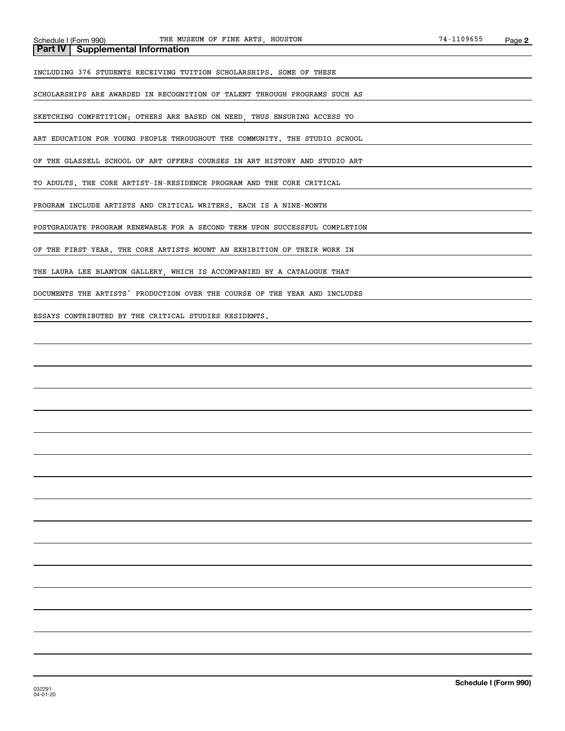#### **Part IV Supplemental Information**

INCLUDING 376 STUDENTS RECEIVING TUITION SCHOLARSHIPS. SOME OF THESE

SCHOLARSHIPS ARE AWARDED IN RECOGNITION OF TALENT THROUGH PROGRAMS SUCH AS

SKETCHING COMPETITION; OTHERS ARE BASED ON NEED, THUS ENSURING ACCESS TO

ART EDUCATION FOR YOUNG PEOPLE THROUGHOUT THE COMMUNITY. THE STUDIO SCHOOL

OF THE GLASSELL SCHOOL OF ART OFFERS COURSES IN ART HISTORY AND STUDIO ART

TO ADULTS. THE CORE ARTIST-IN-RESIDENCE PROGRAM AND THE CORE CRITICAL

PROGRAM INCLUDE ARTISTS AND CRITICAL WRITERS. EACH IS A NINE-MONTH

POSTGRADUATE PROGRAM RENEWABLE FOR A SECOND TERM UPON SUCCESSFUL COMPLETION

OF THE FIRST YEAR. THE CORE ARTISTS MOUNT AN EXHIBITION OF THEIR WORK IN

THE LAURA LEE BLANTON GALLERY, WHICH IS ACCOMPANIED BY A CATALOGUE THAT

DOCUMENTS THE ARTISTS' PRODUCTION OVER THE COURSE OF THE YEAR AND INCLUDES

ESSAYS CONTRIBUTED BY THE CRITICAL STUDIES RESIDENTS.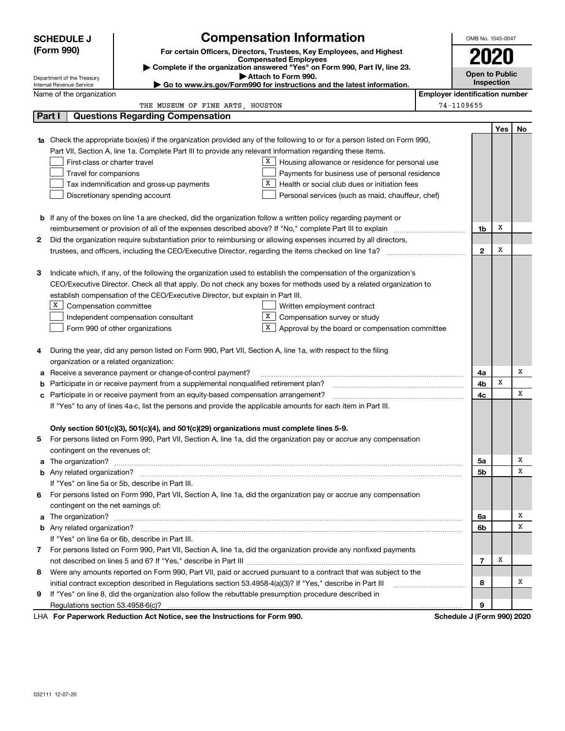| (Form 990)<br>For certain Officers, Directors, Trustees, Key Employees, and Highest<br><b>Compensated Employees</b><br>Complete if the organization answered "Yes" on Form 990, Part IV, line 23.<br><b>Open to Public</b><br>Attach to Form 990.<br>Department of the Treasury<br>Inspection<br>Go to www.irs.gov/Form990 for instructions and the latest information.<br>Internal Revenue Service<br><b>Employer identification number</b><br>Name of the organization<br>74-1109655<br>THE MUSEUM OF FINE ARTS, HOUSTON<br>Part I<br><b>Questions Regarding Compensation</b><br>Yes<br>No<br>Check the appropriate box(es) if the organization provided any of the following to or for a person listed on Form 990,<br>1a<br>Part VII, Section A, line 1a. Complete Part III to provide any relevant information regarding these items.<br>First-class or charter travel<br>X<br>Housing allowance or residence for personal use<br>Travel for companions<br>Payments for business use of personal residence<br>x<br>Health or social club dues or initiation fees<br>Tax indemnification and gross-up payments<br>Discretionary spending account<br>Personal services (such as maid, chauffeur, chef)<br><b>b</b> If any of the boxes on line 1a are checked, did the organization follow a written policy regarding payment or<br>X<br>1b<br>Did the organization require substantiation prior to reimbursing or allowing expenses incurred by all directors,<br>2<br>X<br>$\mathbf{2}$<br>Indicate which, if any, of the following the organization used to establish the compensation of the organization's<br>з<br>CEO/Executive Director. Check all that apply. Do not check any boxes for methods used by a related organization to<br>establish compensation of the CEO/Executive Director, but explain in Part III.<br>x<br>Compensation committee<br>Written employment contract<br>X<br>Compensation survey or study<br>Independent compensation consultant<br>X<br>Form 990 of other organizations<br>Approval by the board or compensation committee<br>During the year, did any person listed on Form 990, Part VII, Section A, line 1a, with respect to the filing<br>4<br>organization or a related organization:<br>Х<br>Receive a severance payment or change-of-control payment?<br>4a<br>а<br>X<br>Participate in or receive payment from a supplemental nonqualified retirement plan?<br>4b<br>b<br>X<br>Participate in or receive payment from an equity-based compensation arrangement?<br>4c<br>с<br>If "Yes" to any of lines 4a-c, list the persons and provide the applicable amounts for each item in Part III.<br>Only section 501(c)(3), 501(c)(4), and 501(c)(29) organizations must complete lines 5-9.<br>For persons listed on Form 990, Part VII, Section A, line 1a, did the organization pay or accrue any compensation<br>contingent on the revenues of:<br>х<br>5a<br>х<br>5b<br>If "Yes" on line 5a or 5b, describe in Part III.<br>For persons listed on Form 990, Part VII, Section A, line 1a, did the organization pay or accrue any compensation<br>6.<br>contingent on the net earnings of:<br>х<br>6a<br>х<br>6b<br>If "Yes" on line 6a or 6b, describe in Part III.<br>7 For persons listed on Form 990, Part VII, Section A, line 1a, did the organization provide any nonfixed payments<br>х<br>$\overline{7}$<br>Were any amounts reported on Form 990, Part VII, paid or accrued pursuant to a contract that was subject to the<br>8<br>х<br>initial contract exception described in Regulations section 53.4958-4(a)(3)? If "Yes," describe in Part III<br>8<br>If "Yes" on line 8, did the organization also follow the rebuttable presumption procedure described in<br>9<br>9<br>Regulations section 53.4958-6(c)?<br>LHA For Paperwork Reduction Act Notice, see the Instructions for Form 990.<br>Schedule J (Form 990) 2020 | <b>SCHEDULE J</b> | <b>Compensation Information</b> |  | OMB No. 1545-0047 |  |  |  |  |
|------------------------------------------------------------------------------------------------------------------------------------------------------------------------------------------------------------------------------------------------------------------------------------------------------------------------------------------------------------------------------------------------------------------------------------------------------------------------------------------------------------------------------------------------------------------------------------------------------------------------------------------------------------------------------------------------------------------------------------------------------------------------------------------------------------------------------------------------------------------------------------------------------------------------------------------------------------------------------------------------------------------------------------------------------------------------------------------------------------------------------------------------------------------------------------------------------------------------------------------------------------------------------------------------------------------------------------------------------------------------------------------------------------------------------------------------------------------------------------------------------------------------------------------------------------------------------------------------------------------------------------------------------------------------------------------------------------------------------------------------------------------------------------------------------------------------------------------------------------------------------------------------------------------------------------------------------------------------------------------------------------------------------------------------------------------------------------------------------------------------------------------------------------------------------------------------------------------------------------------------------------------------------------------------------------------------------------------------------------------------------------------------------------------------------------------------------------------------------------------------------------------------------------------------------------------------------------------------------------------------------------------------------------------------------------------------------------------------------------------------------------------------------------------------------------------------------------------------------------------------------------------------------------------------------------------------------------------------------------------------------------------------------------------------------------------------------------------------------------------------------------------------------------------------------------------------------------------------------------------------------------------------------------------------------------------------------------------------------------------------------------------------------------------------------------------------------------------------------------------------------------------------------------------------------------------------------------------------------------------------------------------------------------------------------------------------------------------------------------------------------------------------------------------------------------------------------------------------------------------------------------------|-------------------|---------------------------------|--|-------------------|--|--|--|--|
|                                                                                                                                                                                                                                                                                                                                                                                                                                                                                                                                                                                                                                                                                                                                                                                                                                                                                                                                                                                                                                                                                                                                                                                                                                                                                                                                                                                                                                                                                                                                                                                                                                                                                                                                                                                                                                                                                                                                                                                                                                                                                                                                                                                                                                                                                                                                                                                                                                                                                                                                                                                                                                                                                                                                                                                                                                                                                                                                                                                                                                                                                                                                                                                                                                                                                                                                                                                                                                                                                                                                                                                                                                                                                                                                                                                                                                                                                          |                   |                                 |  |                   |  |  |  |  |
|                                                                                                                                                                                                                                                                                                                                                                                                                                                                                                                                                                                                                                                                                                                                                                                                                                                                                                                                                                                                                                                                                                                                                                                                                                                                                                                                                                                                                                                                                                                                                                                                                                                                                                                                                                                                                                                                                                                                                                                                                                                                                                                                                                                                                                                                                                                                                                                                                                                                                                                                                                                                                                                                                                                                                                                                                                                                                                                                                                                                                                                                                                                                                                                                                                                                                                                                                                                                                                                                                                                                                                                                                                                                                                                                                                                                                                                                                          |                   |                                 |  |                   |  |  |  |  |
|                                                                                                                                                                                                                                                                                                                                                                                                                                                                                                                                                                                                                                                                                                                                                                                                                                                                                                                                                                                                                                                                                                                                                                                                                                                                                                                                                                                                                                                                                                                                                                                                                                                                                                                                                                                                                                                                                                                                                                                                                                                                                                                                                                                                                                                                                                                                                                                                                                                                                                                                                                                                                                                                                                                                                                                                                                                                                                                                                                                                                                                                                                                                                                                                                                                                                                                                                                                                                                                                                                                                                                                                                                                                                                                                                                                                                                                                                          |                   |                                 |  |                   |  |  |  |  |
|                                                                                                                                                                                                                                                                                                                                                                                                                                                                                                                                                                                                                                                                                                                                                                                                                                                                                                                                                                                                                                                                                                                                                                                                                                                                                                                                                                                                                                                                                                                                                                                                                                                                                                                                                                                                                                                                                                                                                                                                                                                                                                                                                                                                                                                                                                                                                                                                                                                                                                                                                                                                                                                                                                                                                                                                                                                                                                                                                                                                                                                                                                                                                                                                                                                                                                                                                                                                                                                                                                                                                                                                                                                                                                                                                                                                                                                                                          |                   |                                 |  |                   |  |  |  |  |
|                                                                                                                                                                                                                                                                                                                                                                                                                                                                                                                                                                                                                                                                                                                                                                                                                                                                                                                                                                                                                                                                                                                                                                                                                                                                                                                                                                                                                                                                                                                                                                                                                                                                                                                                                                                                                                                                                                                                                                                                                                                                                                                                                                                                                                                                                                                                                                                                                                                                                                                                                                                                                                                                                                                                                                                                                                                                                                                                                                                                                                                                                                                                                                                                                                                                                                                                                                                                                                                                                                                                                                                                                                                                                                                                                                                                                                                                                          |                   |                                 |  |                   |  |  |  |  |
|                                                                                                                                                                                                                                                                                                                                                                                                                                                                                                                                                                                                                                                                                                                                                                                                                                                                                                                                                                                                                                                                                                                                                                                                                                                                                                                                                                                                                                                                                                                                                                                                                                                                                                                                                                                                                                                                                                                                                                                                                                                                                                                                                                                                                                                                                                                                                                                                                                                                                                                                                                                                                                                                                                                                                                                                                                                                                                                                                                                                                                                                                                                                                                                                                                                                                                                                                                                                                                                                                                                                                                                                                                                                                                                                                                                                                                                                                          |                   |                                 |  |                   |  |  |  |  |
|                                                                                                                                                                                                                                                                                                                                                                                                                                                                                                                                                                                                                                                                                                                                                                                                                                                                                                                                                                                                                                                                                                                                                                                                                                                                                                                                                                                                                                                                                                                                                                                                                                                                                                                                                                                                                                                                                                                                                                                                                                                                                                                                                                                                                                                                                                                                                                                                                                                                                                                                                                                                                                                                                                                                                                                                                                                                                                                                                                                                                                                                                                                                                                                                                                                                                                                                                                                                                                                                                                                                                                                                                                                                                                                                                                                                                                                                                          |                   |                                 |  |                   |  |  |  |  |
|                                                                                                                                                                                                                                                                                                                                                                                                                                                                                                                                                                                                                                                                                                                                                                                                                                                                                                                                                                                                                                                                                                                                                                                                                                                                                                                                                                                                                                                                                                                                                                                                                                                                                                                                                                                                                                                                                                                                                                                                                                                                                                                                                                                                                                                                                                                                                                                                                                                                                                                                                                                                                                                                                                                                                                                                                                                                                                                                                                                                                                                                                                                                                                                                                                                                                                                                                                                                                                                                                                                                                                                                                                                                                                                                                                                                                                                                                          |                   |                                 |  |                   |  |  |  |  |
|                                                                                                                                                                                                                                                                                                                                                                                                                                                                                                                                                                                                                                                                                                                                                                                                                                                                                                                                                                                                                                                                                                                                                                                                                                                                                                                                                                                                                                                                                                                                                                                                                                                                                                                                                                                                                                                                                                                                                                                                                                                                                                                                                                                                                                                                                                                                                                                                                                                                                                                                                                                                                                                                                                                                                                                                                                                                                                                                                                                                                                                                                                                                                                                                                                                                                                                                                                                                                                                                                                                                                                                                                                                                                                                                                                                                                                                                                          |                   |                                 |  |                   |  |  |  |  |
|                                                                                                                                                                                                                                                                                                                                                                                                                                                                                                                                                                                                                                                                                                                                                                                                                                                                                                                                                                                                                                                                                                                                                                                                                                                                                                                                                                                                                                                                                                                                                                                                                                                                                                                                                                                                                                                                                                                                                                                                                                                                                                                                                                                                                                                                                                                                                                                                                                                                                                                                                                                                                                                                                                                                                                                                                                                                                                                                                                                                                                                                                                                                                                                                                                                                                                                                                                                                                                                                                                                                                                                                                                                                                                                                                                                                                                                                                          |                   |                                 |  |                   |  |  |  |  |
|                                                                                                                                                                                                                                                                                                                                                                                                                                                                                                                                                                                                                                                                                                                                                                                                                                                                                                                                                                                                                                                                                                                                                                                                                                                                                                                                                                                                                                                                                                                                                                                                                                                                                                                                                                                                                                                                                                                                                                                                                                                                                                                                                                                                                                                                                                                                                                                                                                                                                                                                                                                                                                                                                                                                                                                                                                                                                                                                                                                                                                                                                                                                                                                                                                                                                                                                                                                                                                                                                                                                                                                                                                                                                                                                                                                                                                                                                          |                   |                                 |  |                   |  |  |  |  |
|                                                                                                                                                                                                                                                                                                                                                                                                                                                                                                                                                                                                                                                                                                                                                                                                                                                                                                                                                                                                                                                                                                                                                                                                                                                                                                                                                                                                                                                                                                                                                                                                                                                                                                                                                                                                                                                                                                                                                                                                                                                                                                                                                                                                                                                                                                                                                                                                                                                                                                                                                                                                                                                                                                                                                                                                                                                                                                                                                                                                                                                                                                                                                                                                                                                                                                                                                                                                                                                                                                                                                                                                                                                                                                                                                                                                                                                                                          |                   |                                 |  |                   |  |  |  |  |
|                                                                                                                                                                                                                                                                                                                                                                                                                                                                                                                                                                                                                                                                                                                                                                                                                                                                                                                                                                                                                                                                                                                                                                                                                                                                                                                                                                                                                                                                                                                                                                                                                                                                                                                                                                                                                                                                                                                                                                                                                                                                                                                                                                                                                                                                                                                                                                                                                                                                                                                                                                                                                                                                                                                                                                                                                                                                                                                                                                                                                                                                                                                                                                                                                                                                                                                                                                                                                                                                                                                                                                                                                                                                                                                                                                                                                                                                                          |                   |                                 |  |                   |  |  |  |  |
|                                                                                                                                                                                                                                                                                                                                                                                                                                                                                                                                                                                                                                                                                                                                                                                                                                                                                                                                                                                                                                                                                                                                                                                                                                                                                                                                                                                                                                                                                                                                                                                                                                                                                                                                                                                                                                                                                                                                                                                                                                                                                                                                                                                                                                                                                                                                                                                                                                                                                                                                                                                                                                                                                                                                                                                                                                                                                                                                                                                                                                                                                                                                                                                                                                                                                                                                                                                                                                                                                                                                                                                                                                                                                                                                                                                                                                                                                          |                   |                                 |  |                   |  |  |  |  |
|                                                                                                                                                                                                                                                                                                                                                                                                                                                                                                                                                                                                                                                                                                                                                                                                                                                                                                                                                                                                                                                                                                                                                                                                                                                                                                                                                                                                                                                                                                                                                                                                                                                                                                                                                                                                                                                                                                                                                                                                                                                                                                                                                                                                                                                                                                                                                                                                                                                                                                                                                                                                                                                                                                                                                                                                                                                                                                                                                                                                                                                                                                                                                                                                                                                                                                                                                                                                                                                                                                                                                                                                                                                                                                                                                                                                                                                                                          |                   |                                 |  |                   |  |  |  |  |
|                                                                                                                                                                                                                                                                                                                                                                                                                                                                                                                                                                                                                                                                                                                                                                                                                                                                                                                                                                                                                                                                                                                                                                                                                                                                                                                                                                                                                                                                                                                                                                                                                                                                                                                                                                                                                                                                                                                                                                                                                                                                                                                                                                                                                                                                                                                                                                                                                                                                                                                                                                                                                                                                                                                                                                                                                                                                                                                                                                                                                                                                                                                                                                                                                                                                                                                                                                                                                                                                                                                                                                                                                                                                                                                                                                                                                                                                                          |                   |                                 |  |                   |  |  |  |  |
|                                                                                                                                                                                                                                                                                                                                                                                                                                                                                                                                                                                                                                                                                                                                                                                                                                                                                                                                                                                                                                                                                                                                                                                                                                                                                                                                                                                                                                                                                                                                                                                                                                                                                                                                                                                                                                                                                                                                                                                                                                                                                                                                                                                                                                                                                                                                                                                                                                                                                                                                                                                                                                                                                                                                                                                                                                                                                                                                                                                                                                                                                                                                                                                                                                                                                                                                                                                                                                                                                                                                                                                                                                                                                                                                                                                                                                                                                          |                   |                                 |  |                   |  |  |  |  |
|                                                                                                                                                                                                                                                                                                                                                                                                                                                                                                                                                                                                                                                                                                                                                                                                                                                                                                                                                                                                                                                                                                                                                                                                                                                                                                                                                                                                                                                                                                                                                                                                                                                                                                                                                                                                                                                                                                                                                                                                                                                                                                                                                                                                                                                                                                                                                                                                                                                                                                                                                                                                                                                                                                                                                                                                                                                                                                                                                                                                                                                                                                                                                                                                                                                                                                                                                                                                                                                                                                                                                                                                                                                                                                                                                                                                                                                                                          |                   |                                 |  |                   |  |  |  |  |
|                                                                                                                                                                                                                                                                                                                                                                                                                                                                                                                                                                                                                                                                                                                                                                                                                                                                                                                                                                                                                                                                                                                                                                                                                                                                                                                                                                                                                                                                                                                                                                                                                                                                                                                                                                                                                                                                                                                                                                                                                                                                                                                                                                                                                                                                                                                                                                                                                                                                                                                                                                                                                                                                                                                                                                                                                                                                                                                                                                                                                                                                                                                                                                                                                                                                                                                                                                                                                                                                                                                                                                                                                                                                                                                                                                                                                                                                                          |                   |                                 |  |                   |  |  |  |  |
|                                                                                                                                                                                                                                                                                                                                                                                                                                                                                                                                                                                                                                                                                                                                                                                                                                                                                                                                                                                                                                                                                                                                                                                                                                                                                                                                                                                                                                                                                                                                                                                                                                                                                                                                                                                                                                                                                                                                                                                                                                                                                                                                                                                                                                                                                                                                                                                                                                                                                                                                                                                                                                                                                                                                                                                                                                                                                                                                                                                                                                                                                                                                                                                                                                                                                                                                                                                                                                                                                                                                                                                                                                                                                                                                                                                                                                                                                          |                   |                                 |  |                   |  |  |  |  |
|                                                                                                                                                                                                                                                                                                                                                                                                                                                                                                                                                                                                                                                                                                                                                                                                                                                                                                                                                                                                                                                                                                                                                                                                                                                                                                                                                                                                                                                                                                                                                                                                                                                                                                                                                                                                                                                                                                                                                                                                                                                                                                                                                                                                                                                                                                                                                                                                                                                                                                                                                                                                                                                                                                                                                                                                                                                                                                                                                                                                                                                                                                                                                                                                                                                                                                                                                                                                                                                                                                                                                                                                                                                                                                                                                                                                                                                                                          |                   |                                 |  |                   |  |  |  |  |
|                                                                                                                                                                                                                                                                                                                                                                                                                                                                                                                                                                                                                                                                                                                                                                                                                                                                                                                                                                                                                                                                                                                                                                                                                                                                                                                                                                                                                                                                                                                                                                                                                                                                                                                                                                                                                                                                                                                                                                                                                                                                                                                                                                                                                                                                                                                                                                                                                                                                                                                                                                                                                                                                                                                                                                                                                                                                                                                                                                                                                                                                                                                                                                                                                                                                                                                                                                                                                                                                                                                                                                                                                                                                                                                                                                                                                                                                                          |                   |                                 |  |                   |  |  |  |  |
|                                                                                                                                                                                                                                                                                                                                                                                                                                                                                                                                                                                                                                                                                                                                                                                                                                                                                                                                                                                                                                                                                                                                                                                                                                                                                                                                                                                                                                                                                                                                                                                                                                                                                                                                                                                                                                                                                                                                                                                                                                                                                                                                                                                                                                                                                                                                                                                                                                                                                                                                                                                                                                                                                                                                                                                                                                                                                                                                                                                                                                                                                                                                                                                                                                                                                                                                                                                                                                                                                                                                                                                                                                                                                                                                                                                                                                                                                          |                   |                                 |  |                   |  |  |  |  |
|                                                                                                                                                                                                                                                                                                                                                                                                                                                                                                                                                                                                                                                                                                                                                                                                                                                                                                                                                                                                                                                                                                                                                                                                                                                                                                                                                                                                                                                                                                                                                                                                                                                                                                                                                                                                                                                                                                                                                                                                                                                                                                                                                                                                                                                                                                                                                                                                                                                                                                                                                                                                                                                                                                                                                                                                                                                                                                                                                                                                                                                                                                                                                                                                                                                                                                                                                                                                                                                                                                                                                                                                                                                                                                                                                                                                                                                                                          |                   |                                 |  |                   |  |  |  |  |
|                                                                                                                                                                                                                                                                                                                                                                                                                                                                                                                                                                                                                                                                                                                                                                                                                                                                                                                                                                                                                                                                                                                                                                                                                                                                                                                                                                                                                                                                                                                                                                                                                                                                                                                                                                                                                                                                                                                                                                                                                                                                                                                                                                                                                                                                                                                                                                                                                                                                                                                                                                                                                                                                                                                                                                                                                                                                                                                                                                                                                                                                                                                                                                                                                                                                                                                                                                                                                                                                                                                                                                                                                                                                                                                                                                                                                                                                                          |                   |                                 |  |                   |  |  |  |  |
|                                                                                                                                                                                                                                                                                                                                                                                                                                                                                                                                                                                                                                                                                                                                                                                                                                                                                                                                                                                                                                                                                                                                                                                                                                                                                                                                                                                                                                                                                                                                                                                                                                                                                                                                                                                                                                                                                                                                                                                                                                                                                                                                                                                                                                                                                                                                                                                                                                                                                                                                                                                                                                                                                                                                                                                                                                                                                                                                                                                                                                                                                                                                                                                                                                                                                                                                                                                                                                                                                                                                                                                                                                                                                                                                                                                                                                                                                          |                   |                                 |  |                   |  |  |  |  |
|                                                                                                                                                                                                                                                                                                                                                                                                                                                                                                                                                                                                                                                                                                                                                                                                                                                                                                                                                                                                                                                                                                                                                                                                                                                                                                                                                                                                                                                                                                                                                                                                                                                                                                                                                                                                                                                                                                                                                                                                                                                                                                                                                                                                                                                                                                                                                                                                                                                                                                                                                                                                                                                                                                                                                                                                                                                                                                                                                                                                                                                                                                                                                                                                                                                                                                                                                                                                                                                                                                                                                                                                                                                                                                                                                                                                                                                                                          |                   |                                 |  |                   |  |  |  |  |
|                                                                                                                                                                                                                                                                                                                                                                                                                                                                                                                                                                                                                                                                                                                                                                                                                                                                                                                                                                                                                                                                                                                                                                                                                                                                                                                                                                                                                                                                                                                                                                                                                                                                                                                                                                                                                                                                                                                                                                                                                                                                                                                                                                                                                                                                                                                                                                                                                                                                                                                                                                                                                                                                                                                                                                                                                                                                                                                                                                                                                                                                                                                                                                                                                                                                                                                                                                                                                                                                                                                                                                                                                                                                                                                                                                                                                                                                                          |                   |                                 |  |                   |  |  |  |  |
|                                                                                                                                                                                                                                                                                                                                                                                                                                                                                                                                                                                                                                                                                                                                                                                                                                                                                                                                                                                                                                                                                                                                                                                                                                                                                                                                                                                                                                                                                                                                                                                                                                                                                                                                                                                                                                                                                                                                                                                                                                                                                                                                                                                                                                                                                                                                                                                                                                                                                                                                                                                                                                                                                                                                                                                                                                                                                                                                                                                                                                                                                                                                                                                                                                                                                                                                                                                                                                                                                                                                                                                                                                                                                                                                                                                                                                                                                          |                   |                                 |  |                   |  |  |  |  |
|                                                                                                                                                                                                                                                                                                                                                                                                                                                                                                                                                                                                                                                                                                                                                                                                                                                                                                                                                                                                                                                                                                                                                                                                                                                                                                                                                                                                                                                                                                                                                                                                                                                                                                                                                                                                                                                                                                                                                                                                                                                                                                                                                                                                                                                                                                                                                                                                                                                                                                                                                                                                                                                                                                                                                                                                                                                                                                                                                                                                                                                                                                                                                                                                                                                                                                                                                                                                                                                                                                                                                                                                                                                                                                                                                                                                                                                                                          |                   |                                 |  |                   |  |  |  |  |
|                                                                                                                                                                                                                                                                                                                                                                                                                                                                                                                                                                                                                                                                                                                                                                                                                                                                                                                                                                                                                                                                                                                                                                                                                                                                                                                                                                                                                                                                                                                                                                                                                                                                                                                                                                                                                                                                                                                                                                                                                                                                                                                                                                                                                                                                                                                                                                                                                                                                                                                                                                                                                                                                                                                                                                                                                                                                                                                                                                                                                                                                                                                                                                                                                                                                                                                                                                                                                                                                                                                                                                                                                                                                                                                                                                                                                                                                                          |                   |                                 |  |                   |  |  |  |  |
|                                                                                                                                                                                                                                                                                                                                                                                                                                                                                                                                                                                                                                                                                                                                                                                                                                                                                                                                                                                                                                                                                                                                                                                                                                                                                                                                                                                                                                                                                                                                                                                                                                                                                                                                                                                                                                                                                                                                                                                                                                                                                                                                                                                                                                                                                                                                                                                                                                                                                                                                                                                                                                                                                                                                                                                                                                                                                                                                                                                                                                                                                                                                                                                                                                                                                                                                                                                                                                                                                                                                                                                                                                                                                                                                                                                                                                                                                          |                   |                                 |  |                   |  |  |  |  |
|                                                                                                                                                                                                                                                                                                                                                                                                                                                                                                                                                                                                                                                                                                                                                                                                                                                                                                                                                                                                                                                                                                                                                                                                                                                                                                                                                                                                                                                                                                                                                                                                                                                                                                                                                                                                                                                                                                                                                                                                                                                                                                                                                                                                                                                                                                                                                                                                                                                                                                                                                                                                                                                                                                                                                                                                                                                                                                                                                                                                                                                                                                                                                                                                                                                                                                                                                                                                                                                                                                                                                                                                                                                                                                                                                                                                                                                                                          |                   |                                 |  |                   |  |  |  |  |
|                                                                                                                                                                                                                                                                                                                                                                                                                                                                                                                                                                                                                                                                                                                                                                                                                                                                                                                                                                                                                                                                                                                                                                                                                                                                                                                                                                                                                                                                                                                                                                                                                                                                                                                                                                                                                                                                                                                                                                                                                                                                                                                                                                                                                                                                                                                                                                                                                                                                                                                                                                                                                                                                                                                                                                                                                                                                                                                                                                                                                                                                                                                                                                                                                                                                                                                                                                                                                                                                                                                                                                                                                                                                                                                                                                                                                                                                                          |                   |                                 |  |                   |  |  |  |  |
|                                                                                                                                                                                                                                                                                                                                                                                                                                                                                                                                                                                                                                                                                                                                                                                                                                                                                                                                                                                                                                                                                                                                                                                                                                                                                                                                                                                                                                                                                                                                                                                                                                                                                                                                                                                                                                                                                                                                                                                                                                                                                                                                                                                                                                                                                                                                                                                                                                                                                                                                                                                                                                                                                                                                                                                                                                                                                                                                                                                                                                                                                                                                                                                                                                                                                                                                                                                                                                                                                                                                                                                                                                                                                                                                                                                                                                                                                          |                   |                                 |  |                   |  |  |  |  |
|                                                                                                                                                                                                                                                                                                                                                                                                                                                                                                                                                                                                                                                                                                                                                                                                                                                                                                                                                                                                                                                                                                                                                                                                                                                                                                                                                                                                                                                                                                                                                                                                                                                                                                                                                                                                                                                                                                                                                                                                                                                                                                                                                                                                                                                                                                                                                                                                                                                                                                                                                                                                                                                                                                                                                                                                                                                                                                                                                                                                                                                                                                                                                                                                                                                                                                                                                                                                                                                                                                                                                                                                                                                                                                                                                                                                                                                                                          |                   |                                 |  |                   |  |  |  |  |
|                                                                                                                                                                                                                                                                                                                                                                                                                                                                                                                                                                                                                                                                                                                                                                                                                                                                                                                                                                                                                                                                                                                                                                                                                                                                                                                                                                                                                                                                                                                                                                                                                                                                                                                                                                                                                                                                                                                                                                                                                                                                                                                                                                                                                                                                                                                                                                                                                                                                                                                                                                                                                                                                                                                                                                                                                                                                                                                                                                                                                                                                                                                                                                                                                                                                                                                                                                                                                                                                                                                                                                                                                                                                                                                                                                                                                                                                                          |                   |                                 |  |                   |  |  |  |  |
|                                                                                                                                                                                                                                                                                                                                                                                                                                                                                                                                                                                                                                                                                                                                                                                                                                                                                                                                                                                                                                                                                                                                                                                                                                                                                                                                                                                                                                                                                                                                                                                                                                                                                                                                                                                                                                                                                                                                                                                                                                                                                                                                                                                                                                                                                                                                                                                                                                                                                                                                                                                                                                                                                                                                                                                                                                                                                                                                                                                                                                                                                                                                                                                                                                                                                                                                                                                                                                                                                                                                                                                                                                                                                                                                                                                                                                                                                          |                   |                                 |  |                   |  |  |  |  |
|                                                                                                                                                                                                                                                                                                                                                                                                                                                                                                                                                                                                                                                                                                                                                                                                                                                                                                                                                                                                                                                                                                                                                                                                                                                                                                                                                                                                                                                                                                                                                                                                                                                                                                                                                                                                                                                                                                                                                                                                                                                                                                                                                                                                                                                                                                                                                                                                                                                                                                                                                                                                                                                                                                                                                                                                                                                                                                                                                                                                                                                                                                                                                                                                                                                                                                                                                                                                                                                                                                                                                                                                                                                                                                                                                                                                                                                                                          |                   |                                 |  |                   |  |  |  |  |
|                                                                                                                                                                                                                                                                                                                                                                                                                                                                                                                                                                                                                                                                                                                                                                                                                                                                                                                                                                                                                                                                                                                                                                                                                                                                                                                                                                                                                                                                                                                                                                                                                                                                                                                                                                                                                                                                                                                                                                                                                                                                                                                                                                                                                                                                                                                                                                                                                                                                                                                                                                                                                                                                                                                                                                                                                                                                                                                                                                                                                                                                                                                                                                                                                                                                                                                                                                                                                                                                                                                                                                                                                                                                                                                                                                                                                                                                                          |                   |                                 |  |                   |  |  |  |  |
|                                                                                                                                                                                                                                                                                                                                                                                                                                                                                                                                                                                                                                                                                                                                                                                                                                                                                                                                                                                                                                                                                                                                                                                                                                                                                                                                                                                                                                                                                                                                                                                                                                                                                                                                                                                                                                                                                                                                                                                                                                                                                                                                                                                                                                                                                                                                                                                                                                                                                                                                                                                                                                                                                                                                                                                                                                                                                                                                                                                                                                                                                                                                                                                                                                                                                                                                                                                                                                                                                                                                                                                                                                                                                                                                                                                                                                                                                          |                   |                                 |  |                   |  |  |  |  |
|                                                                                                                                                                                                                                                                                                                                                                                                                                                                                                                                                                                                                                                                                                                                                                                                                                                                                                                                                                                                                                                                                                                                                                                                                                                                                                                                                                                                                                                                                                                                                                                                                                                                                                                                                                                                                                                                                                                                                                                                                                                                                                                                                                                                                                                                                                                                                                                                                                                                                                                                                                                                                                                                                                                                                                                                                                                                                                                                                                                                                                                                                                                                                                                                                                                                                                                                                                                                                                                                                                                                                                                                                                                                                                                                                                                                                                                                                          |                   |                                 |  |                   |  |  |  |  |
|                                                                                                                                                                                                                                                                                                                                                                                                                                                                                                                                                                                                                                                                                                                                                                                                                                                                                                                                                                                                                                                                                                                                                                                                                                                                                                                                                                                                                                                                                                                                                                                                                                                                                                                                                                                                                                                                                                                                                                                                                                                                                                                                                                                                                                                                                                                                                                                                                                                                                                                                                                                                                                                                                                                                                                                                                                                                                                                                                                                                                                                                                                                                                                                                                                                                                                                                                                                                                                                                                                                                                                                                                                                                                                                                                                                                                                                                                          |                   |                                 |  |                   |  |  |  |  |
|                                                                                                                                                                                                                                                                                                                                                                                                                                                                                                                                                                                                                                                                                                                                                                                                                                                                                                                                                                                                                                                                                                                                                                                                                                                                                                                                                                                                                                                                                                                                                                                                                                                                                                                                                                                                                                                                                                                                                                                                                                                                                                                                                                                                                                                                                                                                                                                                                                                                                                                                                                                                                                                                                                                                                                                                                                                                                                                                                                                                                                                                                                                                                                                                                                                                                                                                                                                                                                                                                                                                                                                                                                                                                                                                                                                                                                                                                          |                   |                                 |  |                   |  |  |  |  |
|                                                                                                                                                                                                                                                                                                                                                                                                                                                                                                                                                                                                                                                                                                                                                                                                                                                                                                                                                                                                                                                                                                                                                                                                                                                                                                                                                                                                                                                                                                                                                                                                                                                                                                                                                                                                                                                                                                                                                                                                                                                                                                                                                                                                                                                                                                                                                                                                                                                                                                                                                                                                                                                                                                                                                                                                                                                                                                                                                                                                                                                                                                                                                                                                                                                                                                                                                                                                                                                                                                                                                                                                                                                                                                                                                                                                                                                                                          |                   |                                 |  |                   |  |  |  |  |
|                                                                                                                                                                                                                                                                                                                                                                                                                                                                                                                                                                                                                                                                                                                                                                                                                                                                                                                                                                                                                                                                                                                                                                                                                                                                                                                                                                                                                                                                                                                                                                                                                                                                                                                                                                                                                                                                                                                                                                                                                                                                                                                                                                                                                                                                                                                                                                                                                                                                                                                                                                                                                                                                                                                                                                                                                                                                                                                                                                                                                                                                                                                                                                                                                                                                                                                                                                                                                                                                                                                                                                                                                                                                                                                                                                                                                                                                                          |                   |                                 |  |                   |  |  |  |  |
|                                                                                                                                                                                                                                                                                                                                                                                                                                                                                                                                                                                                                                                                                                                                                                                                                                                                                                                                                                                                                                                                                                                                                                                                                                                                                                                                                                                                                                                                                                                                                                                                                                                                                                                                                                                                                                                                                                                                                                                                                                                                                                                                                                                                                                                                                                                                                                                                                                                                                                                                                                                                                                                                                                                                                                                                                                                                                                                                                                                                                                                                                                                                                                                                                                                                                                                                                                                                                                                                                                                                                                                                                                                                                                                                                                                                                                                                                          |                   |                                 |  |                   |  |  |  |  |
|                                                                                                                                                                                                                                                                                                                                                                                                                                                                                                                                                                                                                                                                                                                                                                                                                                                                                                                                                                                                                                                                                                                                                                                                                                                                                                                                                                                                                                                                                                                                                                                                                                                                                                                                                                                                                                                                                                                                                                                                                                                                                                                                                                                                                                                                                                                                                                                                                                                                                                                                                                                                                                                                                                                                                                                                                                                                                                                                                                                                                                                                                                                                                                                                                                                                                                                                                                                                                                                                                                                                                                                                                                                                                                                                                                                                                                                                                          |                   |                                 |  |                   |  |  |  |  |
|                                                                                                                                                                                                                                                                                                                                                                                                                                                                                                                                                                                                                                                                                                                                                                                                                                                                                                                                                                                                                                                                                                                                                                                                                                                                                                                                                                                                                                                                                                                                                                                                                                                                                                                                                                                                                                                                                                                                                                                                                                                                                                                                                                                                                                                                                                                                                                                                                                                                                                                                                                                                                                                                                                                                                                                                                                                                                                                                                                                                                                                                                                                                                                                                                                                                                                                                                                                                                                                                                                                                                                                                                                                                                                                                                                                                                                                                                          |                   |                                 |  |                   |  |  |  |  |
|                                                                                                                                                                                                                                                                                                                                                                                                                                                                                                                                                                                                                                                                                                                                                                                                                                                                                                                                                                                                                                                                                                                                                                                                                                                                                                                                                                                                                                                                                                                                                                                                                                                                                                                                                                                                                                                                                                                                                                                                                                                                                                                                                                                                                                                                                                                                                                                                                                                                                                                                                                                                                                                                                                                                                                                                                                                                                                                                                                                                                                                                                                                                                                                                                                                                                                                                                                                                                                                                                                                                                                                                                                                                                                                                                                                                                                                                                          |                   |                                 |  |                   |  |  |  |  |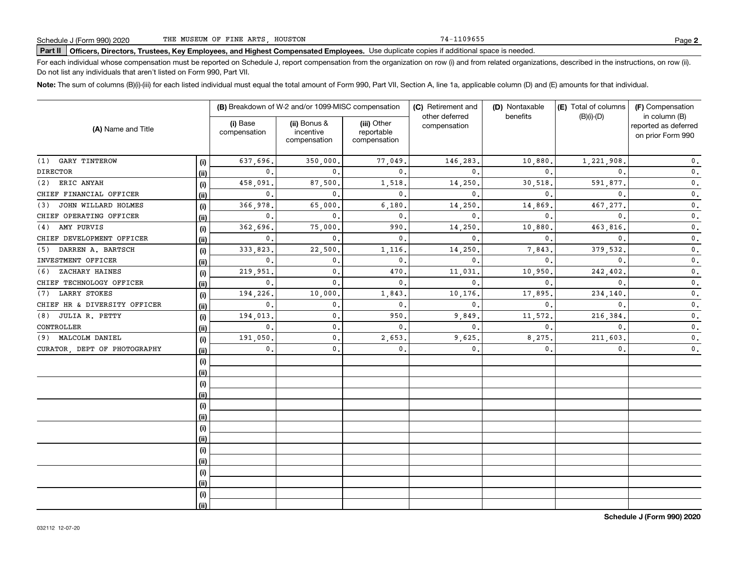74-1109655

## **Part II Officers, Directors, Trustees, Key Employees, and Highest Compensated Employees.**  Schedule J (Form 990) 2020 Page Use duplicate copies if additional space is needed.

For each individual whose compensation must be reported on Schedule J, report compensation from the organization on row (i) and from related organizations, described in the instructions, on row (ii). Do not list any individuals that aren't listed on Form 990, Part VII.

**Note:**  The sum of columns (B)(i)-(iii) for each listed individual must equal the total amount of Form 990, Part VII, Section A, line 1a, applicable column (D) and (E) amounts for that individual.

| (A) Name and Title           |      |                          | (B) Breakdown of W-2 and/or 1099-MISC compensation |                                           | (C) Retirement and             | (D) Nontaxable | (E) Total of columns | (F) Compensation                                           |  |
|------------------------------|------|--------------------------|----------------------------------------------------|-------------------------------------------|--------------------------------|----------------|----------------------|------------------------------------------------------------|--|
|                              |      | (i) Base<br>compensation | (ii) Bonus &<br>incentive<br>compensation          | (iii) Other<br>reportable<br>compensation | other deferred<br>compensation | benefits       | $(B)(i)$ - $(D)$     | in column (B)<br>reported as deferred<br>on prior Form 990 |  |
| GARY TINTEROW<br>(1)         | (i)  | 637,696                  | 350,000.                                           | 77,049                                    | 146,283                        | 10,880.        | 1,221,908            | $\mathbf{0}$ .                                             |  |
| <b>DIRECTOR</b>              | (ii) | $\mathbf{0}$ .           | $\Omega$                                           | $\mathbf{0}$ .                            | $\mathbf{0}$                   | $\mathbf{0}$ . | $\mathbf{0}$ .       | $\mathbf{0}$ .                                             |  |
| ERIC ANYAH<br>(2)            | (i)  | 458,091                  | 87,500                                             | 1,518.                                    | 14,250                         | 30,518.        | 591,877              | $\mathbf 0$ .                                              |  |
| CHIEF FINANCIAL OFFICER      | (ii) | $\mathbf{0}$ .           | $\Omega$                                           | $\mathbf{0}$ .                            | $\mathbf{0}$                   | $\mathbf{0}$ . | $\mathbf{0}$ .       | $\mathbf 0$ .                                              |  |
| JOHN WILLARD HOLMES<br>(3)   | (i)  | 366,978                  | 65,000                                             | 6,180.                                    | 14,250                         | 14,869.        | 467,277.             | $\mathbf 0$ .                                              |  |
| CHIEF OPERATING OFFICER      | (ii) | 0.                       | $\mathbf{0}$ .                                     | 0.                                        | $\mathbf{0}$                   | $\mathbf{0}$ . | $\mathbf{0}$         | $\mathbf 0$ .                                              |  |
| AMY PURVIS<br>(4)            | (i)  | 362,696                  | 75,000                                             | 990                                       | 14,250                         | 10,880         | 463,816              | $\mathbf 0$ .                                              |  |
| CHIEF DEVELOPMENT OFFICER    | (ii) | 0.                       | $\mathbf{0}$ .                                     | 0.                                        | $\mathbf{0}$                   | $\mathbf{0}$ . | $\mathbf{0}$ .       | $\mathbf{0}$ .                                             |  |
| DARREN A. BARTSCH<br>(5)     | (i)  | 333,823                  | 22,500                                             | 1,116                                     | 14,250                         | 7,843          | 379,532              | $\mathbf 0$ .                                              |  |
| INVESTMENT OFFICER           | (ii) | $\mathbf{0}$ .           | $\mathbf{0}$ .                                     | 0.                                        | $\mathbf{0}$                   | $\mathbf{0}$ . | $\mathbf{0}$ .       | $\mathbf 0$ .                                              |  |
| ZACHARY HAINES<br>(6)        | (i)  | 219,951                  | $\mathbf{0}$ .                                     | 470                                       | 11,031                         | 10,950.        | 242,402              | $\mathbf{0}$ .                                             |  |
| CHIEF TECHNOLOGY OFFICER     | (ii) | $\mathbf{0}$ .           | $\mathbf{0}$ .                                     | $\mathbf{0}$ .                            | $\mathbf{0}$                   | $\mathbf{0}$ . | $\mathbf{0}$ .       | $\mathbf{0}$ .                                             |  |
| <b>LARRY STOKES</b><br>(7)   | (i)  | 194,226                  | 10,000                                             | 1,843                                     | 10,176                         | 17,895         | 234,140              | $\mathbf{0}$ .                                             |  |
| CHIEF HR & DIVERSITY OFFICER | (i)  | $\mathbf{0}$ .           | 0.                                                 | 0.                                        | $\mathbf{0}$                   | $\mathbf{0}$ . | $\mathbf{0}$ .       | $\mathbf 0$ .                                              |  |
| JULIA R. PETTY<br>(8)        | (i)  | 194,013                  | 0.                                                 | 950                                       | 9,849                          | 11,572.        | 216,384              | $\mathbf 0$ .                                              |  |
| CONTROLLER                   | (i)  | 0.                       | 0.                                                 | 0.                                        | $\mathbf{0}$                   | 0.             | 0.                   | $\mathbf 0$ .                                              |  |
| (9) MALCOLM DANIEL           | (i)  | 191,050                  | 0.                                                 | 2,653                                     | 9,625                          | 8,275.         | 211,603              | $\mathbf 0$ .                                              |  |
| CURATOR, DEPT OF PHOTOGRAPHY | (ii) | 0.                       | 0.                                                 | 0.                                        | $\mathbf 0$ .                  | 0.             | 0.                   | $\mathbf 0$ .                                              |  |
|                              | (i)  |                          |                                                    |                                           |                                |                |                      |                                                            |  |
|                              | (ii) |                          |                                                    |                                           |                                |                |                      |                                                            |  |
|                              | (i)  |                          |                                                    |                                           |                                |                |                      |                                                            |  |
|                              | (i)  |                          |                                                    |                                           |                                |                |                      |                                                            |  |
|                              | (i)  |                          |                                                    |                                           |                                |                |                      |                                                            |  |
|                              | (ii) |                          |                                                    |                                           |                                |                |                      |                                                            |  |
|                              | (i)  |                          |                                                    |                                           |                                |                |                      |                                                            |  |
|                              | (i)  |                          |                                                    |                                           |                                |                |                      |                                                            |  |
|                              | (i)  |                          |                                                    |                                           |                                |                |                      |                                                            |  |
|                              | (ii) |                          |                                                    |                                           |                                |                |                      |                                                            |  |
|                              | (i)  |                          |                                                    |                                           |                                |                |                      |                                                            |  |
|                              | (ii) |                          |                                                    |                                           |                                |                |                      |                                                            |  |
|                              | (i)  |                          |                                                    |                                           |                                |                |                      |                                                            |  |
|                              | (ii) |                          |                                                    |                                           |                                |                |                      |                                                            |  |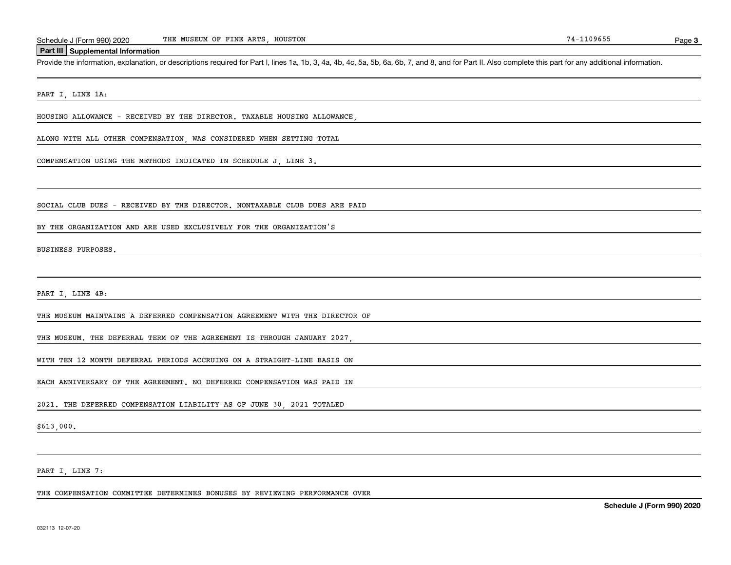#### **Part III Supplemental Information**

Schedule J (Form 990) 2020 THE MUSEUM OF FINE ARTS, HOUSTON<br>Part III Supplemental Information<br>Provide the information, explanation, or descriptions required for Part I, lines 1a, 1b, 3, 4a, 4b, 4c, 5a, 5b, 6a, 6b, 7, and 8

PART I, LINE 1A:

HOUSING ALLOWANCE - RECEIVED BY THE DIRECTOR. TAXABLE HOUSING ALLOWANCE,

ALONG WITH ALL OTHER COMPENSATION, WAS CONSIDERED WHEN SETTING TOTAL

COMPENSATION USING THE METHODS INDICATED IN SCHEDULE J, LINE 3.

SOCIAL CLUB DUES - RECEIVED BY THE DIRECTOR. NONTAXABLE CLUB DUES ARE PAID

BY THE ORGANIZATION AND ARE USED EXCLUSIVELY FOR THE ORGANIZATION'S

BUSINESS PURPOSES.

PART I, LINE 4B:

THE MUSEUM MAINTAINS A DEFERRED COMPENSATION AGREEMENT WITH THE DIRECTOR OF

THE MUSEUM. THE DEFERRAL TERM OF THE AGREEMENT IS THROUGH JANUARY 2027,

WITH TEN 12 MONTH DEFERRAL PERIODS ACCRUING ON A STRAIGHT-LINE BASIS ON

EACH ANNIVERSARY OF THE AGREEMENT. NO DEFERRED COMPENSATION WAS PAID IN

2021. THE DEFERRED COMPENSATION LIABILITY AS OF JUNE 30, 2021 TOTALED

\$613,000.

PART I, LINE 7:

THE COMPENSATION COMMITTEE DETERMINES BONUSES BY REVIEWING PERFORMANCE OVER

**Schedule J (Form 990) 2020**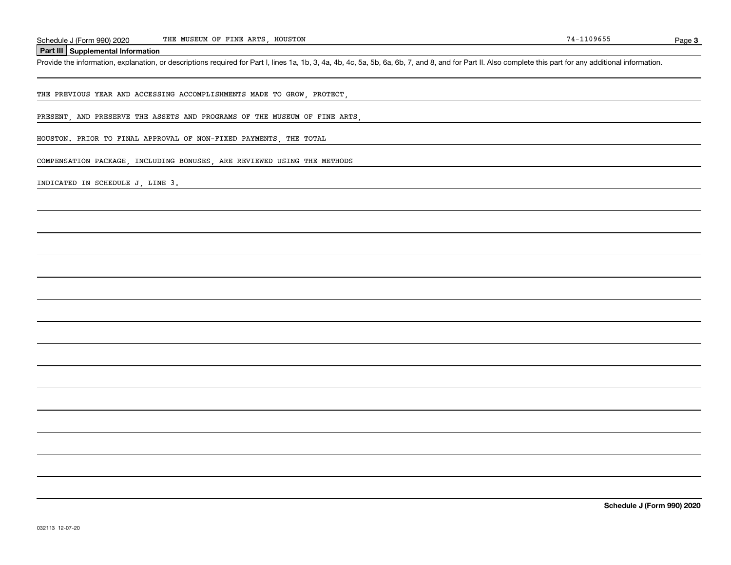#### THE MUSEUM OF FINE ARTS, HOUSTON

**Part III Supplemental Information**

Schedule J (Form 990) 2020 THE MUSEUM OF FINE ARTS, HOUSTON<br>Part III Supplemental Information<br>Provide the information, explanation, or descriptions required for Part I, lines 1a, 1b, 3, 4a, 4b, 4c, 5a, 5b, 6a, 6b, 7, and 8

THE PREVIOUS YEAR AND ACCESSING ACCOMPLISHMENTS MADE TO GROW, PROTECT,

PRESENT, AND PRESERVE THE ASSETS AND PROGRAMS OF THE MUSEUM OF FINE ARTS

HOUSTON. PRIOR TO FINAL APPROVAL OF NON-FIXED PAYMENTS, THE TOTAL

COMPENSATION PACKAGE, INCLUDING BONUSES, ARE REVIEWED USING THE METHODS

INDICATED IN SCHEDULE J, LINE 3.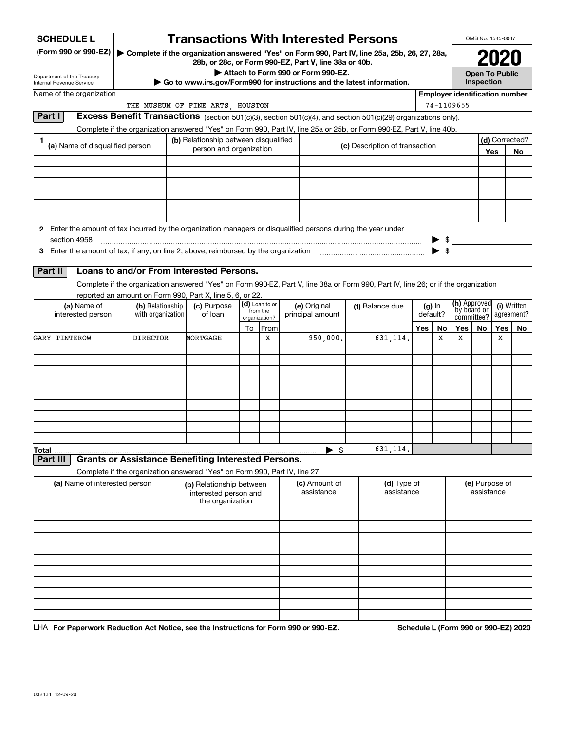| <b>SCHEDULE L</b>                                                                                             |                                       | <b>Transactions With Interested Persons</b>                                |    |                                             |  |                                    |  |                                                                                                                                    |     |    |                                       | OMB No. 1545-0047                   |     |                |  |                 |  |  |  |                      |  |                                           |  |                           |
|---------------------------------------------------------------------------------------------------------------|---------------------------------------|----------------------------------------------------------------------------|----|---------------------------------------------|--|------------------------------------|--|------------------------------------------------------------------------------------------------------------------------------------|-----|----|---------------------------------------|-------------------------------------|-----|----------------|--|-----------------|--|--|--|----------------------|--|-------------------------------------------|--|---------------------------|
| (Form 990 or 990-EZ)                                                                                          |                                       | 28b, or 28c, or Form 990-EZ, Part V, line 38a or 40b.                      |    |                                             |  | Attach to Form 990 or Form 990-EZ. |  | Complete if the organization answered "Yes" on Form 990, Part IV, line 25a, 25b, 26, 27, 28a,                                      |     |    |                                       |                                     |     |                |  |                 |  |  |  |                      |  |                                           |  |                           |
| Department of the Treasury<br>Internal Revenue Service                                                        |                                       |                                                                            |    |                                             |  |                                    |  | ► Go to www.irs.gov/Form990 for instructions and the latest information.                                                           |     |    |                                       | <b>Open To Public</b><br>Inspection |     |                |  |                 |  |  |  |                      |  |                                           |  |                           |
| Name of the organization                                                                                      |                                       |                                                                            |    |                                             |  |                                    |  |                                                                                                                                    |     |    | <b>Employer identification number</b> |                                     |     |                |  |                 |  |  |  |                      |  |                                           |  |                           |
|                                                                                                               |                                       | THE MUSEUM OF FINE ARTS, HOUSTON                                           |    |                                             |  |                                    |  |                                                                                                                                    |     |    | 74-1109655                            |                                     |     |                |  |                 |  |  |  |                      |  |                                           |  |                           |
| Part I                                                                                                        |                                       |                                                                            |    |                                             |  |                                    |  | <b>Excess Benefit Transactions</b> (section 501(c)(3), section 501(c)(4), and section 501(c)(29) organizations only).              |     |    |                                       |                                     |     |                |  |                 |  |  |  |                      |  |                                           |  |                           |
|                                                                                                               |                                       |                                                                            |    |                                             |  |                                    |  | Complete if the organization answered "Yes" on Form 990, Part IV, line 25a or 25b, or Form 990-EZ, Part V, line 40b.               |     |    |                                       |                                     |     |                |  |                 |  |  |  |                      |  |                                           |  |                           |
| 1<br>(a) Name of disqualified person                                                                          |                                       | (b) Relationship between disqualified<br>person and organization           |    |                                             |  |                                    |  | (c) Description of transaction                                                                                                     |     |    |                                       |                                     |     | (d) Corrected? |  |                 |  |  |  |                      |  |                                           |  |                           |
|                                                                                                               |                                       |                                                                            |    |                                             |  |                                    |  |                                                                                                                                    |     |    |                                       |                                     | Yes | No             |  |                 |  |  |  |                      |  |                                           |  |                           |
|                                                                                                               |                                       |                                                                            |    |                                             |  |                                    |  |                                                                                                                                    |     |    |                                       |                                     |     |                |  |                 |  |  |  |                      |  |                                           |  |                           |
|                                                                                                               |                                       |                                                                            |    |                                             |  |                                    |  |                                                                                                                                    |     |    |                                       |                                     |     |                |  |                 |  |  |  |                      |  |                                           |  |                           |
|                                                                                                               |                                       |                                                                            |    |                                             |  |                                    |  |                                                                                                                                    |     |    |                                       |                                     |     |                |  |                 |  |  |  |                      |  |                                           |  |                           |
|                                                                                                               |                                       |                                                                            |    |                                             |  |                                    |  |                                                                                                                                    |     |    |                                       |                                     |     |                |  |                 |  |  |  |                      |  |                                           |  |                           |
|                                                                                                               |                                       |                                                                            |    |                                             |  |                                    |  |                                                                                                                                    |     |    |                                       |                                     |     |                |  |                 |  |  |  |                      |  |                                           |  |                           |
| 2 Enter the amount of tax incurred by the organization managers or disqualified persons during the year under |                                       |                                                                            |    |                                             |  |                                    |  |                                                                                                                                    |     |    |                                       |                                     |     |                |  |                 |  |  |  |                      |  |                                           |  |                           |
| section 4958                                                                                                  |                                       |                                                                            |    |                                             |  |                                    |  |                                                                                                                                    |     |    | $\frac{1}{2}$                         |                                     |     |                |  |                 |  |  |  |                      |  |                                           |  |                           |
| 3 Enter the amount of tax, if any, on line 2, above, reimbursed by the organization                           |                                       |                                                                            |    |                                             |  |                                    |  |                                                                                                                                    |     |    |                                       |                                     |     |                |  |                 |  |  |  |                      |  |                                           |  |                           |
| Part II                                                                                                       |                                       | Loans to and/or From Interested Persons.                                   |    |                                             |  |                                    |  |                                                                                                                                    |     |    |                                       |                                     |     |                |  |                 |  |  |  |                      |  |                                           |  |                           |
|                                                                                                               |                                       |                                                                            |    |                                             |  |                                    |  | Complete if the organization answered "Yes" on Form 990-EZ, Part V, line 38a or Form 990, Part IV, line 26; or if the organization |     |    |                                       |                                     |     |                |  |                 |  |  |  |                      |  |                                           |  |                           |
|                                                                                                               |                                       | reported an amount on Form 990, Part X, line 5, 6, or 22.                  |    |                                             |  |                                    |  |                                                                                                                                    |     |    |                                       |                                     |     |                |  |                 |  |  |  |                      |  |                                           |  |                           |
| (a) Name of<br>interested person                                                                              | (b) Relationship<br>with organization | (c) Purpose<br>of loan                                                     |    | (d) Loan to or<br>from the<br>organization? |  |                                    |  | (e) Original<br>principal amount                                                                                                   |     |    |                                       |                                     |     |                |  | (f) Balance due |  |  |  | $(g)$ In<br>default? |  | (h) Approved<br>by board or<br>committee? |  | (i) Written<br>agreement? |
|                                                                                                               |                                       |                                                                            | To | From                                        |  |                                    |  |                                                                                                                                    | Yes | No | Yes                                   | No                                  | Yes | No             |  |                 |  |  |  |                      |  |                                           |  |                           |
| <b>GARY TINTEROW</b>                                                                                          | DIRECTOR                              | MORTGAGE                                                                   |    | х                                           |  | 950,000.                           |  | 631, 114.                                                                                                                          |     | х  | х                                     |                                     | х   |                |  |                 |  |  |  |                      |  |                                           |  |                           |
|                                                                                                               |                                       |                                                                            |    |                                             |  |                                    |  |                                                                                                                                    |     |    |                                       |                                     |     |                |  |                 |  |  |  |                      |  |                                           |  |                           |
|                                                                                                               |                                       |                                                                            |    |                                             |  |                                    |  |                                                                                                                                    |     |    |                                       |                                     |     |                |  |                 |  |  |  |                      |  |                                           |  |                           |
|                                                                                                               |                                       |                                                                            |    |                                             |  |                                    |  |                                                                                                                                    |     |    |                                       |                                     |     |                |  |                 |  |  |  |                      |  |                                           |  |                           |
|                                                                                                               |                                       |                                                                            |    |                                             |  |                                    |  |                                                                                                                                    |     |    |                                       |                                     |     |                |  |                 |  |  |  |                      |  |                                           |  |                           |
|                                                                                                               |                                       |                                                                            |    |                                             |  |                                    |  |                                                                                                                                    |     |    |                                       |                                     |     |                |  |                 |  |  |  |                      |  |                                           |  |                           |
|                                                                                                               |                                       |                                                                            |    |                                             |  |                                    |  |                                                                                                                                    |     |    |                                       |                                     |     |                |  |                 |  |  |  |                      |  |                                           |  |                           |
|                                                                                                               |                                       |                                                                            |    |                                             |  |                                    |  |                                                                                                                                    |     |    |                                       |                                     |     |                |  |                 |  |  |  |                      |  |                                           |  |                           |
|                                                                                                               |                                       |                                                                            |    |                                             |  |                                    |  |                                                                                                                                    |     |    |                                       |                                     |     |                |  |                 |  |  |  |                      |  |                                           |  |                           |
| Total<br>Part III                                                                                             |                                       | <b>Grants or Assistance Benefiting Interested Persons.</b>                 |    |                                             |  | $\blacktriangleright$ \$           |  | 631,114.                                                                                                                           |     |    |                                       |                                     |     |                |  |                 |  |  |  |                      |  |                                           |  |                           |
|                                                                                                               |                                       | Complete if the organization answered "Yes" on Form 990, Part IV, line 27. |    |                                             |  |                                    |  |                                                                                                                                    |     |    |                                       |                                     |     |                |  |                 |  |  |  |                      |  |                                           |  |                           |
| (a) Name of interested person                                                                                 |                                       | (b) Relationship between                                                   |    |                                             |  | (c) Amount of                      |  | (d) Type of                                                                                                                        |     |    |                                       | (e) Purpose of                      |     |                |  |                 |  |  |  |                      |  |                                           |  |                           |
|                                                                                                               |                                       | interested person and<br>the organization                                  |    |                                             |  | assistance                         |  | assistance                                                                                                                         |     |    |                                       | assistance                          |     |                |  |                 |  |  |  |                      |  |                                           |  |                           |
|                                                                                                               |                                       |                                                                            |    |                                             |  |                                    |  |                                                                                                                                    |     |    |                                       |                                     |     |                |  |                 |  |  |  |                      |  |                                           |  |                           |
|                                                                                                               |                                       |                                                                            |    |                                             |  |                                    |  |                                                                                                                                    |     |    |                                       |                                     |     |                |  |                 |  |  |  |                      |  |                                           |  |                           |
|                                                                                                               |                                       |                                                                            |    |                                             |  |                                    |  |                                                                                                                                    |     |    |                                       |                                     |     |                |  |                 |  |  |  |                      |  |                                           |  |                           |
|                                                                                                               |                                       |                                                                            |    |                                             |  |                                    |  |                                                                                                                                    |     |    |                                       |                                     |     |                |  |                 |  |  |  |                      |  |                                           |  |                           |
|                                                                                                               |                                       |                                                                            |    |                                             |  |                                    |  |                                                                                                                                    |     |    |                                       |                                     |     |                |  |                 |  |  |  |                      |  |                                           |  |                           |
|                                                                                                               |                                       |                                                                            |    |                                             |  |                                    |  |                                                                                                                                    |     |    |                                       |                                     |     |                |  |                 |  |  |  |                      |  |                                           |  |                           |
|                                                                                                               |                                       |                                                                            |    |                                             |  |                                    |  |                                                                                                                                    |     |    |                                       |                                     |     |                |  |                 |  |  |  |                      |  |                                           |  |                           |
|                                                                                                               |                                       |                                                                            |    |                                             |  |                                    |  |                                                                                                                                    |     |    |                                       |                                     |     |                |  |                 |  |  |  |                      |  |                                           |  |                           |
|                                                                                                               |                                       |                                                                            |    |                                             |  |                                    |  |                                                                                                                                    |     |    |                                       |                                     |     |                |  |                 |  |  |  |                      |  |                                           |  |                           |

LHA For Paperwork Reduction Act Notice, see the Instructions for Form 990 or 990-EZ. Schedule L (Form 990 or 990-EZ) 2020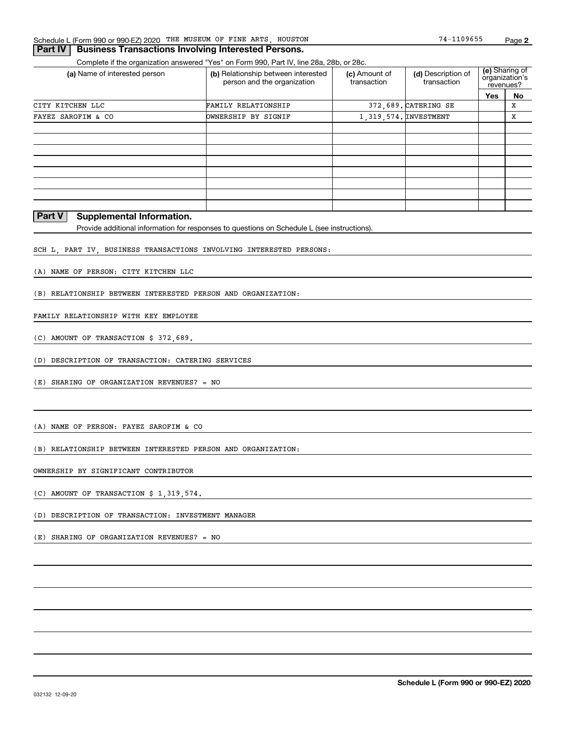#### **Part IV Business Transactions Involving Interested Persons.**

Complete if the organization answered "Yes" on Form 990, Part IV, line 28a, 28b, or 28c.

| (a) Name of interested person                                                 | (b) Relationship between interested<br>person and the organization | (c) Amount of<br>transaction | (d) Description of<br>transaction | (e) Sharing of<br>organization's<br>revenues? |    |
|-------------------------------------------------------------------------------|--------------------------------------------------------------------|------------------------------|-----------------------------------|-----------------------------------------------|----|
|                                                                               |                                                                    |                              |                                   | Yes                                           | No |
| CITY KITCHEN LLC                                                              | <b>FAMILY RELATIONSHIP</b>                                         |                              | 372,689. CATERING SE              |                                               | х  |
| FAYEZ SAROFIM & CO                                                            | <b>OWNERSHIP BY SIGNIF</b>                                         |                              | 1, 319, 574. INVESTMENT           |                                               | х  |
|                                                                               |                                                                    |                              |                                   |                                               |    |
|                                                                               |                                                                    |                              |                                   |                                               |    |
|                                                                               |                                                                    |                              |                                   |                                               |    |
|                                                                               |                                                                    |                              |                                   |                                               |    |
|                                                                               |                                                                    |                              |                                   |                                               |    |
|                                                                               |                                                                    |                              |                                   |                                               |    |
|                                                                               |                                                                    |                              |                                   |                                               |    |
|                                                                               |                                                                    |                              |                                   |                                               |    |
| $\overline{a}$ . $\overline{a}$<br>and the state of the state of<br>.<br>$ -$ |                                                                    |                              |                                   |                                               |    |

#### **Part V Supplemental Information.**

Provide additional information for responses to questions on Schedule L (see instructions).

SCH L, PART IV, BUSINESS TRANSACTIONS INVOLVING INTERESTED PERSONS:

(A) NAME OF PERSON: CITY KITCHEN LLC

(B) RELATIONSHIP BETWEEN INTERESTED PERSON AND ORGANIZATION:

#### FAMILY RELATIONSHIP WITH KEY EMPLOYEE

(C) AMOUNT OF TRANSACTION \$ 372,689.

(D) DESCRIPTION OF TRANSACTION: CATERING SERVICES

(E) SHARING OF ORGANIZATION REVENUES? = NO

(A) NAME OF PERSON: FAYEZ SAROFIM & CO

(B) RELATIONSHIP BETWEEN INTERESTED PERSON AND ORGANIZATION:

OWNERSHIP BY SIGNIFICANT CONTRIBUTOR

(C) AMOUNT OF TRANSACTION \$ 1,319,574.

(D) DESCRIPTION OF TRANSACTION: INVESTMENT MANAGER

(E) SHARING OF ORGANIZATION REVENUES? = NO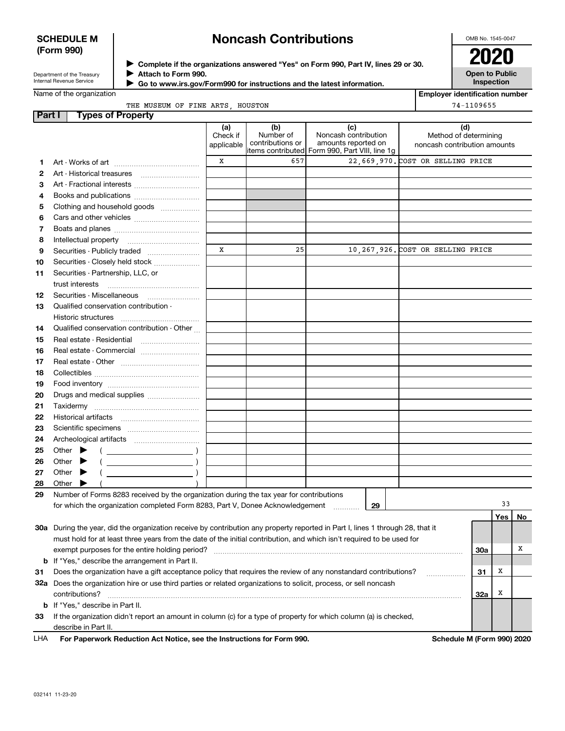#### **SCHEDULE M (Form 990)**

## **Noncash Contributions**

OMB No. 1545-0047

| Department of the Treasury |
|----------------------------|
| Internal Revenue Service   |

**Complete if the organizations answered "Yes" on Form 990, Part IV, lines 29 or 30.** <sup>J</sup>**2020 Attach to Form 990.** J

**Open to Public Inspection**

| Name of the organization |  |
|--------------------------|--|
|--------------------------|--|

 **Go to www.irs.gov/Form990 for instructions and the latest information.** J

**Employer identification number** 74-1109655

|  |  | THE MUSEUM OF FINE ARTS, HOUSTON |
|--|--|----------------------------------|

| <b>Part I</b> | <b>Types of Property</b>                                                                                                       |                               |                                      |                                                                                                        |                                                              |            |     |    |
|---------------|--------------------------------------------------------------------------------------------------------------------------------|-------------------------------|--------------------------------------|--------------------------------------------------------------------------------------------------------|--------------------------------------------------------------|------------|-----|----|
|               |                                                                                                                                | (a)<br>Check if<br>applicable | (b)<br>Number of<br>contributions or | (c)<br>Noncash contribution<br>amounts reported on<br> items contributed  Form 990, Part VIII, line 1g | (d)<br>Method of determining<br>noncash contribution amounts |            |     |    |
|               |                                                                                                                                | x                             | 657                                  |                                                                                                        | 22,669,970. COST OR SELLING PRICE                            |            |     |    |
| 1             |                                                                                                                                |                               |                                      |                                                                                                        |                                                              |            |     |    |
| 2             |                                                                                                                                |                               |                                      |                                                                                                        |                                                              |            |     |    |
| 3             | Art - Fractional interests                                                                                                     |                               |                                      |                                                                                                        |                                                              |            |     |    |
| 4             | Books and publications                                                                                                         |                               |                                      |                                                                                                        |                                                              |            |     |    |
| 5             | Clothing and household goods                                                                                                   |                               |                                      |                                                                                                        |                                                              |            |     |    |
| 6             |                                                                                                                                |                               |                                      |                                                                                                        |                                                              |            |     |    |
| 7             |                                                                                                                                |                               |                                      |                                                                                                        |                                                              |            |     |    |
| 8             |                                                                                                                                |                               |                                      |                                                                                                        |                                                              |            |     |    |
| 9             | Securities - Publicly traded                                                                                                   | x                             | 25                                   |                                                                                                        | 10,267,926. COST OR SELLING PRICE                            |            |     |    |
| 10            | Securities - Closely held stock                                                                                                |                               |                                      |                                                                                                        |                                                              |            |     |    |
| 11            | Securities - Partnership, LLC, or                                                                                              |                               |                                      |                                                                                                        |                                                              |            |     |    |
|               | trust interests                                                                                                                |                               |                                      |                                                                                                        |                                                              |            |     |    |
| 12            | Securities - Miscellaneous                                                                                                     |                               |                                      |                                                                                                        |                                                              |            |     |    |
| 13            | Qualified conservation contribution -                                                                                          |                               |                                      |                                                                                                        |                                                              |            |     |    |
|               | Historic structures                                                                                                            |                               |                                      |                                                                                                        |                                                              |            |     |    |
| 14            | Qualified conservation contribution - Other                                                                                    |                               |                                      |                                                                                                        |                                                              |            |     |    |
| 15            |                                                                                                                                |                               |                                      |                                                                                                        |                                                              |            |     |    |
| 16            | Real estate - Commercial                                                                                                       |                               |                                      |                                                                                                        |                                                              |            |     |    |
| 17            |                                                                                                                                |                               |                                      |                                                                                                        |                                                              |            |     |    |
| 18            |                                                                                                                                |                               |                                      |                                                                                                        |                                                              |            |     |    |
|               |                                                                                                                                |                               |                                      |                                                                                                        |                                                              |            |     |    |
| 19            |                                                                                                                                |                               |                                      |                                                                                                        |                                                              |            |     |    |
| 20            |                                                                                                                                |                               |                                      |                                                                                                        |                                                              |            |     |    |
| 21            |                                                                                                                                |                               |                                      |                                                                                                        |                                                              |            |     |    |
| 22            |                                                                                                                                |                               |                                      |                                                                                                        |                                                              |            |     |    |
| 23            |                                                                                                                                |                               |                                      |                                                                                                        |                                                              |            |     |    |
| 24            |                                                                                                                                |                               |                                      |                                                                                                        |                                                              |            |     |    |
| 25            | Other $\blacktriangleright$                                                                                                    |                               |                                      |                                                                                                        |                                                              |            |     |    |
| 26            | Other $\blacktriangleright$                                                                                                    |                               |                                      |                                                                                                        |                                                              |            |     |    |
| 27            | Other $\blacktriangleright$                                                                                                    |                               |                                      |                                                                                                        |                                                              |            |     |    |
| 28            | Other                                                                                                                          |                               |                                      |                                                                                                        |                                                              |            |     |    |
| 29            | Number of Forms 8283 received by the organization during the tax year for contributions                                        |                               |                                      |                                                                                                        |                                                              |            |     |    |
|               | for which the organization completed Form 8283, Part V, Donee Acknowledgement                                                  |                               |                                      | 29                                                                                                     |                                                              |            | 33  |    |
|               |                                                                                                                                |                               |                                      |                                                                                                        |                                                              |            | Yes | No |
|               | 30a During the year, did the organization receive by contribution any property reported in Part I, lines 1 through 28, that it |                               |                                      |                                                                                                        |                                                              |            |     |    |
|               | must hold for at least three years from the date of the initial contribution, and which isn't required to be used for          |                               |                                      |                                                                                                        |                                                              |            |     |    |
|               |                                                                                                                                |                               |                                      |                                                                                                        |                                                              | <b>30a</b> |     | Х  |
|               | <b>b</b> If "Yes," describe the arrangement in Part II.                                                                        |                               |                                      |                                                                                                        |                                                              |            |     |    |
| 31            | Does the organization have a gift acceptance policy that requires the review of any nonstandard contributions?                 |                               |                                      |                                                                                                        |                                                              | 31         | х   |    |
|               | 32a Does the organization hire or use third parties or related organizations to solicit, process, or sell noncash              |                               |                                      |                                                                                                        |                                                              |            |     |    |
|               | contributions?                                                                                                                 |                               |                                      |                                                                                                        |                                                              | 32a        | X   |    |
|               | <b>b</b> If "Yes," describe in Part II.                                                                                        |                               |                                      |                                                                                                        |                                                              |            |     |    |
|               |                                                                                                                                |                               |                                      |                                                                                                        |                                                              |            |     |    |
| 33            | If the organization didn't report an amount in column (c) for a type of property for which column (a) is checked,              |                               |                                      |                                                                                                        |                                                              |            |     |    |
|               | describe in Part II.                                                                                                           |                               |                                      |                                                                                                        |                                                              |            |     |    |
| LHA           | For Paperwork Reduction Act Notice, see the Instructions for Form 990.                                                         |                               |                                      |                                                                                                        | Schedule M (Form 990) 2020                                   |            |     |    |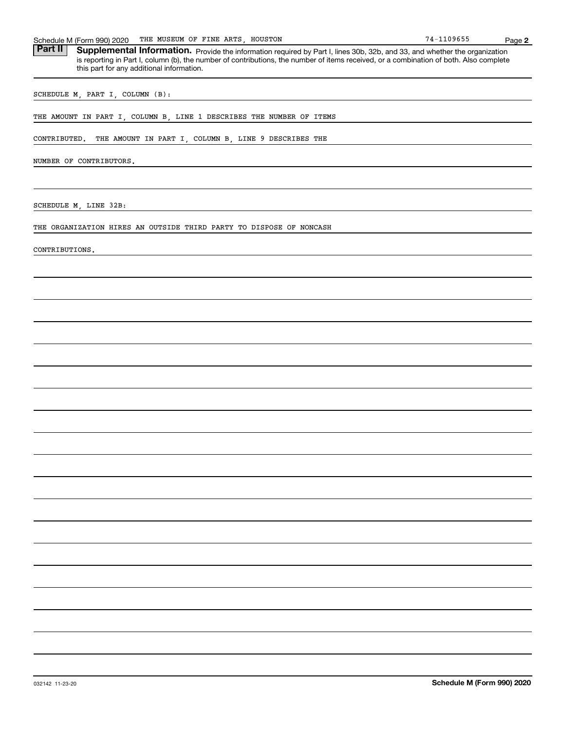| THE MUSEUM OF FINE ARTS, HOUSTON<br>Schedule M (Form 990) 2020                                                                                                                                                                                                                                                                      | 74-1109655 | Page 2 |
|-------------------------------------------------------------------------------------------------------------------------------------------------------------------------------------------------------------------------------------------------------------------------------------------------------------------------------------|------------|--------|
| <b>Part II</b><br>Supplemental Information. Provide the information required by Part I, lines 30b, 32b, and 33, and whether the organization<br>is reporting in Part I, column (b), the number of contributions, the number of items received, or a combination of both. Also complete<br>this part for any additional information. |            |        |
| SCHEDULE M, PART I, COLUMN (B):                                                                                                                                                                                                                                                                                                     |            |        |
| THE AMOUNT IN PART I, COLUMN B, LINE 1 DESCRIBES THE NUMBER OF ITEMS                                                                                                                                                                                                                                                                |            |        |
| THE AMOUNT IN PART I, COLUMN B, LINE 9 DESCRIBES THE<br>CONTRIBUTED.                                                                                                                                                                                                                                                                |            |        |
| NUMBER OF CONTRIBUTORS.                                                                                                                                                                                                                                                                                                             |            |        |
| SCHEDULE M, LINE 32B:                                                                                                                                                                                                                                                                                                               |            |        |
| THE ORGANIZATION HIRES AN OUTSIDE THIRD PARTY TO DISPOSE OF NONCASH                                                                                                                                                                                                                                                                 |            |        |
| CONTRIBUTIONS.                                                                                                                                                                                                                                                                                                                      |            |        |
|                                                                                                                                                                                                                                                                                                                                     |            |        |
|                                                                                                                                                                                                                                                                                                                                     |            |        |
|                                                                                                                                                                                                                                                                                                                                     |            |        |
|                                                                                                                                                                                                                                                                                                                                     |            |        |
|                                                                                                                                                                                                                                                                                                                                     |            |        |
|                                                                                                                                                                                                                                                                                                                                     |            |        |
|                                                                                                                                                                                                                                                                                                                                     |            |        |
|                                                                                                                                                                                                                                                                                                                                     |            |        |
|                                                                                                                                                                                                                                                                                                                                     |            |        |
|                                                                                                                                                                                                                                                                                                                                     |            |        |
|                                                                                                                                                                                                                                                                                                                                     |            |        |
|                                                                                                                                                                                                                                                                                                                                     |            |        |
|                                                                                                                                                                                                                                                                                                                                     |            |        |
|                                                                                                                                                                                                                                                                                                                                     |            |        |
|                                                                                                                                                                                                                                                                                                                                     |            |        |
|                                                                                                                                                                                                                                                                                                                                     |            |        |
|                                                                                                                                                                                                                                                                                                                                     |            |        |
|                                                                                                                                                                                                                                                                                                                                     |            |        |
|                                                                                                                                                                                                                                                                                                                                     |            |        |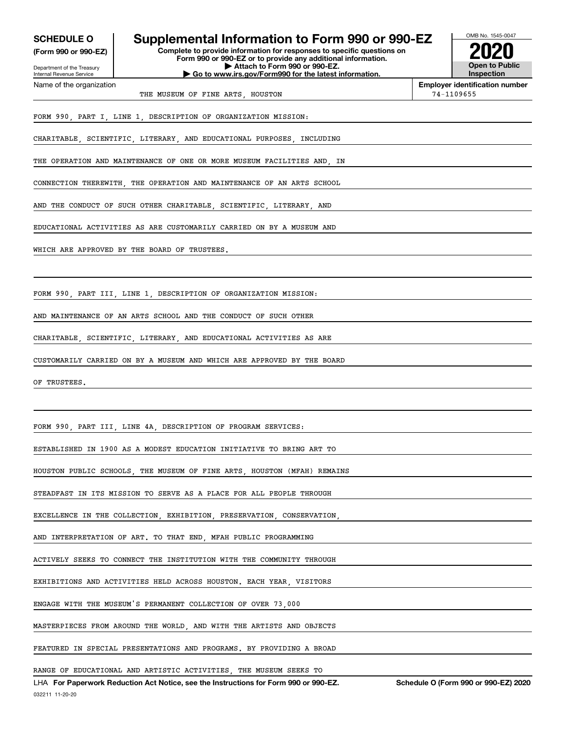| <b>SCHEDULE O</b>                                      | Supplemental Information to Form 990 or 990-EZ                                         | OMB No. 1545-0047                     |
|--------------------------------------------------------|----------------------------------------------------------------------------------------|---------------------------------------|
| (Form 990 or 990-EZ)                                   | Complete to provide information for responses to specific questions on                 |                                       |
|                                                        | Form 990 or 990-EZ or to provide any additional information.                           | <b>Open to Public</b>                 |
| Department of the Treasury<br>Internal Revenue Service | Attach to Form 990 or 990-EZ.<br>Go to www.irs.gov/Form990 for the latest information. | Inspection                            |
| Name of the organization                               |                                                                                        | <b>Employer identification number</b> |
|                                                        | THE MUSEUM OF FINE ARTS, HOUSTON                                                       | 74-1109655                            |
|                                                        | FORM 990, PART I, LINE 1, DESCRIPTION OF ORGANIZATION MISSION:                         |                                       |
|                                                        | CHARITABLE, SCIENTIFIC, LITERARY, AND EDUCATIONAL PURPOSES, INCLUDING                  |                                       |
|                                                        | THE OPERATION AND MAINTENANCE OF ONE OR MORE MUSEUM FACILITIES AND  IN                 |                                       |
|                                                        | CONNECTION THEREWITH, THE OPERATION AND MAINTENANCE OF AN ARTS SCHOOL                  |                                       |
|                                                        | AND THE CONDUCT OF SUCH OTHER CHARITABLE, SCIENTIFIC, LITERARY, AND                    |                                       |
|                                                        | EDUCATIONAL ACTIVITIES AS ARE CUSTOMARILY CARRIED ON BY A MUSEUM AND                   |                                       |
|                                                        | WHICH ARE APPROVED BY THE BOARD OF TRUSTEES.                                           |                                       |
|                                                        |                                                                                        |                                       |
|                                                        | FORM 990, PART III, LINE 1, DESCRIPTION OF ORGANIZATION MISSION:                       |                                       |
|                                                        | AND MAINTENANCE OF AN ARTS SCHOOL AND THE CONDUCT OF SUCH OTHER                        |                                       |
|                                                        | CHARITABLE, SCIENTIFIC, LITERARY, AND EDUCATIONAL ACTIVITIES AS ARE                    |                                       |
|                                                        | CUSTOMARILY CARRIED ON BY A MUSEUM AND WHICH ARE APPROVED BY THE BOARD                 |                                       |
| OF TRUSTEES.                                           |                                                                                        |                                       |
|                                                        |                                                                                        |                                       |
|                                                        | FORM 990, PART III, LINE 4A, DESCRIPTION OF PROGRAM SERVICES:                          |                                       |
|                                                        | ESTABLISHED IN 1900 AS A MODEST EDUCATION INITIATIVE TO BRING ART TO                   |                                       |
|                                                        | HOUSTON PUBLIC SCHOOLS, THE MUSEUM OF FINE ARTS, HOUSTON (MFAH) REMAINS                |                                       |
|                                                        | STEADFAST IN ITS MISSION TO SERVE AS A PLACE FOR ALL PEOPLE THROUGH                    |                                       |
|                                                        | EXCELLENCE IN THE COLLECTION, EXHIBITION, PRESERVATION, CONSERVATION,                  |                                       |
|                                                        | AND INTERPRETATION OF ART. TO THAT END, MFAH PUBLIC PROGRAMMING                        |                                       |
|                                                        | ACTIVELY SEEKS TO CONNECT THE INSTITUTION WITH THE COMMUNITY THROUGH                   |                                       |
|                                                        | EXHIBITIONS AND ACTIVITIES HELD ACROSS HOUSTON. EACH YEAR, VISITORS                    |                                       |
|                                                        | ENGAGE WITH THE MUSEUM'S PERMANENT COLLECTION OF OVER 73,000                           |                                       |
|                                                        | MASTERPIECES FROM AROUND THE WORLD, AND WITH THE ARTISTS AND OBJECTS                   |                                       |
|                                                        | FEATURED IN SPECIAL PRESENTATIONS AND PROGRAMS. BY PROVIDING A BROAD                   |                                       |
|                                                        | RANGE OF EDUCATIONAL AND ARTISTIC ACTIVITIES, THE MUSEUM SEEKS TO                      |                                       |

032211 11-20-20 LHA For Paperwork Reduction Act Notice, see the Instructions for Form 990 or 990-EZ. Schedule O (Form 990 or 990-EZ) 2020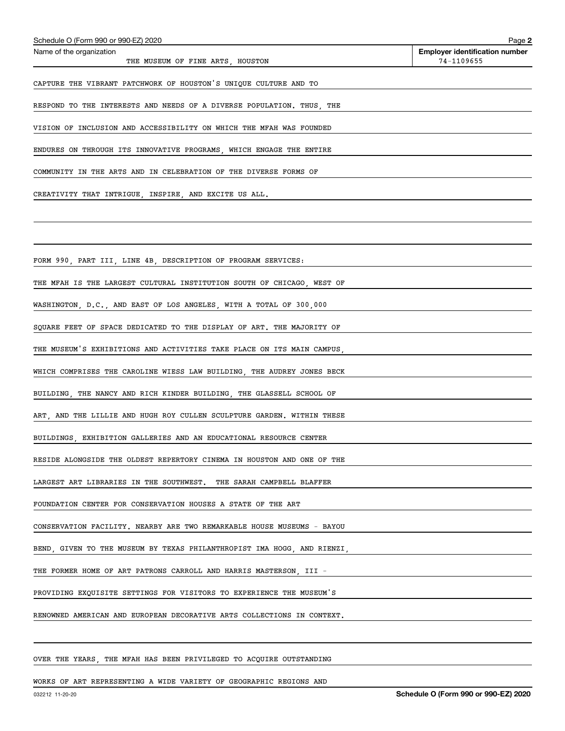| Schedule O (Form 990 or 990-EZ) 2020                                    | Page 2                                              |
|-------------------------------------------------------------------------|-----------------------------------------------------|
| Name of the organization<br>THE MUSEUM OF FINE ARTS, HOUSTON            | <b>Employer identification number</b><br>74-1109655 |
| CAPTURE THE VIBRANT PATCHWORK OF HOUSTON'S UNIQUE CULTURE AND TO        |                                                     |
| RESPOND TO THE INTERESTS AND NEEDS OF A DIVERSE POPULATION. THUS, THE   |                                                     |
| VISION OF INCLUSION AND ACCESSIBILITY ON WHICH THE MFAH WAS FOUNDED     |                                                     |
| ENDURES ON THROUGH ITS INNOVATIVE PROGRAMS, WHICH ENGAGE THE ENTIRE     |                                                     |
| COMMUNITY IN THE ARTS AND IN CELEBRATION OF THE DIVERSE FORMS OF        |                                                     |
| CREATIVITY THAT INTRIGUE, INSPIRE, AND EXCITE US ALL.                   |                                                     |
|                                                                         |                                                     |
| FORM 990, PART III, LINE 4B, DESCRIPTION OF PROGRAM SERVICES:           |                                                     |
| THE MFAH IS THE LARGEST CULTURAL INSTITUTION SOUTH OF CHICAGO, WEST OF  |                                                     |
| WASHINGTON, D.C., AND EAST OF LOS ANGELES, WITH A TOTAL OF 300,000      |                                                     |
| SQUARE FEET OF SPACE DEDICATED TO THE DISPLAY OF ART. THE MAJORITY OF   |                                                     |
| THE MUSEUM'S EXHIBITIONS AND ACTIVITIES TAKE PLACE ON ITS MAIN CAMPUS,  |                                                     |
| WHICH COMPRISES THE CAROLINE WIESS LAW BUILDING, THE AUDREY JONES BECK  |                                                     |
| BUILDING, THE NANCY AND RICH KINDER BUILDING, THE GLASSELL SCHOOL OF    |                                                     |
| ART, AND THE LILLIE AND HUGH ROY CULLEN SCULPTURE GARDEN. WITHIN THESE  |                                                     |
| BUILDINGS EXHIBITION GALLERIES AND AN EDUCATIONAL RESOURCE CENTER       |                                                     |
| RESIDE ALONGSIDE THE OLDEST REPERTORY CINEMA IN HOUSTON AND ONE OF THE  |                                                     |
| LARGEST ART LIBRARIES IN THE SOUTHWEST. THE SARAH CAMPBELL BLAFFER      |                                                     |
| FOUNDATION CENTER FOR CONSERVATION HOUSES A STATE OF THE ART            |                                                     |
| CONSERVATION FACILITY. NEARBY ARE TWO REMARKABLE HOUSE MUSEUMS - BAYOU  |                                                     |
| BEND, GIVEN TO THE MUSEUM BY TEXAS PHILANTHROPIST IMA HOGG, AND RIENZI, |                                                     |
| THE FORMER HOME OF ART PATRONS CARROLL AND HARRIS MASTERSON, III -      |                                                     |
| PROVIDING EXQUISITE SETTINGS FOR VISITORS TO EXPERIENCE THE MUSEUM'S    |                                                     |
| RENOWNED AMERICAN AND EUROPEAN DECORATIVE ARTS COLLECTIONS IN CONTEXT.  |                                                     |
|                                                                         |                                                     |

#### OVER THE YEARS, THE MFAH HAS BEEN PRIVILEGED TO ACQUIRE OUTSTANDING

#### WORKS OF ART REPRESENTING A WIDE VARIETY OF GEOGRAPHIC REGIONS AND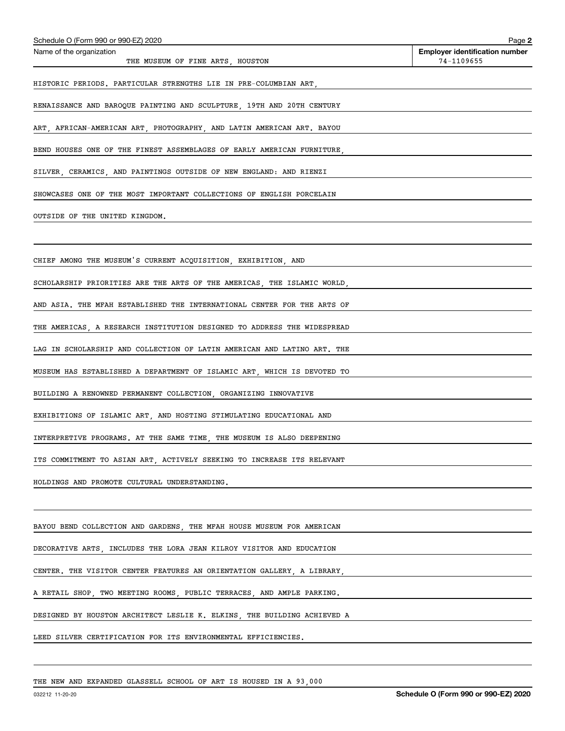| Schedule O (Form 990 or 990-EZ) 2020                                    | Page 2                                              |
|-------------------------------------------------------------------------|-----------------------------------------------------|
| Name of the organization<br>THE MUSEUM OF FINE ARTS, HOUSTON            | <b>Employer identification number</b><br>74-1109655 |
| HISTORIC PERIODS. PARTICULAR STRENGTHS LIE IN PRE-COLUMBIAN ART,        |                                                     |
| RENAISSANCE AND BAROQUE PAINTING AND SCULPTURE, 19TH AND 20TH CENTURY   |                                                     |
| ART, AFRICAN-AMERICAN ART, PHOTOGRAPHY, AND LATIN AMERICAN ART. BAYOU   |                                                     |
| BEND HOUSES ONE OF THE FINEST ASSEMBLAGES OF EARLY AMERICAN FURNITURE,  |                                                     |
| SILVER, CERAMICS, AND PAINTINGS OUTSIDE OF NEW ENGLAND: AND RIENZI      |                                                     |
| SHOWCASES ONE OF THE MOST IMPORTANT COLLECTIONS OF ENGLISH PORCELAIN    |                                                     |
| OUTSIDE OF THE UNITED KINGDOM.                                          |                                                     |
| CHIEF AMONG THE MUSEUM'S CURRENT ACQUISITION, EXHIBITION, AND           |                                                     |
| SCHOLARSHIP PRIORITIES ARE THE ARTS OF THE AMERICAS, THE ISLAMIC WORLD, |                                                     |
| AND ASIA. THE MFAH ESTABLISHED THE INTERNATIONAL CENTER FOR THE ARTS OF |                                                     |
| THE AMERICAS, A RESEARCH INSTITUTION DESIGNED TO ADDRESS THE WIDESPREAD |                                                     |
| LAG IN SCHOLARSHIP AND COLLECTION OF LATIN AMERICAN AND LATINO ART. THE |                                                     |
| MUSEUM HAS ESTABLISHED A DEPARTMENT OF ISLAMIC ART, WHICH IS DEVOTED TO |                                                     |
| BUILDING A RENOWNED PERMANENT COLLECTION, ORGANIZING INNOVATIVE         |                                                     |
| EXHIBITIONS OF ISLAMIC ART, AND HOSTING STIMULATING EDUCATIONAL AND     |                                                     |
| INTERPRETIVE PROGRAMS. AT THE SAME TIME, THE MUSEUM IS ALSO DEEPENING   |                                                     |
| ITS COMMITMENT TO ASIAN ART, ACTIVELY SEEKING TO INCREASE ITS RELEVANT  |                                                     |
| HOLDINGS AND PROMOTE CULTURAL UNDERSTANDING.                            |                                                     |
|                                                                         |                                                     |
| BAYOU BEND COLLECTION AND GARDENS, THE MFAH HOUSE MUSEUM FOR AMERICAN   |                                                     |
| DECORATIVE ARTS, INCLUDES THE LORA JEAN KILROY VISITOR AND EDUCATION    |                                                     |
| CENTER. THE VISITOR CENTER FEATURES AN ORIENTATION GALLERY, A LIBRARY,  |                                                     |
| A RETAIL SHOP, TWO MEETING ROOMS, PUBLIC TERRACES, AND AMPLE PARKING.   |                                                     |
| DESIGNED BY HOUSTON ARCHITECT LESLIE K. ELKINS, THE BUILDING ACHIEVED A |                                                     |
| LEED SILVER CERTIFICATION FOR ITS ENVIRONMENTAL EFFICIENCIES.           |                                                     |
|                                                                         |                                                     |
| THE NEW AND EXPANDED GLASSELL SCHOOL OF ART IS HOUSED IN A 93,000       |                                                     |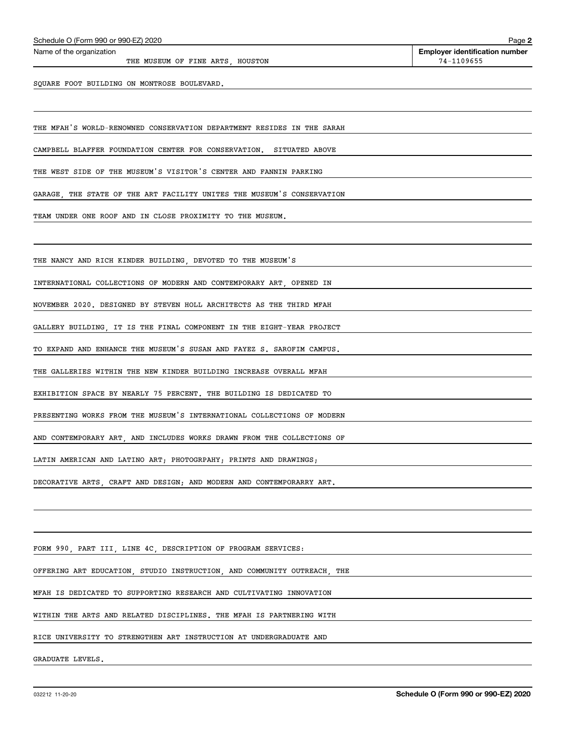THE MUSEUM OF FINE ARTS HOUSTON **14-1109655** 

SQUARE FOOT BUILDING ON MONTROSE BOULEVARD.

THE MFAH'S WORLD-RENOWNED CONSERVATION DEPARTMENT RESIDES IN THE SARAH

CAMPBELL BLAFFER FOUNDATION CENTER FOR CONSERVATION. SITUATED ABOVE

THE WEST SIDE OF THE MUSEUM'S VISITOR'S CENTER AND FANNIN PARKING

GARAGE, THE STATE OF THE ART FACILITY UNITES THE MUSEUM'S CONSERVATION

TEAM UNDER ONE ROOF AND IN CLOSE PROXIMITY TO THE MUSEUM.

THE NANCY AND RICH KINDER BUILDING, DEVOTED TO THE MUSEUM'S

INTERNATIONAL COLLECTIONS OF MODERN AND CONTEMPORARY ART, OPENED IN

NOVEMBER 2020. DESIGNED BY STEVEN HOLL ARCHITECTS AS THE THIRD MFAH

GALLERY BUILDING, IT IS THE FINAL COMPONENT IN THE EIGHT-YEAR PROJECT

TO EXPAND AND ENHANCE THE MUSEUM'S SUSAN AND FAYEZ S. SAROFIM CAMPUS.

THE GALLERIES WITHIN THE NEW KINDER BUILDING INCREASE OVERALL MFAH

EXHIBITION SPACE BY NEARLY 75 PERCENT. THE BUILDING IS DEDICATED TO

PRESENTING WORKS FROM THE MUSEUM'S INTERNATIONAL COLLECTIONS OF MODERN

AND CONTEMPORARY ART, AND INCLUDES WORKS DRAWN FROM THE COLLECTIONS OF

LATIN AMERICAN AND LATINO ART; PHOTOGRPAHY; PRINTS AND DRAWINGS;

DECORATIVE ARTS, CRAFT AND DESIGN; AND MODERN AND CONTEMPORARRY ART.

FORM 990, PART III, LINE 4C, DESCRIPTION OF PROGRAM SERVICES:

OFFERING ART EDUCATION, STUDIO INSTRUCTION, AND COMMUNITY OUTREACH, THE

MFAH IS DEDICATED TO SUPPORTING RESEARCH AND CULTIVATING INNOVATION

WITHIN THE ARTS AND RELATED DISCIPLINES. THE MFAH IS PARTNERING WITH

RICE UNIVERSITY TO STRENGTHEN ART INSTRUCTION AT UNDERGRADUATE AND

GRADUATE LEVELS.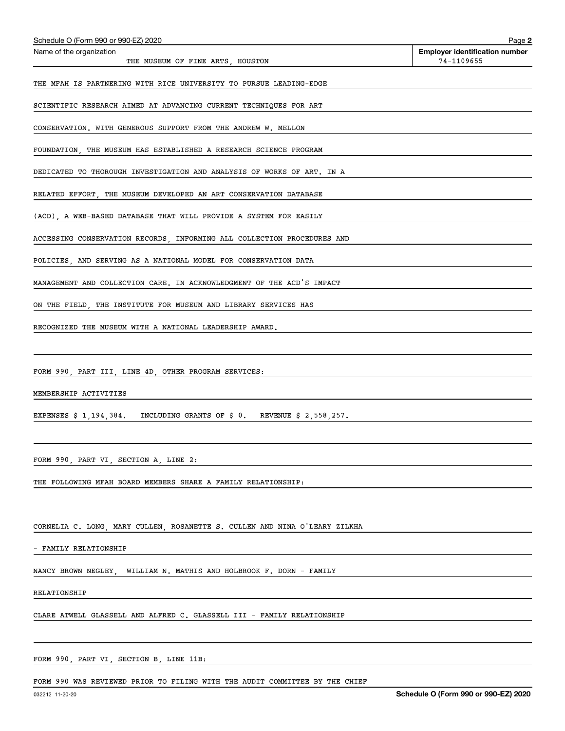| Schedule O (Form 990 or 990-EZ) 2020                                       | Page 2                                              |
|----------------------------------------------------------------------------|-----------------------------------------------------|
| Name of the organization<br>THE MUSEUM OF FINE ARTS, HOUSTON               | <b>Employer identification number</b><br>74-1109655 |
| THE MFAH IS PARTNERING WITH RICE UNIVERSITY TO PURSUE LEADING-EDGE         |                                                     |
| SCIENTIFIC RESEARCH AIMED AT ADVANCING CURRENT TECHNIQUES FOR ART          |                                                     |
| CONSERVATION. WITH GENEROUS SUPPORT FROM THE ANDREW W. MELLON              |                                                     |
| FOUNDATION, THE MUSEUM HAS ESTABLISHED A RESEARCH SCIENCE PROGRAM          |                                                     |
| DEDICATED TO THOROUGH INVESTIGATION AND ANALYSIS OF WORKS OF ART. IN A     |                                                     |
| RELATED EFFORT, THE MUSEUM DEVELOPED AN ART CONSERVATION DATABASE          |                                                     |
| (ACD), A WEB-BASED DATABASE THAT WILL PROVIDE A SYSTEM FOR EASILY          |                                                     |
| ACCESSING CONSERVATION RECORDS, INFORMING ALL COLLECTION PROCEDURES AND    |                                                     |
| POLICIES, AND SERVING AS A NATIONAL MODEL FOR CONSERVATION DATA            |                                                     |
| MANAGEMENT AND COLLECTION CARE. IN ACKNOWLEDGMENT OF THE ACD'S IMPACT      |                                                     |
| ON THE FIELD, THE INSTITUTE FOR MUSEUM AND LIBRARY SERVICES HAS            |                                                     |
| RECOGNIZED THE MUSEUM WITH A NATIONAL LEADERSHIP AWARD.                    |                                                     |
|                                                                            |                                                     |
| FORM 990, PART III, LINE 4D, OTHER PROGRAM SERVICES:                       |                                                     |
| MEMBERSHIP ACTIVITIES                                                      |                                                     |
| EXPENSES \$ 1,194,384. INCLUDING GRANTS OF \$ 0. REVENUE \$ 2,558,257.     |                                                     |
|                                                                            |                                                     |
| FORM 990, PART VI, SECTION A, LINE 2:                                      |                                                     |
| THE FOLLOWING MFAH BOARD MEMBERS SHARE A FAMILY RELATIONSHIP:              |                                                     |
|                                                                            |                                                     |
| CORNELIA C. LONG, MARY CULLEN, ROSANETTE S. CULLEN AND NINA O'LEARY ZILKHA |                                                     |
| - FAMILY RELATIONSHIP                                                      |                                                     |
| NANCY BROWN NEGLEY,<br>WILLIAM N. MATHIS AND HOLBROOK F. DORN - FAMILY     |                                                     |
| RELATIONSHIP                                                               |                                                     |
| CLARE ATWELL GLASSELL AND ALFRED C. GLASSELL III - FAMILY RELATIONSHIP     |                                                     |
|                                                                            |                                                     |

FORM 990, PART VI, SECTION B, LINE 11B:

FORM 990 WAS REVIEWED PRIOR TO FILING WITH THE AUDIT COMMITTEE BY THE CHIEF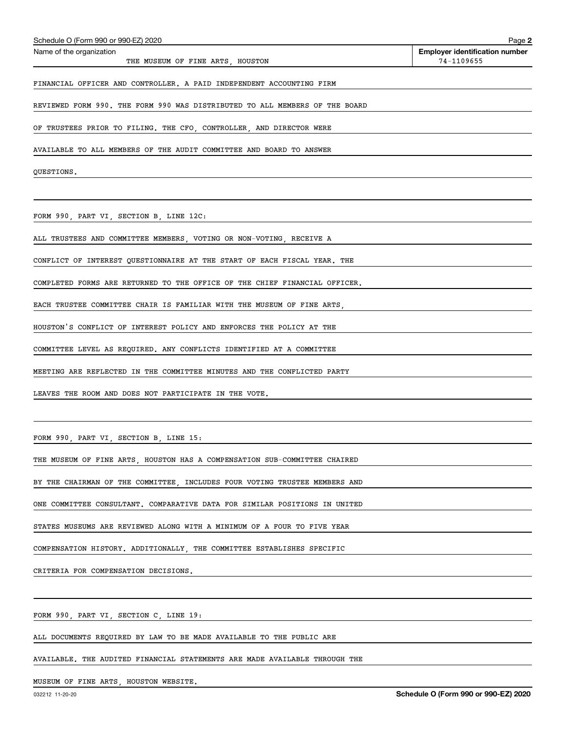| Schedule O (Form 990 or 990-EZ) 2020                                        | Page 2                                              |
|-----------------------------------------------------------------------------|-----------------------------------------------------|
| Name of the organization<br>THE MUSEUM OF FINE ARTS, HOUSTON                | <b>Employer identification number</b><br>74-1109655 |
| FINANCIAL OFFICER AND CONTROLLER. A PAID INDEPENDENT ACCOUNTING FIRM        |                                                     |
| REVIEWED FORM 990. THE FORM 990 WAS DISTRIBUTED TO ALL MEMBERS OF THE BOARD |                                                     |
| OF TRUSTEES PRIOR TO FILING. THE CFO, CONTROLLER, AND DIRECTOR WERE         |                                                     |
| AVAILABLE TO ALL MEMBERS OF THE AUDIT COMMITTEE AND BOARD TO ANSWER         |                                                     |
| QUESTIONS.                                                                  |                                                     |
|                                                                             |                                                     |
| FORM 990, PART VI, SECTION B, LINE 12C:                                     |                                                     |
| ALL TRUSTEES AND COMMITTEE MEMBERS, VOTING OR NON-VOTING, RECEIVE A         |                                                     |
| CONFLICT OF INTEREST QUESTIONNAIRE AT THE START OF EACH FISCAL YEAR. THE    |                                                     |
| COMPLETED FORMS ARE RETURNED TO THE OFFICE OF THE CHIEF FINANCIAL OFFICER.  |                                                     |
| EACH TRUSTEE COMMITTEE CHAIR IS FAMILIAR WITH THE MUSEUM OF FINE ARTS,      |                                                     |
| HOUSTON'S CONFLICT OF INTEREST POLICY AND ENFORCES THE POLICY AT THE        |                                                     |
| COMMITTEE LEVEL AS REQUIRED. ANY CONFLICTS IDENTIFIED AT A COMMITTEE        |                                                     |
| MEETING ARE REFLECTED IN THE COMMITTEE MINUTES AND THE CONFLICTED PARTY     |                                                     |
| LEAVES THE ROOM AND DOES NOT PARTICIPATE IN THE VOTE.                       |                                                     |
|                                                                             |                                                     |
| FORM 990, PART VI, SECTION B, LINE 15:                                      |                                                     |
| THE MUSEUM OF FINE ARTS, HOUSTON HAS A COMPENSATION SUB-COMMITTEE CHAIRED   |                                                     |
| BY THE CHAIRMAN OF THE COMMITTEE, INCLUDES FOUR VOTING TRUSTEE MEMBERS AND  |                                                     |
| ONE COMMITTEE CONSULTANT. COMPARATIVE DATA FOR SIMILAR POSITIONS IN UNITED  |                                                     |
| STATES MUSEUMS ARE REVIEWED ALONG WITH A MINIMUM OF A FOUR TO FIVE YEAR     |                                                     |
| COMPENSATION HISTORY. ADDITIONALLY, THE COMMITTEE ESTABLISHES SPECIFIC      |                                                     |
| CRITERIA FOR COMPENSATION DECISIONS.                                        |                                                     |

FORM 990, PART VI, SECTION C, LINE 19:

ALL DOCUMENTS REQUIRED BY LAW TO BE MADE AVAILABLE TO THE PUBLIC ARE

AVAILABLE. THE AUDITED FINANCIAL STATEMENTS ARE MADE AVAILABLE THROUGH THE

MUSEUM OF FINE ARTS, HOUSTON WEBSITE.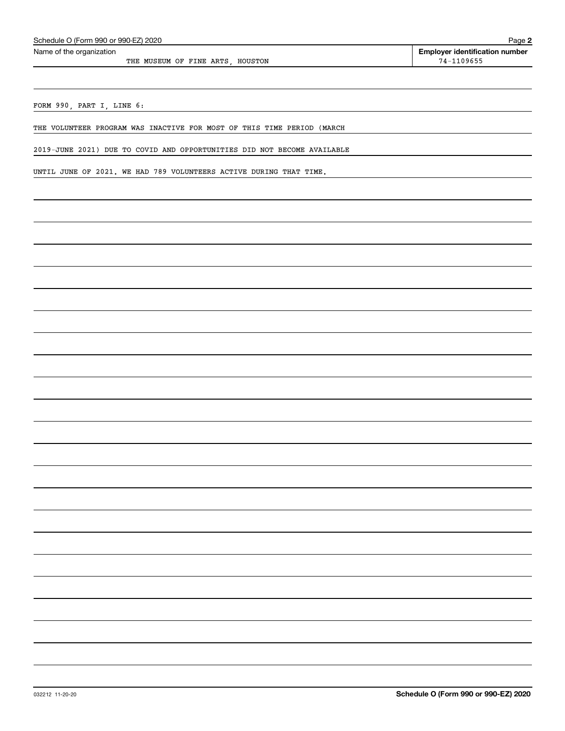THE MUSEUM OF FINE ARTS, HOUSTON 74-1109655

FORM 990, PART I, LINE 6:

THE VOLUNTEER PROGRAM WAS INACTIVE FOR MOST OF THIS TIME PERIOD (MARCH

2019-JUNE 2021) DUE TO COVID AND OPPORTUNITIES DID NOT BECOME AVAILABLE

UNTIL JUNE OF 2021. WE HAD 789 VOLUNTEERS ACTIVE DURING THAT TIME.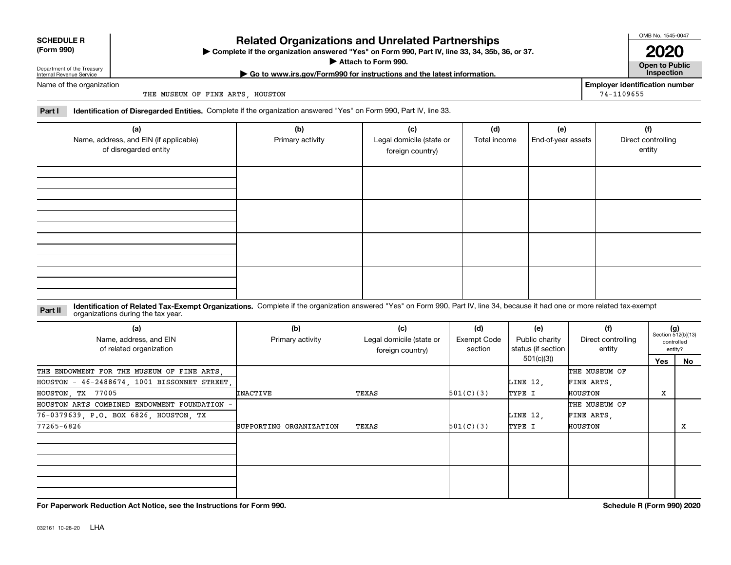| <b>SCHEDULE R</b> |
|-------------------|
|                   |

#### **(Form 990)**

### **Related Organizations and Unrelated Partnerships**

**Complete if the organization answered "Yes" on Form 990, Part IV, line 33, 34, 35b, 36, or 37.** |

**Attach to Form 990.**  |

OMB No. 1545-0047 **2020**

**Open to Public | Go to www.irs.gov/Form990 for instructions and the latest information. Inspection**

**Employer identification number**

74-1109655

Department of the Treasury Internal Revenue Service Name of the organization

THE MUSEUM OF FINE ARTS, HOUSTON

**Part I Identification of Disregarded Entities.**  Complete if the organization answered "Yes" on Form 990, Part IV, line 33.

| (a)<br>Name, address, and EIN (if applicable)<br>of disregarded entity | (b)<br>Primary activity | (c)<br>Legal domicile (state or<br>foreign country) | (d)<br>Total income | (e)<br>End-of-year assets | (f)<br>Direct controlling<br>entity |
|------------------------------------------------------------------------|-------------------------|-----------------------------------------------------|---------------------|---------------------------|-------------------------------------|
|                                                                        |                         |                                                     |                     |                           |                                     |
|                                                                        |                         |                                                     |                     |                           |                                     |
|                                                                        |                         |                                                     |                     |                           |                                     |
|                                                                        |                         |                                                     |                     |                           |                                     |

**Identification of Related Tax-Exempt Organizations.** Complete if the organization answered "Yes" on Form 990, Part IV, line 34, because it had one or more related tax-exempt **Part II** organizations during the tax year.

| (a)<br>Name, address, and EIN<br>of related organization | (b)<br>Primary activity | (c)<br>Legal domicile (state or<br>foreign country) | (d)<br><b>Exempt Code</b><br>section | (e)<br>Public charity<br>status (if section | (f)<br>Direct controlling<br>entity | $(g)$<br>Section 512(b)(13) | controlled<br>entity? |
|----------------------------------------------------------|-------------------------|-----------------------------------------------------|--------------------------------------|---------------------------------------------|-------------------------------------|-----------------------------|-----------------------|
|                                                          |                         |                                                     | 501(c)(3))                           |                                             |                                     | Yes                         | No                    |
| THE ENDOWMENT FOR THE MUSEUM OF FINE ARTS,               |                         |                                                     |                                      |                                             | THE MUSEUM OF                       |                             |                       |
| HOUSTON - 46-2488674, 1001 BISSONNET STREET,             |                         |                                                     |                                      | LINE 12,                                    | FINE ARTS,                          |                             |                       |
| HOUSTON, TX 77005                                        | INACTIVE                | TEXAS                                               | 501(C)(3)<br>TYPE I                  |                                             | HOUSTON                             | x                           |                       |
| HOUSTON ARTS COMBINED ENDOWMENT FOUNDATION -             |                         |                                                     |                                      |                                             | THE MUSEUM OF                       |                             |                       |
| 76-0379639, P.O. BOX 6826, HOUSTON, TX                   |                         |                                                     |                                      | LINE 12,                                    | FINE ARTS,                          |                             |                       |
| 77265-6826                                               | SUPPORTING ORGANIZATION | TEXAS                                               | 501(C)(3)                            | TYPE I                                      | HOUSTON                             |                             | х                     |
|                                                          |                         |                                                     |                                      |                                             |                                     |                             |                       |
|                                                          |                         |                                                     |                                      |                                             |                                     |                             |                       |

**For Paperwork Reduction Act Notice, see the Instructions for Form 990. Schedule R (Form 990) 2020**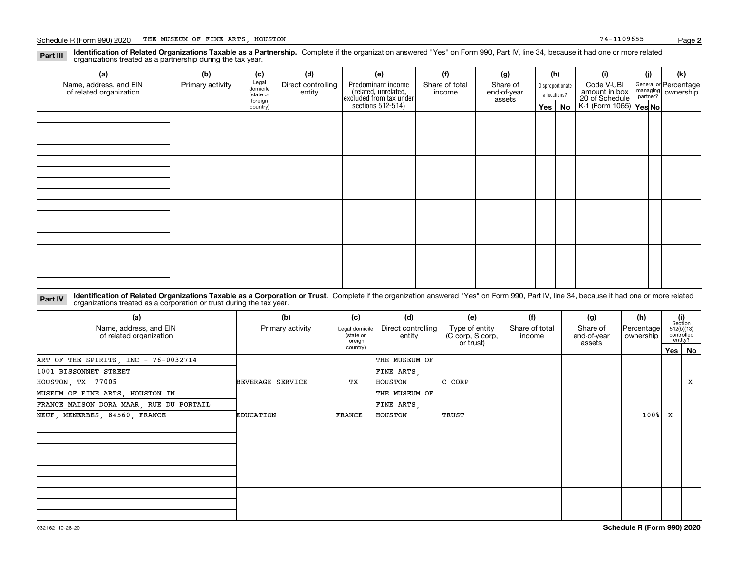**Identification of Related Organizations Taxable as a Partnership.** Complete if the organization answered "Yes" on Form 990, Part IV, line 34, because it had one or more related **Part III** organizations treated as a partnership during the tax year.

| (a)<br>Name, address, and EIN<br>of related organization | (b)<br>Primary activity | (c)<br>Legal<br>domicile<br>(state or<br>foreign<br>country) | (d)<br>Direct controlling<br>entity | (e)<br>Predominant income<br>(related, unrelated,<br>excluded from tax under<br>sections 512-514) | (f)<br>Share of total<br>income | (g)<br>Share of<br>end-of-year<br>assets | (h)<br>Yes $ $ | Disproportionate<br>allocations?<br>No | (i)<br>Code V-UBI<br>amount in box<br>20 of Schedule<br>K-1 (Form 1065) Yes No | (i) | (k)<br>General or Percentage<br>managing ownership<br>partner? |
|----------------------------------------------------------|-------------------------|--------------------------------------------------------------|-------------------------------------|---------------------------------------------------------------------------------------------------|---------------------------------|------------------------------------------|----------------|----------------------------------------|--------------------------------------------------------------------------------|-----|----------------------------------------------------------------|
|                                                          |                         |                                                              |                                     |                                                                                                   |                                 |                                          |                |                                        |                                                                                |     |                                                                |
|                                                          |                         |                                                              |                                     |                                                                                                   |                                 |                                          |                |                                        |                                                                                |     |                                                                |
|                                                          |                         |                                                              |                                     |                                                                                                   |                                 |                                          |                |                                        |                                                                                |     |                                                                |
|                                                          |                         |                                                              |                                     |                                                                                                   |                                 |                                          |                |                                        |                                                                                |     |                                                                |

**Identification of Related Organizations Taxable as a Corporation or Trust.** Complete if the organization answered "Yes" on Form 990, Part IV, line 34, because it had one or more related **Part IV** organizations treated as a corporation or trust during the tax year.

| (a)<br>Name, address, and EIN<br>of related organization | (b)<br>Primary activity    | (c)<br>Legal domicile<br>(state or | (d)<br>Direct controlling<br>entity | (e)<br>Type of entity<br>(C corp, S corp, | (f)<br>Share of total<br>income | (g)<br>Share of<br>end-of-year | (h)<br> Percentage <br>ownership | (i)<br>Section<br>512(b)(13)<br>controlled | entity? |  |
|----------------------------------------------------------|----------------------------|------------------------------------|-------------------------------------|-------------------------------------------|---------------------------------|--------------------------------|----------------------------------|--------------------------------------------|---------|--|
|                                                          |                            | foreign<br>country)                |                                     | or trust)                                 |                                 | assets                         |                                  |                                            |         |  |
| ART OF THE SPIRITS, INC - 76-0032714                     |                            |                                    | THE MUSEUM OF                       |                                           |                                 |                                |                                  |                                            |         |  |
| 1001 BISSONNET STREET                                    |                            |                                    | FINE ARTS,                          |                                           |                                 |                                |                                  |                                            |         |  |
| HOUSTON, TX 77005                                        | BEVERAGE SERVICE           | TХ                                 | HOUSTON                             | C CORP                                    |                                 |                                |                                  |                                            | X       |  |
| MUSEUM OF FINE ARTS, HOUSTON IN                          |                            |                                    | THE MUSEUM OF                       |                                           |                                 |                                |                                  |                                            |         |  |
| FRANCE MAISON DORA MAAR, RUE DU PORTAIL                  |                            |                                    | FINE ARTS,                          |                                           |                                 |                                |                                  |                                            |         |  |
| NEUF, MENERBES, 84560, FRANCE                            | <b>EDUCATION</b><br>FRANCE |                                    | HOUSTON                             | TRUST                                     |                                 |                                | 100%                             | x                                          |         |  |
|                                                          |                            |                                    |                                     |                                           |                                 |                                |                                  |                                            |         |  |
|                                                          |                            |                                    |                                     |                                           |                                 |                                |                                  |                                            |         |  |
|                                                          |                            |                                    |                                     |                                           |                                 |                                |                                  |                                            |         |  |
|                                                          |                            |                                    |                                     |                                           |                                 |                                |                                  |                                            |         |  |
|                                                          |                            |                                    |                                     |                                           |                                 |                                |                                  |                                            |         |  |
|                                                          |                            |                                    |                                     |                                           |                                 |                                |                                  |                                            |         |  |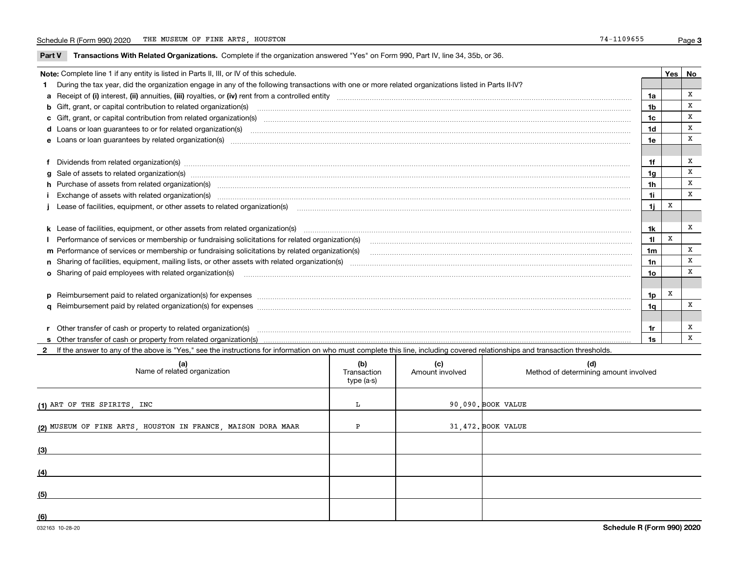**Part V** T**ransactions With Related Organizations.** Complete if the organization answered "Yes" on Form 990, Part IV, line 34, 35b, or 36.

| Note: Complete line 1 if any entity is listed in Parts II, III, or IV of this schedule. |                                                                                                                                                                                                                                |                |   |   |  |  |
|-----------------------------------------------------------------------------------------|--------------------------------------------------------------------------------------------------------------------------------------------------------------------------------------------------------------------------------|----------------|---|---|--|--|
|                                                                                         | 1 During the tax year, did the organization engage in any of the following transactions with one or more related organizations listed in Parts II-IV?                                                                          |                |   |   |  |  |
|                                                                                         | a Receipt of (i) interest, (ii) annuities, (iii) royalties, or (iv) rent from a controlled entity [1] controlled entity [1] controlled entimed to the controlled entity [1] content content content content of (i) interest, ( | 1a             |   | Х |  |  |
|                                                                                         |                                                                                                                                                                                                                                | 1 <sub>b</sub> |   | X |  |  |
|                                                                                         | c Gift, grant, or capital contribution from related organization(s) matches contains and content and contribution from related organization(s) matches contains and contribution from related organization(s) matches contains | 1c             |   | X |  |  |
|                                                                                         |                                                                                                                                                                                                                                | 1d             |   | X |  |  |
|                                                                                         |                                                                                                                                                                                                                                | 1e             |   | X |  |  |
|                                                                                         |                                                                                                                                                                                                                                |                |   |   |  |  |
|                                                                                         | f Dividends from related organization(s) manufactured contains and contained a series of the contact of the contact of the contact of the contact of the contact of the contact of the contact of the contact of the contact o | 1f             |   | X |  |  |
|                                                                                         | g Sale of assets to related organization(s) www.assettion.com/www.assettion.com/www.assettion.com/www.assettion.com/www.assettion.com/www.assettion.com/www.assettion.com/www.assettion.com/www.assettion.com/www.assettion.co | 1 <sub>g</sub> |   | X |  |  |
|                                                                                         | h Purchase of assets from related organization(s) manufactured and content to the content of the content of the content of the content of the content of the content of the content of the content of the content of the conte | 1h             |   | X |  |  |
|                                                                                         | Exchange of assets with related organization(s) www.assettion.com/www.assettion.com/www.assettion.com/www.assettion.com/www.assettion.com/www.assettion.com/www.assettion.com/www.assettion.com/www.assettion.com/www.assettio | 11             |   | x |  |  |
|                                                                                         |                                                                                                                                                                                                                                | 1j             | X |   |  |  |
|                                                                                         |                                                                                                                                                                                                                                |                |   |   |  |  |
|                                                                                         | k Lease of facilities, equipment, or other assets from related organization(s) manufaction content to the manufacture of facilities, equipment, or other assets from related organization(s) manufacture manufacture manufactu | 1k             |   | X |  |  |
|                                                                                         | Performance of services or membership or fundraising solicitations for related organization(s)                                                                                                                                 | 11             | X |   |  |  |
|                                                                                         | m Performance of services or membership or fundraising solicitations by related organization(s)                                                                                                                                | 1m             |   | X |  |  |
|                                                                                         |                                                                                                                                                                                                                                | 1n             |   | X |  |  |
|                                                                                         | o Sharing of paid employees with related organization(s) manufactured and content to the content of the content of the content of the content of the content of the content of the content of the content of the content of th | 1o             |   | X |  |  |
|                                                                                         |                                                                                                                                                                                                                                |                |   |   |  |  |
|                                                                                         |                                                                                                                                                                                                                                | 1p             | x |   |  |  |
|                                                                                         |                                                                                                                                                                                                                                | 1q             |   | X |  |  |
|                                                                                         |                                                                                                                                                                                                                                |                |   |   |  |  |
|                                                                                         |                                                                                                                                                                                                                                | 1r             |   | х |  |  |
|                                                                                         |                                                                                                                                                                                                                                | 1s             |   | x |  |  |

**2**If the answer to any of the above is "Yes," see the instructions for information on who must complete this line, including covered relationships and transaction thresholds.

| (a)<br>Name of related organization                          | (b)<br>Transaction<br>type (a-s) | (c)<br>Amount involved | (d)<br>Method of determining amount involved |
|--------------------------------------------------------------|----------------------------------|------------------------|----------------------------------------------|
| (1) ART OF THE SPIRITS, INC                                  | ш                                |                        | 90,090. BOOK VALUE                           |
| (2) MUSEUM OF FINE ARTS, HOUSTON IN FRANCE, MAISON DORA MAAR |                                  |                        | 31,472. BOOK VALUE                           |
| (3)                                                          |                                  |                        |                                              |
| (4)                                                          |                                  |                        |                                              |
| (5)                                                          |                                  |                        |                                              |
| (6)                                                          |                                  |                        |                                              |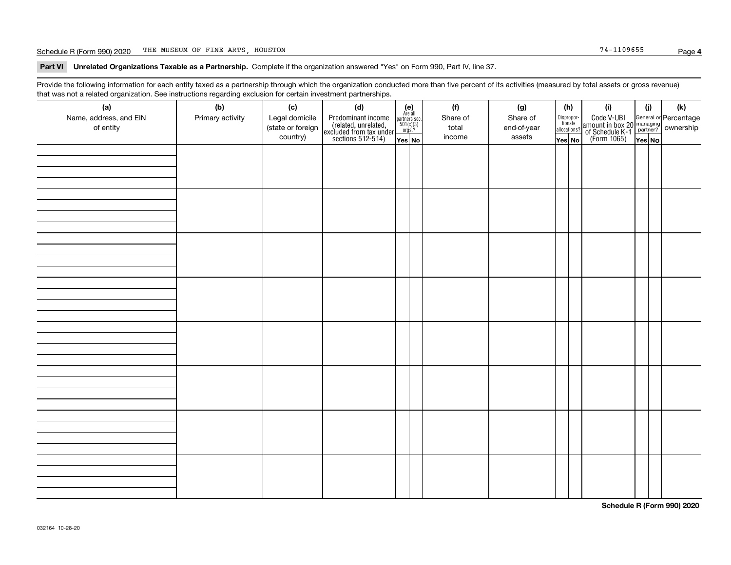#### Schedule R (Form 990) 2020 Page THE MUSEUM OF FINE ARTS, HOUSTON 74-1109655

**Part VI Unrelated Organizations Taxable as a Partnership. Complete if the organization answered "Yes" on Form 990, Part IV, line 37.** 

Provide the following information for each entity taxed as a partnership through which the organization conducted more than five percent of its activities (measured by total assets or gross revenue) that was not a related organization. See instructions regarding exclusion for certain investment partnerships.

| $\overline{\phantom{0}}$<br>(a)<br>Name, address, and EIN<br>of entity | ັ<br>ັ<br>(b)<br>Primary activity | (c)<br>Legal domicile<br>(state or foreign<br>country) | (d)<br>Predominant income<br>(related, unrelated,<br>excluded from tax under<br>sections 512-514) | (e)<br>Are all<br>$\begin{array}{c}\n\text{partners} & \text{sec.} \\ 501(c)(3) & \text{orgs.?} \n\end{array}$<br>Yes No | (f)<br>Share of<br>total<br>income | (g)<br>Share of<br>end-of-year<br>assets | (h)<br>Dispropor-<br>tionate<br>allocations?<br>Yes No | (i)<br>Code V-UBI<br>  amount in box 20 managing<br>  of Schedule K-1 partner?  ownership<br>  of Schedule K-1 partner?  ownership<br>  Yes No | (i)<br>Yes No | (k) |
|------------------------------------------------------------------------|-----------------------------------|--------------------------------------------------------|---------------------------------------------------------------------------------------------------|--------------------------------------------------------------------------------------------------------------------------|------------------------------------|------------------------------------------|--------------------------------------------------------|------------------------------------------------------------------------------------------------------------------------------------------------|---------------|-----|
|                                                                        |                                   |                                                        |                                                                                                   |                                                                                                                          |                                    |                                          |                                                        |                                                                                                                                                |               |     |
|                                                                        |                                   |                                                        |                                                                                                   |                                                                                                                          |                                    |                                          |                                                        |                                                                                                                                                |               |     |
|                                                                        |                                   |                                                        |                                                                                                   |                                                                                                                          |                                    |                                          |                                                        |                                                                                                                                                |               |     |
|                                                                        |                                   |                                                        |                                                                                                   |                                                                                                                          |                                    |                                          |                                                        |                                                                                                                                                |               |     |
|                                                                        |                                   |                                                        |                                                                                                   |                                                                                                                          |                                    |                                          |                                                        |                                                                                                                                                |               |     |
|                                                                        |                                   |                                                        |                                                                                                   |                                                                                                                          |                                    |                                          |                                                        |                                                                                                                                                |               |     |
|                                                                        |                                   |                                                        |                                                                                                   |                                                                                                                          |                                    |                                          |                                                        |                                                                                                                                                |               |     |
|                                                                        |                                   |                                                        |                                                                                                   |                                                                                                                          |                                    |                                          |                                                        |                                                                                                                                                |               |     |

**Schedule R (Form 990) 2020**